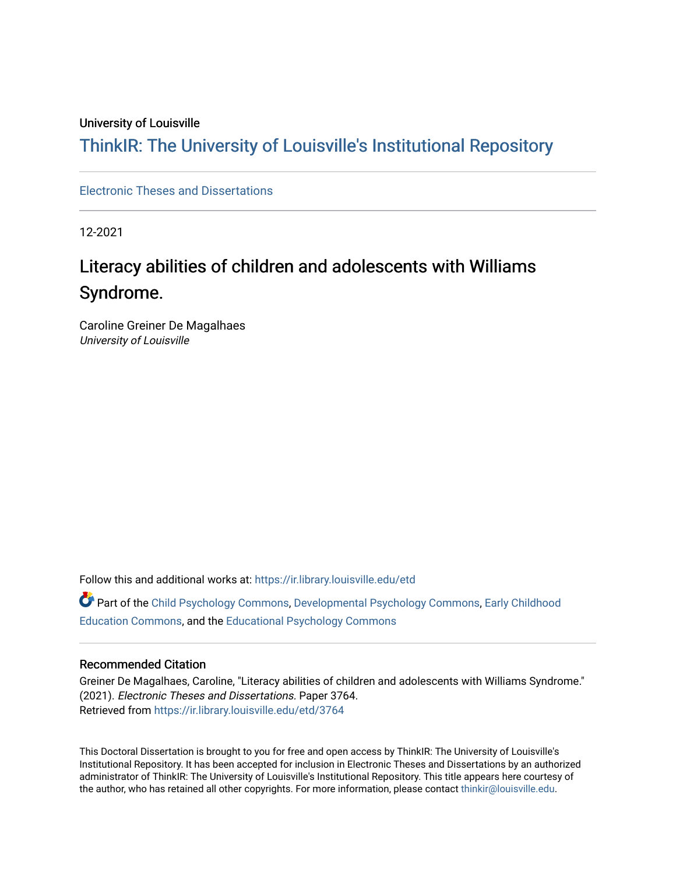## University of Louisville

## ThinkIR: The Univ[ersity of Louisville's Institutional Reposit](https://ir.library.louisville.edu/)ory

## [Electronic Theses and Dissertations](https://ir.library.louisville.edu/etd)

12-2021

## Literacy abilities of children and adolescents with Williams Syndrome.

Caroline Greiner De Magalhaes University of Louisville

Follow this and additional works at: [https://ir.library.louisville.edu/etd](https://ir.library.louisville.edu/etd?utm_source=ir.library.louisville.edu%2Fetd%2F3764&utm_medium=PDF&utm_campaign=PDFCoverPages) 

Part of the [Child Psychology Commons,](https://network.bepress.com/hgg/discipline/1023?utm_source=ir.library.louisville.edu%2Fetd%2F3764&utm_medium=PDF&utm_campaign=PDFCoverPages) [Developmental Psychology Commons,](https://network.bepress.com/hgg/discipline/410?utm_source=ir.library.louisville.edu%2Fetd%2F3764&utm_medium=PDF&utm_campaign=PDFCoverPages) [Early Childhood](https://network.bepress.com/hgg/discipline/1377?utm_source=ir.library.louisville.edu%2Fetd%2F3764&utm_medium=PDF&utm_campaign=PDFCoverPages) [Education Commons,](https://network.bepress.com/hgg/discipline/1377?utm_source=ir.library.louisville.edu%2Fetd%2F3764&utm_medium=PDF&utm_campaign=PDFCoverPages) and the [Educational Psychology Commons](https://network.bepress.com/hgg/discipline/798?utm_source=ir.library.louisville.edu%2Fetd%2F3764&utm_medium=PDF&utm_campaign=PDFCoverPages)

## Recommended Citation

Greiner De Magalhaes, Caroline, "Literacy abilities of children and adolescents with Williams Syndrome." (2021). Electronic Theses and Dissertations. Paper 3764. Retrieved from [https://ir.library.louisville.edu/etd/3764](https://ir.library.louisville.edu/etd/3764?utm_source=ir.library.louisville.edu%2Fetd%2F3764&utm_medium=PDF&utm_campaign=PDFCoverPages) 

This Doctoral Dissertation is brought to you for free and open access by ThinkIR: The University of Louisville's Institutional Repository. It has been accepted for inclusion in Electronic Theses and Dissertations by an authorized administrator of ThinkIR: The University of Louisville's Institutional Repository. This title appears here courtesy of the author, who has retained all other copyrights. For more information, please contact [thinkir@louisville.edu.](mailto:thinkir@louisville.edu)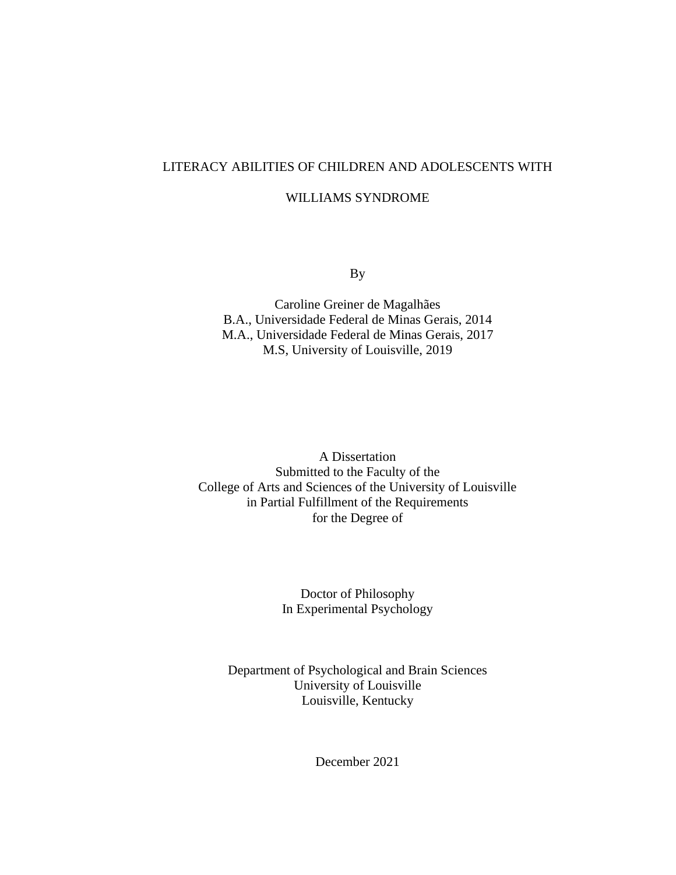## LITERACY ABILITIES OF CHILDREN AND ADOLESCENTS WITH

## WILLIAMS SYNDROME

By

Caroline Greiner de Magalhães B.A., Universidade Federal de Minas Gerais, 2014 M.A., Universidade Federal de Minas Gerais, 2017 M.S, University of Louisville, 2019

A Dissertation Submitted to the Faculty of the College of Arts and Sciences of the University of Louisville in Partial Fulfillment of the Requirements for the Degree of

> Doctor of Philosophy In Experimental Psychology

Department of Psychological and Brain Sciences University of Louisville Louisville, Kentucky

December 2021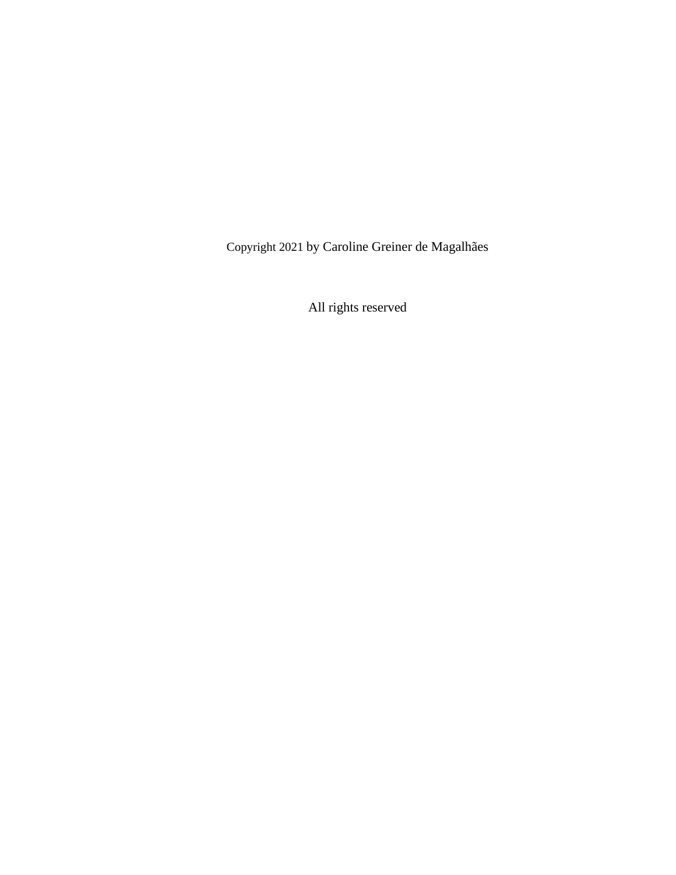Copyright 2021 by Caroline Greiner de Magalhães

All rights reserved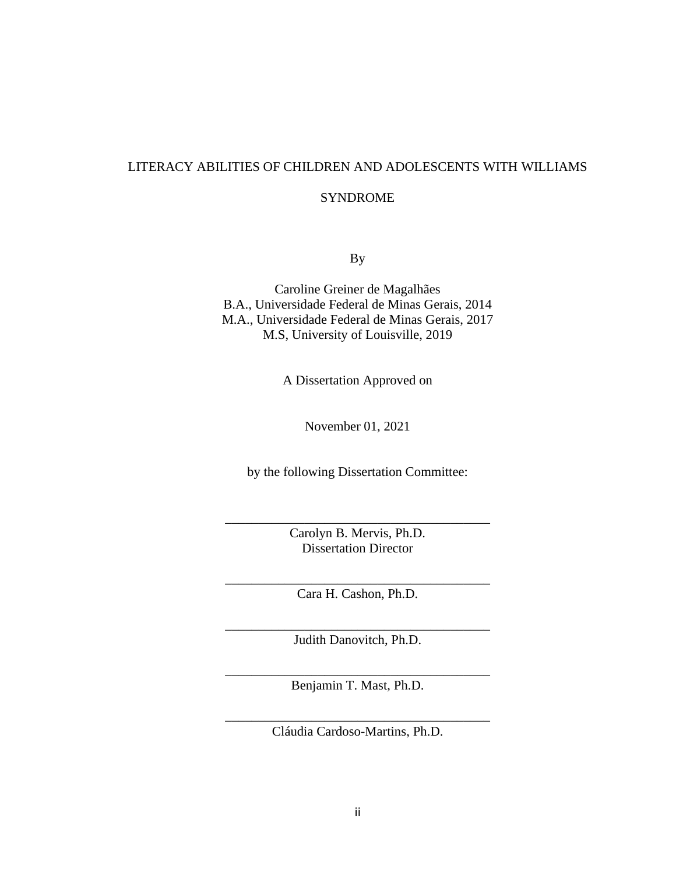# LITERACY ABILITIES OF CHILDREN AND ADOLESCENTS WITH WILLIAMS

## SYNDROME

By

Caroline Greiner de Magalhães B.A., Universidade Federal de Minas Gerais, 2014 M.A., Universidade Federal de Minas Gerais, 2017 M.S, University of Louisville, 2019

A Dissertation Approved on

November 01, 2021

by the following Dissertation Committee:

Carolyn B. Mervis, Ph.D. Dissertation Director

\_\_\_\_\_\_\_\_\_\_\_\_\_\_\_\_\_\_\_\_\_\_\_\_\_\_\_\_\_\_\_\_\_\_\_\_\_\_\_\_

\_\_\_\_\_\_\_\_\_\_\_\_\_\_\_\_\_\_\_\_\_\_\_\_\_\_\_\_\_\_\_\_\_\_\_\_\_\_\_\_ Cara H. Cashon, Ph.D.

\_\_\_\_\_\_\_\_\_\_\_\_\_\_\_\_\_\_\_\_\_\_\_\_\_\_\_\_\_\_\_\_\_\_\_\_\_\_\_\_ Judith Danovitch, Ph.D.

\_\_\_\_\_\_\_\_\_\_\_\_\_\_\_\_\_\_\_\_\_\_\_\_\_\_\_\_\_\_\_\_\_\_\_\_\_\_\_\_ Benjamin T. Mast, Ph.D.

\_\_\_\_\_\_\_\_\_\_\_\_\_\_\_\_\_\_\_\_\_\_\_\_\_\_\_\_\_\_\_\_\_\_\_\_\_\_\_\_ Cláudia Cardoso-Martins, Ph.D.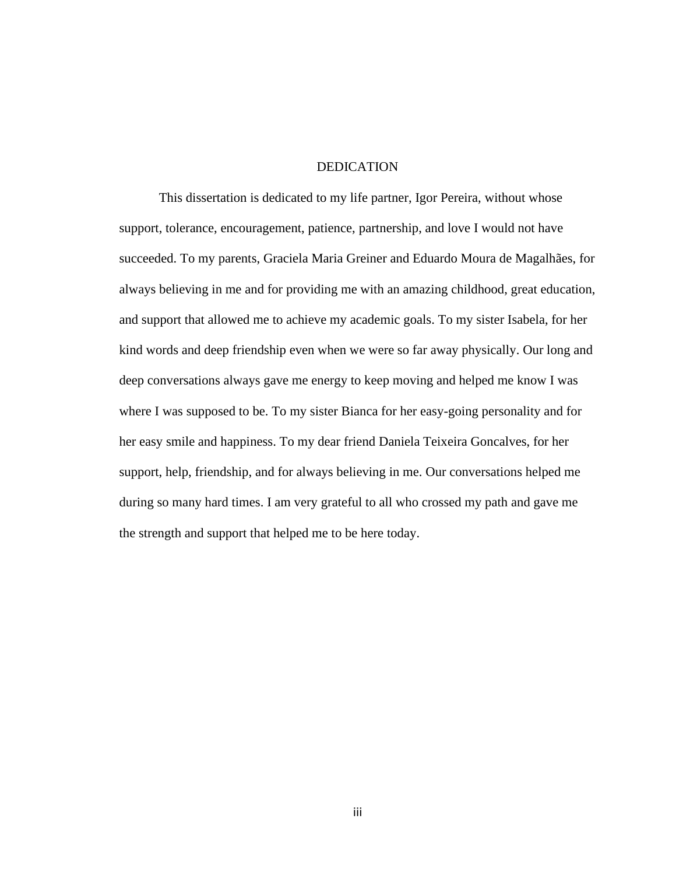### DEDICATION

This dissertation is dedicated to my life partner, Igor Pereira, without whose support, tolerance, encouragement, patience, partnership, and love I would not have succeeded. To my parents, Graciela Maria Greiner and Eduardo Moura de Magalhães, for always believing in me and for providing me with an amazing childhood, great education, and support that allowed me to achieve my academic goals. To my sister Isabela, for her kind words and deep friendship even when we were so far away physically. Our long and deep conversations always gave me energy to keep moving and helped me know I was where I was supposed to be. To my sister Bianca for her easy-going personality and for her easy smile and happiness. To my dear friend Daniela Teixeira Goncalves, for her support, help, friendship, and for always believing in me. Our conversations helped me during so many hard times. I am very grateful to all who crossed my path and gave me the strength and support that helped me to be here today.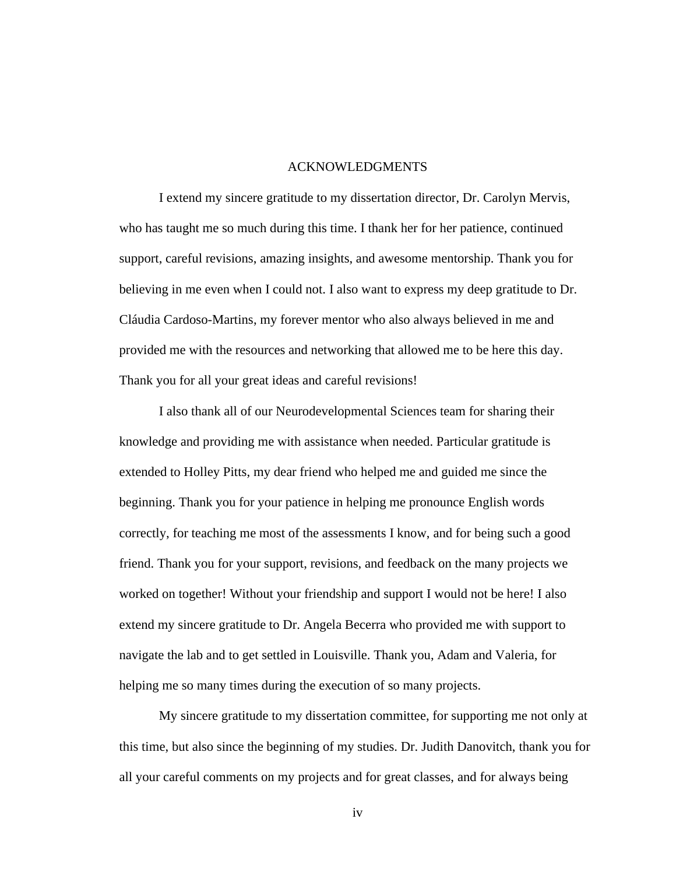### ACKNOWLEDGMENTS

I extend my sincere gratitude to my dissertation director, Dr. Carolyn Mervis, who has taught me so much during this time. I thank her for her patience, continued support, careful revisions, amazing insights, and awesome mentorship. Thank you for believing in me even when I could not. I also want to express my deep gratitude to Dr. Cláudia Cardoso-Martins, my forever mentor who also always believed in me and provided me with the resources and networking that allowed me to be here this day. Thank you for all your great ideas and careful revisions!

I also thank all of our Neurodevelopmental Sciences team for sharing their knowledge and providing me with assistance when needed. Particular gratitude is extended to Holley Pitts, my dear friend who helped me and guided me since the beginning. Thank you for your patience in helping me pronounce English words correctly, for teaching me most of the assessments I know, and for being such a good friend. Thank you for your support, revisions, and feedback on the many projects we worked on together! Without your friendship and support I would not be here! I also extend my sincere gratitude to Dr. Angela Becerra who provided me with support to navigate the lab and to get settled in Louisville. Thank you, Adam and Valeria, for helping me so many times during the execution of so many projects.

My sincere gratitude to my dissertation committee, for supporting me not only at this time, but also since the beginning of my studies. Dr. Judith Danovitch, thank you for all your careful comments on my projects and for great classes, and for always being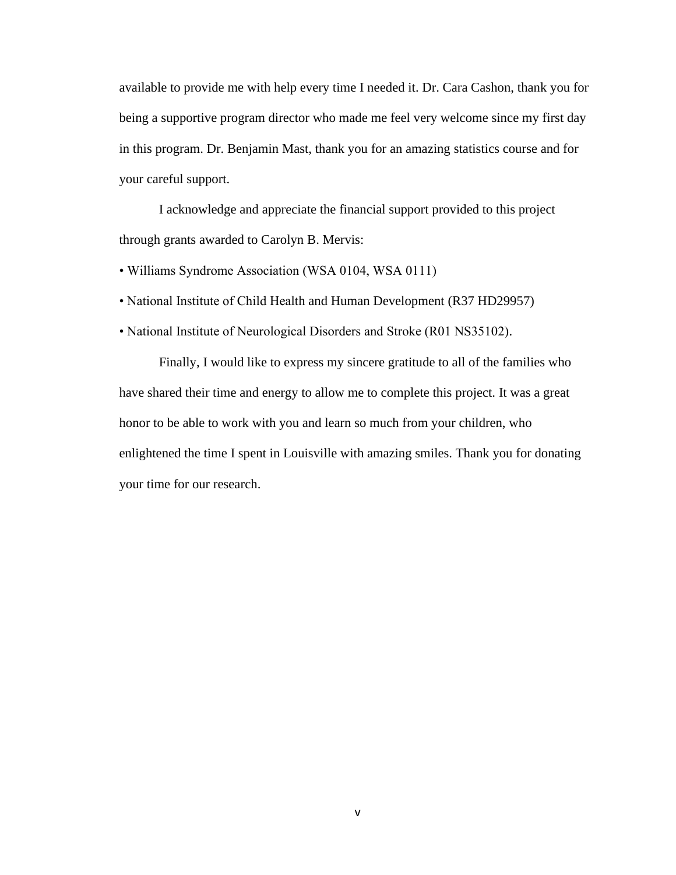available to provide me with help every time I needed it. Dr. Cara Cashon, thank you for being a supportive program director who made me feel very welcome since my first day in this program. Dr. Benjamin Mast, thank you for an amazing statistics course and for your careful support.

I acknowledge and appreciate the financial support provided to this project through grants awarded to Carolyn B. Mervis:

• Williams Syndrome Association (WSA 0104, WSA 0111)

• National Institute of Child Health and Human Development (R37 HD29957)

• National Institute of Neurological Disorders and Stroke (R01 NS35102).

Finally, I would like to express my sincere gratitude to all of the families who have shared their time and energy to allow me to complete this project. It was a great honor to be able to work with you and learn so much from your children, who enlightened the time I spent in Louisville with amazing smiles. Thank you for donating your time for our research.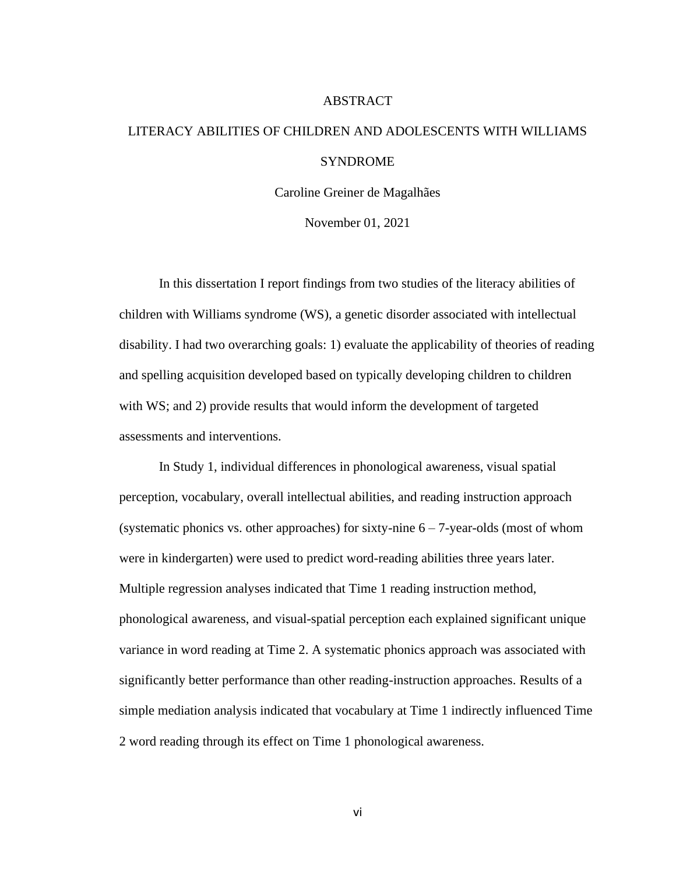### ABSTRACT

## LITERACY ABILITIES OF CHILDREN AND ADOLESCENTS WITH WILLIAMS SYNDROME

Caroline Greiner de Magalhães

November 01, 2021

In this dissertation I report findings from two studies of the literacy abilities of children with Williams syndrome (WS), a genetic disorder associated with intellectual disability. I had two overarching goals: 1) evaluate the applicability of theories of reading and spelling acquisition developed based on typically developing children to children with WS; and 2) provide results that would inform the development of targeted assessments and interventions.

In Study 1, individual differences in phonological awareness, visual spatial perception, vocabulary, overall intellectual abilities, and reading instruction approach (systematic phonics vs. other approaches) for sixty-nine  $6 - 7$ -year-olds (most of whom were in kindergarten) were used to predict word-reading abilities three years later. Multiple regression analyses indicated that Time 1 reading instruction method, phonological awareness, and visual-spatial perception each explained significant unique variance in word reading at Time 2. A systematic phonics approach was associated with significantly better performance than other reading-instruction approaches. Results of a simple mediation analysis indicated that vocabulary at Time 1 indirectly influenced Time 2 word reading through its effect on Time 1 phonological awareness.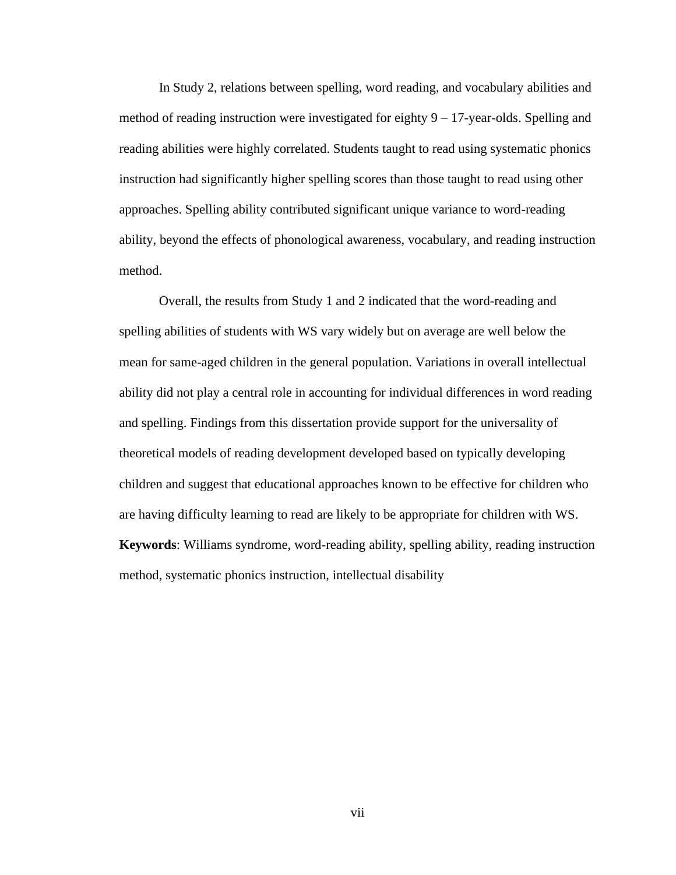In Study 2, relations between spelling, word reading, and vocabulary abilities and method of reading instruction were investigated for eighty 9 – 17-year-olds. Spelling and reading abilities were highly correlated. Students taught to read using systematic phonics instruction had significantly higher spelling scores than those taught to read using other approaches. Spelling ability contributed significant unique variance to word-reading ability, beyond the effects of phonological awareness, vocabulary, and reading instruction method.

Overall, the results from Study 1 and 2 indicated that the word-reading and spelling abilities of students with WS vary widely but on average are well below the mean for same-aged children in the general population. Variations in overall intellectual ability did not play a central role in accounting for individual differences in word reading and spelling. Findings from this dissertation provide support for the universality of theoretical models of reading development developed based on typically developing children and suggest that educational approaches known to be effective for children who are having difficulty learning to read are likely to be appropriate for children with WS. **Keywords**: Williams syndrome, word-reading ability, spelling ability, reading instruction method, systematic phonics instruction, intellectual disability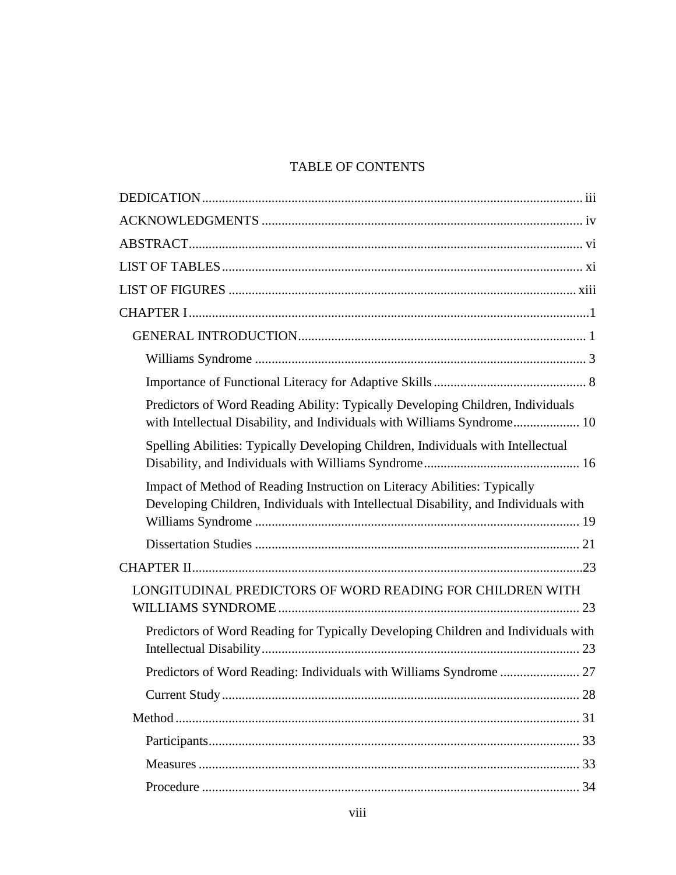## TABLE OF CONTENTS

| Predictors of Word Reading Ability: Typically Developing Children, Individuals<br>with Intellectual Disability, and Individuals with Williams Syndrome 10       |
|-----------------------------------------------------------------------------------------------------------------------------------------------------------------|
| Spelling Abilities: Typically Developing Children, Individuals with Intellectual                                                                                |
|                                                                                                                                                                 |
| Impact of Method of Reading Instruction on Literacy Abilities: Typically<br>Developing Children, Individuals with Intellectual Disability, and Individuals with |
|                                                                                                                                                                 |
|                                                                                                                                                                 |
| LONGITUDINAL PREDICTORS OF WORD READING FOR CHILDREN WITH                                                                                                       |
| Predictors of Word Reading for Typically Developing Children and Individuals with                                                                               |
|                                                                                                                                                                 |
|                                                                                                                                                                 |
|                                                                                                                                                                 |
|                                                                                                                                                                 |
|                                                                                                                                                                 |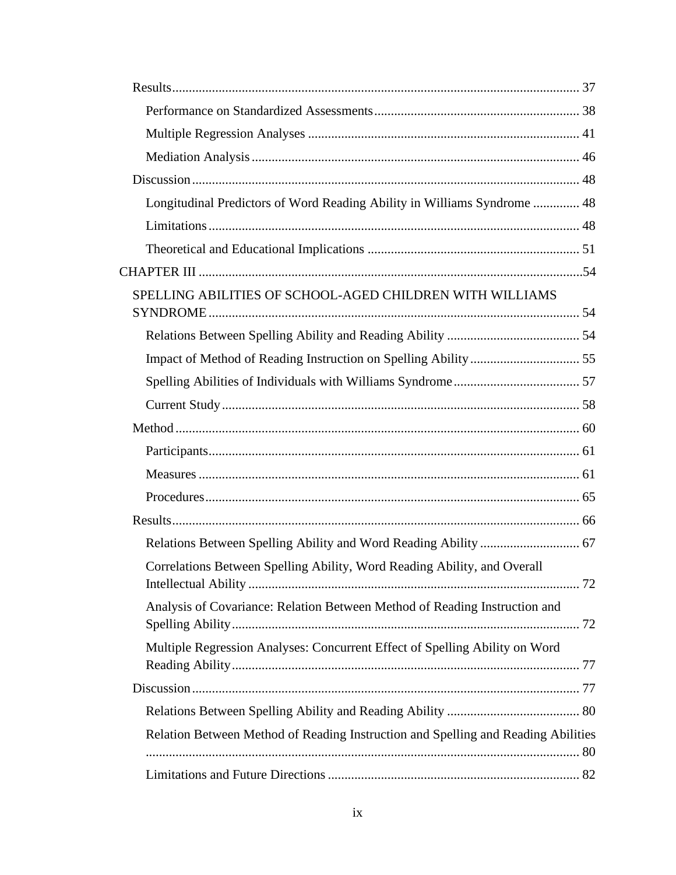| Longitudinal Predictors of Word Reading Ability in Williams Syndrome  48          |  |
|-----------------------------------------------------------------------------------|--|
|                                                                                   |  |
|                                                                                   |  |
|                                                                                   |  |
| SPELLING ABILITIES OF SCHOOL-AGED CHILDREN WITH WILLIAMS                          |  |
|                                                                                   |  |
|                                                                                   |  |
|                                                                                   |  |
|                                                                                   |  |
|                                                                                   |  |
|                                                                                   |  |
|                                                                                   |  |
|                                                                                   |  |
|                                                                                   |  |
|                                                                                   |  |
| Correlations Between Spelling Ability, Word Reading Ability, and Overall          |  |
| Analysis of Covariance: Relation Between Method of Reading Instruction and        |  |
| Multiple Regression Analyses: Concurrent Effect of Spelling Ability on Word       |  |
|                                                                                   |  |
|                                                                                   |  |
| Relation Between Method of Reading Instruction and Spelling and Reading Abilities |  |
|                                                                                   |  |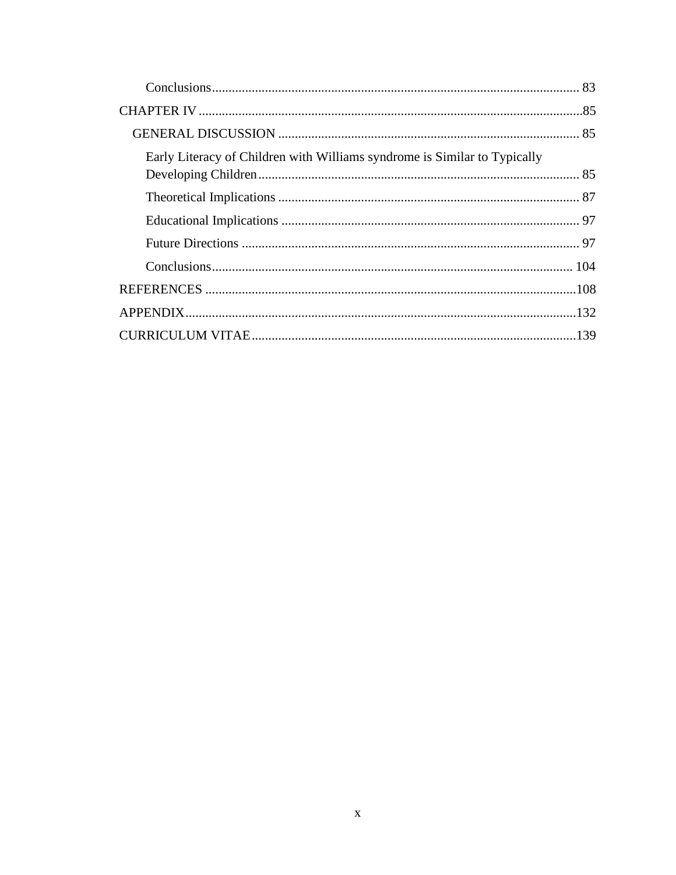| Early Literacy of Children with Williams syndrome is Similar to Typically |  |
|---------------------------------------------------------------------------|--|
|                                                                           |  |
|                                                                           |  |
|                                                                           |  |
|                                                                           |  |
|                                                                           |  |
|                                                                           |  |
|                                                                           |  |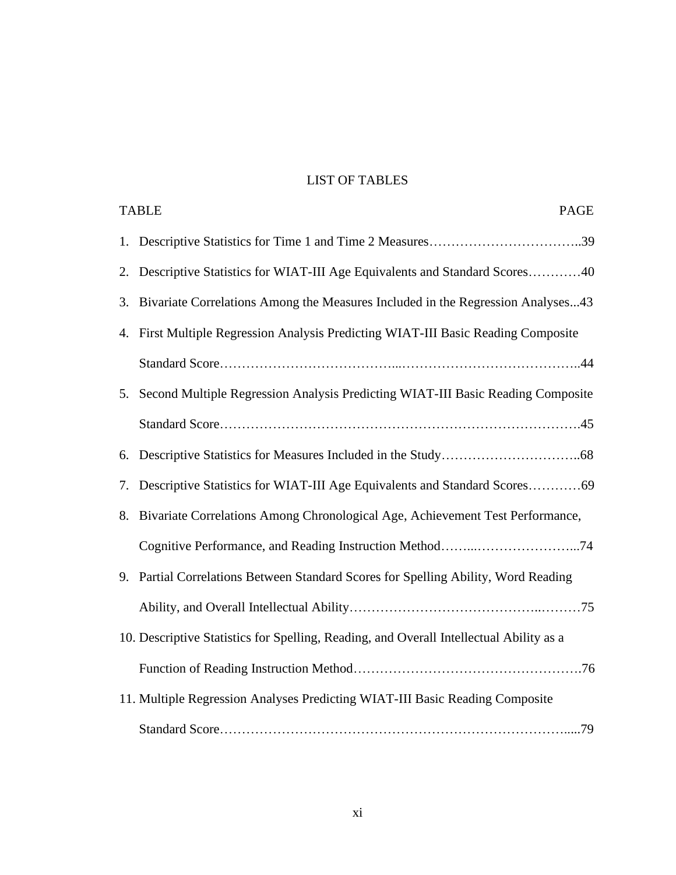## LIST OF TABLES

|    | <b>TABLE</b><br><b>PAGE</b>                                                             |
|----|-----------------------------------------------------------------------------------------|
| 1. |                                                                                         |
| 2. | Descriptive Statistics for WIAT-III Age Equivalents and Standard Scores40               |
| 3. | Bivariate Correlations Among the Measures Included in the Regression Analyses43         |
| 4. | First Multiple Regression Analysis Predicting WIAT-III Basic Reading Composite          |
|    |                                                                                         |
| 5. | Second Multiple Regression Analysis Predicting WIAT-III Basic Reading Composite         |
|    |                                                                                         |
| 6. |                                                                                         |
| 7. | Descriptive Statistics for WIAT-III Age Equivalents and Standard Scores69               |
| 8. | Bivariate Correlations Among Chronological Age, Achievement Test Performance,           |
|    |                                                                                         |
| 9. | Partial Correlations Between Standard Scores for Spelling Ability, Word Reading         |
|    |                                                                                         |
|    | 10. Descriptive Statistics for Spelling, Reading, and Overall Intellectual Ability as a |
|    |                                                                                         |
|    | 11. Multiple Regression Analyses Predicting WIAT-III Basic Reading Composite            |
|    |                                                                                         |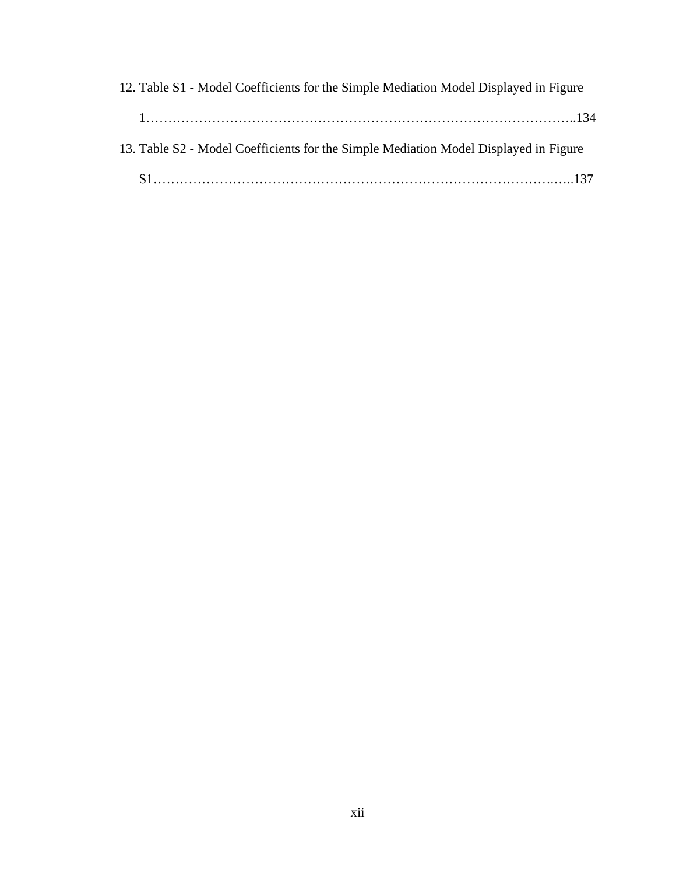| 12. Table S1 - Model Coefficients for the Simple Mediation Model Displayed in Figure |
|--------------------------------------------------------------------------------------|
|                                                                                      |
| 13. Table S2 - Model Coefficients for the Simple Mediation Model Displayed in Figure |
|                                                                                      |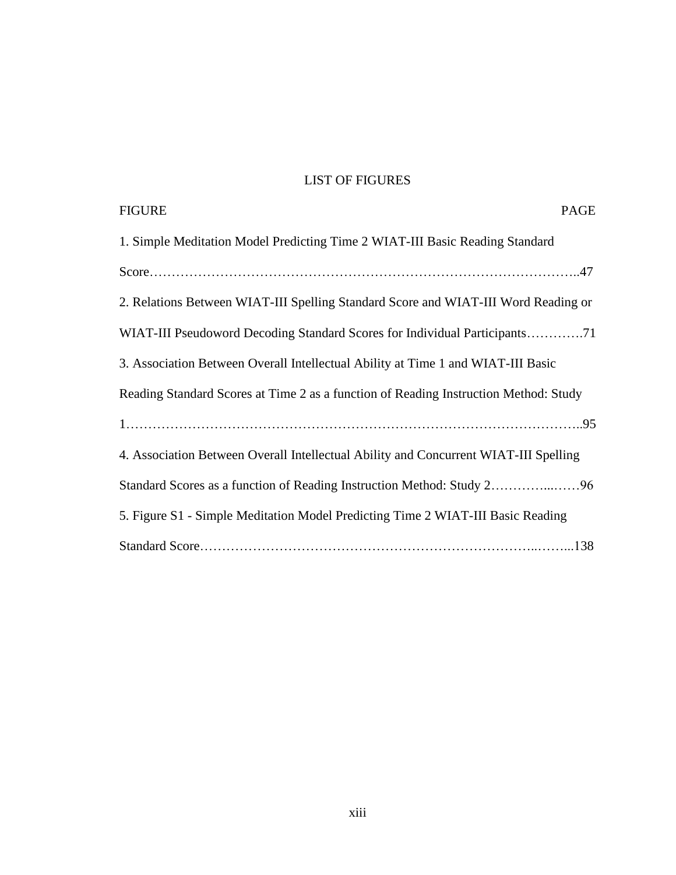## LIST OF FIGURES

| <b>FIGURE</b><br>PAGE                                                                |
|--------------------------------------------------------------------------------------|
| 1. Simple Meditation Model Predicting Time 2 WIAT-III Basic Reading Standard         |
|                                                                                      |
| 2. Relations Between WIAT-III Spelling Standard Score and WIAT-III Word Reading or   |
| WIAT-III Pseudoword Decoding Standard Scores for Individual Participants71           |
| 3. Association Between Overall Intellectual Ability at Time 1 and WIAT-III Basic     |
| Reading Standard Scores at Time 2 as a function of Reading Instruction Method: Study |
|                                                                                      |
| 4. Association Between Overall Intellectual Ability and Concurrent WIAT-III Spelling |
| Standard Scores as a function of Reading Instruction Method: Study 296               |
| 5. Figure S1 - Simple Meditation Model Predicting Time 2 WIAT-III Basic Reading      |
|                                                                                      |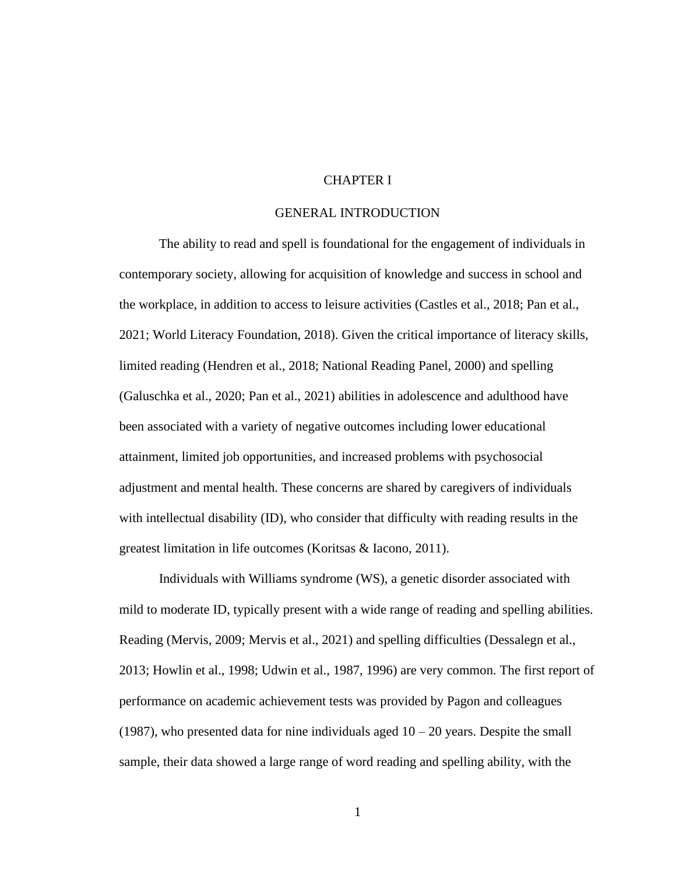### CHAPTER I

## GENERAL INTRODUCTION

The ability to read and spell is foundational for the engagement of individuals in contemporary society, allowing for acquisition of knowledge and success in school and the workplace, in addition to access to leisure activities (Castles et al., 2018; Pan et al., 2021; World Literacy Foundation, 2018). Given the critical importance of literacy skills, limited reading (Hendren et al., 2018; National Reading Panel, 2000) and spelling (Galuschka et al., 2020; Pan et al., 2021) abilities in adolescence and adulthood have been associated with a variety of negative outcomes including lower educational attainment, limited job opportunities, and increased problems with psychosocial adjustment and mental health. These concerns are shared by caregivers of individuals with intellectual disability (ID), who consider that difficulty with reading results in the greatest limitation in life outcomes (Koritsas & Iacono, 2011).

Individuals with Williams syndrome (WS), a genetic disorder associated with mild to moderate ID, typically present with a wide range of reading and spelling abilities. Reading (Mervis, 2009; Mervis et al., 2021) and spelling difficulties (Dessalegn et al., 2013; Howlin et al., 1998; Udwin et al., 1987, 1996) are very common. The first report of performance on academic achievement tests was provided by Pagon and colleagues (1987), who presented data for nine individuals aged  $10 - 20$  years. Despite the small sample, their data showed a large range of word reading and spelling ability, with the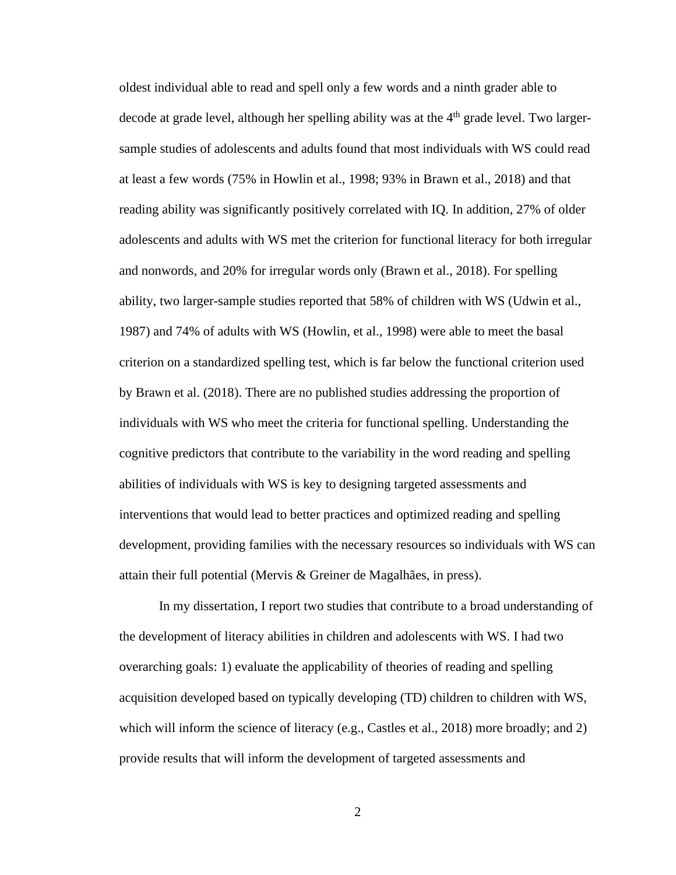oldest individual able to read and spell only a few words and a ninth grader able to decode at grade level, although her spelling ability was at the  $4<sup>th</sup>$  grade level. Two largersample studies of adolescents and adults found that most individuals with WS could read at least a few words (75% in Howlin et al., 1998; 93% in Brawn et al., 2018) and that reading ability was significantly positively correlated with IQ. In addition, 27% of older adolescents and adults with WS met the criterion for functional literacy for both irregular and nonwords, and 20% for irregular words only (Brawn et al., 2018). For spelling ability, two larger-sample studies reported that 58% of children with WS (Udwin et al., 1987) and 74% of adults with WS (Howlin, et al., 1998) were able to meet the basal criterion on a standardized spelling test, which is far below the functional criterion used by Brawn et al. (2018). There are no published studies addressing the proportion of individuals with WS who meet the criteria for functional spelling. Understanding the cognitive predictors that contribute to the variability in the word reading and spelling abilities of individuals with WS is key to designing targeted assessments and interventions that would lead to better practices and optimized reading and spelling development, providing families with the necessary resources so individuals with WS can attain their full potential (Mervis & Greiner de Magalhães, in press).

In my dissertation, I report two studies that contribute to a broad understanding of the development of literacy abilities in children and adolescents with WS. I had two overarching goals: 1) evaluate the applicability of theories of reading and spelling acquisition developed based on typically developing (TD) children to children with WS, which will inform the science of literacy (e.g., Castles et al., 2018) more broadly; and 2) provide results that will inform the development of targeted assessments and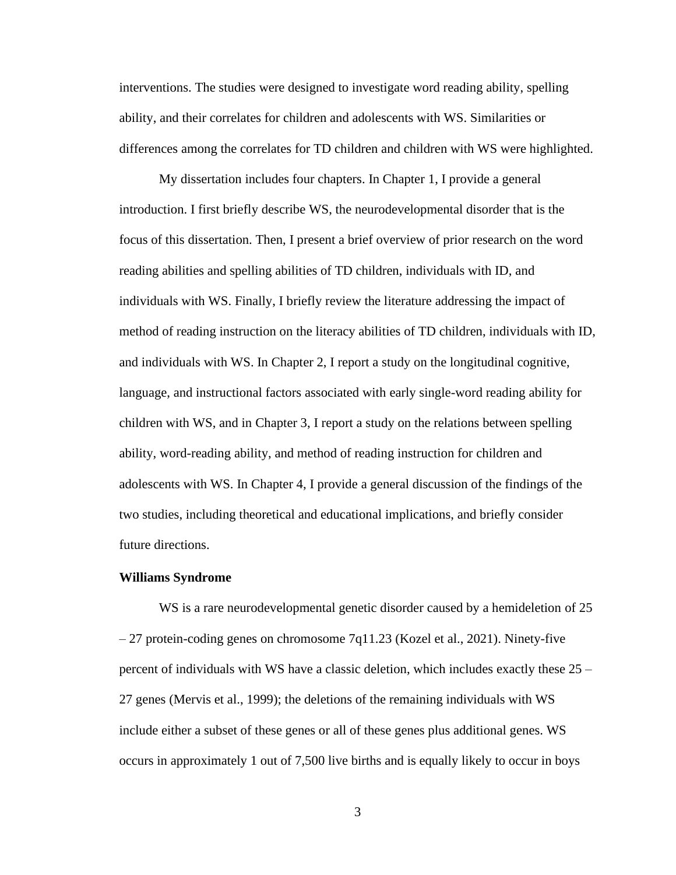interventions. The studies were designed to investigate word reading ability, spelling ability, and their correlates for children and adolescents with WS. Similarities or differences among the correlates for TD children and children with WS were highlighted.

My dissertation includes four chapters. In Chapter 1, I provide a general introduction. I first briefly describe WS, the neurodevelopmental disorder that is the focus of this dissertation. Then, I present a brief overview of prior research on the word reading abilities and spelling abilities of TD children, individuals with ID, and individuals with WS. Finally, I briefly review the literature addressing the impact of method of reading instruction on the literacy abilities of TD children, individuals with ID, and individuals with WS. In Chapter 2, I report a study on the longitudinal cognitive, language, and instructional factors associated with early single-word reading ability for children with WS, and in Chapter 3, I report a study on the relations between spelling ability, word-reading ability, and method of reading instruction for children and adolescents with WS. In Chapter 4, I provide a general discussion of the findings of the two studies, including theoretical and educational implications, and briefly consider future directions.

### **Williams Syndrome**

WS is a rare neurodevelopmental genetic disorder caused by a hemideletion of 25  $-27$  protein-coding genes on chromosome 7q11.23 (Kozel et al., 2021). Ninety-five percent of individuals with WS have a classic deletion, which includes exactly these 25 – 27 genes (Mervis et al., 1999); the deletions of the remaining individuals with WS include either a subset of these genes or all of these genes plus additional genes. WS occurs in approximately 1 out of 7,500 live births and is equally likely to occur in boys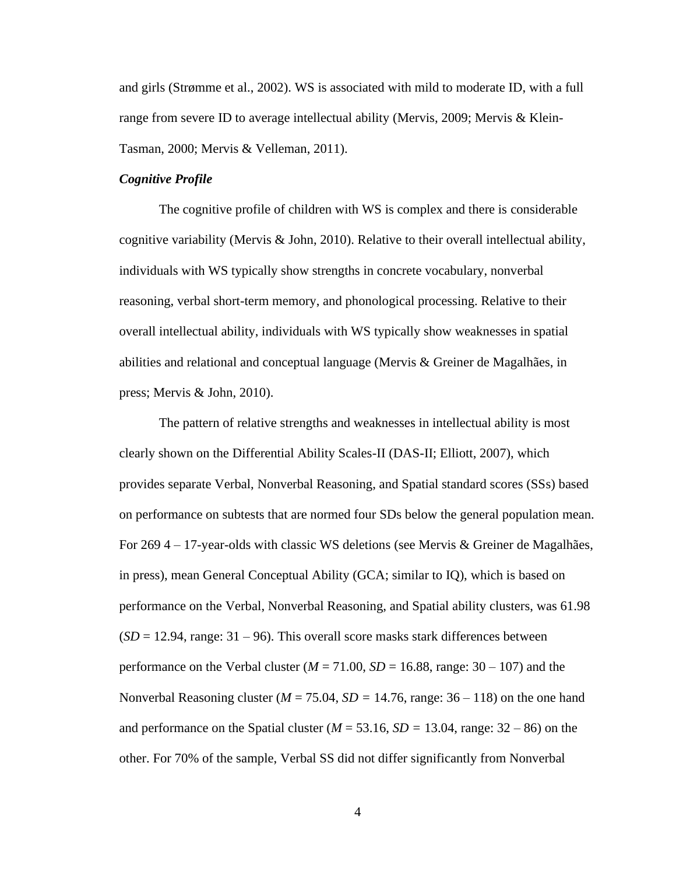and girls (Strømme et al., 2002). WS is associated with mild to moderate ID, with a full range from severe ID to average intellectual ability (Mervis, 2009; Mervis & Klein-Tasman, 2000; Mervis & Velleman, 2011).

#### *Cognitive Profile*

The cognitive profile of children with WS is complex and there is considerable cognitive variability (Mervis & John, 2010). Relative to their overall intellectual ability, individuals with WS typically show strengths in concrete vocabulary, nonverbal reasoning, verbal short-term memory, and phonological processing. Relative to their overall intellectual ability, individuals with WS typically show weaknesses in spatial abilities and relational and conceptual language (Mervis & Greiner de Magalhães, in press; Mervis & John, 2010).

The pattern of relative strengths and weaknesses in intellectual ability is most clearly shown on the Differential Ability Scales-II (DAS-II; Elliott, 2007), which provides separate Verbal, Nonverbal Reasoning, and Spatial standard scores (SSs) based on performance on subtests that are normed four SDs below the general population mean. For 269 4 – 17-year-olds with classic WS deletions (see Mervis & Greiner de Magalhães, in press), mean General Conceptual Ability (GCA; similar to IQ), which is based on performance on the Verbal, Nonverbal Reasoning, and Spatial ability clusters, was 61.98  $(SD = 12.94$ , range:  $31 - 96$ ). This overall score masks stark differences between performance on the Verbal cluster ( $M = 71.00$ ,  $SD = 16.88$ , range:  $30 - 107$ ) and the Nonverbal Reasoning cluster ( $M = 75.04$ ,  $SD = 14.76$ , range:  $36 - 118$ ) on the one hand and performance on the Spatial cluster ( $M = 53.16$ ,  $SD = 13.04$ , range:  $32 - 86$ ) on the other. For 70% of the sample, Verbal SS did not differ significantly from Nonverbal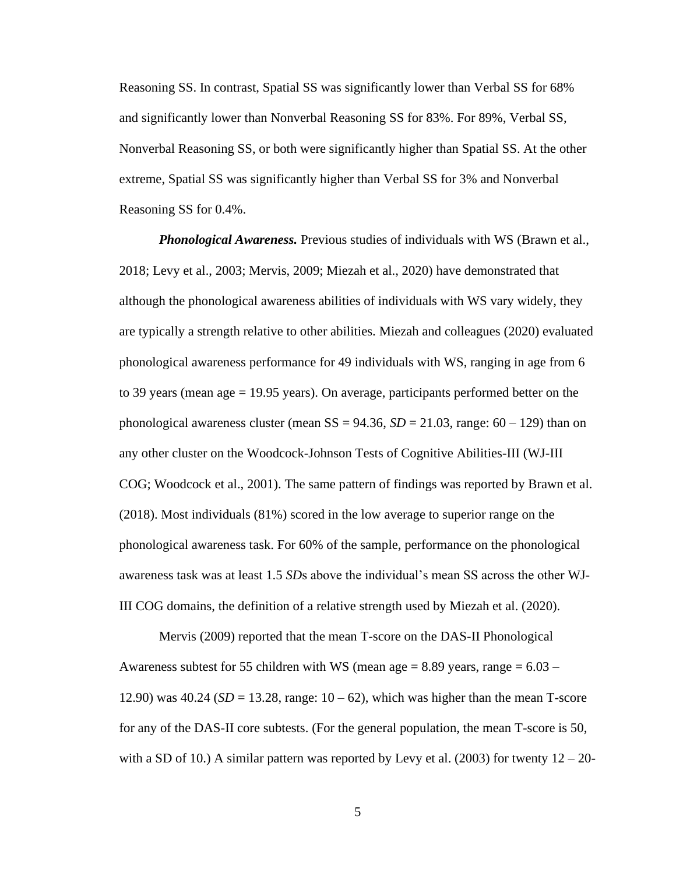Reasoning SS. In contrast, Spatial SS was significantly lower than Verbal SS for 68% and significantly lower than Nonverbal Reasoning SS for 83%. For 89%, Verbal SS, Nonverbal Reasoning SS, or both were significantly higher than Spatial SS. At the other extreme, Spatial SS was significantly higher than Verbal SS for 3% and Nonverbal Reasoning SS for 0.4%.

*Phonological Awareness.* Previous studies of individuals with WS (Brawn et al., 2018; Levy et al., 2003; Mervis, 2009; Miezah et al., 2020) have demonstrated that although the phonological awareness abilities of individuals with WS vary widely, they are typically a strength relative to other abilities. Miezah and colleagues (2020) evaluated phonological awareness performance for 49 individuals with WS, ranging in age from 6 to 39 years (mean age = 19.95 years). On average, participants performed better on the phonological awareness cluster (mean  $SS = 94.36$ ,  $SD = 21.03$ , range:  $60 - 129$ ) than on any other cluster on the Woodcock-Johnson Tests of Cognitive Abilities-III (WJ-III COG; Woodcock et al., 2001). The same pattern of findings was reported by Brawn et al. (2018). Most individuals (81%) scored in the low average to superior range on the phonological awareness task. For 60% of the sample, performance on the phonological awareness task was at least 1.5 *SD*s above the individual's mean SS across the other WJ-III COG domains, the definition of a relative strength used by Miezah et al. (2020).

Mervis (2009) reported that the mean T-score on the DAS-II Phonological Awareness subtest for 55 children with WS (mean age  $= 8.89$  years, range  $= 6.03 - 1$ 12.90) was  $40.24$  ( $SD = 13.28$ , range:  $10 - 62$ ), which was higher than the mean T-score for any of the DAS-II core subtests. (For the general population, the mean T-score is 50, with a SD of 10.) A similar pattern was reported by Levy et al. (2003) for twenty  $12 - 20$ -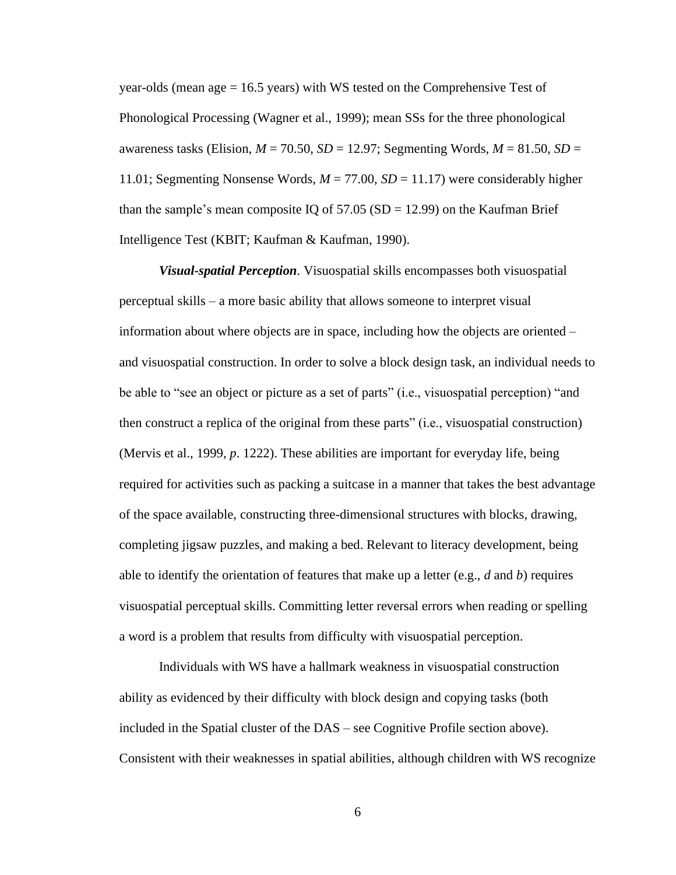year-olds (mean age = 16.5 years) with WS tested on the Comprehensive Test of Phonological Processing (Wagner et al., 1999); mean SSs for the three phonological awareness tasks (Elision,  $M = 70.50$ ,  $SD = 12.97$ ; Segmenting Words,  $M = 81.50$ ,  $SD =$ 11.01; Segmenting Nonsense Words, *M* = 77.00, *SD* = 11.17) were considerably higher than the sample's mean composite IQ of  $57.05$  (SD = 12.99) on the Kaufman Brief Intelligence Test (KBIT; Kaufman & Kaufman, 1990).

*Visual-spatial Perception*. Visuospatial skills encompasses both visuospatial perceptual skills – a more basic ability that allows someone to interpret visual information about where objects are in space, including how the objects are oriented – and visuospatial construction. In order to solve a block design task, an individual needs to be able to "see an object or picture as a set of parts" (i.e., visuospatial perception) "and then construct a replica of the original from these parts" (i.e., visuospatial construction) (Mervis et al., 1999, *p*. 1222). These abilities are important for everyday life, being required for activities such as packing a suitcase in a manner that takes the best advantage of the space available, constructing three-dimensional structures with blocks, drawing, completing jigsaw puzzles, and making a bed. Relevant to literacy development, being able to identify the orientation of features that make up a letter (e.g., *d* and *b*) requires visuospatial perceptual skills. Committing letter reversal errors when reading or spelling a word is a problem that results from difficulty with visuospatial perception.

Individuals with WS have a hallmark weakness in visuospatial construction ability as evidenced by their difficulty with block design and copying tasks (both included in the Spatial cluster of the DAS – see Cognitive Profile section above). Consistent with their weaknesses in spatial abilities, although children with WS recognize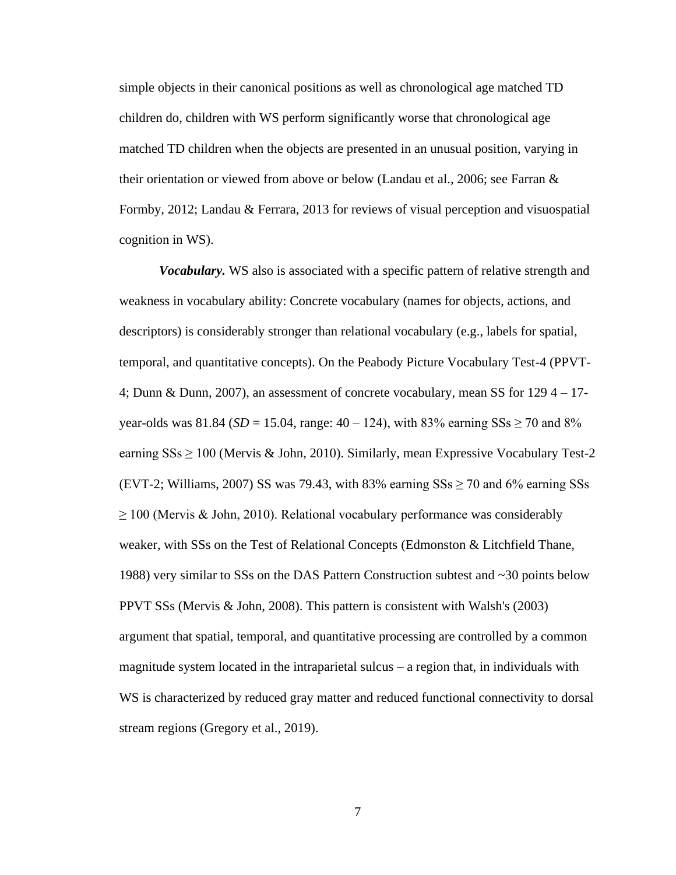simple objects in their canonical positions as well as chronological age matched TD children do, children with WS perform significantly worse that chronological age matched TD children when the objects are presented in an unusual position, varying in their orientation or viewed from above or below (Landau et al., 2006; see Farran & Formby, 2012; Landau & Ferrara, 2013 for reviews of visual perception and visuospatial cognition in WS).

*Vocabulary.* WS also is associated with a specific pattern of relative strength and weakness in vocabulary ability: Concrete vocabulary (names for objects, actions, and descriptors) is considerably stronger than relational vocabulary (e.g., labels for spatial, temporal, and quantitative concepts). On the Peabody Picture Vocabulary Test-4 (PPVT-4; Dunn & Dunn, 2007), an assessment of concrete vocabulary, mean SS for 129 4 – 17 year-olds was 81.84 (*SD* = 15.04, range:  $40 - 124$ ), with 83% earning SSs  $\geq 70$  and 8% earning  $SSs \ge 100$  (Mervis & John, 2010). Similarly, mean Expressive Vocabulary Test-2 (EVT-2; Williams, 2007) SS was 79.43, with 83% earning  $SSs \ge 70$  and 6% earning SSs  $\geq$  100 (Mervis & John, 2010). Relational vocabulary performance was considerably weaker, with SSs on the Test of Relational Concepts (Edmonston & Litchfield Thane, 1988) very similar to SSs on the DAS Pattern Construction subtest and ~30 points below PPVT SSs (Mervis & John, 2008). This pattern is consistent with Walsh's (2003) argument that spatial, temporal, and quantitative processing are controlled by a common magnitude system located in the intraparietal sulcus – a region that, in individuals with WS is characterized by reduced gray matter and reduced functional connectivity to dorsal stream regions (Gregory et al., 2019).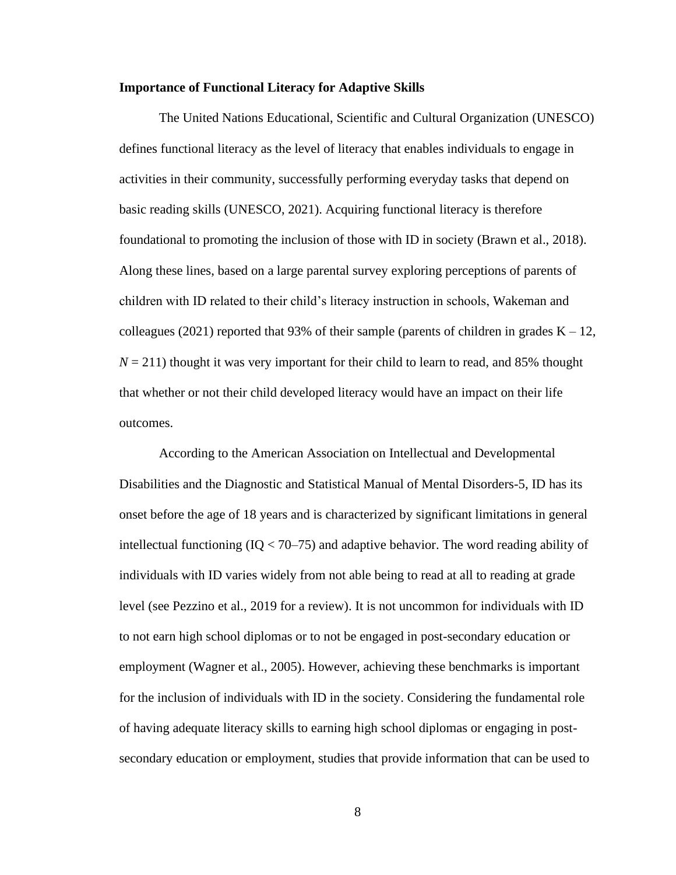#### **Importance of Functional Literacy for Adaptive Skills**

The United Nations Educational, Scientific and Cultural Organization (UNESCO) defines functional literacy as the level of literacy that enables individuals to engage in activities in their community, successfully performing everyday tasks that depend on basic reading skills (UNESCO, 2021). Acquiring functional literacy is therefore foundational to promoting the inclusion of those with ID in society (Brawn et al., 2018). Along these lines, based on a large parental survey exploring perceptions of parents of children with ID related to their child's literacy instruction in schools, Wakeman and colleagues (2021) reported that 93% of their sample (parents of children in grades  $K - 12$ ,  $N = 211$ ) thought it was very important for their child to learn to read, and 85% thought that whether or not their child developed literacy would have an impact on their life outcomes.

According to the American Association on Intellectual and Developmental Disabilities and the Diagnostic and Statistical Manual of Mental Disorders-5, ID has its onset before the age of 18 years and is characterized by significant limitations in general intellectual functioning  $(IQ < 70-75)$  and adaptive behavior. The word reading ability of individuals with ID varies widely from not able being to read at all to reading at grade level (see Pezzino et al., 2019 for a review). It is not uncommon for individuals with ID to not earn high school diplomas or to not be engaged in post-secondary education or employment (Wagner et al., 2005). However, achieving these benchmarks is important for the inclusion of individuals with ID in the society. Considering the fundamental role of having adequate literacy skills to earning high school diplomas or engaging in postsecondary education or employment, studies that provide information that can be used to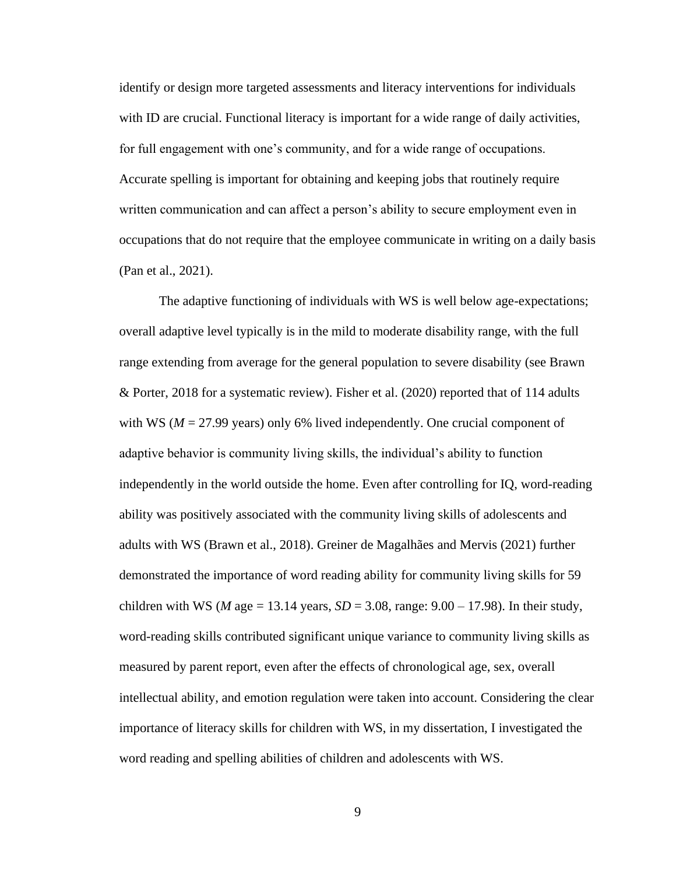identify or design more targeted assessments and literacy interventions for individuals with ID are crucial. Functional literacy is important for a wide range of daily activities, for full engagement with one's community, and for a wide range of occupations. Accurate spelling is important for obtaining and keeping jobs that routinely require written communication and can affect a person's ability to secure employment even in occupations that do not require that the employee communicate in writing on a daily basis (Pan et al., 2021).

The adaptive functioning of individuals with WS is well below age-expectations; overall adaptive level typically is in the mild to moderate disability range, with the full range extending from average for the general population to severe disability (see Brawn & Porter, 2018 for a systematic review). Fisher et al. (2020) reported that of 114 adults with WS ( $M = 27.99$  years) only 6% lived independently. One crucial component of adaptive behavior is community living skills, the individual's ability to function independently in the world outside the home. Even after controlling for IQ, word-reading ability was positively associated with the community living skills of adolescents and adults with WS (Brawn et al., 2018). Greiner de Magalhães and Mervis (2021) further demonstrated the importance of word reading ability for community living skills for 59 children with WS (*M* age = 13.14 years,  $SD = 3.08$ , range:  $9.00 - 17.98$ ). In their study, word-reading skills contributed significant unique variance to community living skills as measured by parent report, even after the effects of chronological age, sex, overall intellectual ability, and emotion regulation were taken into account. Considering the clear importance of literacy skills for children with WS, in my dissertation, I investigated the word reading and spelling abilities of children and adolescents with WS.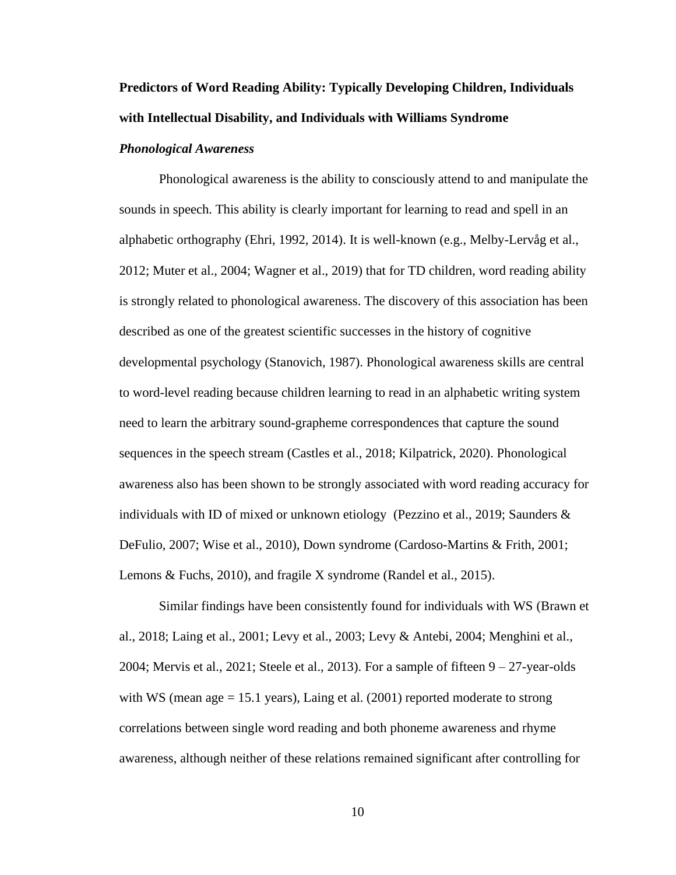## **Predictors of Word Reading Ability: Typically Developing Children, Individuals with Intellectual Disability, and Individuals with Williams Syndrome**

#### *Phonological Awareness*

Phonological awareness is the ability to consciously attend to and manipulate the sounds in speech. This ability is clearly important for learning to read and spell in an alphabetic orthography (Ehri, 1992, 2014). It is well-known (e.g., Melby-Lervåg et al., 2012; Muter et al., 2004; Wagner et al., 2019) that for TD children, word reading ability is strongly related to phonological awareness. The discovery of this association has been described as one of the greatest scientific successes in the history of cognitive developmental psychology (Stanovich, 1987). Phonological awareness skills are central to word-level reading because children learning to read in an alphabetic writing system need to learn the arbitrary sound-grapheme correspondences that capture the sound sequences in the speech stream (Castles et al., 2018; Kilpatrick, 2020). Phonological awareness also has been shown to be strongly associated with word reading accuracy for individuals with ID of mixed or unknown etiology (Pezzino et al., 2019; Saunders & DeFulio, 2007; Wise et al., 2010), Down syndrome (Cardoso-Martins & Frith, 2001; Lemons & Fuchs, 2010), and fragile X syndrome (Randel et al., 2015).

Similar findings have been consistently found for individuals with WS (Brawn et al., 2018; Laing et al., 2001; Levy et al., 2003; Levy & Antebi, 2004; Menghini et al., 2004; Mervis et al., 2021; Steele et al., 2013). For a sample of fifteen  $9 - 27$ -year-olds with WS (mean age  $= 15.1$  years), Laing et al. (2001) reported moderate to strong correlations between single word reading and both phoneme awareness and rhyme awareness, although neither of these relations remained significant after controlling for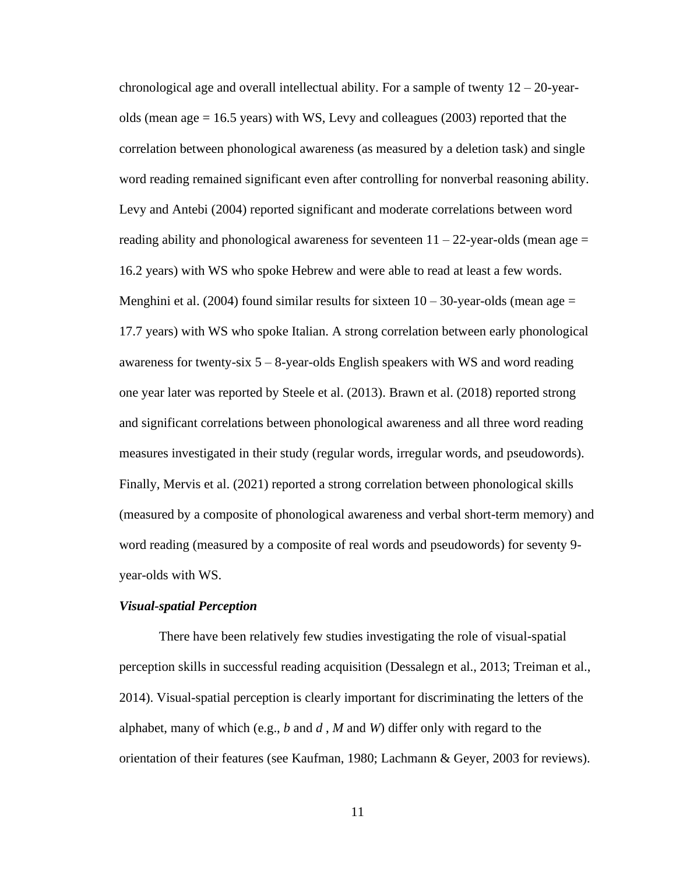chronological age and overall intellectual ability. For a sample of twenty  $12 - 20$ -yearolds (mean age = 16.5 years) with WS, Levy and colleagues (2003) reported that the correlation between phonological awareness (as measured by a deletion task) and single word reading remained significant even after controlling for nonverbal reasoning ability. Levy and Antebi (2004) reported significant and moderate correlations between word reading ability and phonological awareness for seventeen  $11 - 22$ -year-olds (mean age = 16.2 years) with WS who spoke Hebrew and were able to read at least a few words. Menghini et al. (2004) found similar results for sixteen  $10 - 30$ -year-olds (mean age  $=$ 17.7 years) with WS who spoke Italian. A strong correlation between early phonological awareness for twenty-six  $5 - 8$ -year-olds English speakers with WS and word reading one year later was reported by Steele et al. (2013). Brawn et al. (2018) reported strong and significant correlations between phonological awareness and all three word reading measures investigated in their study (regular words, irregular words, and pseudowords). Finally, Mervis et al. (2021) reported a strong correlation between phonological skills (measured by a composite of phonological awareness and verbal short-term memory) and word reading (measured by a composite of real words and pseudowords) for seventy 9 year-olds with WS.

#### *Visual-spatial Perception*

There have been relatively few studies investigating the role of visual-spatial perception skills in successful reading acquisition (Dessalegn et al., 2013; Treiman et al., 2014). Visual-spatial perception is clearly important for discriminating the letters of the alphabet, many of which (e.g., *b* and *d* , *M* and *W*) differ only with regard to the orientation of their features (see Kaufman, 1980; Lachmann & Geyer, 2003 for reviews).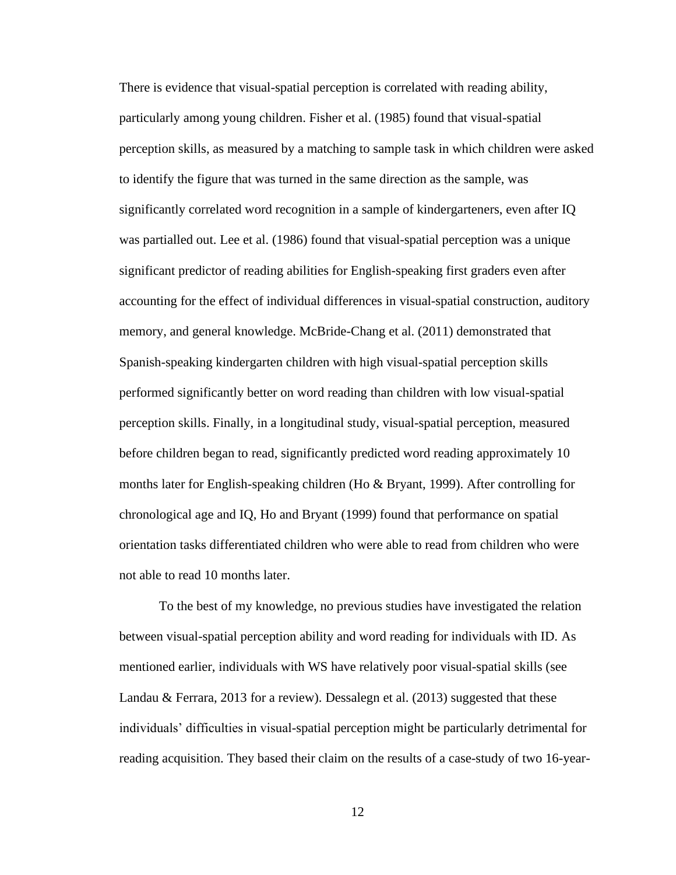There is evidence that visual-spatial perception is correlated with reading ability, particularly among young children. Fisher et al. (1985) found that visual-spatial perception skills, as measured by a matching to sample task in which children were asked to identify the figure that was turned in the same direction as the sample, was significantly correlated word recognition in a sample of kindergarteners, even after IQ was partialled out. Lee et al. (1986) found that visual-spatial perception was a unique significant predictor of reading abilities for English-speaking first graders even after accounting for the effect of individual differences in visual-spatial construction, auditory memory, and general knowledge. McBride-Chang et al. (2011) demonstrated that Spanish-speaking kindergarten children with high visual-spatial perception skills performed significantly better on word reading than children with low visual-spatial perception skills. Finally, in a longitudinal study, visual-spatial perception, measured before children began to read, significantly predicted word reading approximately 10 months later for English-speaking children (Ho & Bryant, 1999). After controlling for chronological age and IQ, Ho and Bryant (1999) found that performance on spatial orientation tasks differentiated children who were able to read from children who were not able to read 10 months later.

To the best of my knowledge, no previous studies have investigated the relation between visual-spatial perception ability and word reading for individuals with ID. As mentioned earlier, individuals with WS have relatively poor visual-spatial skills (see Landau & Ferrara, 2013 for a review). Dessalegn et al. (2013) suggested that these individuals' difficulties in visual-spatial perception might be particularly detrimental for reading acquisition. They based their claim on the results of a case-study of two 16-year-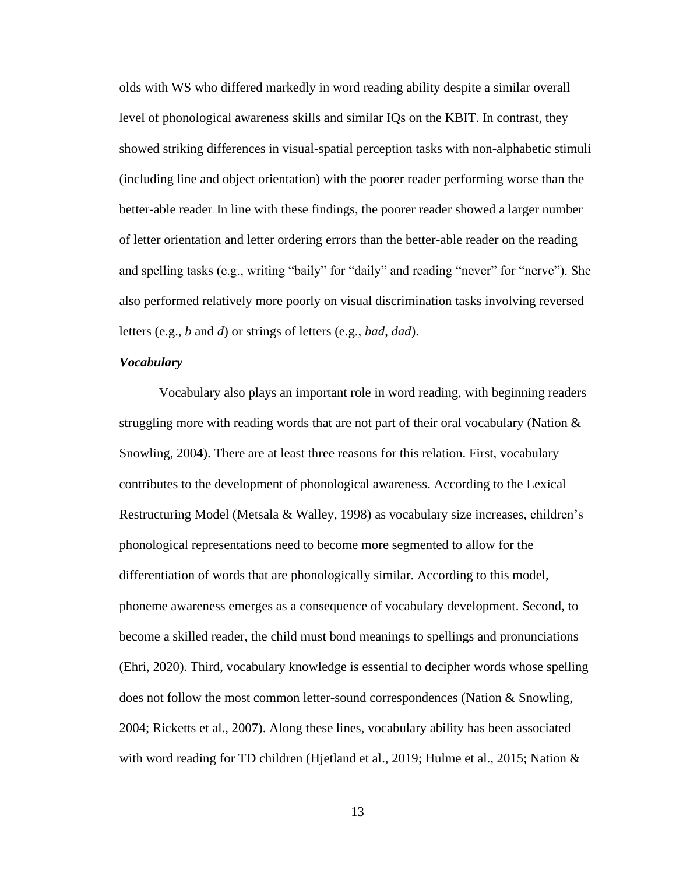olds with WS who differed markedly in word reading ability despite a similar overall level of phonological awareness skills and similar IQs on the KBIT. In contrast, they showed striking differences in visual-spatial perception tasks with non-alphabetic stimuli (including line and object orientation) with the poorer reader performing worse than the better-able reader. In line with these findings, the poorer reader showed a larger number of letter orientation and letter ordering errors than the better-able reader on the reading and spelling tasks (e.g., writing "baily" for "daily" and reading "never" for "nerve"). She also performed relatively more poorly on visual discrimination tasks involving reversed letters (e.g., *b* and *d*) or strings of letters (e.g., *bad*, *dad*).

#### *Vocabulary*

Vocabulary also plays an important role in word reading, with beginning readers struggling more with reading words that are not part of their oral vocabulary (Nation  $\&$ Snowling, 2004). There are at least three reasons for this relation. First, vocabulary contributes to the development of phonological awareness. According to the Lexical Restructuring Model (Metsala & Walley, 1998) as vocabulary size increases, children's phonological representations need to become more segmented to allow for the differentiation of words that are phonologically similar. According to this model, phoneme awareness emerges as a consequence of vocabulary development. Second, to become a skilled reader, the child must bond meanings to spellings and pronunciations (Ehri, 2020). Third, vocabulary knowledge is essential to decipher words whose spelling does not follow the most common letter-sound correspondences (Nation & Snowling, 2004; Ricketts et al., 2007). Along these lines, vocabulary ability has been associated with word reading for TD children (Hjetland et al., 2019; Hulme et al., 2015; Nation &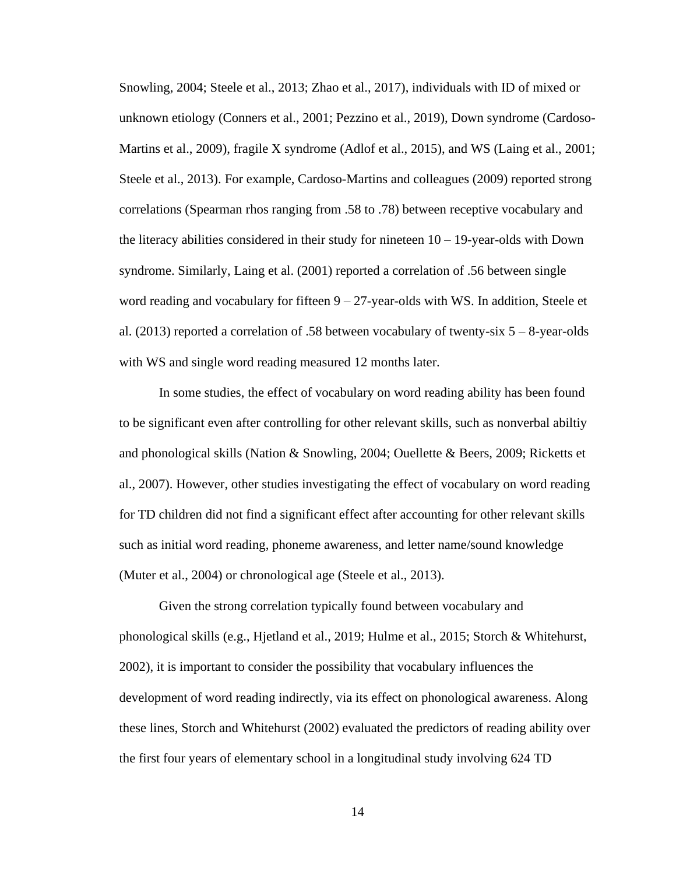Snowling, 2004; Steele et al., 2013; Zhao et al., 2017), individuals with ID of mixed or unknown etiology (Conners et al., 2001; Pezzino et al., 2019), Down syndrome (Cardoso-Martins et al., 2009), fragile X syndrome (Adlof et al., 2015), and WS (Laing et al., 2001; Steele et al., 2013). For example, Cardoso-Martins and colleagues (2009) reported strong correlations (Spearman rhos ranging from .58 to .78) between receptive vocabulary and the literacy abilities considered in their study for nineteen  $10 - 19$ -year-olds with Down syndrome. Similarly, Laing et al. (2001) reported a correlation of .56 between single word reading and vocabulary for fifteen  $9 - 27$ -year-olds with WS. In addition, Steele et al. (2013) reported a correlation of .58 between vocabulary of twenty-six 5 – 8-year-olds with WS and single word reading measured 12 months later.

In some studies, the effect of vocabulary on word reading ability has been found to be significant even after controlling for other relevant skills, such as nonverbal abiltiy and phonological skills (Nation & Snowling, 2004; Ouellette & Beers, 2009; Ricketts et al., 2007). However, other studies investigating the effect of vocabulary on word reading for TD children did not find a significant effect after accounting for other relevant skills such as initial word reading, phoneme awareness, and letter name/sound knowledge (Muter et al., 2004) or chronological age (Steele et al., 2013).

Given the strong correlation typically found between vocabulary and phonological skills (e.g., Hjetland et al., 2019; Hulme et al., 2015; Storch & Whitehurst, 2002), it is important to consider the possibility that vocabulary influences the development of word reading indirectly, via its effect on phonological awareness. Along these lines, Storch and Whitehurst (2002) evaluated the predictors of reading ability over the first four years of elementary school in a longitudinal study involving 624 TD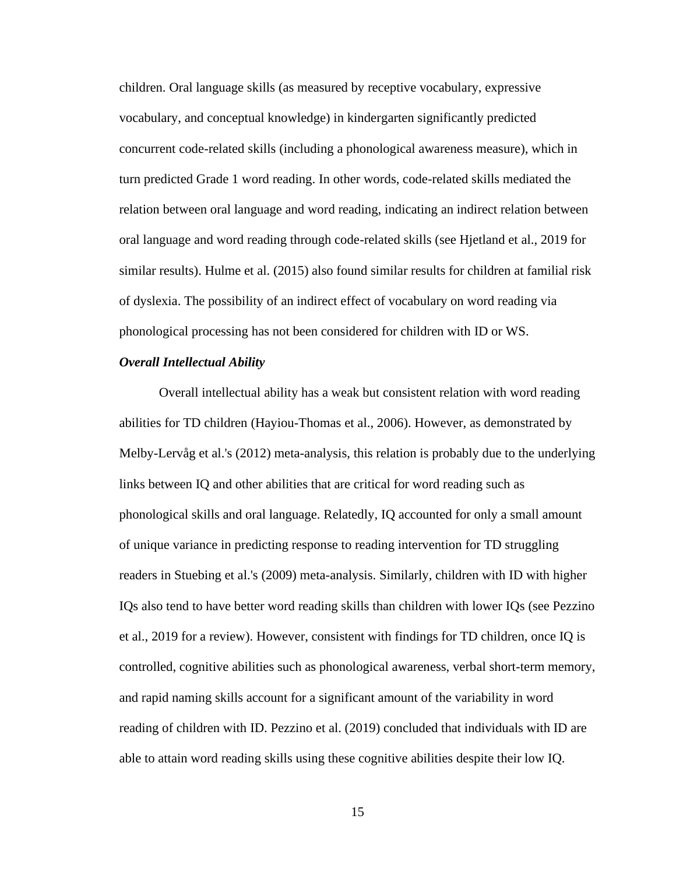children. Oral language skills (as measured by receptive vocabulary, expressive vocabulary, and conceptual knowledge) in kindergarten significantly predicted concurrent code-related skills (including a phonological awareness measure), which in turn predicted Grade 1 word reading. In other words, code-related skills mediated the relation between oral language and word reading, indicating an indirect relation between oral language and word reading through code-related skills (see Hjetland et al., 2019 for similar results). Hulme et al. (2015) also found similar results for children at familial risk of dyslexia. The possibility of an indirect effect of vocabulary on word reading via phonological processing has not been considered for children with ID or WS.

#### *Overall Intellectual Ability*

Overall intellectual ability has a weak but consistent relation with word reading abilities for TD children (Hayiou-Thomas et al., 2006). However, as demonstrated by Melby-Lervåg et al.'s (2012) meta-analysis, this relation is probably due to the underlying links between IQ and other abilities that are critical for word reading such as phonological skills and oral language. Relatedly, IQ accounted for only a small amount of unique variance in predicting response to reading intervention for TD struggling readers in Stuebing et al.'s (2009) meta-analysis. Similarly, children with ID with higher IQs also tend to have better word reading skills than children with lower IQs (see Pezzino et al., 2019 for a review). However, consistent with findings for TD children, once IQ is controlled, cognitive abilities such as phonological awareness, verbal short-term memory, and rapid naming skills account for a significant amount of the variability in word reading of children with ID. Pezzino et al. (2019) concluded that individuals with ID are able to attain word reading skills using these cognitive abilities despite their low IQ.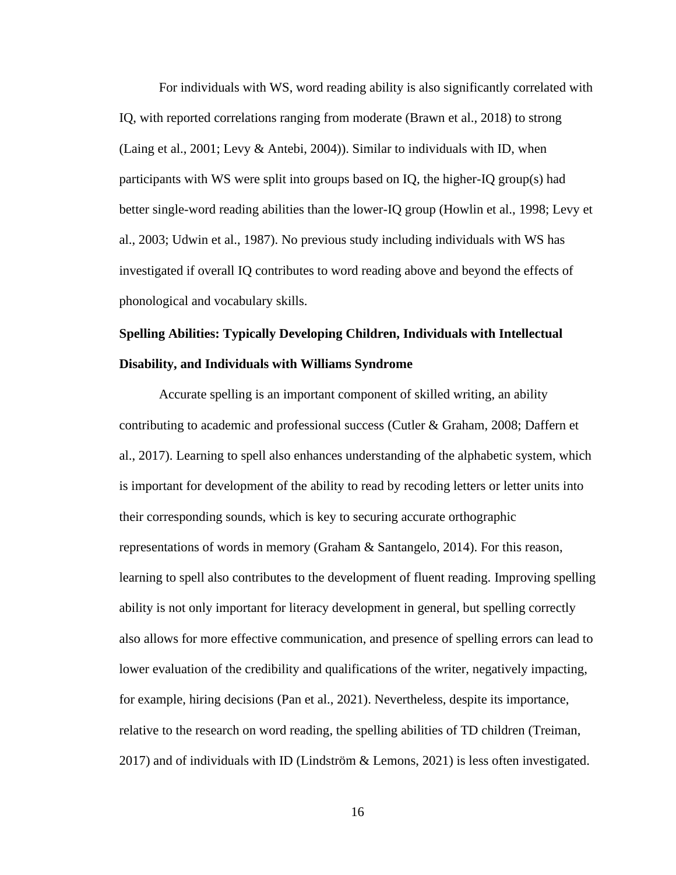For individuals with WS, word reading ability is also significantly correlated with IQ, with reported correlations ranging from moderate (Brawn et al., 2018) to strong (Laing et al., 2001; Levy & Antebi, 2004)). Similar to individuals with ID, when participants with WS were split into groups based on IQ, the higher-IQ group(s) had better single-word reading abilities than the lower-IQ group (Howlin et al., 1998; Levy et al., 2003; Udwin et al., 1987). No previous study including individuals with WS has investigated if overall IQ contributes to word reading above and beyond the effects of phonological and vocabulary skills.

## **Spelling Abilities: Typically Developing Children, Individuals with Intellectual Disability, and Individuals with Williams Syndrome**

Accurate spelling is an important component of skilled writing, an ability contributing to academic and professional success (Cutler & Graham, 2008; Daffern et al., 2017). Learning to spell also enhances understanding of the alphabetic system, which is important for development of the ability to read by recoding letters or letter units into their corresponding sounds, which is key to securing accurate orthographic representations of words in memory (Graham & Santangelo, 2014). For this reason, learning to spell also contributes to the development of fluent reading. Improving spelling ability is not only important for literacy development in general, but spelling correctly also allows for more effective communication, and presence of spelling errors can lead to lower evaluation of the credibility and qualifications of the writer, negatively impacting, for example, hiring decisions (Pan et al., 2021). Nevertheless, despite its importance, relative to the research on word reading, the spelling abilities of TD children (Treiman, 2017) and of individuals with ID (Lindström & Lemons, 2021) is less often investigated.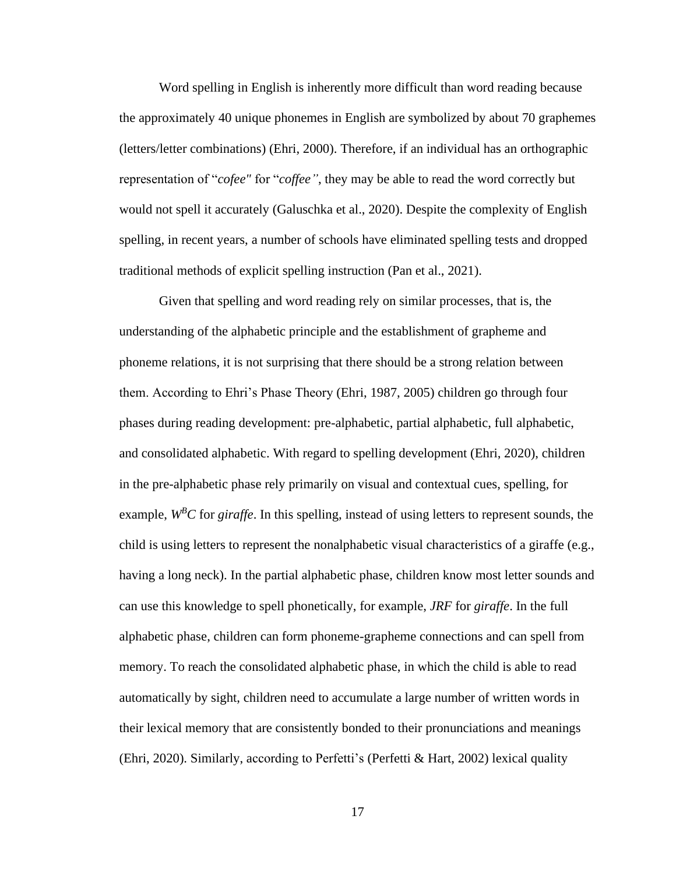Word spelling in English is inherently more difficult than word reading because the approximately 40 unique phonemes in English are symbolized by about 70 graphemes (letters/letter combinations) (Ehri, 2000). Therefore, if an individual has an orthographic representation of "*cofee"* for "*coffee"*, they may be able to read the word correctly but would not spell it accurately (Galuschka et al., 2020). Despite the complexity of English spelling, in recent years, a number of schools have eliminated spelling tests and dropped traditional methods of explicit spelling instruction (Pan et al., 2021).

Given that spelling and word reading rely on similar processes, that is, the understanding of the alphabetic principle and the establishment of grapheme and phoneme relations, it is not surprising that there should be a strong relation between them. According to Ehri's Phase Theory (Ehri, 1987, 2005) children go through four phases during reading development: pre-alphabetic, partial alphabetic, full alphabetic, and consolidated alphabetic. With regard to spelling development (Ehri, 2020), children in the pre-alphabetic phase rely primarily on visual and contextual cues, spelling, for example,  $W^B C$  for *giraffe*. In this spelling, instead of using letters to represent sounds, the child is using letters to represent the nonalphabetic visual characteristics of a giraffe (e.g., having a long neck). In the partial alphabetic phase, children know most letter sounds and can use this knowledge to spell phonetically, for example, *JRF* for *giraffe*. In the full alphabetic phase, children can form phoneme-grapheme connections and can spell from memory. To reach the consolidated alphabetic phase, in which the child is able to read automatically by sight, children need to accumulate a large number of written words in their lexical memory that are consistently bonded to their pronunciations and meanings (Ehri, 2020). Similarly, according to Perfetti's (Perfetti & Hart, 2002) lexical quality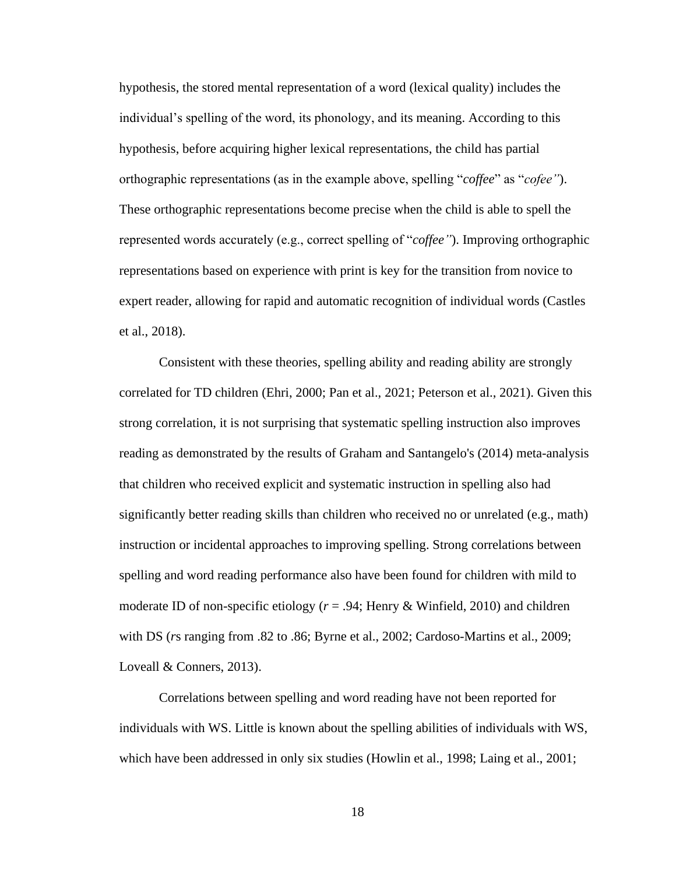hypothesis, the stored mental representation of a word (lexical quality) includes the individual's spelling of the word, its phonology, and its meaning. According to this hypothesis, before acquiring higher lexical representations, the child has partial orthographic representations (as in the example above, spelling "*coffee*" as "*cofee"*). These orthographic representations become precise when the child is able to spell the represented words accurately (e.g., correct spelling of "*coffee"*). Improving orthographic representations based on experience with print is key for the transition from novice to expert reader, allowing for rapid and automatic recognition of individual words (Castles et al., 2018).

Consistent with these theories, spelling ability and reading ability are strongly correlated for TD children (Ehri, 2000; Pan et al., 2021; Peterson et al., 2021). Given this strong correlation, it is not surprising that systematic spelling instruction also improves reading as demonstrated by the results of Graham and Santangelo's (2014) meta-analysis that children who received explicit and systematic instruction in spelling also had significantly better reading skills than children who received no or unrelated (e.g., math) instruction or incidental approaches to improving spelling. Strong correlations between spelling and word reading performance also have been found for children with mild to moderate ID of non-specific etiology  $(r = .94;$  Henry & Winfield, 2010) and children with DS (*r*s ranging from .82 to .86; Byrne et al., 2002; Cardoso-Martins et al., 2009; Loveall & Conners, 2013).

Correlations between spelling and word reading have not been reported for individuals with WS. Little is known about the spelling abilities of individuals with WS, which have been addressed in only six studies (Howlin et al., 1998; Laing et al., 2001;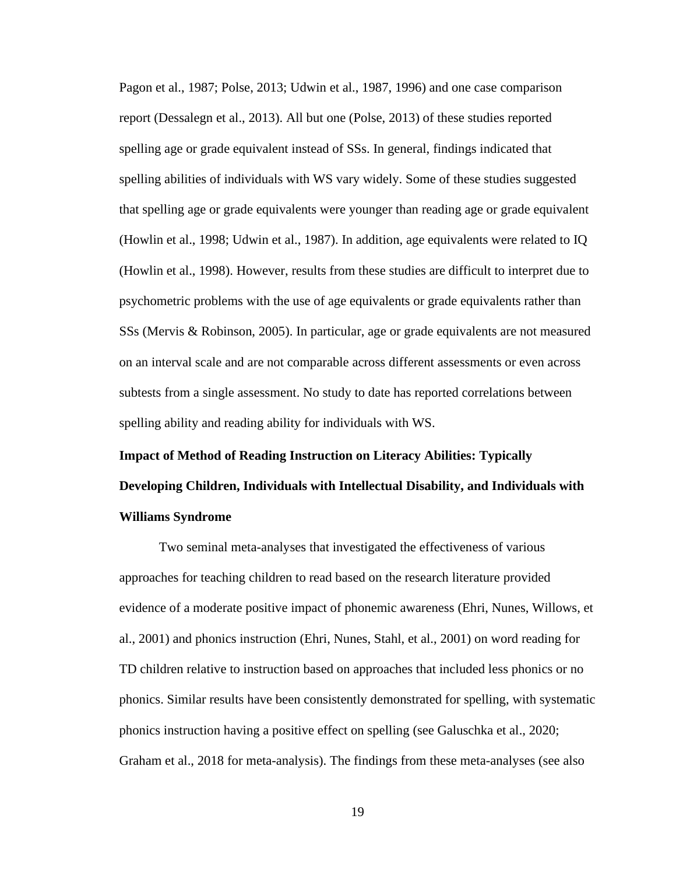Pagon et al., 1987; Polse, 2013; Udwin et al., 1987, 1996) and one case comparison report (Dessalegn et al., 2013). All but one (Polse, 2013) of these studies reported spelling age or grade equivalent instead of SSs. In general, findings indicated that spelling abilities of individuals with WS vary widely. Some of these studies suggested that spelling age or grade equivalents were younger than reading age or grade equivalent (Howlin et al., 1998; Udwin et al., 1987). In addition, age equivalents were related to IQ (Howlin et al., 1998). However, results from these studies are difficult to interpret due to psychometric problems with the use of age equivalents or grade equivalents rather than SSs (Mervis & Robinson, 2005). In particular, age or grade equivalents are not measured on an interval scale and are not comparable across different assessments or even across subtests from a single assessment. No study to date has reported correlations between spelling ability and reading ability for individuals with WS.

## **Impact of Method of Reading Instruction on Literacy Abilities: Typically Developing Children, Individuals with Intellectual Disability, and Individuals with Williams Syndrome**

Two seminal meta-analyses that investigated the effectiveness of various approaches for teaching children to read based on the research literature provided evidence of a moderate positive impact of phonemic awareness (Ehri, Nunes, Willows, et al., 2001) and phonics instruction (Ehri, Nunes, Stahl, et al., 2001) on word reading for TD children relative to instruction based on approaches that included less phonics or no phonics. Similar results have been consistently demonstrated for spelling, with systematic phonics instruction having a positive effect on spelling (see Galuschka et al., 2020; Graham et al., 2018 for meta-analysis). The findings from these meta-analyses (see also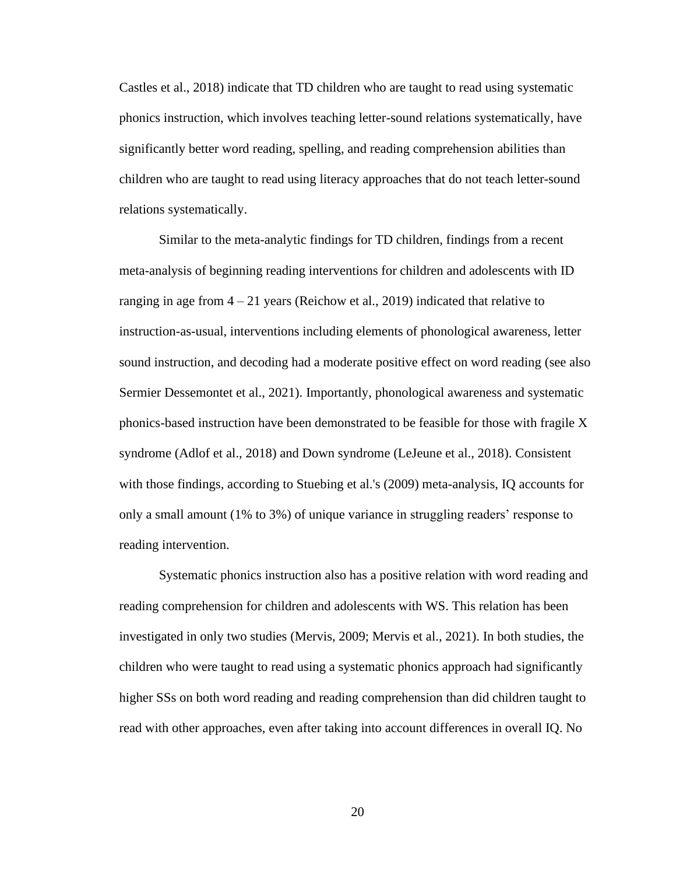Castles et al., 2018) indicate that TD children who are taught to read using systematic phonics instruction, which involves teaching letter-sound relations systematically, have significantly better word reading, spelling, and reading comprehension abilities than children who are taught to read using literacy approaches that do not teach letter-sound relations systematically.

Similar to the meta-analytic findings for TD children, findings from a recent meta-analysis of beginning reading interventions for children and adolescents with ID ranging in age from  $4 - 21$  years (Reichow et al., 2019) indicated that relative to instruction-as-usual, interventions including elements of phonological awareness, letter sound instruction, and decoding had a moderate positive effect on word reading (see also Sermier Dessemontet et al., 2021). Importantly, phonological awareness and systematic phonics-based instruction have been demonstrated to be feasible for those with fragile X syndrome (Adlof et al., 2018) and Down syndrome (LeJeune et al., 2018). Consistent with those findings, according to Stuebing et al.'s (2009) meta-analysis, IQ accounts for only a small amount (1% to 3%) of unique variance in struggling readers' response to reading intervention.

Systematic phonics instruction also has a positive relation with word reading and reading comprehension for children and adolescents with WS. This relation has been investigated in only two studies (Mervis, 2009; Mervis et al., 2021). In both studies, the children who were taught to read using a systematic phonics approach had significantly higher SSs on both word reading and reading comprehension than did children taught to read with other approaches, even after taking into account differences in overall IQ. No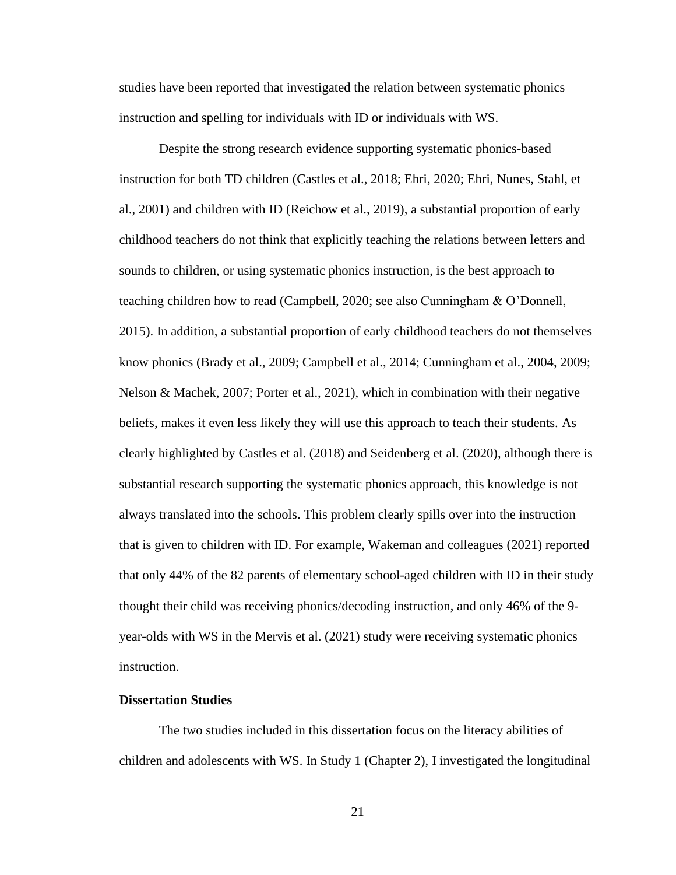studies have been reported that investigated the relation between systematic phonics instruction and spelling for individuals with ID or individuals with WS.

Despite the strong research evidence supporting systematic phonics-based instruction for both TD children (Castles et al., 2018; Ehri, 2020; Ehri, Nunes, Stahl, et al., 2001) and children with ID (Reichow et al., 2019), a substantial proportion of early childhood teachers do not think that explicitly teaching the relations between letters and sounds to children, or using systematic phonics instruction, is the best approach to teaching children how to read (Campbell, 2020; see also Cunningham & O'Donnell, 2015). In addition, a substantial proportion of early childhood teachers do not themselves know phonics (Brady et al., 2009; Campbell et al., 2014; Cunningham et al., 2004, 2009; Nelson & Machek, 2007; Porter et al., 2021), which in combination with their negative beliefs, makes it even less likely they will use this approach to teach their students. As clearly highlighted by Castles et al. (2018) and Seidenberg et al. (2020), although there is substantial research supporting the systematic phonics approach, this knowledge is not always translated into the schools. This problem clearly spills over into the instruction that is given to children with ID. For example, Wakeman and colleagues (2021) reported that only 44% of the 82 parents of elementary school-aged children with ID in their study thought their child was receiving phonics/decoding instruction, and only 46% of the 9 year-olds with WS in the Mervis et al. (2021) study were receiving systematic phonics instruction.

## **Dissertation Studies**

The two studies included in this dissertation focus on the literacy abilities of children and adolescents with WS. In Study 1 (Chapter 2), I investigated the longitudinal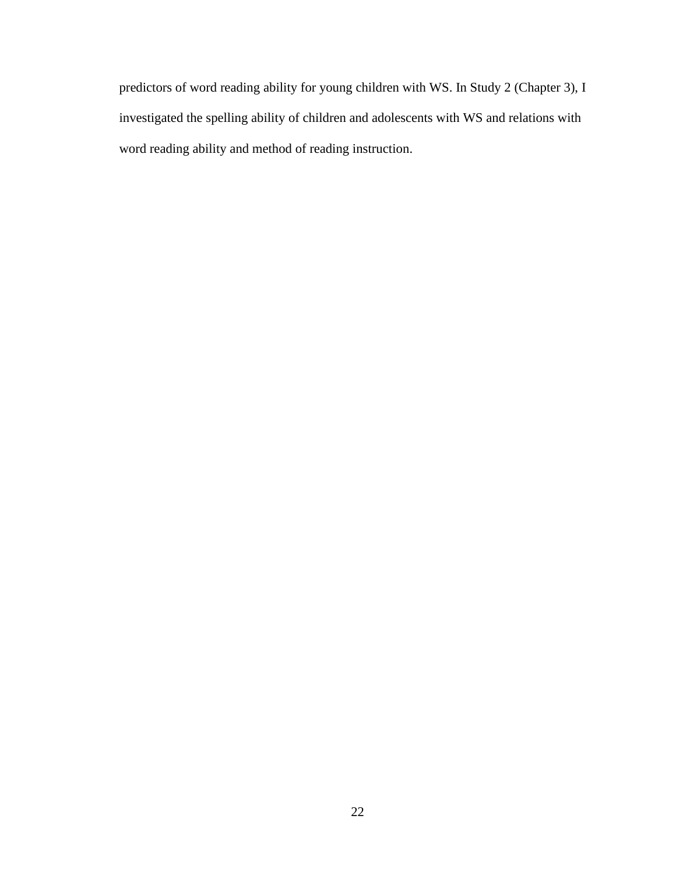predictors of word reading ability for young children with WS. In Study 2 (Chapter 3), I investigated the spelling ability of children and adolescents with WS and relations with word reading ability and method of reading instruction.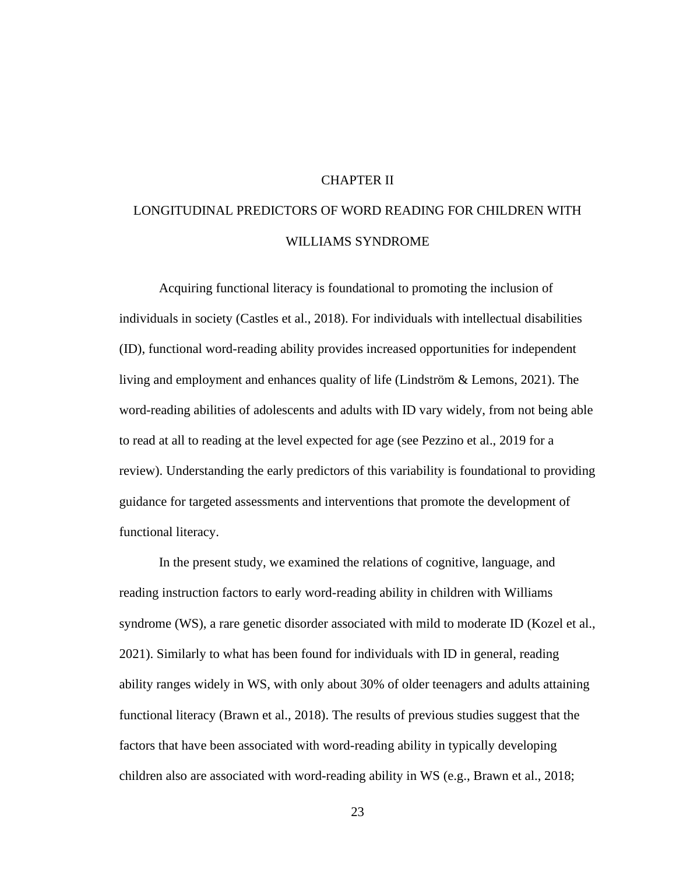#### CHAPTER II

# LONGITUDINAL PREDICTORS OF WORD READING FOR CHILDREN WITH WILLIAMS SYNDROME

Acquiring functional literacy is foundational to promoting the inclusion of individuals in society (Castles et al., 2018). For individuals with intellectual disabilities (ID), functional word-reading ability provides increased opportunities for independent living and employment and enhances quality of life (Lindström & Lemons, 2021). The word-reading abilities of adolescents and adults with ID vary widely, from not being able to read at all to reading at the level expected for age (see Pezzino et al., 2019 for a review). Understanding the early predictors of this variability is foundational to providing guidance for targeted assessments and interventions that promote the development of functional literacy.

In the present study, we examined the relations of cognitive, language, and reading instruction factors to early word-reading ability in children with Williams syndrome (WS), a rare genetic disorder associated with mild to moderate ID (Kozel et al., 2021). Similarly to what has been found for individuals with ID in general, reading ability ranges widely in WS, with only about 30% of older teenagers and adults attaining functional literacy (Brawn et al., 2018). The results of previous studies suggest that the factors that have been associated with word-reading ability in typically developing children also are associated with word-reading ability in WS (e.g., Brawn et al., 2018;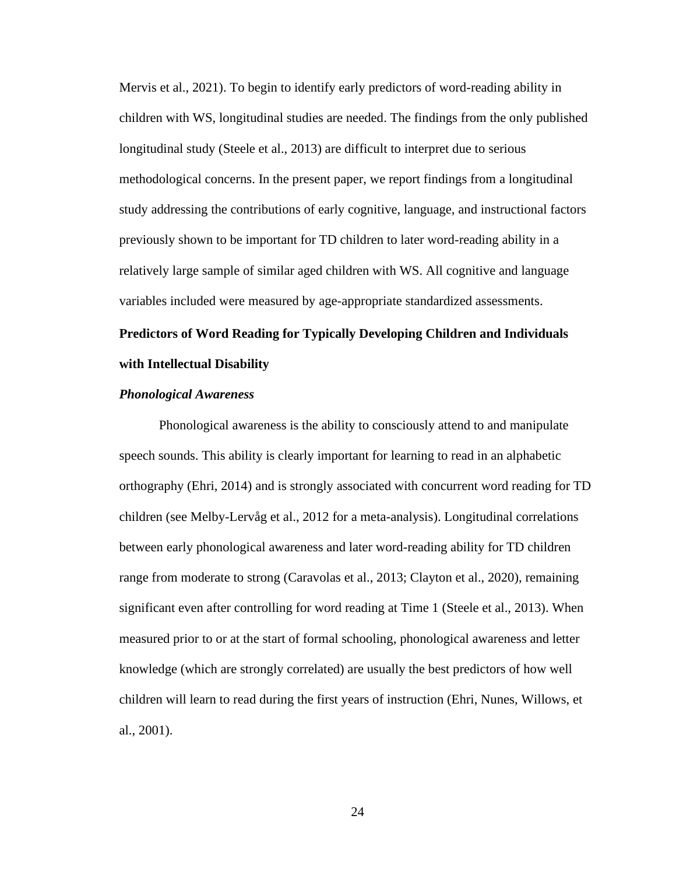Mervis et al., 2021). To begin to identify early predictors of word-reading ability in children with WS, longitudinal studies are needed. The findings from the only published longitudinal study (Steele et al., 2013) are difficult to interpret due to serious methodological concerns. In the present paper, we report findings from a longitudinal study addressing the contributions of early cognitive, language, and instructional factors previously shown to be important for TD children to later word-reading ability in a relatively large sample of similar aged children with WS. All cognitive and language variables included were measured by age-appropriate standardized assessments.

# **Predictors of Word Reading for Typically Developing Children and Individuals with Intellectual Disability**

## *Phonological Awareness*

Phonological awareness is the ability to consciously attend to and manipulate speech sounds. This ability is clearly important for learning to read in an alphabetic orthography (Ehri, 2014) and is strongly associated with concurrent word reading for TD children (see Melby-Lervåg et al., 2012 for a meta-analysis). Longitudinal correlations between early phonological awareness and later word-reading ability for TD children range from moderate to strong (Caravolas et al., 2013; Clayton et al., 2020), remaining significant even after controlling for word reading at Time 1 (Steele et al., 2013). When measured prior to or at the start of formal schooling, phonological awareness and letter knowledge (which are strongly correlated) are usually the best predictors of how well children will learn to read during the first years of instruction (Ehri, Nunes, Willows, et al., 2001).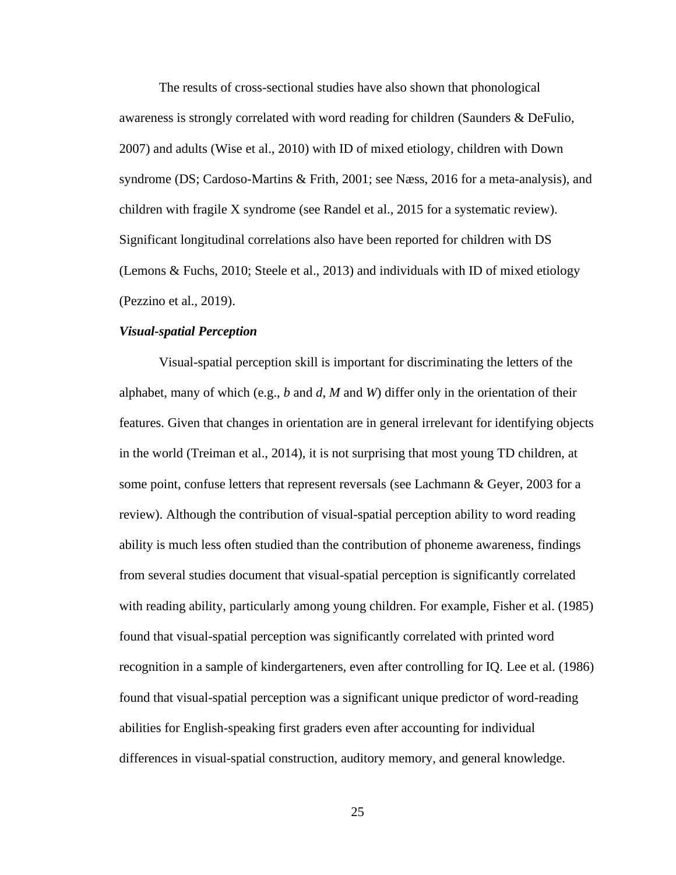The results of cross-sectional studies have also shown that phonological awareness is strongly correlated with word reading for children (Saunders & DeFulio, 2007) and adults (Wise et al., 2010) with ID of mixed etiology, children with Down syndrome (DS; Cardoso-Martins & Frith, 2001; see Næss, 2016 for a meta-analysis), and children with fragile X syndrome (see Randel et al., 2015 for a systematic review). Significant longitudinal correlations also have been reported for children with DS (Lemons & Fuchs, 2010; Steele et al., 2013) and individuals with ID of mixed etiology (Pezzino et al., 2019).

### *Visual-spatial Perception*

Visual-spatial perception skill is important for discriminating the letters of the alphabet, many of which (e.g., *b* and *d*, *M* and *W*) differ only in the orientation of their features. Given that changes in orientation are in general irrelevant for identifying objects in the world (Treiman et al., 2014), it is not surprising that most young TD children, at some point, confuse letters that represent reversals (see Lachmann & Geyer, 2003 for a review). Although the contribution of visual-spatial perception ability to word reading ability is much less often studied than the contribution of phoneme awareness, findings from several studies document that visual-spatial perception is significantly correlated with reading ability, particularly among young children. For example, Fisher et al. (1985) found that visual-spatial perception was significantly correlated with printed word recognition in a sample of kindergarteners, even after controlling for IQ. Lee et al. (1986) found that visual-spatial perception was a significant unique predictor of word-reading abilities for English-speaking first graders even after accounting for individual differences in visual-spatial construction, auditory memory, and general knowledge.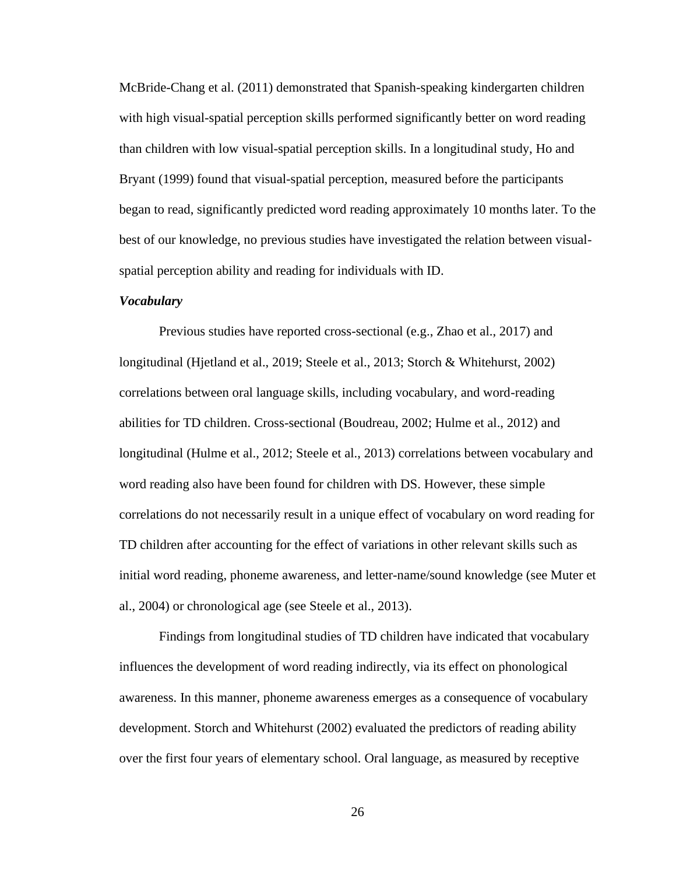McBride-Chang et al. (2011) demonstrated that Spanish-speaking kindergarten children with high visual-spatial perception skills performed significantly better on word reading than children with low visual-spatial perception skills. In a longitudinal study, Ho and Bryant (1999) found that visual-spatial perception, measured before the participants began to read, significantly predicted word reading approximately 10 months later. To the best of our knowledge, no previous studies have investigated the relation between visualspatial perception ability and reading for individuals with ID.

## *Vocabulary*

Previous studies have reported cross-sectional (e.g., Zhao et al., 2017) and longitudinal (Hjetland et al., 2019; Steele et al., 2013; Storch & Whitehurst, 2002) correlations between oral language skills, including vocabulary, and word-reading abilities for TD children. Cross-sectional (Boudreau, 2002; Hulme et al., 2012) and longitudinal (Hulme et al., 2012; Steele et al., 2013) correlations between vocabulary and word reading also have been found for children with DS. However, these simple correlations do not necessarily result in a unique effect of vocabulary on word reading for TD children after accounting for the effect of variations in other relevant skills such as initial word reading, phoneme awareness, and letter-name/sound knowledge (see Muter et al., 2004) or chronological age (see Steele et al., 2013).

Findings from longitudinal studies of TD children have indicated that vocabulary influences the development of word reading indirectly, via its effect on phonological awareness. In this manner, phoneme awareness emerges as a consequence of vocabulary development. Storch and Whitehurst (2002) evaluated the predictors of reading ability over the first four years of elementary school. Oral language, as measured by receptive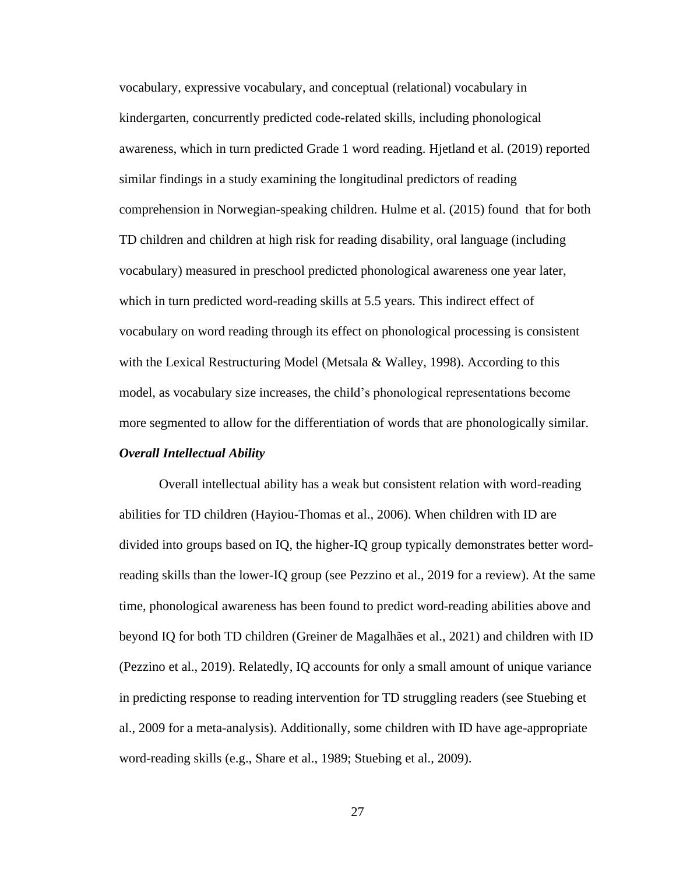vocabulary, expressive vocabulary, and conceptual (relational) vocabulary in kindergarten, concurrently predicted code-related skills, including phonological awareness, which in turn predicted Grade 1 word reading. Hjetland et al. (2019) reported similar findings in a study examining the longitudinal predictors of reading comprehension in Norwegian-speaking children. Hulme et al. (2015) found that for both TD children and children at high risk for reading disability, oral language (including vocabulary) measured in preschool predicted phonological awareness one year later, which in turn predicted word-reading skills at 5.5 years. This indirect effect of vocabulary on word reading through its effect on phonological processing is consistent with the Lexical Restructuring Model (Metsala  $\&$  Walley, 1998). According to this model, as vocabulary size increases, the child's phonological representations become more segmented to allow for the differentiation of words that are phonologically similar.

# *Overall Intellectual Ability*

Overall intellectual ability has a weak but consistent relation with word-reading abilities for TD children (Hayiou-Thomas et al., 2006). When children with ID are divided into groups based on IQ, the higher-IQ group typically demonstrates better wordreading skills than the lower-IQ group (see Pezzino et al., 2019 for a review). At the same time, phonological awareness has been found to predict word-reading abilities above and beyond IQ for both TD children (Greiner de Magalhães et al., 2021) and children with ID (Pezzino et al., 2019). Relatedly, IQ accounts for only a small amount of unique variance in predicting response to reading intervention for TD struggling readers (see Stuebing et al., 2009 for a meta-analysis). Additionally, some children with ID have age-appropriate word-reading skills (e.g., Share et al., 1989; Stuebing et al., 2009).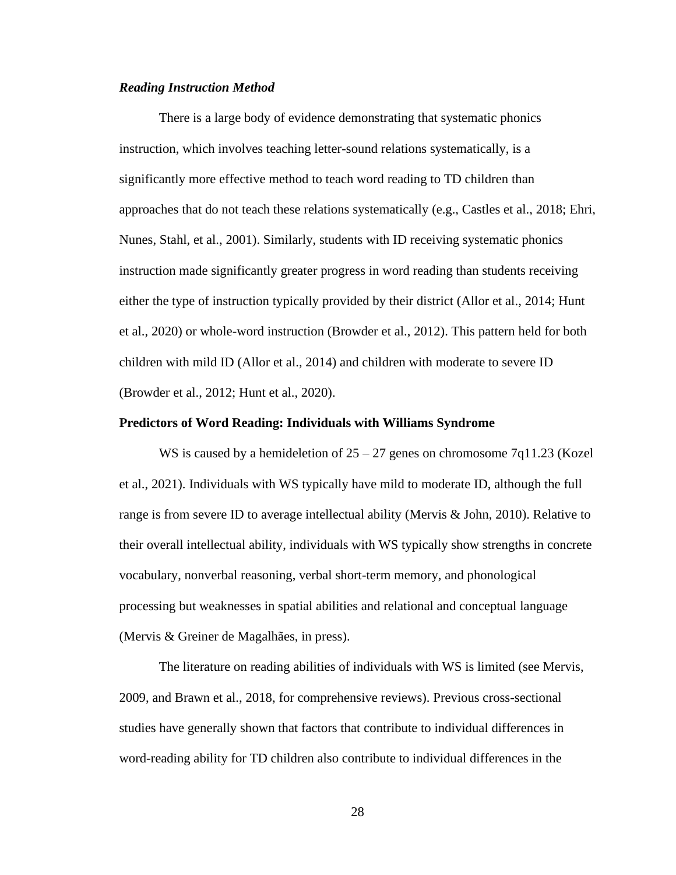### *Reading Instruction Method*

There is a large body of evidence demonstrating that systematic phonics instruction, which involves teaching letter-sound relations systematically, is a significantly more effective method to teach word reading to TD children than approaches that do not teach these relations systematically (e.g., Castles et al., 2018; Ehri, Nunes, Stahl, et al., 2001). Similarly, students with ID receiving systematic phonics instruction made significantly greater progress in word reading than students receiving either the type of instruction typically provided by their district (Allor et al., 2014; Hunt et al., 2020) or whole-word instruction (Browder et al., 2012). This pattern held for both children with mild ID (Allor et al., 2014) and children with moderate to severe ID (Browder et al., 2012; Hunt et al., 2020).

#### **Predictors of Word Reading: Individuals with Williams Syndrome**

WS is caused by a hemideletion of  $25 - 27$  genes on chromosome 7q11.23 (Kozel et al., 2021). Individuals with WS typically have mild to moderate ID, although the full range is from severe ID to average intellectual ability (Mervis & John, 2010). Relative to their overall intellectual ability, individuals with WS typically show strengths in concrete vocabulary, nonverbal reasoning, verbal short-term memory, and phonological processing but weaknesses in spatial abilities and relational and conceptual language (Mervis & Greiner de Magalhães, in press).

The literature on reading abilities of individuals with WS is limited (see Mervis, 2009, and Brawn et al., 2018, for comprehensive reviews). Previous cross-sectional studies have generally shown that factors that contribute to individual differences in word-reading ability for TD children also contribute to individual differences in the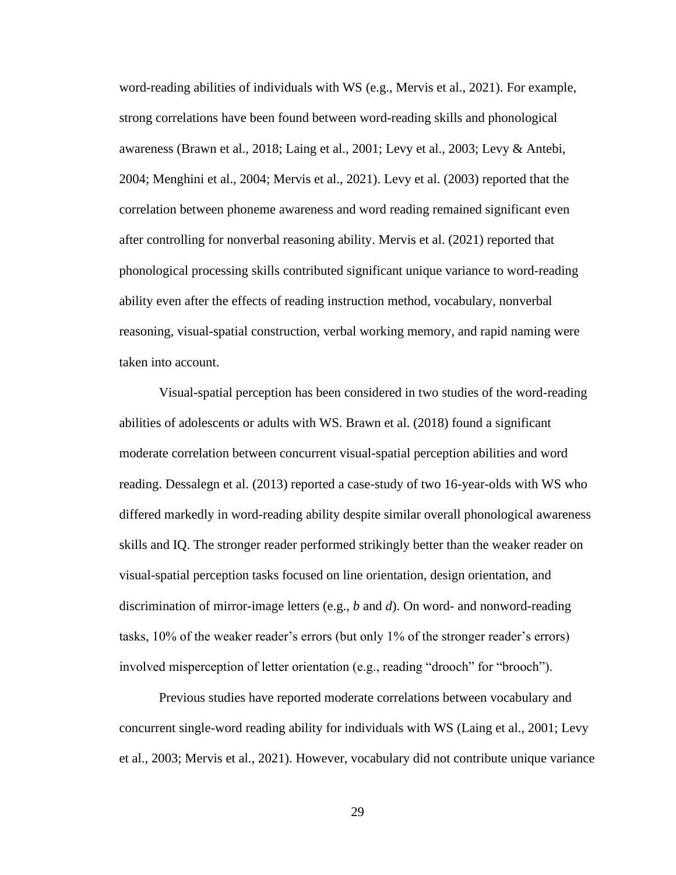word-reading abilities of individuals with WS (e.g., Mervis et al., 2021). For example, strong correlations have been found between word-reading skills and phonological awareness (Brawn et al., 2018; Laing et al., 2001; Levy et al., 2003; Levy & Antebi, 2004; Menghini et al., 2004; Mervis et al., 2021). Levy et al. (2003) reported that the correlation between phoneme awareness and word reading remained significant even after controlling for nonverbal reasoning ability. Mervis et al. (2021) reported that phonological processing skills contributed significant unique variance to word-reading ability even after the effects of reading instruction method, vocabulary, nonverbal reasoning, visual-spatial construction, verbal working memory, and rapid naming were taken into account.

Visual-spatial perception has been considered in two studies of the word-reading abilities of adolescents or adults with WS. Brawn et al. (2018) found a significant moderate correlation between concurrent visual-spatial perception abilities and word reading. Dessalegn et al. (2013) reported a case-study of two 16-year-olds with WS who differed markedly in word-reading ability despite similar overall phonological awareness skills and IQ. The stronger reader performed strikingly better than the weaker reader on visual-spatial perception tasks focused on line orientation, design orientation, and discrimination of mirror-image letters (e.g., *b* and *d*). On word- and nonword-reading tasks, 10% of the weaker reader's errors (but only 1% of the stronger reader's errors) involved misperception of letter orientation (e.g., reading "drooch" for "brooch").

Previous studies have reported moderate correlations between vocabulary and concurrent single-word reading ability for individuals with WS (Laing et al., 2001; Levy et al., 2003; Mervis et al., 2021). However, vocabulary did not contribute unique variance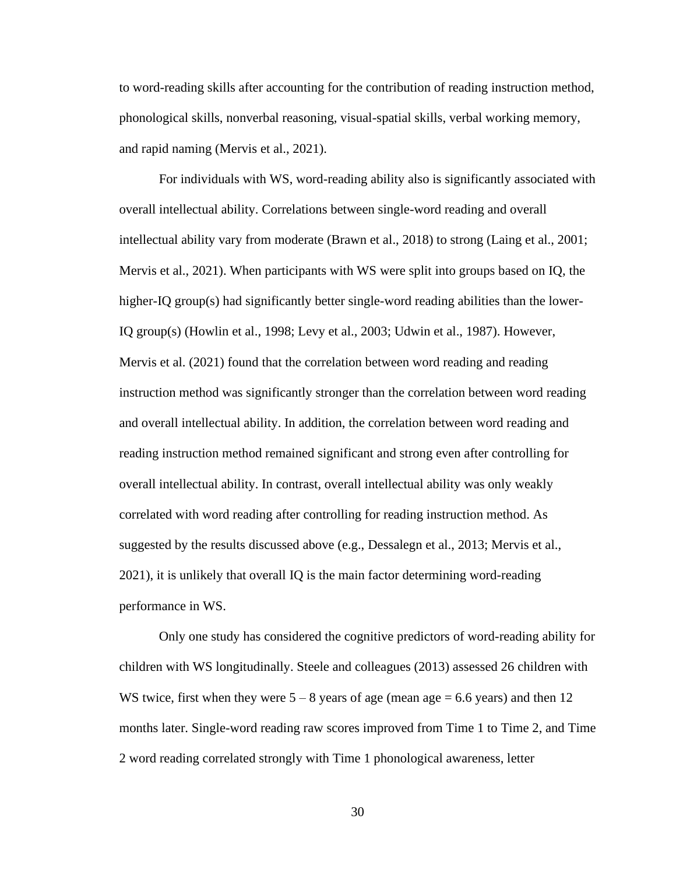to word-reading skills after accounting for the contribution of reading instruction method, phonological skills, nonverbal reasoning, visual-spatial skills, verbal working memory, and rapid naming (Mervis et al., 2021).

For individuals with WS, word-reading ability also is significantly associated with overall intellectual ability. Correlations between single-word reading and overall intellectual ability vary from moderate (Brawn et al., 2018) to strong (Laing et al., 2001; Mervis et al., 2021). When participants with WS were split into groups based on IQ, the higher-IQ group(s) had significantly better single-word reading abilities than the lower-IQ group(s) (Howlin et al., 1998; Levy et al., 2003; Udwin et al., 1987). However, Mervis et al. (2021) found that the correlation between word reading and reading instruction method was significantly stronger than the correlation between word reading and overall intellectual ability. In addition, the correlation between word reading and reading instruction method remained significant and strong even after controlling for overall intellectual ability. In contrast, overall intellectual ability was only weakly correlated with word reading after controlling for reading instruction method. As suggested by the results discussed above (e.g., Dessalegn et al., 2013; Mervis et al., 2021), it is unlikely that overall IQ is the main factor determining word-reading performance in WS.

Only one study has considered the cognitive predictors of word-reading ability for children with WS longitudinally. Steele and colleagues (2013) assessed 26 children with WS twice, first when they were  $5 - 8$  years of age (mean age  $= 6.6$  years) and then 12 months later. Single-word reading raw scores improved from Time 1 to Time 2, and Time 2 word reading correlated strongly with Time 1 phonological awareness, letter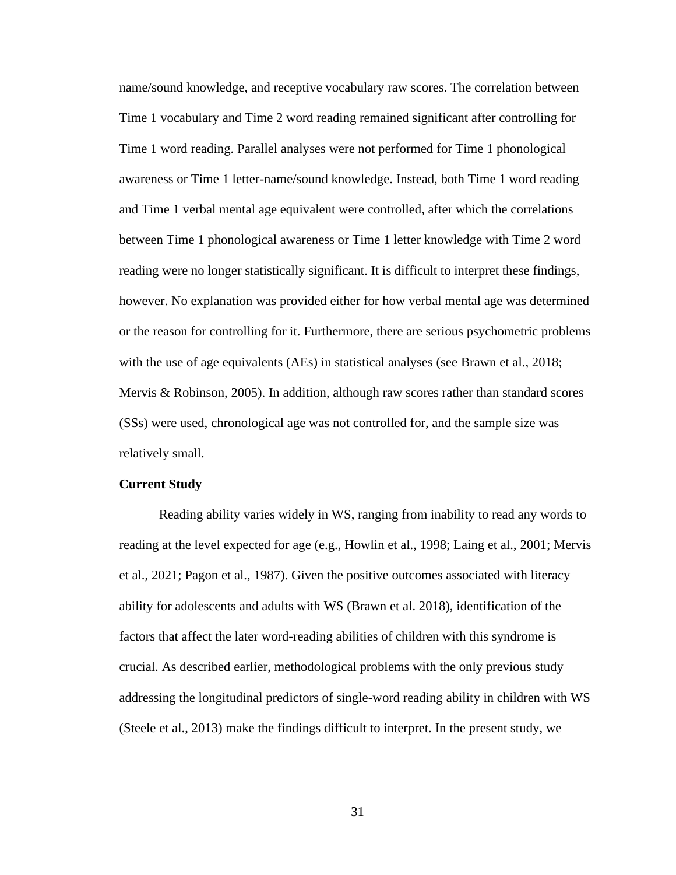name/sound knowledge, and receptive vocabulary raw scores. The correlation between Time 1 vocabulary and Time 2 word reading remained significant after controlling for Time 1 word reading. Parallel analyses were not performed for Time 1 phonological awareness or Time 1 letter-name/sound knowledge. Instead, both Time 1 word reading and Time 1 verbal mental age equivalent were controlled, after which the correlations between Time 1 phonological awareness or Time 1 letter knowledge with Time 2 word reading were no longer statistically significant. It is difficult to interpret these findings, however. No explanation was provided either for how verbal mental age was determined or the reason for controlling for it. Furthermore, there are serious psychometric problems with the use of age equivalents (AEs) in statistical analyses (see Brawn et al., 2018; Mervis & Robinson, 2005). In addition, although raw scores rather than standard scores (SSs) were used, chronological age was not controlled for, and the sample size was relatively small.

### **Current Study**

Reading ability varies widely in WS, ranging from inability to read any words to reading at the level expected for age (e.g., Howlin et al., 1998; Laing et al., 2001; Mervis et al., 2021; Pagon et al., 1987). Given the positive outcomes associated with literacy ability for adolescents and adults with WS (Brawn et al. 2018), identification of the factors that affect the later word-reading abilities of children with this syndrome is crucial. As described earlier, methodological problems with the only previous study addressing the longitudinal predictors of single-word reading ability in children with WS (Steele et al., 2013) make the findings difficult to interpret. In the present study, we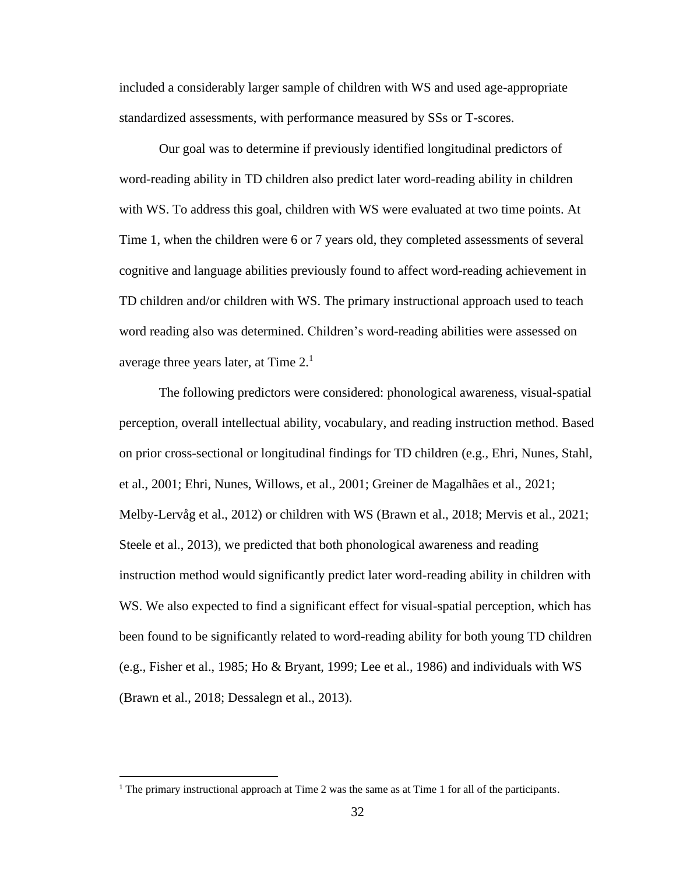included a considerably larger sample of children with WS and used age-appropriate standardized assessments, with performance measured by SSs or T-scores.

Our goal was to determine if previously identified longitudinal predictors of word-reading ability in TD children also predict later word-reading ability in children with WS. To address this goal, children with WS were evaluated at two time points. At Time 1, when the children were 6 or 7 years old, they completed assessments of several cognitive and language abilities previously found to affect word-reading achievement in TD children and/or children with WS. The primary instructional approach used to teach word reading also was determined. Children's word-reading abilities were assessed on average three years later, at Time  $2<sup>1</sup>$ 

The following predictors were considered: phonological awareness, visual-spatial perception, overall intellectual ability, vocabulary, and reading instruction method. Based on prior cross-sectional or longitudinal findings for TD children (e.g., Ehri, Nunes, Stahl, et al., 2001; Ehri, Nunes, Willows, et al., 2001; Greiner de Magalhães et al., 2021; Melby-Lervåg et al., 2012) or children with WS (Brawn et al., 2018; Mervis et al., 2021; Steele et al., 2013), we predicted that both phonological awareness and reading instruction method would significantly predict later word-reading ability in children with WS. We also expected to find a significant effect for visual-spatial perception, which has been found to be significantly related to word-reading ability for both young TD children (e.g., Fisher et al., 1985; Ho & Bryant, 1999; Lee et al., 1986) and individuals with WS (Brawn et al., 2018; Dessalegn et al., 2013).

<sup>1</sup> The primary instructional approach at Time 2 was the same as at Time 1 for all of the participants.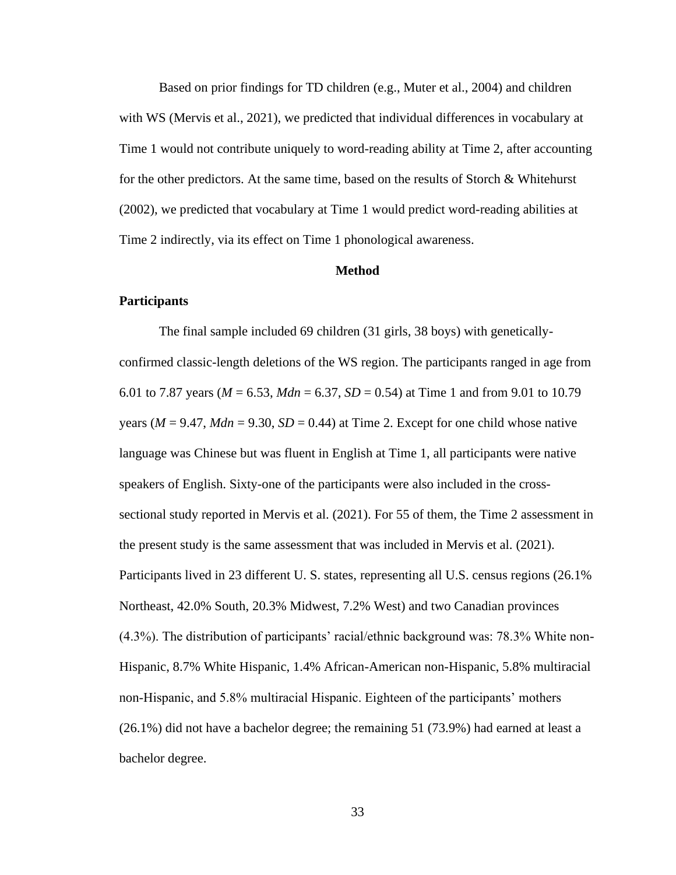Based on prior findings for TD children (e.g., Muter et al., 2004) and children with WS (Mervis et al., 2021), we predicted that individual differences in vocabulary at Time 1 would not contribute uniquely to word-reading ability at Time 2, after accounting for the other predictors. At the same time, based on the results of Storch & Whitehurst (2002), we predicted that vocabulary at Time 1 would predict word-reading abilities at Time 2 indirectly, via its effect on Time 1 phonological awareness.

### **Method**

## **Participants**

The final sample included 69 children (31 girls, 38 boys) with geneticallyconfirmed classic-length deletions of the WS region. The participants ranged in age from 6.01 to 7.87 years (*M* = 6.53, *Mdn* = 6.37, *SD* = 0.54) at Time 1 and from 9.01 to 10.79 years ( $M = 9.47$ ,  $Mdn = 9.30$ ,  $SD = 0.44$ ) at Time 2. Except for one child whose native language was Chinese but was fluent in English at Time 1, all participants were native speakers of English. Sixty-one of the participants were also included in the crosssectional study reported in Mervis et al. (2021). For 55 of them, the Time 2 assessment in the present study is the same assessment that was included in Mervis et al. (2021). Participants lived in 23 different U. S. states, representing all U.S. census regions (26.1% Northeast, 42.0% South, 20.3% Midwest, 7.2% West) and two Canadian provinces (4.3%). The distribution of participants' racial/ethnic background was: 78.3% White non-Hispanic, 8.7% White Hispanic, 1.4% African-American non-Hispanic, 5.8% multiracial non-Hispanic, and 5.8% multiracial Hispanic. Eighteen of the participants' mothers (26.1%) did not have a bachelor degree; the remaining 51 (73.9%) had earned at least a bachelor degree.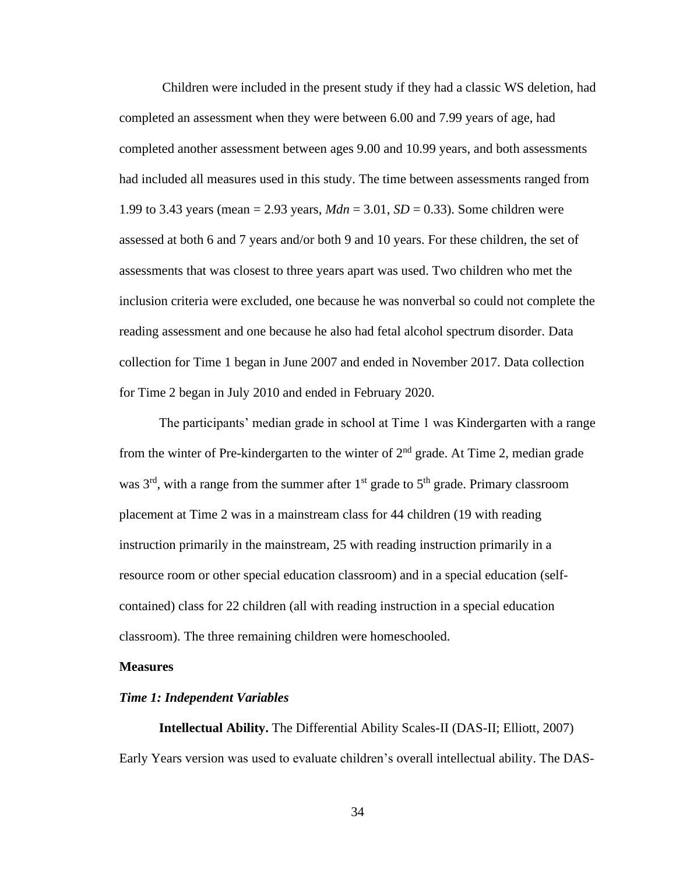Children were included in the present study if they had a classic WS deletion, had completed an assessment when they were between 6.00 and 7.99 years of age, had completed another assessment between ages 9.00 and 10.99 years, and both assessments had included all measures used in this study. The time between assessments ranged from 1.99 to 3.43 years (mean = 2.93 years, *Mdn* = 3.01, *SD* = 0.33). Some children were assessed at both 6 and 7 years and/or both 9 and 10 years. For these children, the set of assessments that was closest to three years apart was used. Two children who met the inclusion criteria were excluded, one because he was nonverbal so could not complete the reading assessment and one because he also had fetal alcohol spectrum disorder. Data collection for Time 1 began in June 2007 and ended in November 2017. Data collection for Time 2 began in July 2010 and ended in February 2020.

The participants' median grade in school at Time 1 was Kindergarten with a range from the winter of Pre-kindergarten to the winter of  $2<sup>nd</sup>$  grade. At Time 2, median grade was  $3<sup>rd</sup>$ , with a range from the summer after  $1<sup>st</sup>$  grade to  $5<sup>th</sup>$  grade. Primary classroom placement at Time 2 was in a mainstream class for 44 children (19 with reading instruction primarily in the mainstream, 25 with reading instruction primarily in a resource room or other special education classroom) and in a special education (selfcontained) class for 22 children (all with reading instruction in a special education classroom). The three remaining children were homeschooled.

# **Measures**

### *Time 1: Independent Variables*

**Intellectual Ability.** The Differential Ability Scales-II (DAS-II; Elliott, 2007) Early Years version was used to evaluate children's overall intellectual ability. The DAS-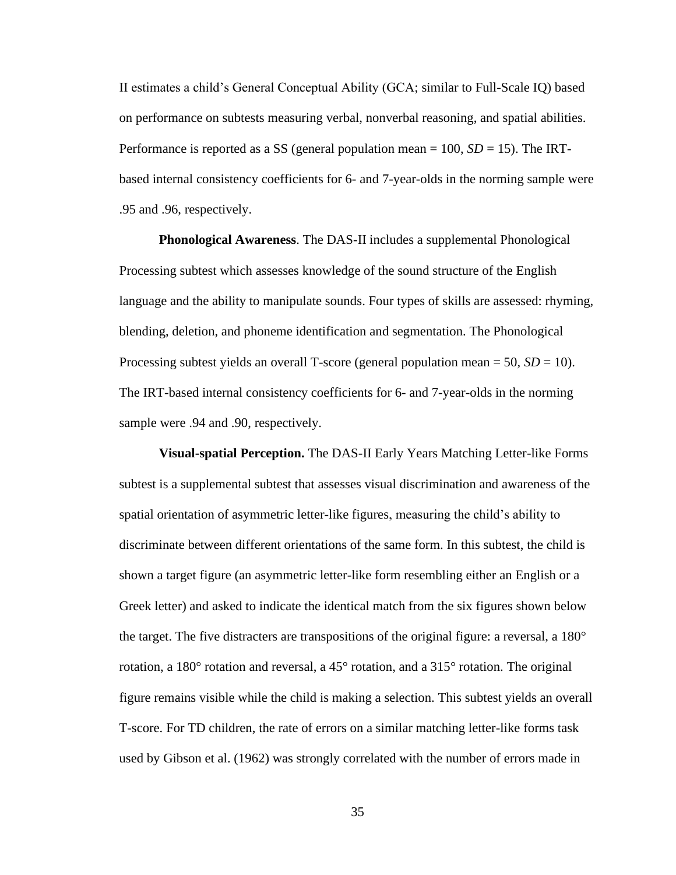II estimates a child's General Conceptual Ability (GCA; similar to Full-Scale IQ) based on performance on subtests measuring verbal, nonverbal reasoning, and spatial abilities. Performance is reported as a SS (general population mean = 100, *SD* = 15). The IRTbased internal consistency coefficients for 6- and 7-year-olds in the norming sample were .95 and .96, respectively.

**Phonological Awareness**. The DAS-II includes a supplemental Phonological Processing subtest which assesses knowledge of the sound structure of the English language and the ability to manipulate sounds. Four types of skills are assessed: rhyming, blending, deletion, and phoneme identification and segmentation. The Phonological Processing subtest yields an overall T-score (general population mean = 50, *SD* = 10). The IRT-based internal consistency coefficients for 6- and 7-year-olds in the norming sample were .94 and .90, respectively.

**Visual-spatial Perception.** The DAS-II Early Years Matching Letter-like Forms subtest is a supplemental subtest that assesses visual discrimination and awareness of the spatial orientation of asymmetric letter-like figures, measuring the child's ability to discriminate between different orientations of the same form. In this subtest, the child is shown a target figure (an asymmetric letter-like form resembling either an English or a Greek letter) and asked to indicate the identical match from the six figures shown below the target. The five distracters are transpositions of the original figure: a reversal, a 180° rotation, a 180° rotation and reversal, a 45° rotation, and a 315° rotation. The original figure remains visible while the child is making a selection. This subtest yields an overall T-score. For TD children, the rate of errors on a similar matching letter-like forms task used by Gibson et al. (1962) was strongly correlated with the number of errors made in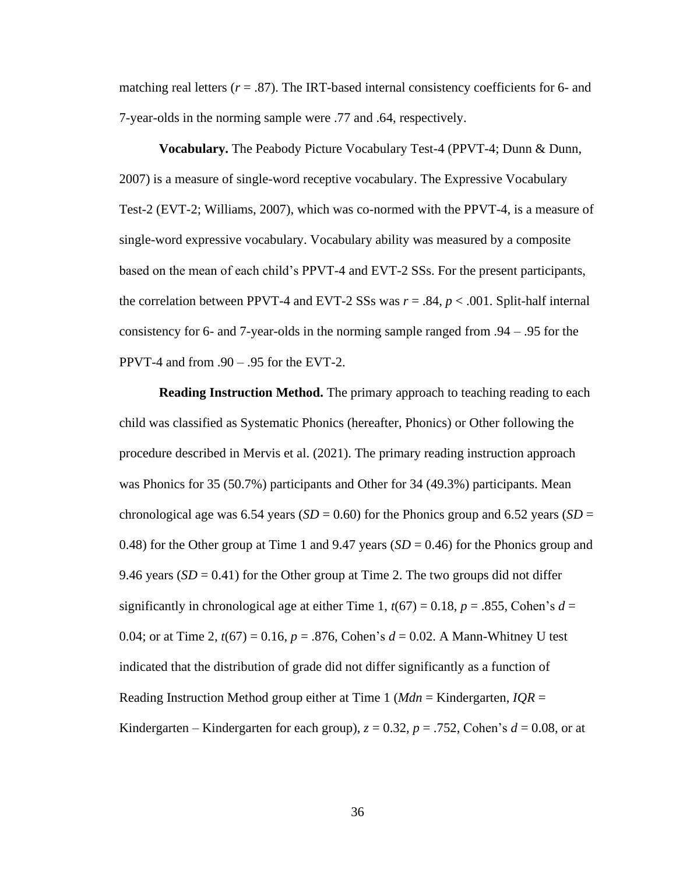matching real letters  $(r = .87)$ . The IRT-based internal consistency coefficients for 6- and 7-year-olds in the norming sample were .77 and .64, respectively.

**Vocabulary.** The Peabody Picture Vocabulary Test-4 (PPVT-4; Dunn & Dunn, 2007) is a measure of single-word receptive vocabulary. The Expressive Vocabulary Test-2 (EVT-2; Williams, 2007), which was co-normed with the PPVT-4, is a measure of single-word expressive vocabulary. Vocabulary ability was measured by a composite based on the mean of each child's PPVT-4 and EVT-2 SSs. For the present participants, the correlation between PPVT-4 and EVT-2 SSs was  $r = .84$ ,  $p < .001$ . Split-half internal consistency for 6- and 7-year-olds in the norming sample ranged from .94 – .95 for the PPVT-4 and from .90 – .95 for the EVT-2.

**Reading Instruction Method.** The primary approach to teaching reading to each child was classified as Systematic Phonics (hereafter, Phonics) or Other following the procedure described in Mervis et al. (2021). The primary reading instruction approach was Phonics for 35 (50.7%) participants and Other for 34 (49.3%) participants. Mean chronological age was 6.54 years (*SD* = 0.60) for the Phonics group and 6.52 years (*SD* = 0.48) for the Other group at Time 1 and 9.47 years  $(SD = 0.46)$  for the Phonics group and 9.46 years  $(SD = 0.41)$  for the Other group at Time 2. The two groups did not differ significantly in chronological age at either Time 1,  $t(67) = 0.18$ ,  $p = .855$ , Cohen's  $d =$ 0.04; or at Time 2, *t*(67) = 0.16, *p* = .876, Cohen's *d* = 0.02. A Mann-Whitney U test indicated that the distribution of grade did not differ significantly as a function of Reading Instruction Method group either at Time 1 (*Mdn* = Kindergarten, *IQR* = Kindergarten – Kindergarten for each group),  $z = 0.32$ ,  $p = .752$ , Cohen's  $d = 0.08$ , or at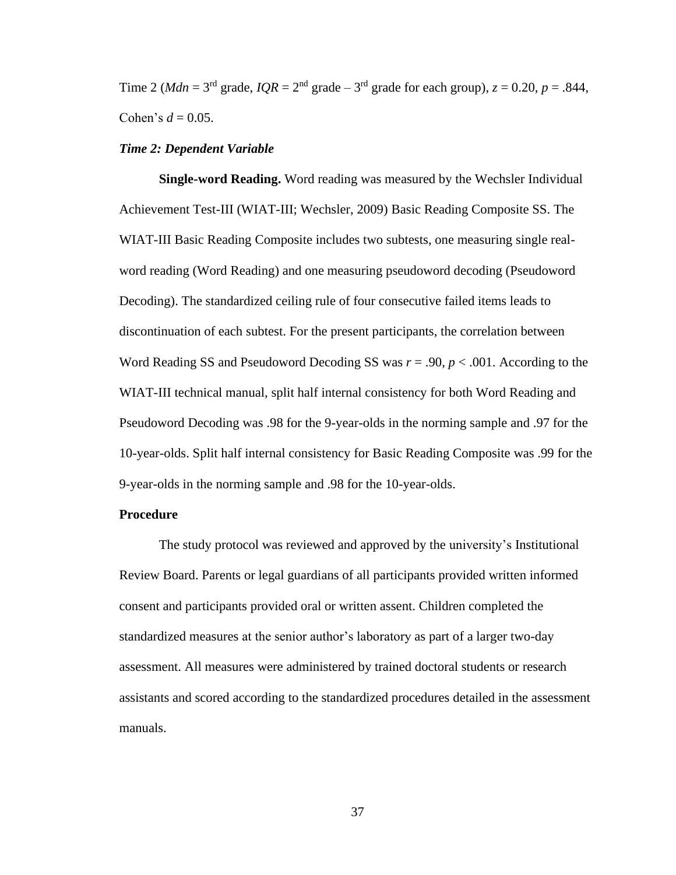Time 2 (*Mdn* =  $3<sup>rd</sup>$  grade, *IQR* =  $2<sup>nd</sup>$  grade –  $3<sup>rd</sup>$  grade for each group),  $z = 0.20$ ,  $p = .844$ , Cohen's  $d = 0.05$ .

### *Time 2: Dependent Variable*

**Single-word Reading.** Word reading was measured by the Wechsler Individual Achievement Test-III (WIAT-III; Wechsler, 2009) Basic Reading Composite SS. The WIAT-III Basic Reading Composite includes two subtests, one measuring single realword reading (Word Reading) and one measuring pseudoword decoding (Pseudoword Decoding). The standardized ceiling rule of four consecutive failed items leads to discontinuation of each subtest. For the present participants, the correlation between Word Reading SS and Pseudoword Decoding SS was *r* = .90, *p* < .001. According to the WIAT-III technical manual, split half internal consistency for both Word Reading and Pseudoword Decoding was .98 for the 9-year-olds in the norming sample and .97 for the 10-year-olds. Split half internal consistency for Basic Reading Composite was .99 for the 9-year-olds in the norming sample and .98 for the 10-year-olds.

### **Procedure**

The study protocol was reviewed and approved by the university's Institutional Review Board. Parents or legal guardians of all participants provided written informed consent and participants provided oral or written assent. Children completed the standardized measures at the senior author's laboratory as part of a larger two-day assessment. All measures were administered by trained doctoral students or research assistants and scored according to the standardized procedures detailed in the assessment manuals.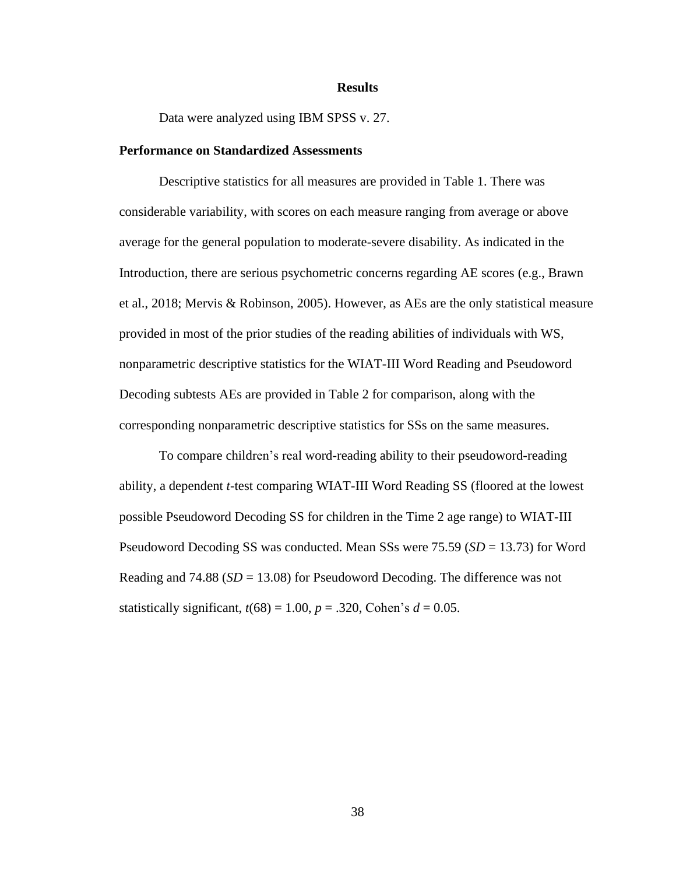#### **Results**

Data were analyzed using IBM SPSS v. 27.

### **Performance on Standardized Assessments**

Descriptive statistics for all measures are provided in Table 1. There was considerable variability, with scores on each measure ranging from average or above average for the general population to moderate-severe disability. As indicated in the Introduction, there are serious psychometric concerns regarding AE scores (e.g., Brawn et al., 2018; Mervis & Robinson, 2005). However, as AEs are the only statistical measure provided in most of the prior studies of the reading abilities of individuals with WS, nonparametric descriptive statistics for the WIAT-III Word Reading and Pseudoword Decoding subtests AEs are provided in Table 2 for comparison, along with the corresponding nonparametric descriptive statistics for SSs on the same measures.

To compare children's real word-reading ability to their pseudoword-reading ability, a dependent *t*-test comparing WIAT-III Word Reading SS (floored at the lowest possible Pseudoword Decoding SS for children in the Time 2 age range) to WIAT-III Pseudoword Decoding SS was conducted. Mean SSs were 75.59 (*SD* = 13.73) for Word Reading and 74.88 (*SD* = 13.08) for Pseudoword Decoding. The difference was not statistically significant,  $t(68) = 1.00$ ,  $p = .320$ , Cohen's  $d = 0.05$ .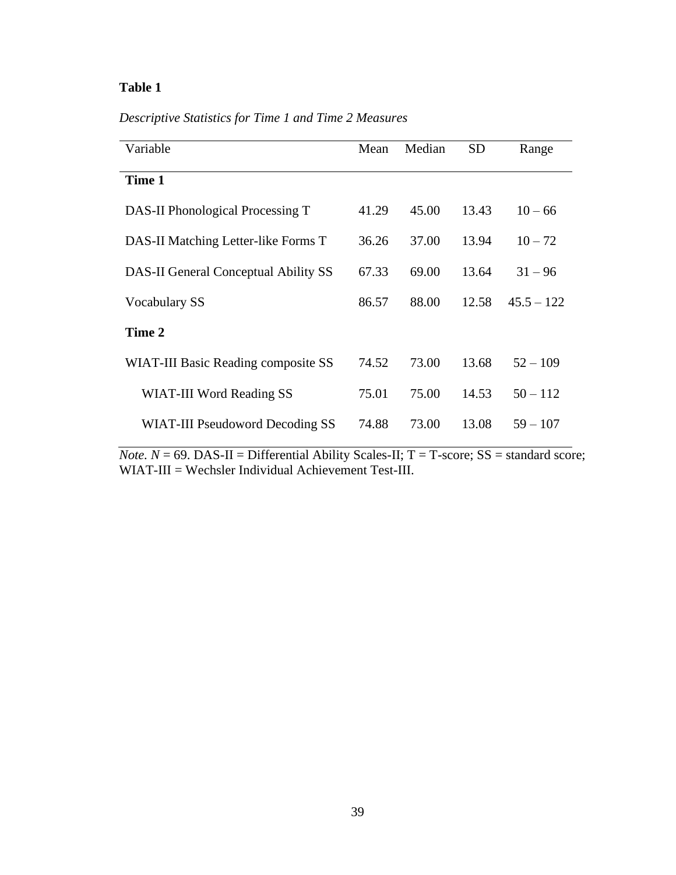*Descriptive Statistics for Time 1 and Time 2 Measures*

| Variable                             | Mean  | Median | <b>SD</b> | Range        |
|--------------------------------------|-------|--------|-----------|--------------|
| Time 1                               |       |        |           |              |
| DAS-II Phonological Processing T     | 41.29 | 45.00  | 13.43     | $10 - 66$    |
| DAS-II Matching Letter-like Forms T  | 36.26 | 37.00  | 13.94     | $10 - 72$    |
| DAS-II General Conceptual Ability SS | 67.33 | 69.00  | 13.64     | $31 - 96$    |
| Vocabulary SS                        | 86.57 | 88.00  | 12.58     | $45.5 - 122$ |
| Time 2                               |       |        |           |              |
| WIAT-III Basic Reading composite SS  | 74.52 | 73.00  | 13.68     | $52 - 109$   |
| WIAT-III Word Reading SS             | 75.01 | 75.00  | 14.53     | $50 - 112$   |
| WIAT-III Pseudoword Decoding SS      | 74.88 | 73.00  | 13.08     | $59 - 107$   |

*Note.*  $N = 69$ . DAS-II = Differential Ability Scales-II;  $T = T$ -score; SS = standard score; WIAT-III = Wechsler Individual Achievement Test-III.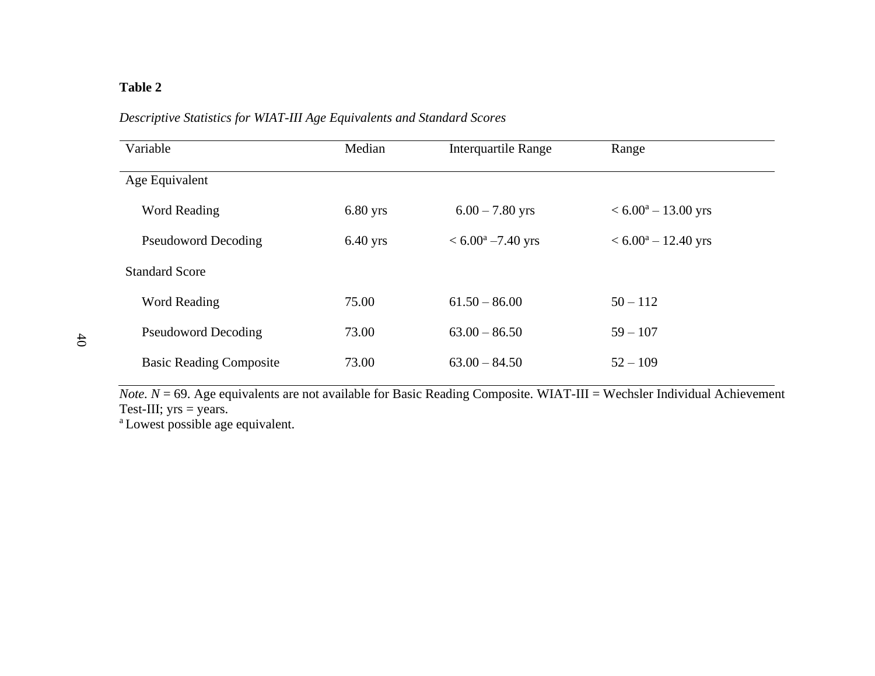| Variable                       | Median     | <b>Interquartile Range</b>  | Range                                     |
|--------------------------------|------------|-----------------------------|-------------------------------------------|
| Age Equivalent                 |            |                             |                                           |
| Word Reading                   | $6.80$ yrs | $6.00 - 7.80$ yrs           | $< 6.00^{\mathrm{a}} - 13.00 \text{ yrs}$ |
| <b>Pseudoword Decoding</b>     | $6.40$ yrs | $< 6.00^{\circ} - 7.40$ yrs | $< 6.00^a - 12.40$ yrs                    |
| <b>Standard Score</b>          |            |                             |                                           |
| Word Reading                   | 75.00      | $61.50 - 86.00$             | $50 - 112$                                |
| <b>Pseudoword Decoding</b>     | 73.00      | $63.00 - 86.50$             | $59 - 107$                                |
| <b>Basic Reading Composite</b> | 73.00      | $63.00 - 84.50$             | $52 - 109$                                |

*Descriptive Statistics for WIAT-III Age Equivalents and Standard Scores*

*Note. N* = 69. Age equivalents are not available for Basic Reading Composite. WIAT-III = Wechsler Individual Achievement Test-III;  $yrs = years$ .

<sup>a</sup> Lowest possible age equivalent.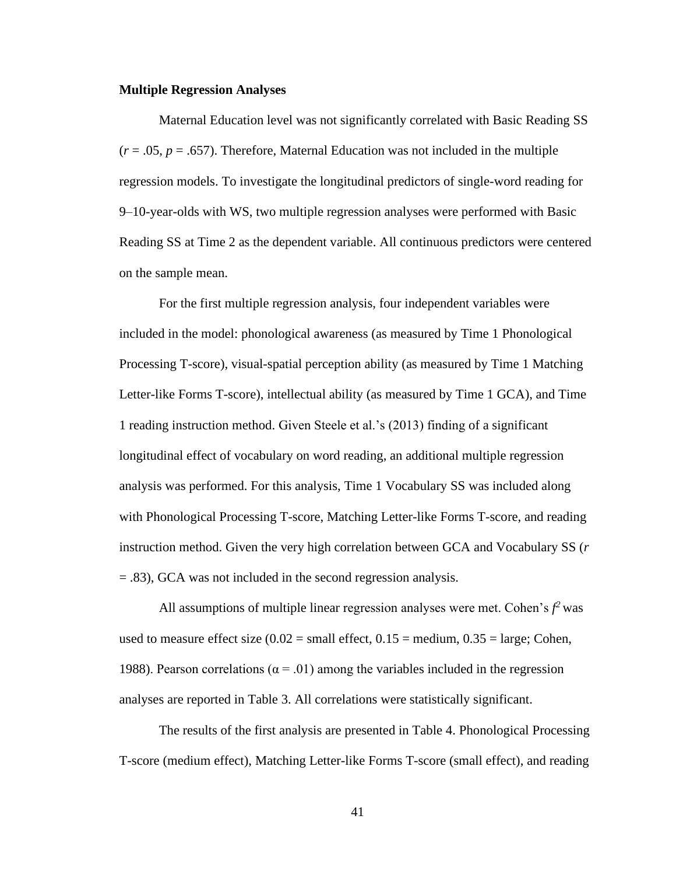### **Multiple Regression Analyses**

Maternal Education level was not significantly correlated with Basic Reading SS  $(r = .05, p = .657)$ . Therefore, Maternal Education was not included in the multiple regression models. To investigate the longitudinal predictors of single-word reading for 9–10-year-olds with WS, two multiple regression analyses were performed with Basic Reading SS at Time 2 as the dependent variable. All continuous predictors were centered on the sample mean.

For the first multiple regression analysis, four independent variables were included in the model: phonological awareness (as measured by Time 1 Phonological Processing T-score), visual-spatial perception ability (as measured by Time 1 Matching Letter-like Forms T-score), intellectual ability (as measured by Time 1 GCA), and Time 1 reading instruction method. Given Steele et al.'s (2013) finding of a significant longitudinal effect of vocabulary on word reading, an additional multiple regression analysis was performed. For this analysis, Time 1 Vocabulary SS was included along with Phonological Processing T-score, Matching Letter-like Forms T-score, and reading instruction method. Given the very high correlation between GCA and Vocabulary SS (*r* = .83), GCA was not included in the second regression analysis.

All assumptions of multiple linear regression analyses were met. Cohen's  $f^2$  was used to measure effect size  $(0.02 = \text{small effect}, 0.15 = \text{medium}, 0.35 = \text{large}; \text{Cohen},$ 1988). Pearson correlations ( $\alpha$  = .01) among the variables included in the regression analyses are reported in Table 3. All correlations were statistically significant.

The results of the first analysis are presented in Table 4. Phonological Processing T-score (medium effect), Matching Letter-like Forms T-score (small effect), and reading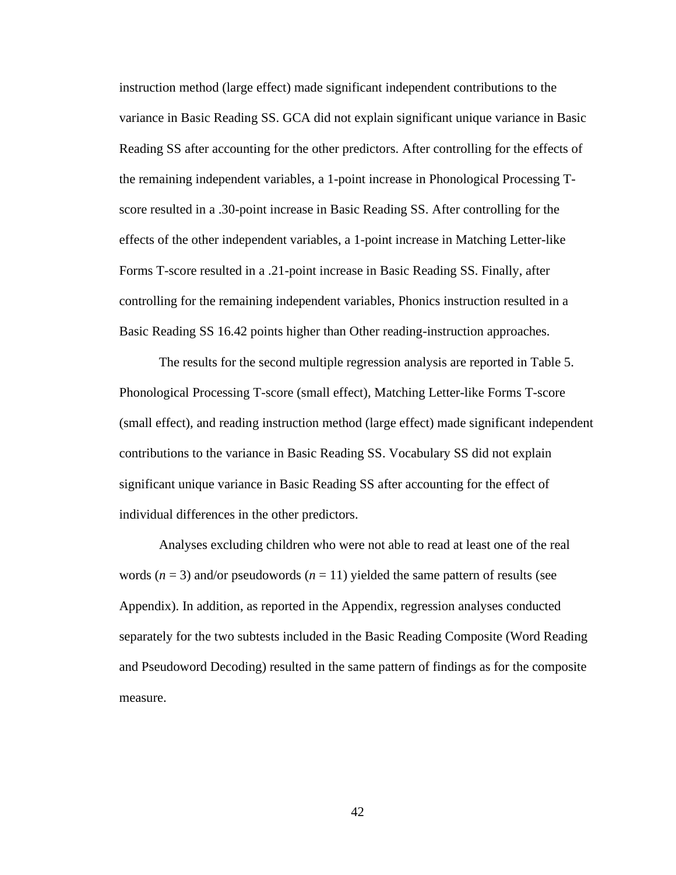instruction method (large effect) made significant independent contributions to the variance in Basic Reading SS. GCA did not explain significant unique variance in Basic Reading SS after accounting for the other predictors. After controlling for the effects of the remaining independent variables, a 1-point increase in Phonological Processing Tscore resulted in a .30-point increase in Basic Reading SS. After controlling for the effects of the other independent variables, a 1-point increase in Matching Letter-like Forms T-score resulted in a .21-point increase in Basic Reading SS. Finally, after controlling for the remaining independent variables, Phonics instruction resulted in a Basic Reading SS 16.42 points higher than Other reading-instruction approaches.

The results for the second multiple regression analysis are reported in Table 5. Phonological Processing T-score (small effect), Matching Letter-like Forms T-score (small effect), and reading instruction method (large effect) made significant independent contributions to the variance in Basic Reading SS. Vocabulary SS did not explain significant unique variance in Basic Reading SS after accounting for the effect of individual differences in the other predictors.

Analyses excluding children who were not able to read at least one of the real words  $(n = 3)$  and/or pseudowords  $(n = 11)$  yielded the same pattern of results (see Appendix). In addition, as reported in the Appendix, regression analyses conducted separately for the two subtests included in the Basic Reading Composite (Word Reading and Pseudoword Decoding) resulted in the same pattern of findings as for the composite measure.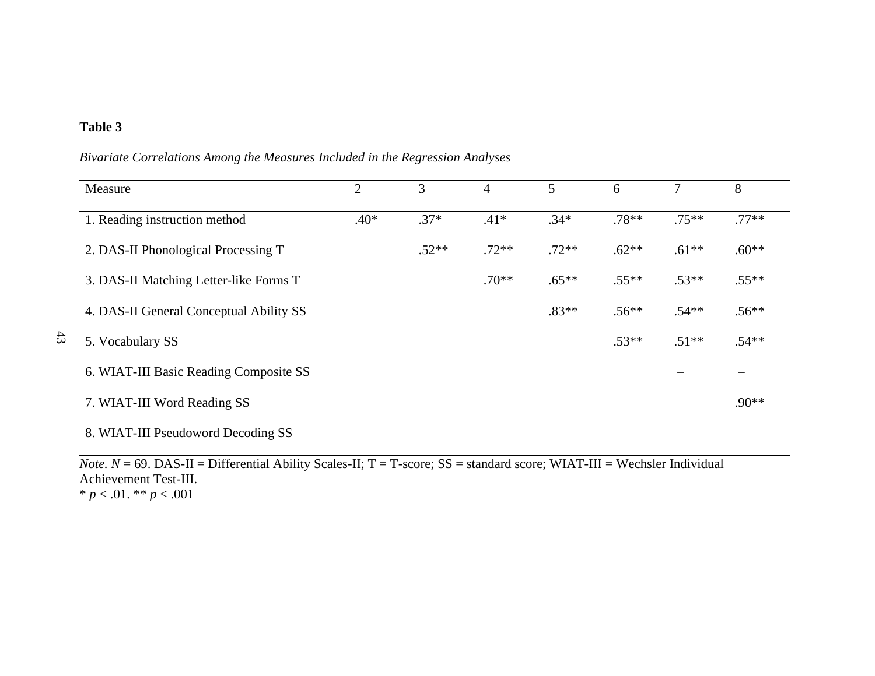43

| Measure                                 | $\overline{2}$ | 3       | 4       | 5       | 6       |          | 8       |
|-----------------------------------------|----------------|---------|---------|---------|---------|----------|---------|
| 1. Reading instruction method           | $.40*$         | $.37*$  | $.41*$  | $.34*$  | $.78**$ | $.75***$ | $.77**$ |
| 2. DAS-II Phonological Processing T     |                | $.52**$ | $.72**$ | $.72**$ | $.62**$ | $.61**$  | $.60**$ |
| 3. DAS-II Matching Letter-like Forms T  |                |         | $.70**$ | $.65**$ | $.55**$ | $.53**$  | $.55**$ |
| 4. DAS-II General Conceptual Ability SS |                |         |         | $.83**$ | $.56**$ | $.54**$  | $.56**$ |
| 5. Vocabulary SS                        |                |         |         |         | $.53**$ | $.51**$  | $.54**$ |
| 6. WIAT-III Basic Reading Composite SS  |                |         |         |         |         |          |         |
| 7. WIAT-III Word Reading SS             |                |         |         |         |         |          | $.90**$ |
| 8. WIAT-III Pseudoword Decoding SS      |                |         |         |         |         |          |         |

# *Bivariate Correlations Among the Measures Included in the Regression Analyses*

*Note.*  $N = 69$ . DAS-II = Differential Ability Scales-II;  $T = T$ -score;  $SS =$ standard score; WIAT-III = Wechsler Individual Achievement Test-III.  $* p < .01. ** p < .001$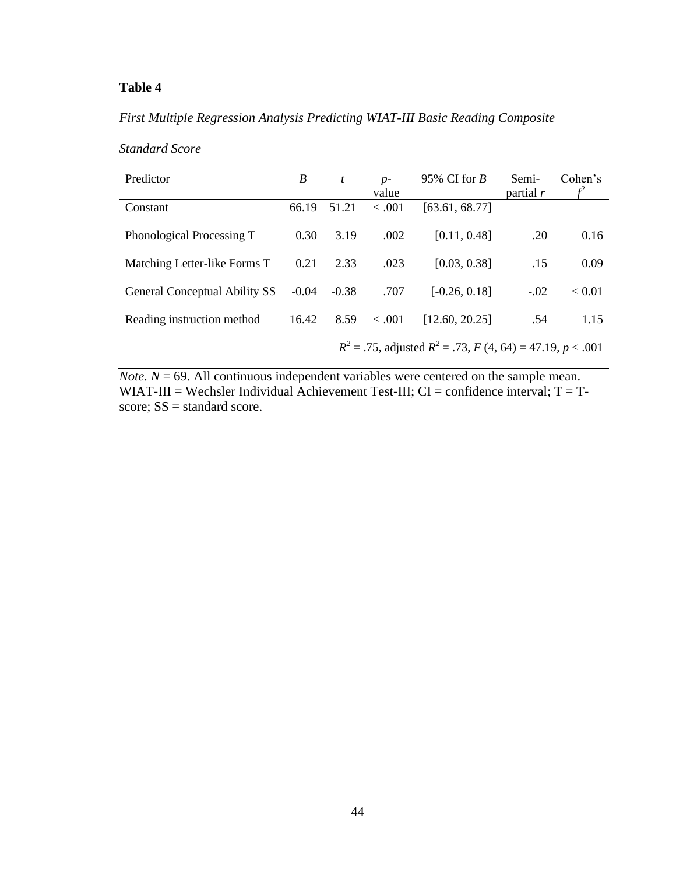# *First Multiple Regression Analysis Predicting WIAT-III Basic Reading Composite*

| Predictor                                                      | B       | t       | $p-$<br>value | 95% CI for $B$  | Semi-<br>partial $r$ | Cohen's |  |  |
|----------------------------------------------------------------|---------|---------|---------------|-----------------|----------------------|---------|--|--|
| Constant                                                       | 66.19   | 51.21   | < 0.001       | [63.61, 68.77]  |                      |         |  |  |
| Phonological Processing T                                      | 0.30    | 3.19    | .002          | [0.11, 0.48]    | .20                  | 0.16    |  |  |
| Matching Letter-like Forms T                                   | 0.21    | 2.33    | .023          | [0.03, 0.38]    | .15                  | 0.09    |  |  |
| <b>General Conceptual Ability SS</b>                           | $-0.04$ | $-0.38$ | .707          | $[-0.26, 0.18]$ | $-.02$               | < 0.01  |  |  |
| Reading instruction method                                     | 16.42   | 8.59    | < .001        | [12.60, 20.25]  | .54                  | 1.15    |  |  |
| $R^2$ = .75, adjusted $R^2$ = .73, F (4, 64) = 47.19, p < .001 |         |         |               |                 |                      |         |  |  |

*Standard Score*

*Note.*  $N = 69$ . All continuous independent variables were centered on the sample mean. WIAT-III = Wechsler Individual Achievement Test-III;  $CI =$  confidence interval;  $T = T$ score; SS = standard score.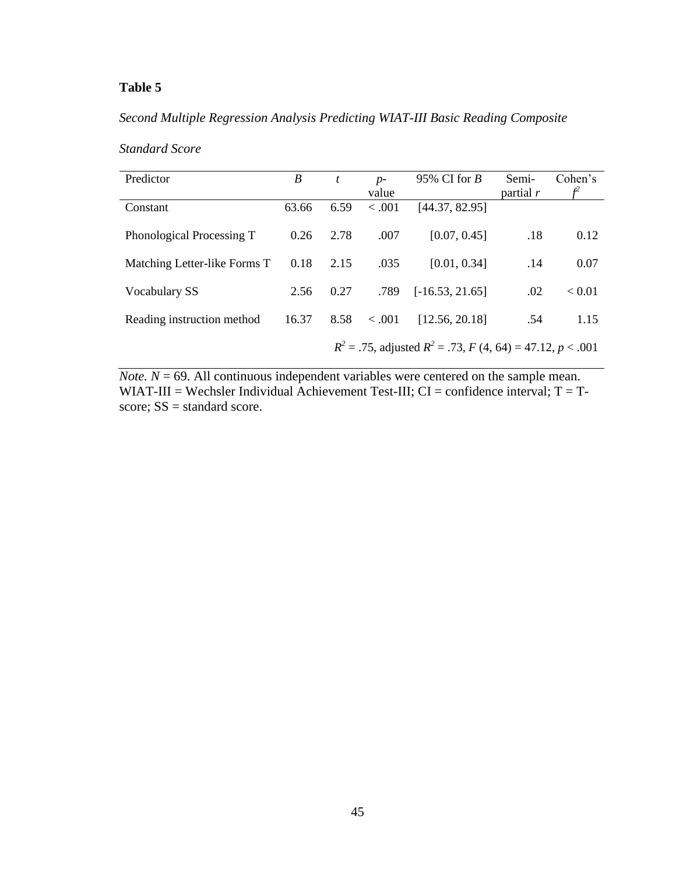# *Second Multiple Regression Analysis Predicting WIAT-III Basic Reading Composite*

| Predictor                                                      | B     | t    | $p-$<br>value | 95% CI for $B$    | Semi-<br>partial $r$ | Cohen's |  |  |
|----------------------------------------------------------------|-------|------|---------------|-------------------|----------------------|---------|--|--|
| Constant                                                       | 63.66 | 6.59 | < .001        | [44.37, 82.95]    |                      |         |  |  |
| Phonological Processing T                                      | 0.26  | 2.78 | .007          | [0.07, 0.45]      | .18                  | 0.12    |  |  |
| Matching Letter-like Forms T                                   | 0.18  | 2.15 | .035          | [0.01, 0.34]      | .14                  | 0.07    |  |  |
| Vocabulary SS                                                  | 2.56  | 0.27 | .789          | $[-16.53, 21.65]$ | .02                  | < 0.01  |  |  |
| Reading instruction method                                     | 16.37 | 8.58 | < 0.001       | [12.56, 20.18]    | .54                  | 1.15    |  |  |
| $R^2$ = .75, adjusted $R^2$ = .73, F (4, 64) = 47.12, p < .001 |       |      |               |                   |                      |         |  |  |

*Standard Score*

*Note.*  $N = 69$ . All continuous independent variables were centered on the sample mean. WIAT-III = Wechsler Individual Achievement Test-III;  $CI =$  confidence interval;  $T = T$ score; SS = standard score.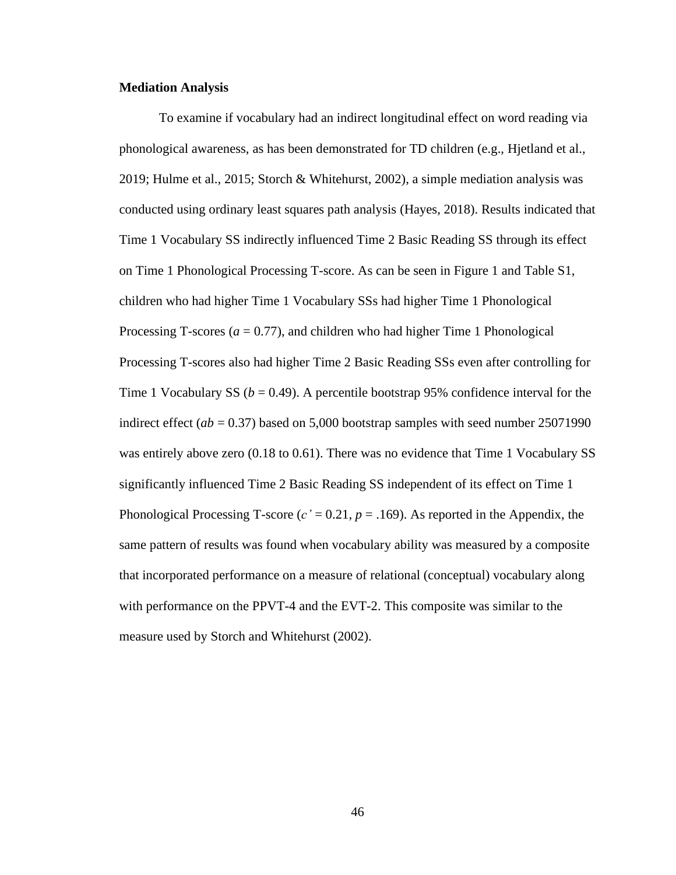#### **Mediation Analysis**

To examine if vocabulary had an indirect longitudinal effect on word reading via phonological awareness, as has been demonstrated for TD children (e.g., Hjetland et al., 2019; Hulme et al., 2015; Storch & Whitehurst, 2002), a simple mediation analysis was conducted using ordinary least squares path analysis (Hayes, 2018). Results indicated that Time 1 Vocabulary SS indirectly influenced Time 2 Basic Reading SS through its effect on Time 1 Phonological Processing T-score. As can be seen in Figure 1 and Table S1, children who had higher Time 1 Vocabulary SSs had higher Time 1 Phonological Processing T-scores ( $a = 0.77$ ), and children who had higher Time 1 Phonological Processing T-scores also had higher Time 2 Basic Reading SSs even after controlling for Time 1 Vocabulary SS ( $b = 0.49$ ). A percentile bootstrap 95% confidence interval for the indirect effect ( $ab = 0.37$ ) based on 5,000 bootstrap samples with seed number 25071990 was entirely above zero (0.18 to 0.61). There was no evidence that Time 1 Vocabulary SS significantly influenced Time 2 Basic Reading SS independent of its effect on Time 1 Phonological Processing T-score ( $c' = 0.21$ ,  $p = .169$ ). As reported in the Appendix, the same pattern of results was found when vocabulary ability was measured by a composite that incorporated performance on a measure of relational (conceptual) vocabulary along with performance on the PPVT-4 and the EVT-2. This composite was similar to the measure used by Storch and Whitehurst (2002).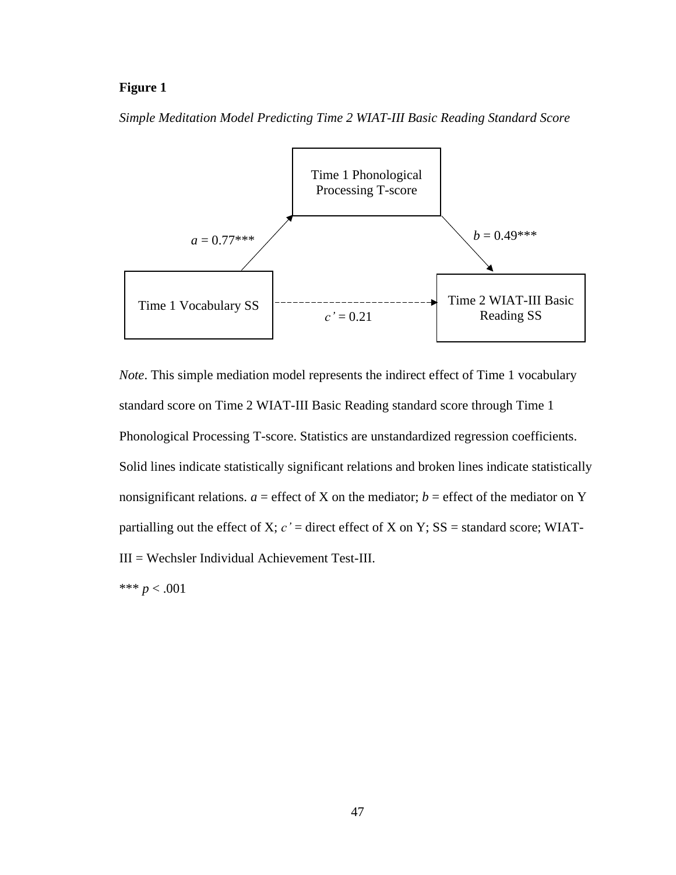# **Figure 1**

*Simple Meditation Model Predicting Time 2 WIAT-III Basic Reading Standard Score*



*Note*. This simple mediation model represents the indirect effect of Time 1 vocabulary standard score on Time 2 WIAT-III Basic Reading standard score through Time 1 Phonological Processing T-score. Statistics are unstandardized regression coefficients. Solid lines indicate statistically significant relations and broken lines indicate statistically nonsignificant relations.  $a =$  effect of X on the mediator;  $b =$  effect of the mediator on Y partialling out the effect of X;  $c'$  = direct effect of X on Y;  $SS =$  standard score; WIAT-III = Wechsler Individual Achievement Test-III.

\*\*\* *p* < .001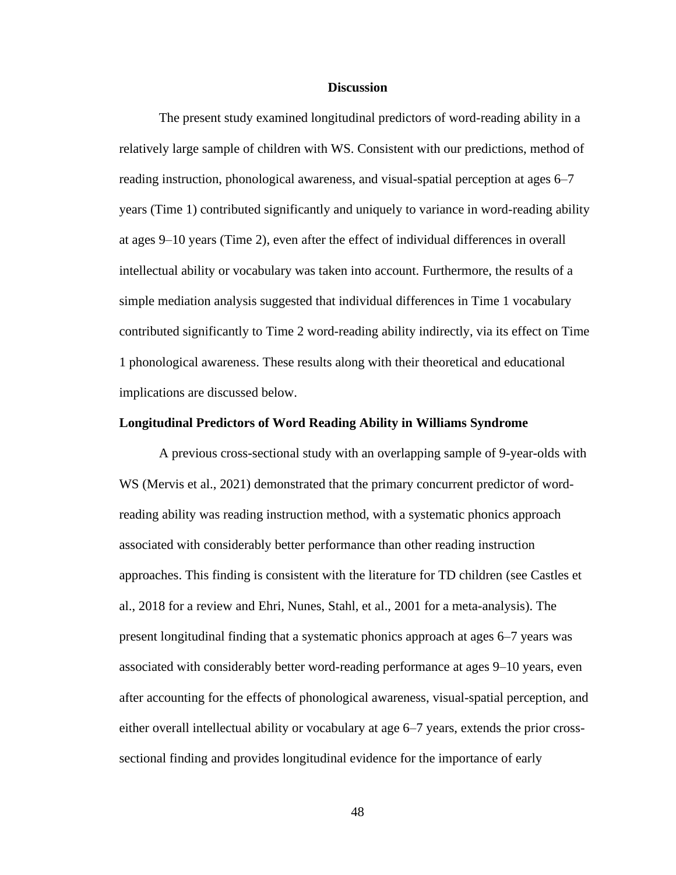### **Discussion**

The present study examined longitudinal predictors of word-reading ability in a relatively large sample of children with WS. Consistent with our predictions, method of reading instruction, phonological awareness, and visual-spatial perception at ages 6–7 years (Time 1) contributed significantly and uniquely to variance in word-reading ability at ages 9–10 years (Time 2), even after the effect of individual differences in overall intellectual ability or vocabulary was taken into account. Furthermore, the results of a simple mediation analysis suggested that individual differences in Time 1 vocabulary contributed significantly to Time 2 word-reading ability indirectly, via its effect on Time 1 phonological awareness. These results along with their theoretical and educational implications are discussed below.

### **Longitudinal Predictors of Word Reading Ability in Williams Syndrome**

A previous cross-sectional study with an overlapping sample of 9-year-olds with WS (Mervis et al., 2021) demonstrated that the primary concurrent predictor of wordreading ability was reading instruction method, with a systematic phonics approach associated with considerably better performance than other reading instruction approaches. This finding is consistent with the literature for TD children (see Castles et al., 2018 for a review and Ehri, Nunes, Stahl, et al., 2001 for a meta-analysis). The present longitudinal finding that a systematic phonics approach at ages 6–7 years was associated with considerably better word-reading performance at ages 9–10 years, even after accounting for the effects of phonological awareness, visual-spatial perception, and either overall intellectual ability or vocabulary at age 6–7 years, extends the prior crosssectional finding and provides longitudinal evidence for the importance of early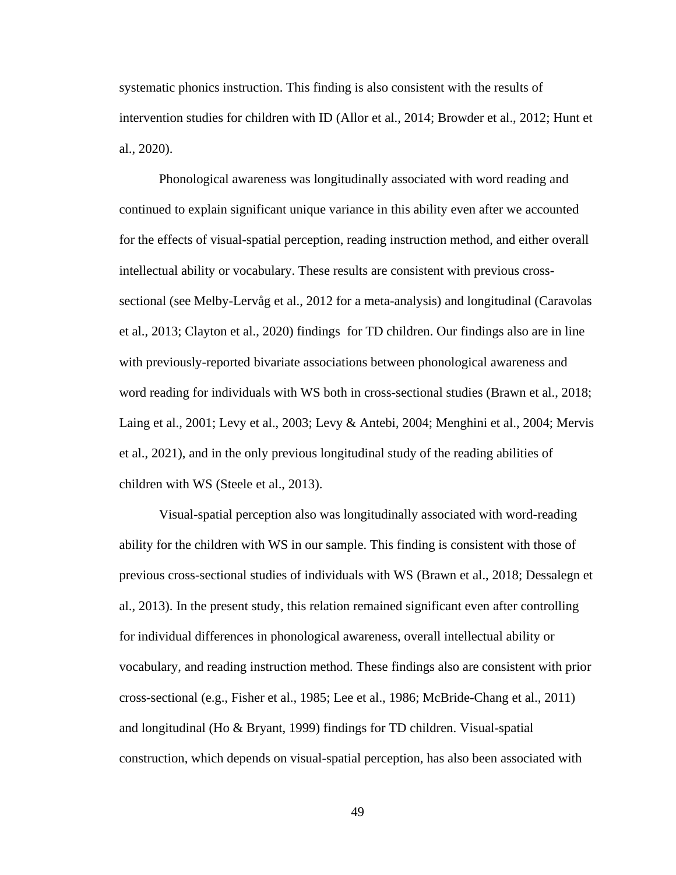systematic phonics instruction. This finding is also consistent with the results of intervention studies for children with ID (Allor et al., 2014; Browder et al., 2012; Hunt et al., 2020).

Phonological awareness was longitudinally associated with word reading and continued to explain significant unique variance in this ability even after we accounted for the effects of visual-spatial perception, reading instruction method, and either overall intellectual ability or vocabulary. These results are consistent with previous crosssectional (see Melby-Lervåg et al., 2012 for a meta-analysis) and longitudinal (Caravolas et al., 2013; Clayton et al., 2020) findings for TD children. Our findings also are in line with previously-reported bivariate associations between phonological awareness and word reading for individuals with WS both in cross-sectional studies (Brawn et al., 2018; Laing et al., 2001; Levy et al., 2003; Levy & Antebi, 2004; Menghini et al., 2004; Mervis et al., 2021), and in the only previous longitudinal study of the reading abilities of children with WS (Steele et al., 2013).

Visual-spatial perception also was longitudinally associated with word-reading ability for the children with WS in our sample. This finding is consistent with those of previous cross-sectional studies of individuals with WS (Brawn et al., 2018; Dessalegn et al., 2013). In the present study, this relation remained significant even after controlling for individual differences in phonological awareness, overall intellectual ability or vocabulary, and reading instruction method. These findings also are consistent with prior cross-sectional (e.g., Fisher et al., 1985; Lee et al., 1986; McBride-Chang et al., 2011) and longitudinal (Ho & Bryant, 1999) findings for TD children. Visual-spatial construction, which depends on visual-spatial perception, has also been associated with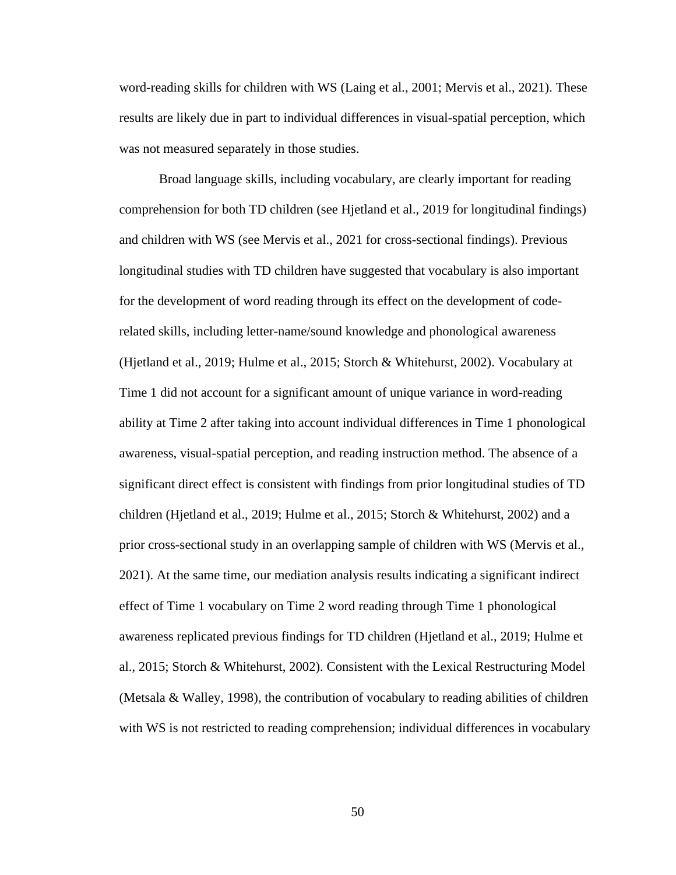word-reading skills for children with WS (Laing et al., 2001; Mervis et al., 2021). These results are likely due in part to individual differences in visual-spatial perception, which was not measured separately in those studies.

Broad language skills, including vocabulary, are clearly important for reading comprehension for both TD children (see Hjetland et al., 2019 for longitudinal findings) and children with WS (see Mervis et al., 2021 for cross-sectional findings). Previous longitudinal studies with TD children have suggested that vocabulary is also important for the development of word reading through its effect on the development of coderelated skills, including letter-name/sound knowledge and phonological awareness (Hjetland et al., 2019; Hulme et al., 2015; Storch & Whitehurst, 2002). Vocabulary at Time 1 did not account for a significant amount of unique variance in word-reading ability at Time 2 after taking into account individual differences in Time 1 phonological awareness, visual-spatial perception, and reading instruction method. The absence of a significant direct effect is consistent with findings from prior longitudinal studies of TD children (Hjetland et al., 2019; Hulme et al., 2015; Storch & Whitehurst, 2002) and a prior cross-sectional study in an overlapping sample of children with WS (Mervis et al., 2021). At the same time, our mediation analysis results indicating a significant indirect effect of Time 1 vocabulary on Time 2 word reading through Time 1 phonological awareness replicated previous findings for TD children (Hjetland et al., 2019; Hulme et al., 2015; Storch & Whitehurst, 2002). Consistent with the Lexical Restructuring Model (Metsala & Walley, 1998), the contribution of vocabulary to reading abilities of children with WS is not restricted to reading comprehension; individual differences in vocabulary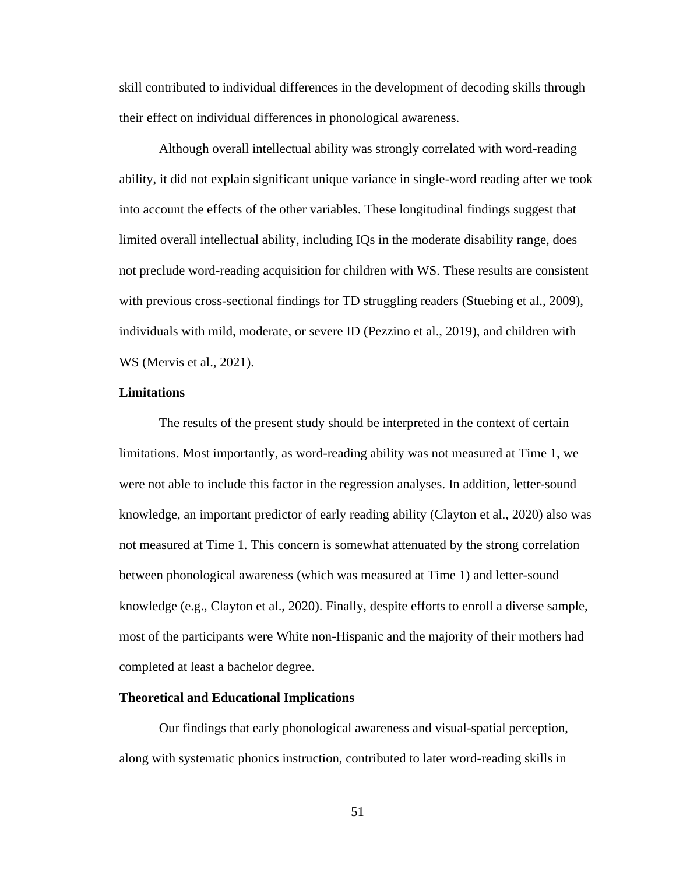skill contributed to individual differences in the development of decoding skills through their effect on individual differences in phonological awareness.

Although overall intellectual ability was strongly correlated with word-reading ability, it did not explain significant unique variance in single-word reading after we took into account the effects of the other variables. These longitudinal findings suggest that limited overall intellectual ability, including IQs in the moderate disability range, does not preclude word-reading acquisition for children with WS. These results are consistent with previous cross-sectional findings for TD struggling readers (Stuebing et al., 2009), individuals with mild, moderate, or severe ID (Pezzino et al., 2019), and children with WS (Mervis et al., 2021).

### **Limitations**

The results of the present study should be interpreted in the context of certain limitations. Most importantly, as word-reading ability was not measured at Time 1, we were not able to include this factor in the regression analyses. In addition, letter-sound knowledge, an important predictor of early reading ability (Clayton et al., 2020) also was not measured at Time 1. This concern is somewhat attenuated by the strong correlation between phonological awareness (which was measured at Time 1) and letter-sound knowledge (e.g., Clayton et al., 2020). Finally, despite efforts to enroll a diverse sample, most of the participants were White non-Hispanic and the majority of their mothers had completed at least a bachelor degree.

### **Theoretical and Educational Implications**

Our findings that early phonological awareness and visual-spatial perception, along with systematic phonics instruction, contributed to later word-reading skills in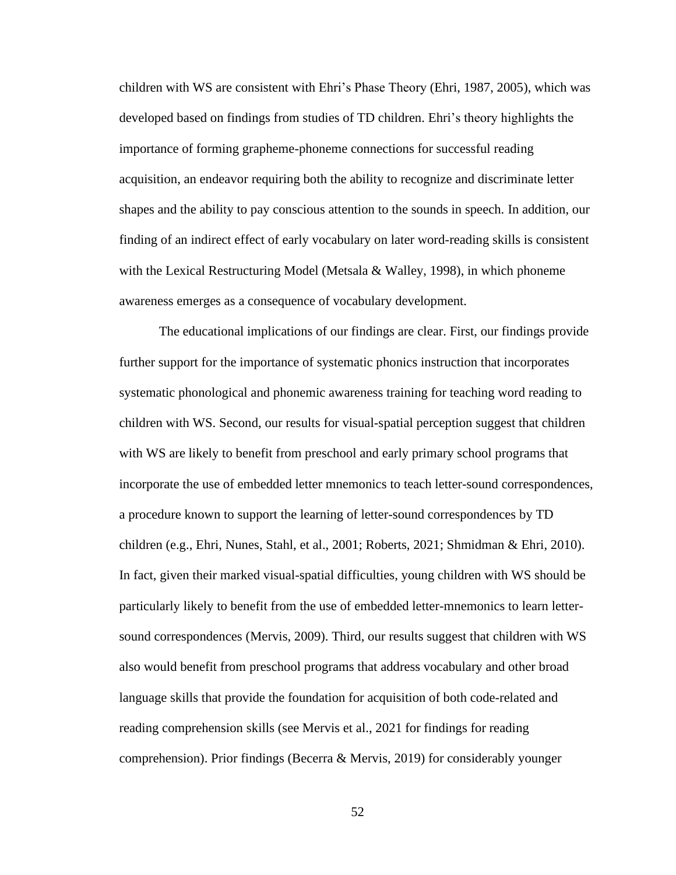children with WS are consistent with Ehri's Phase Theory (Ehri, 1987, 2005), which was developed based on findings from studies of TD children. Ehri's theory highlights the importance of forming grapheme-phoneme connections for successful reading acquisition, an endeavor requiring both the ability to recognize and discriminate letter shapes and the ability to pay conscious attention to the sounds in speech. In addition, our finding of an indirect effect of early vocabulary on later word-reading skills is consistent with the Lexical Restructuring Model (Metsala & Walley, 1998), in which phoneme awareness emerges as a consequence of vocabulary development.

The educational implications of our findings are clear. First, our findings provide further support for the importance of systematic phonics instruction that incorporates systematic phonological and phonemic awareness training for teaching word reading to children with WS. Second, our results for visual-spatial perception suggest that children with WS are likely to benefit from preschool and early primary school programs that incorporate the use of embedded letter mnemonics to teach letter-sound correspondences, a procedure known to support the learning of letter-sound correspondences by TD children (e.g., Ehri, Nunes, Stahl, et al., 2001; Roberts, 2021; Shmidman & Ehri, 2010). In fact, given their marked visual-spatial difficulties, young children with WS should be particularly likely to benefit from the use of embedded letter-mnemonics to learn lettersound correspondences (Mervis, 2009). Third, our results suggest that children with WS also would benefit from preschool programs that address vocabulary and other broad language skills that provide the foundation for acquisition of both code-related and reading comprehension skills (see Mervis et al., 2021 for findings for reading comprehension). Prior findings (Becerra & Mervis, 2019) for considerably younger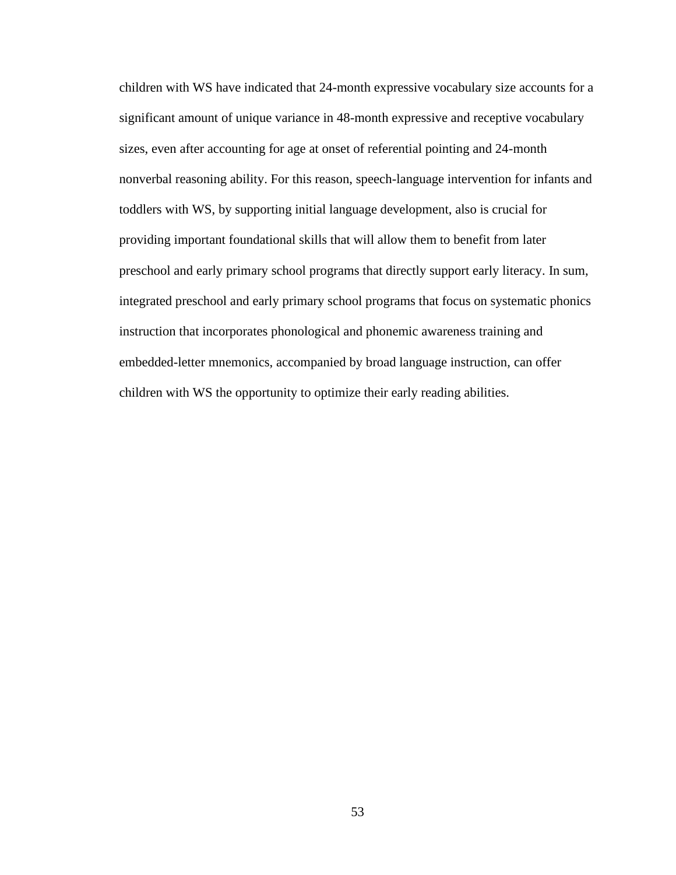children with WS have indicated that 24-month expressive vocabulary size accounts for a significant amount of unique variance in 48-month expressive and receptive vocabulary sizes, even after accounting for age at onset of referential pointing and 24-month nonverbal reasoning ability. For this reason, speech-language intervention for infants and toddlers with WS, by supporting initial language development, also is crucial for providing important foundational skills that will allow them to benefit from later preschool and early primary school programs that directly support early literacy. In sum, integrated preschool and early primary school programs that focus on systematic phonics instruction that incorporates phonological and phonemic awareness training and embedded-letter mnemonics, accompanied by broad language instruction, can offer children with WS the opportunity to optimize their early reading abilities.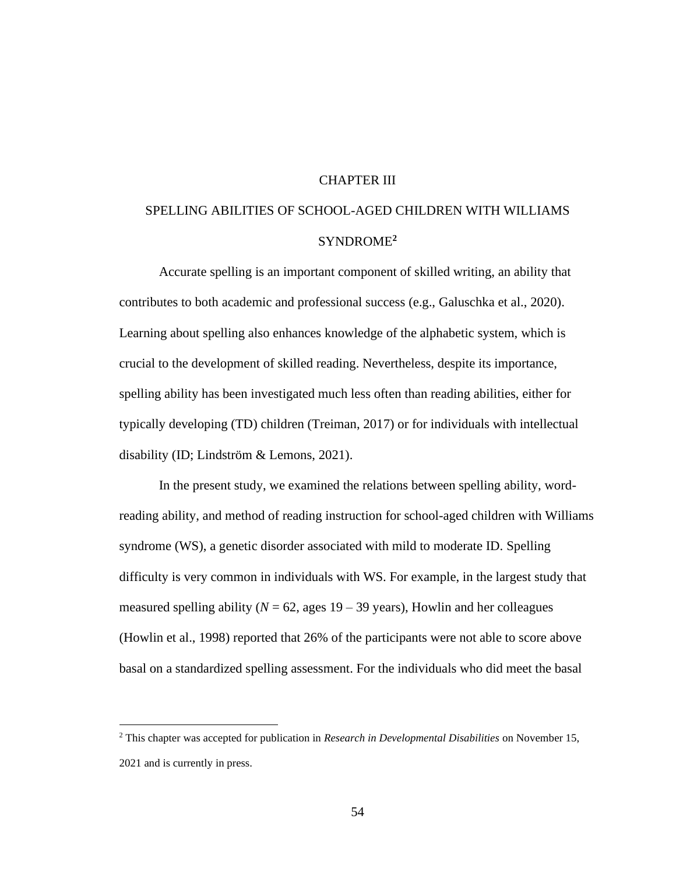### CHAPTER III

# SPELLING ABILITIES OF SCHOOL-AGED CHILDREN WITH WILLIAMS SYNDROME**<sup>2</sup>**

Accurate spelling is an important component of skilled writing, an ability that contributes to both academic and professional success (e.g., Galuschka et al., 2020). Learning about spelling also enhances knowledge of the alphabetic system, which is crucial to the development of skilled reading. Nevertheless, despite its importance, spelling ability has been investigated much less often than reading abilities, either for typically developing (TD) children (Treiman, 2017) or for individuals with intellectual disability (ID; Lindström & Lemons, 2021).

In the present study, we examined the relations between spelling ability, wordreading ability, and method of reading instruction for school-aged children with Williams syndrome (WS), a genetic disorder associated with mild to moderate ID. Spelling difficulty is very common in individuals with WS. For example, in the largest study that measured spelling ability ( $N = 62$ , ages 19 – 39 years), Howlin and her colleagues (Howlin et al., 1998) reported that 26% of the participants were not able to score above basal on a standardized spelling assessment. For the individuals who did meet the basal

<sup>2</sup> This chapter was accepted for publication in *Research in Developmental Disabilities* on November 15, 2021 and is currently in press.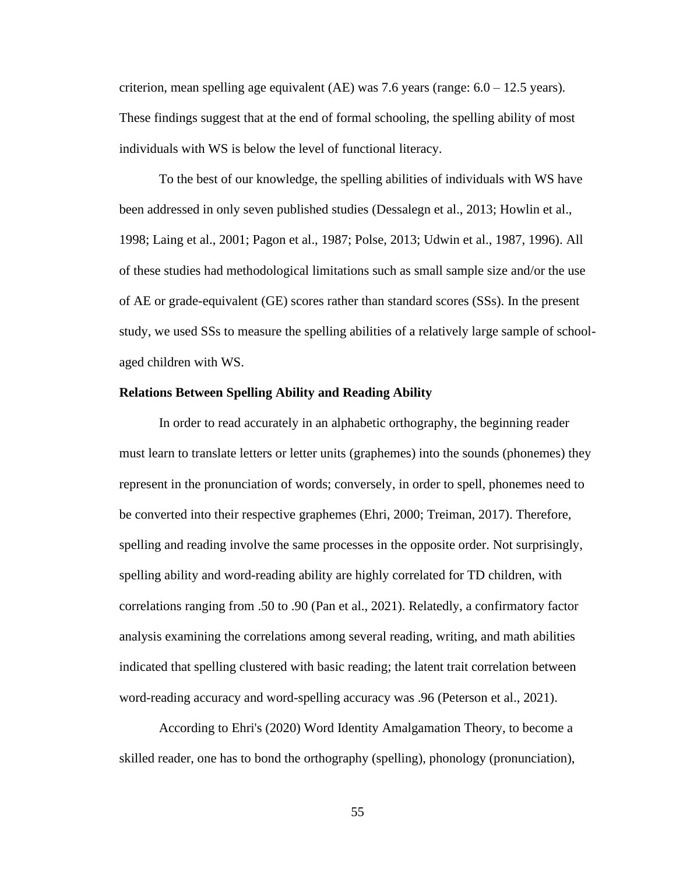criterion, mean spelling age equivalent (AE) was 7.6 years (range: 6.0 – 12.5 years). These findings suggest that at the end of formal schooling, the spelling ability of most individuals with WS is below the level of functional literacy.

To the best of our knowledge, the spelling abilities of individuals with WS have been addressed in only seven published studies (Dessalegn et al., 2013; Howlin et al., 1998; Laing et al., 2001; Pagon et al., 1987; Polse, 2013; Udwin et al., 1987, 1996). All of these studies had methodological limitations such as small sample size and/or the use of AE or grade-equivalent (GE) scores rather than standard scores (SSs). In the present study, we used SSs to measure the spelling abilities of a relatively large sample of schoolaged children with WS.

### **Relations Between Spelling Ability and Reading Ability**

In order to read accurately in an alphabetic orthography, the beginning reader must learn to translate letters or letter units (graphemes) into the sounds (phonemes) they represent in the pronunciation of words; conversely, in order to spell, phonemes need to be converted into their respective graphemes (Ehri, 2000; Treiman, 2017). Therefore, spelling and reading involve the same processes in the opposite order. Not surprisingly, spelling ability and word-reading ability are highly correlated for TD children, with correlations ranging from .50 to .90 (Pan et al., 2021). Relatedly, a confirmatory factor analysis examining the correlations among several reading, writing, and math abilities indicated that spelling clustered with basic reading; the latent trait correlation between word-reading accuracy and word-spelling accuracy was .96 (Peterson et al., 2021).

According to Ehri's (2020) Word Identity Amalgamation Theory, to become a skilled reader, one has to bond the orthography (spelling), phonology (pronunciation),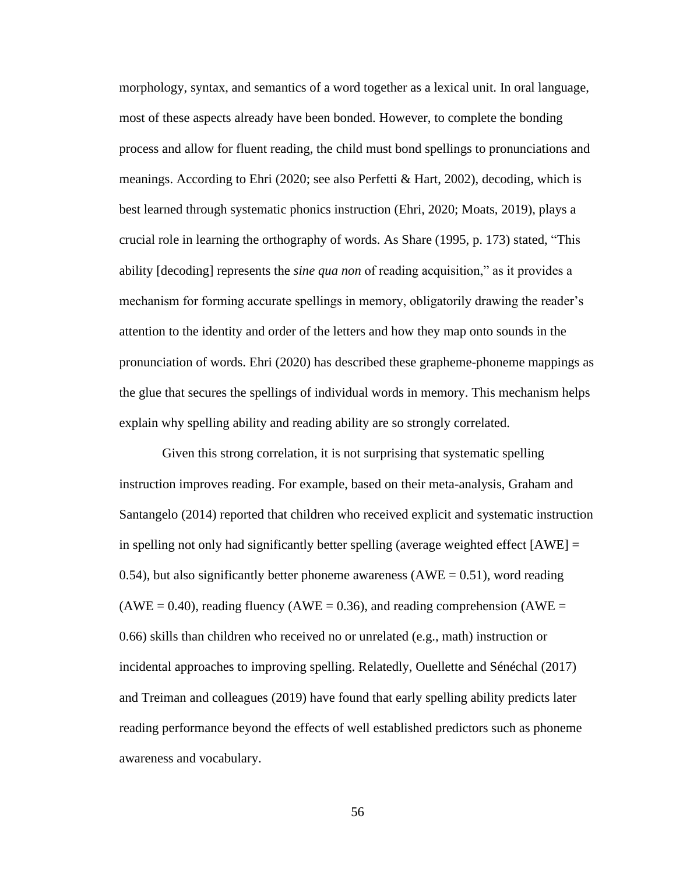morphology, syntax, and semantics of a word together as a lexical unit. In oral language, most of these aspects already have been bonded. However, to complete the bonding process and allow for fluent reading, the child must bond spellings to pronunciations and meanings. According to Ehri (2020; see also Perfetti & Hart, 2002), decoding, which is best learned through systematic phonics instruction (Ehri, 2020; Moats, 2019), plays a crucial role in learning the orthography of words. As Share (1995, p. 173) stated, "This ability [decoding] represents the *sine qua non* of reading acquisition," as it provides a mechanism for forming accurate spellings in memory, obligatorily drawing the reader's attention to the identity and order of the letters and how they map onto sounds in the pronunciation of words. Ehri (2020) has described these grapheme-phoneme mappings as the glue that secures the spellings of individual words in memory. This mechanism helps explain why spelling ability and reading ability are so strongly correlated.

Given this strong correlation, it is not surprising that systematic spelling instruction improves reading. For example, based on their meta-analysis, Graham and Santangelo (2014) reported that children who received explicit and systematic instruction in spelling not only had significantly better spelling (average weighted effect  $[AWE] =$ 0.54), but also significantly better phoneme awareness ( $AWE = 0.51$ ), word reading  $(AWE = 0.40)$ , reading fluency  $(AWE = 0.36)$ , and reading comprehension  $(AWE = 0.40)$ 0.66) skills than children who received no or unrelated (e.g., math) instruction or incidental approaches to improving spelling. Relatedly, Ouellette and Sénéchal (2017) and Treiman and colleagues (2019) have found that early spelling ability predicts later reading performance beyond the effects of well established predictors such as phoneme awareness and vocabulary.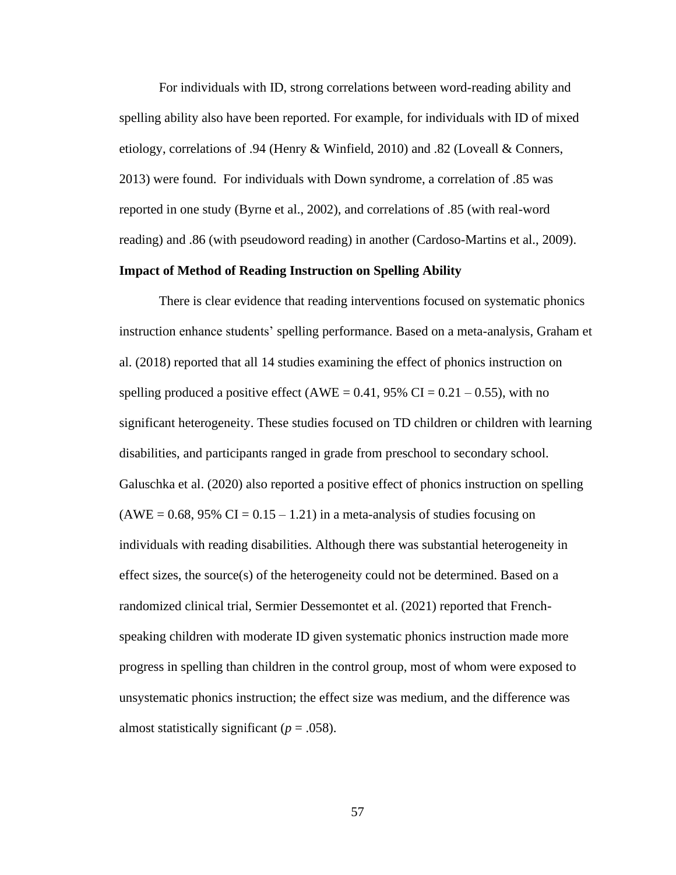For individuals with ID, strong correlations between word-reading ability and spelling ability also have been reported. For example, for individuals with ID of mixed etiology, correlations of .94 (Henry & Winfield, 2010) and .82 (Loveall & Conners, 2013) were found. For individuals with Down syndrome, a correlation of .85 was reported in one study (Byrne et al., 2002), and correlations of .85 (with real-word reading) and .86 (with pseudoword reading) in another (Cardoso-Martins et al., 2009).

# **Impact of Method of Reading Instruction on Spelling Ability**

There is clear evidence that reading interventions focused on systematic phonics instruction enhance students' spelling performance. Based on a meta-analysis, Graham et al. (2018) reported that all 14 studies examining the effect of phonics instruction on spelling produced a positive effect (AWE =  $0.41$ , 95% CI =  $0.21 - 0.55$ ), with no significant heterogeneity. These studies focused on TD children or children with learning disabilities, and participants ranged in grade from preschool to secondary school. Galuschka et al. (2020) also reported a positive effect of phonics instruction on spelling  $(AWE = 0.68, 95\% CI = 0.15 - 1.21)$  in a meta-analysis of studies focusing on individuals with reading disabilities. Although there was substantial heterogeneity in effect sizes, the source(s) of the heterogeneity could not be determined. Based on a randomized clinical trial, Sermier Dessemontet et al. (2021) reported that Frenchspeaking children with moderate ID given systematic phonics instruction made more progress in spelling than children in the control group, most of whom were exposed to unsystematic phonics instruction; the effect size was medium, and the difference was almost statistically significant ( $p = .058$ ).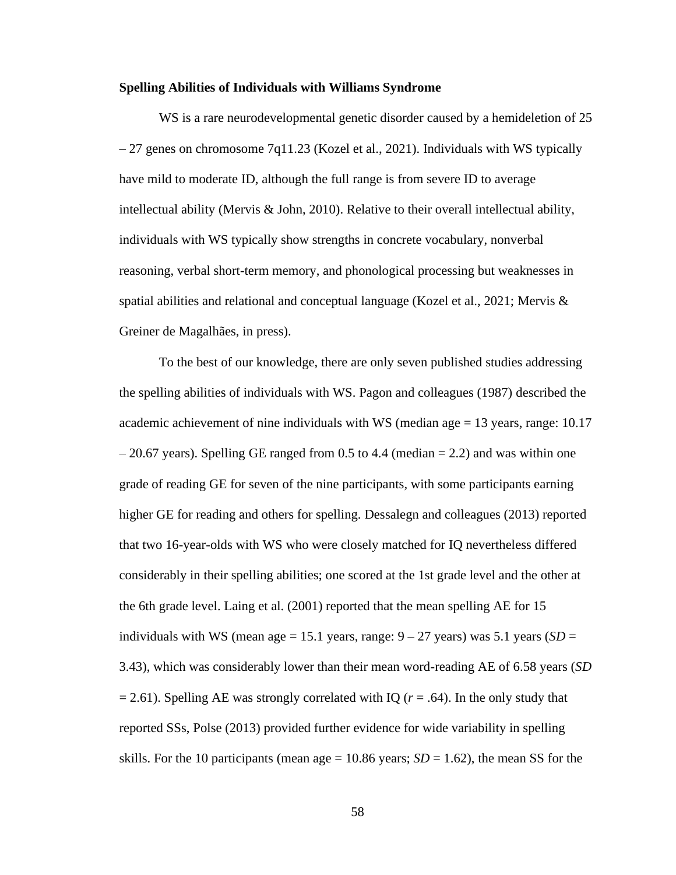#### **Spelling Abilities of Individuals with Williams Syndrome**

WS is a rare neurodevelopmental genetic disorder caused by a hemideletion of 25  $-27$  genes on chromosome 7q11.23 (Kozel et al., 2021). Individuals with WS typically have mild to moderate ID, although the full range is from severe ID to average intellectual ability (Mervis & John, 2010). Relative to their overall intellectual ability, individuals with WS typically show strengths in concrete vocabulary, nonverbal reasoning, verbal short-term memory, and phonological processing but weaknesses in spatial abilities and relational and conceptual language (Kozel et al., 2021; Mervis  $\&$ Greiner de Magalhães, in press).

To the best of our knowledge, there are only seven published studies addressing the spelling abilities of individuals with WS. Pagon and colleagues (1987) described the academic achievement of nine individuals with WS (median age = 13 years, range: 10.17  $-20.67$  years). Spelling GE ranged from 0.5 to 4.4 (median  $= 2.2$ ) and was within one grade of reading GE for seven of the nine participants, with some participants earning higher GE for reading and others for spelling. Dessalegn and colleagues (2013) reported that two 16-year-olds with WS who were closely matched for IQ nevertheless differed considerably in their spelling abilities; one scored at the 1st grade level and the other at the 6th grade level. Laing et al. (2001) reported that the mean spelling AE for 15 individuals with WS (mean age  $= 15.1$  years, range:  $9 - 27$  years) was 5.1 years (*SD* = 3.43), which was considerably lower than their mean word-reading AE of 6.58 years (*SD*  $= 2.61$ ). Spelling AE was strongly correlated with IQ ( $r = .64$ ). In the only study that reported SSs, Polse (2013) provided further evidence for wide variability in spelling skills. For the 10 participants (mean age  $= 10.86$  years; *SD*  $= 1.62$ ), the mean SS for the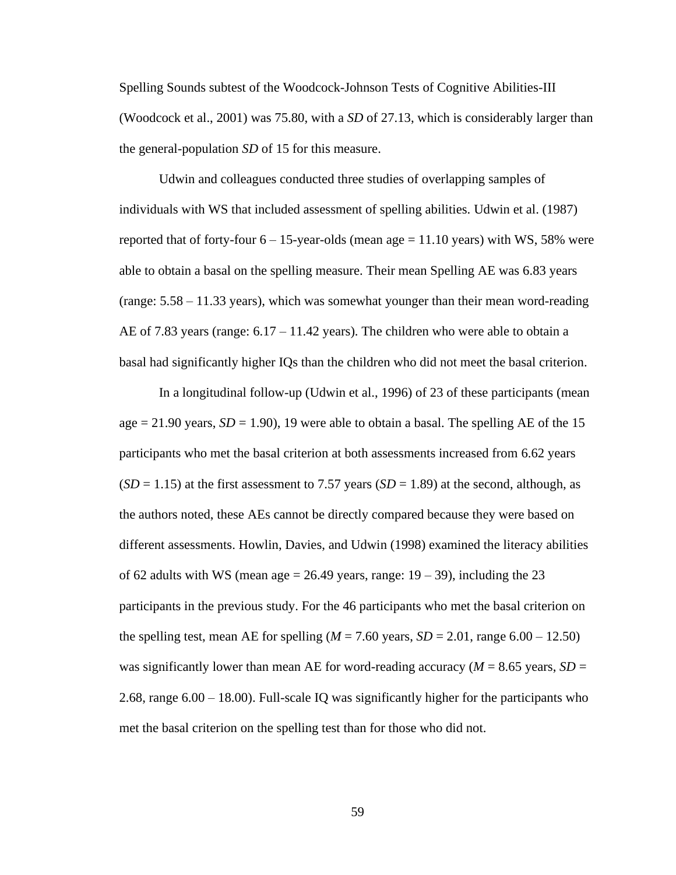Spelling Sounds subtest of the Woodcock-Johnson Tests of Cognitive Abilities-III (Woodcock et al., 2001) was 75.80, with a *SD* of 27.13, which is considerably larger than the general-population *SD* of 15 for this measure.

Udwin and colleagues conducted three studies of overlapping samples of individuals with WS that included assessment of spelling abilities. Udwin et al. (1987) reported that of forty-four  $6 - 15$ -year-olds (mean age = 11.10 years) with WS, 58% were able to obtain a basal on the spelling measure. Their mean Spelling AE was 6.83 years (range: 5.58 – 11.33 years), which was somewhat younger than their mean word-reading AE of 7.83 years (range:  $6.17 - 11.42$  years). The children who were able to obtain a basal had significantly higher IQs than the children who did not meet the basal criterion.

In a longitudinal follow-up (Udwin et al., 1996) of 23 of these participants (mean age  $= 21.90$  years,  $SD = 1.90$ ), 19 were able to obtain a basal. The spelling AE of the 15 participants who met the basal criterion at both assessments increased from 6.62 years  $(SD = 1.15)$  at the first assessment to 7.57 years  $(SD = 1.89)$  at the second, although, as the authors noted, these AEs cannot be directly compared because they were based on different assessments. Howlin, Davies, and Udwin (1998) examined the literacy abilities of 62 adults with WS (mean age  $= 26.49$  years, range:  $19 - 39$ ), including the 23 participants in the previous study. For the 46 participants who met the basal criterion on the spelling test, mean AE for spelling ( $M = 7.60$  years,  $SD = 2.01$ , range  $6.00 - 12.50$ ) was significantly lower than mean AE for word-reading accuracy ( $M = 8.65$  years,  $SD =$ 2.68, range 6.00 – 18.00). Full-scale IQ was significantly higher for the participants who met the basal criterion on the spelling test than for those who did not.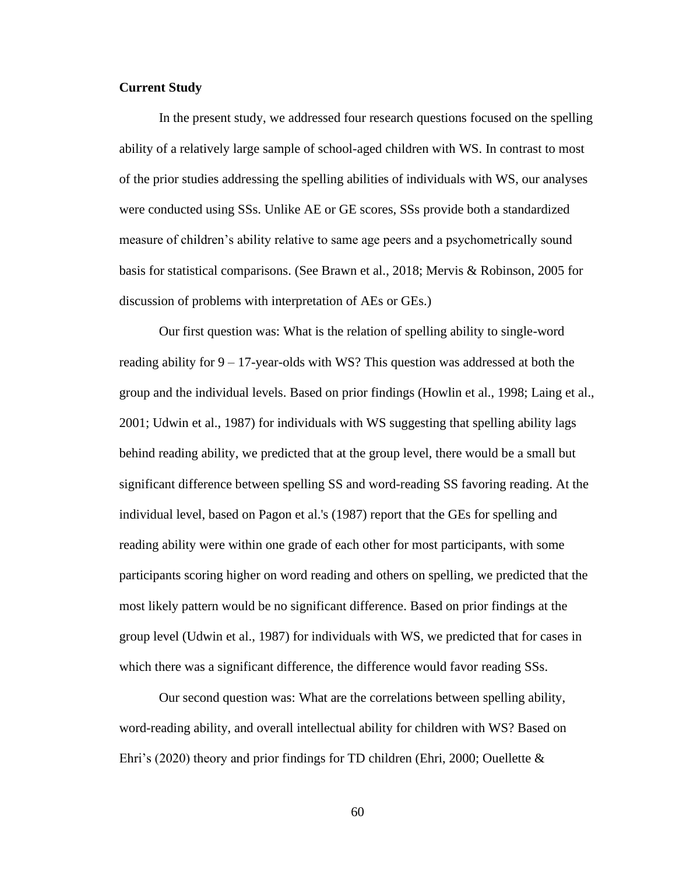# **Current Study**

In the present study, we addressed four research questions focused on the spelling ability of a relatively large sample of school-aged children with WS. In contrast to most of the prior studies addressing the spelling abilities of individuals with WS, our analyses were conducted using SSs. Unlike AE or GE scores, SSs provide both a standardized measure of children's ability relative to same age peers and a psychometrically sound basis for statistical comparisons. (See Brawn et al., 2018; Mervis & Robinson, 2005 for discussion of problems with interpretation of AEs or GEs.)

Our first question was: What is the relation of spelling ability to single-word reading ability for 9 – 17-year-olds with WS? This question was addressed at both the group and the individual levels. Based on prior findings (Howlin et al., 1998; Laing et al., 2001; Udwin et al., 1987) for individuals with WS suggesting that spelling ability lags behind reading ability, we predicted that at the group level, there would be a small but significant difference between spelling SS and word-reading SS favoring reading. At the individual level, based on Pagon et al.'s (1987) report that the GEs for spelling and reading ability were within one grade of each other for most participants, with some participants scoring higher on word reading and others on spelling, we predicted that the most likely pattern would be no significant difference. Based on prior findings at the group level (Udwin et al., 1987) for individuals with WS, we predicted that for cases in which there was a significant difference, the difference would favor reading SSs.

Our second question was: What are the correlations between spelling ability, word-reading ability, and overall intellectual ability for children with WS? Based on Ehri's (2020) theory and prior findings for TD children (Ehri, 2000; Ouellette &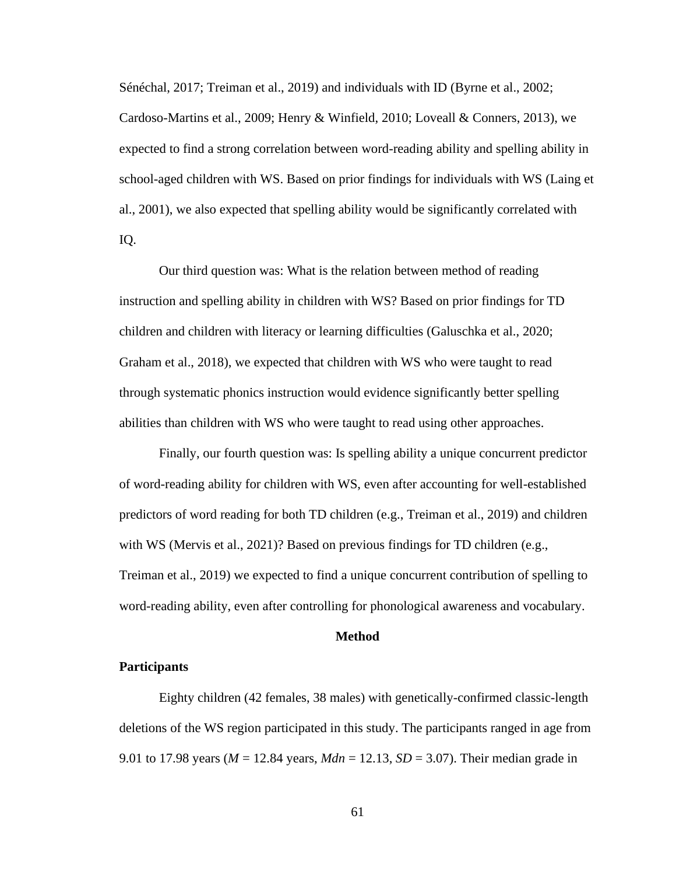Sénéchal, 2017; Treiman et al., 2019) and individuals with ID (Byrne et al., 2002; Cardoso-Martins et al., 2009; Henry & Winfield, 2010; Loveall & Conners, 2013), we expected to find a strong correlation between word-reading ability and spelling ability in school-aged children with WS. Based on prior findings for individuals with WS (Laing et al., 2001), we also expected that spelling ability would be significantly correlated with IQ.

Our third question was: What is the relation between method of reading instruction and spelling ability in children with WS? Based on prior findings for TD children and children with literacy or learning difficulties (Galuschka et al., 2020; Graham et al., 2018), we expected that children with WS who were taught to read through systematic phonics instruction would evidence significantly better spelling abilities than children with WS who were taught to read using other approaches.

Finally, our fourth question was: Is spelling ability a unique concurrent predictor of word-reading ability for children with WS, even after accounting for well-established predictors of word reading for both TD children (e.g., Treiman et al., 2019) and children with WS (Mervis et al., 2021)? Based on previous findings for TD children (e.g., Treiman et al., 2019) we expected to find a unique concurrent contribution of spelling to word-reading ability, even after controlling for phonological awareness and vocabulary.

#### **Method**

## **Participants**

Eighty children (42 females, 38 males) with genetically-confirmed classic-length deletions of the WS region participated in this study. The participants ranged in age from 9.01 to 17.98 years (*M* = 12.84 years, *Mdn* = 12.13, *SD* = 3.07). Their median grade in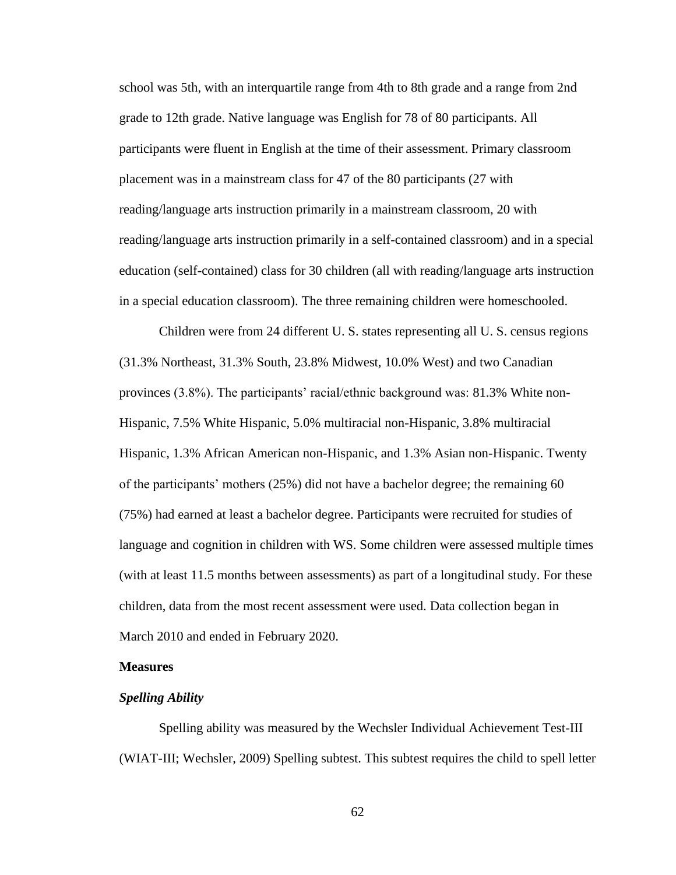school was 5th, with an interquartile range from 4th to 8th grade and a range from 2nd grade to 12th grade. Native language was English for 78 of 80 participants. All participants were fluent in English at the time of their assessment. Primary classroom placement was in a mainstream class for 47 of the 80 participants (27 with reading/language arts instruction primarily in a mainstream classroom, 20 with reading/language arts instruction primarily in a self-contained classroom) and in a special education (self-contained) class for 30 children (all with reading/language arts instruction in a special education classroom). The three remaining children were homeschooled.

Children were from 24 different U. S. states representing all U. S. census regions (31.3% Northeast, 31.3% South, 23.8% Midwest, 10.0% West) and two Canadian provinces (3.8%). The participants' racial/ethnic background was: 81.3% White non-Hispanic, 7.5% White Hispanic, 5.0% multiracial non-Hispanic, 3.8% multiracial Hispanic, 1.3% African American non-Hispanic, and 1.3% Asian non-Hispanic. Twenty of the participants' mothers (25%) did not have a bachelor degree; the remaining 60 (75%) had earned at least a bachelor degree. Participants were recruited for studies of language and cognition in children with WS. Some children were assessed multiple times (with at least 11.5 months between assessments) as part of a longitudinal study. For these children, data from the most recent assessment were used. Data collection began in March 2010 and ended in February 2020.

## **Measures**

# *Spelling Ability*

Spelling ability was measured by the Wechsler Individual Achievement Test-III (WIAT-III; Wechsler, 2009) Spelling subtest. This subtest requires the child to spell letter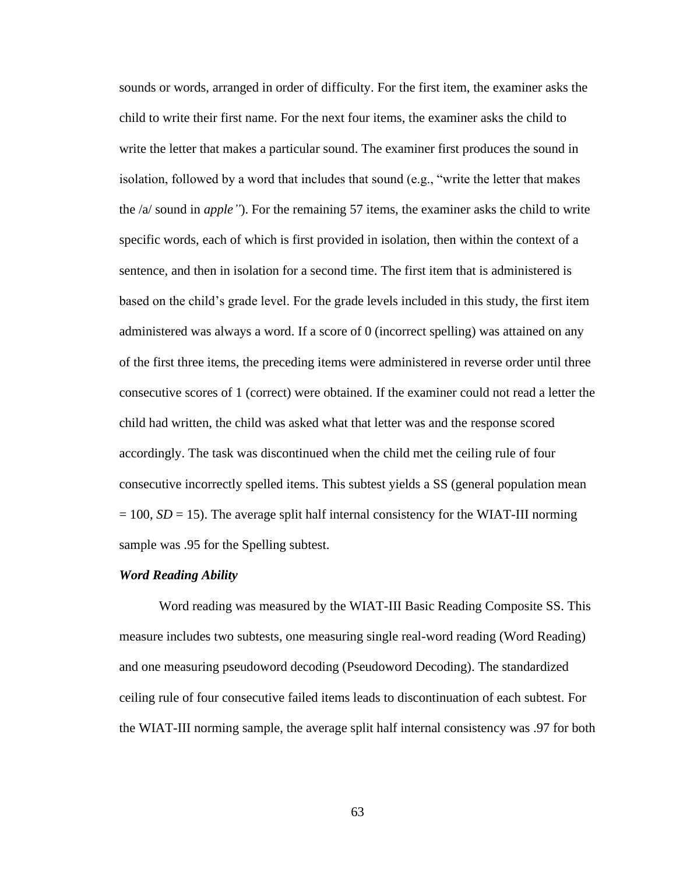sounds or words, arranged in order of difficulty. For the first item, the examiner asks the child to write their first name. For the next four items, the examiner asks the child to write the letter that makes a particular sound. The examiner first produces the sound in isolation, followed by a word that includes that sound (e.g., "write the letter that makes the /a/ sound in *apple"*). For the remaining 57 items, the examiner asks the child to write specific words, each of which is first provided in isolation, then within the context of a sentence, and then in isolation for a second time. The first item that is administered is based on the child's grade level. For the grade levels included in this study, the first item administered was always a word. If a score of 0 (incorrect spelling) was attained on any of the first three items, the preceding items were administered in reverse order until three consecutive scores of 1 (correct) were obtained. If the examiner could not read a letter the child had written, the child was asked what that letter was and the response scored accordingly. The task was discontinued when the child met the ceiling rule of four consecutive incorrectly spelled items. This subtest yields a SS (general population mean  $= 100$ , *SD* = 15). The average split half internal consistency for the WIAT-III norming sample was .95 for the Spelling subtest.

#### *Word Reading Ability*

Word reading was measured by the WIAT-III Basic Reading Composite SS. This measure includes two subtests, one measuring single real-word reading (Word Reading) and one measuring pseudoword decoding (Pseudoword Decoding). The standardized ceiling rule of four consecutive failed items leads to discontinuation of each subtest. For the WIAT-III norming sample, the average split half internal consistency was .97 for both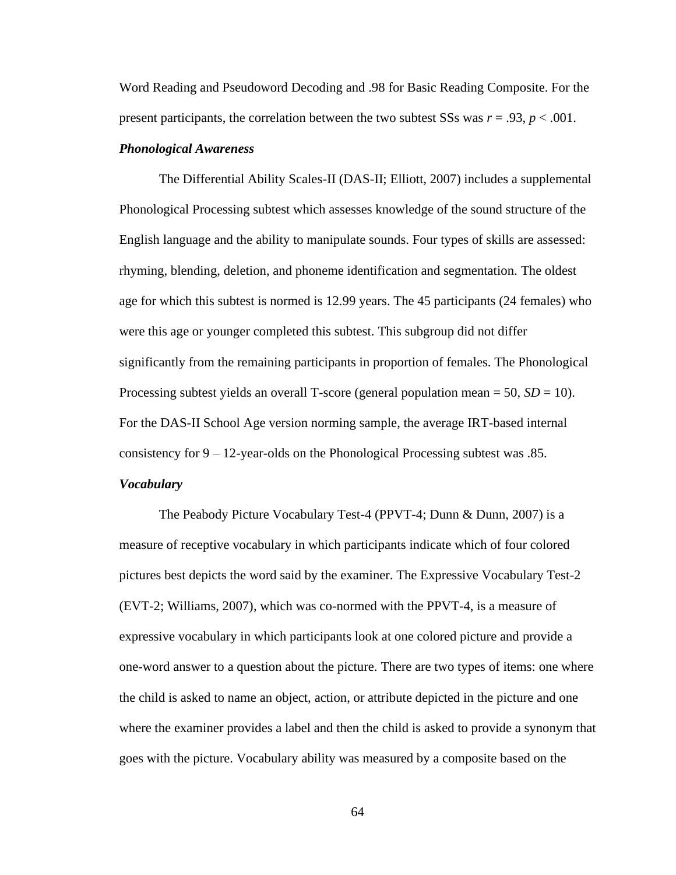Word Reading and Pseudoword Decoding and .98 for Basic Reading Composite. For the present participants, the correlation between the two subtest SSs was  $r = .93$ ,  $p < .001$ .

#### *Phonological Awareness*

The Differential Ability Scales-II (DAS-II; Elliott, 2007) includes a supplemental Phonological Processing subtest which assesses knowledge of the sound structure of the English language and the ability to manipulate sounds. Four types of skills are assessed: rhyming, blending, deletion, and phoneme identification and segmentation. The oldest age for which this subtest is normed is 12.99 years. The 45 participants (24 females) who were this age or younger completed this subtest. This subgroup did not differ significantly from the remaining participants in proportion of females. The Phonological Processing subtest yields an overall T-score (general population mean = 50, *SD* = 10). For the DAS-II School Age version norming sample, the average IRT-based internal consistency for  $9 - 12$ -year-olds on the Phonological Processing subtest was .85. *Vocabulary*

The Peabody Picture Vocabulary Test-4 (PPVT-4; Dunn & Dunn, 2007) is a measure of receptive vocabulary in which participants indicate which of four colored pictures best depicts the word said by the examiner. The Expressive Vocabulary Test-2 (EVT-2; Williams, 2007), which was co-normed with the PPVT-4, is a measure of expressive vocabulary in which participants look at one colored picture and provide a one-word answer to a question about the picture. There are two types of items: one where the child is asked to name an object, action, or attribute depicted in the picture and one where the examiner provides a label and then the child is asked to provide a synonym that goes with the picture. Vocabulary ability was measured by a composite based on the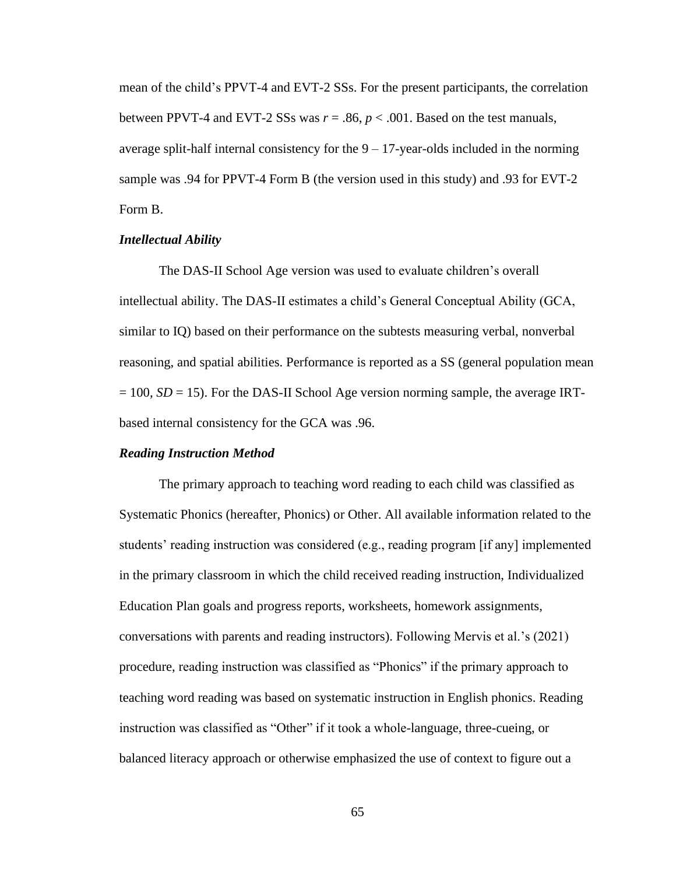mean of the child's PPVT-4 and EVT-2 SSs. For the present participants, the correlation between PPVT-4 and EVT-2 SSs was  $r = .86$ ,  $p < .001$ . Based on the test manuals, average split-half internal consistency for the  $9 - 17$ -year-olds included in the norming sample was .94 for PPVT-4 Form B (the version used in this study) and .93 for EVT-2 Form B.

# *Intellectual Ability*

The DAS-II School Age version was used to evaluate children's overall intellectual ability. The DAS-II estimates a child's General Conceptual Ability (GCA, similar to IQ) based on their performance on the subtests measuring verbal, nonverbal reasoning, and spatial abilities. Performance is reported as a SS (general population mean  $= 100$ , *SD* = 15). For the DAS-II School Age version norming sample, the average IRTbased internal consistency for the GCA was .96.

# *Reading Instruction Method*

The primary approach to teaching word reading to each child was classified as Systematic Phonics (hereafter, Phonics) or Other. All available information related to the students' reading instruction was considered (e.g., reading program [if any] implemented in the primary classroom in which the child received reading instruction, Individualized Education Plan goals and progress reports, worksheets, homework assignments, conversations with parents and reading instructors). Following Mervis et al.'s (2021) procedure, reading instruction was classified as "Phonics" if the primary approach to teaching word reading was based on systematic instruction in English phonics. Reading instruction was classified as "Other" if it took a whole-language, three-cueing, or balanced literacy approach or otherwise emphasized the use of context to figure out a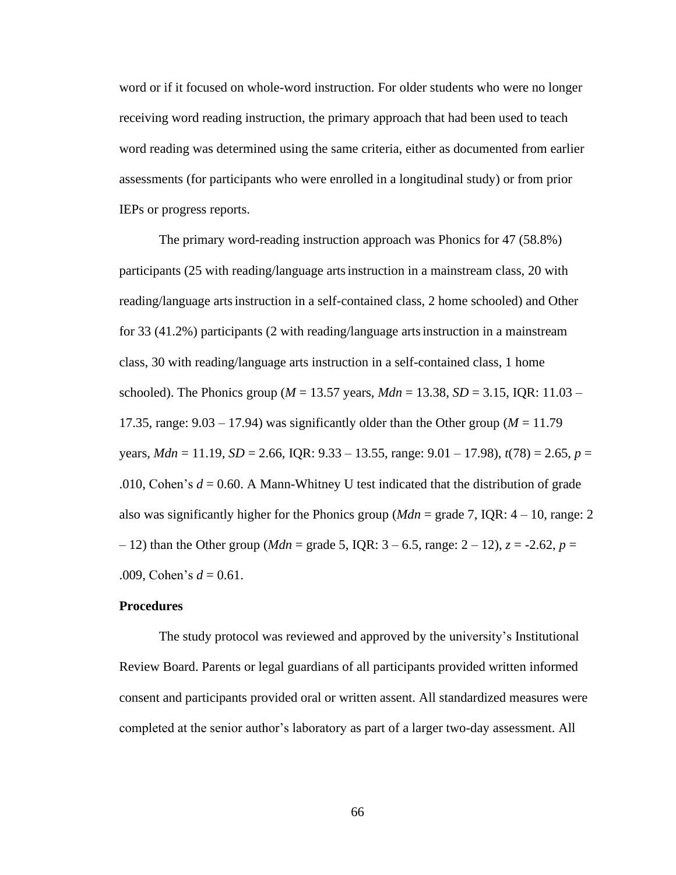word or if it focused on whole-word instruction. For older students who were no longer receiving word reading instruction, the primary approach that had been used to teach word reading was determined using the same criteria, either as documented from earlier assessments (for participants who were enrolled in a longitudinal study) or from prior IEPs or progress reports.

The primary word-reading instruction approach was Phonics for 47 (58.8%) participants (25 with reading/language artsinstruction in a mainstream class, 20 with reading/language artsinstruction in a self-contained class, 2 home schooled) and Other for 33 (41.2%) participants (2 with reading/language artsinstruction in a mainstream class, 30 with reading/language arts instruction in a self-contained class, 1 home schooled). The Phonics group ( $M = 13.57$  years,  $Mdn = 13.38$ ,  $SD = 3.15$ , IQR: 11.03 – 17.35, range:  $9.03 - 17.94$ ) was significantly older than the Other group ( $M = 11.79$ ) years, *Mdn* = 11.19, *SD* = 2.66, IQR: 9.33 – 13.55, range: 9.01 – 17.98), *t*(78) = 2.65, *p* = .010, Cohen's  $d = 0.60$ . A Mann-Whitney U test indicated that the distribution of grade also was significantly higher for the Phonics group ( $Mdn =$  grade 7, IQR:  $4 - 10$ , range: 2  $-12$ ) than the Other group (*Mdn* = grade 5, IQR:  $3 - 6.5$ , range:  $2 - 12$ ),  $z = -2.62$ ,  $p =$ .009, Cohen's  $d = 0.61$ .

#### **Procedures**

The study protocol was reviewed and approved by the university's Institutional Review Board. Parents or legal guardians of all participants provided written informed consent and participants provided oral or written assent. All standardized measures were completed at the senior author's laboratory as part of a larger two-day assessment. All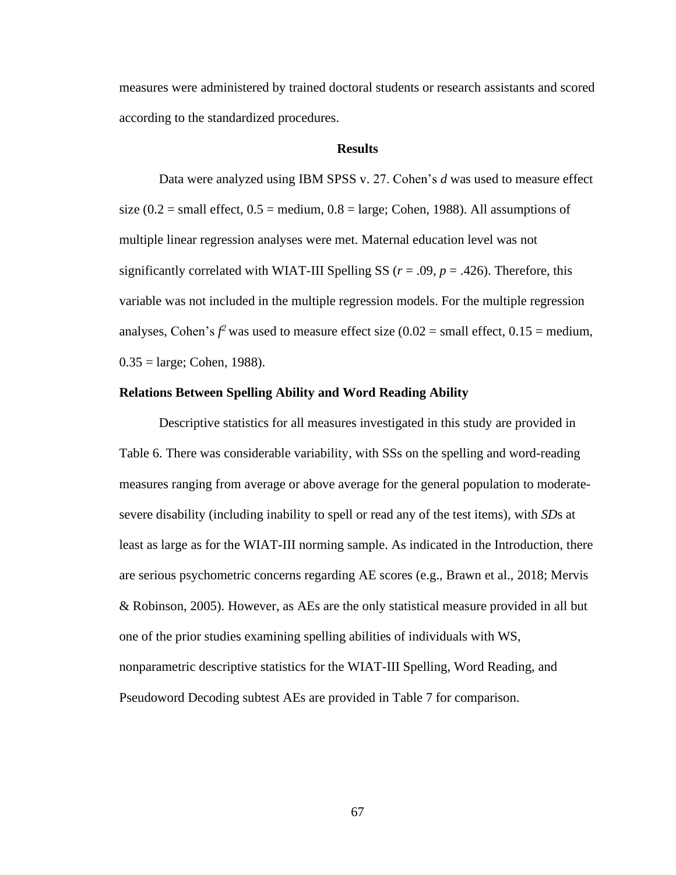measures were administered by trained doctoral students or research assistants and scored according to the standardized procedures.

# **Results**

Data were analyzed using IBM SPSS v. 27. Cohen's *d* was used to measure effect size  $(0.2 = \text{small effect}, 0.5 = \text{medium}, 0.8 = \text{large}; \text{Cohen}, 1988)$ . All assumptions of multiple linear regression analyses were met. Maternal education level was not significantly correlated with WIAT-III Spelling SS ( $r = .09$ ,  $p = .426$ ). Therefore, this variable was not included in the multiple regression models. For the multiple regression analyses, Cohen's  $f^2$  was used to measure effect size (0.02 = small effect, 0.15 = medium,  $0.35 = \text{large}$ ; Cohen, 1988).

# **Relations Between Spelling Ability and Word Reading Ability**

Descriptive statistics for all measures investigated in this study are provided in Table 6. There was considerable variability, with SSs on the spelling and word-reading measures ranging from average or above average for the general population to moderatesevere disability (including inability to spell or read any of the test items), with *SD*s at least as large as for the WIAT-III norming sample. As indicated in the Introduction, there are serious psychometric concerns regarding AE scores (e.g., Brawn et al., 2018; Mervis & Robinson, 2005). However, as AEs are the only statistical measure provided in all but one of the prior studies examining spelling abilities of individuals with WS, nonparametric descriptive statistics for the WIAT-III Spelling, Word Reading, and Pseudoword Decoding subtest AEs are provided in Table 7 for comparison.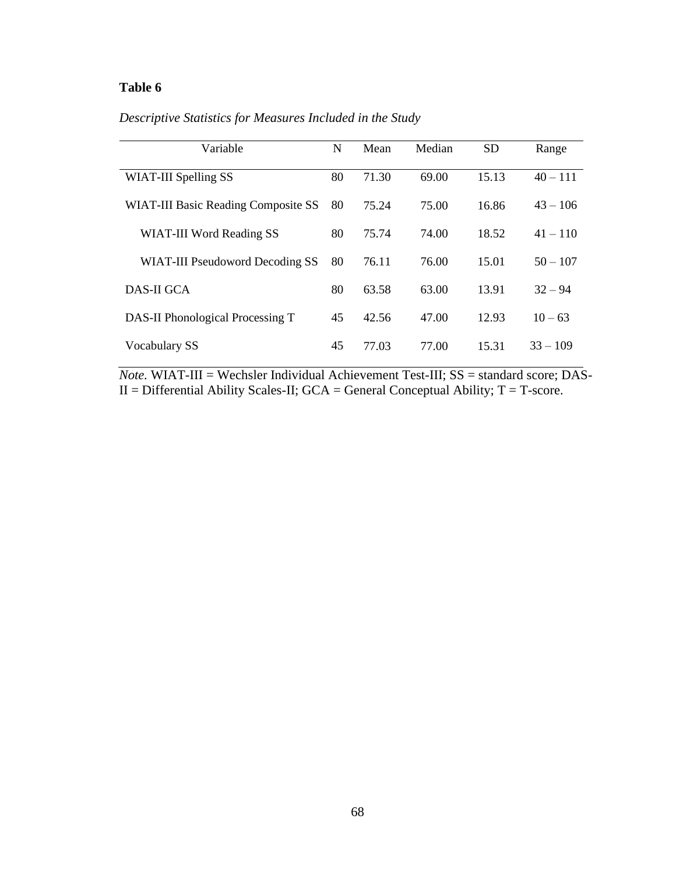*Descriptive Statistics for Measures Included in the Study*

| Variable                                   | N  | Mean  | Median | <b>SD</b> | Range      |
|--------------------------------------------|----|-------|--------|-----------|------------|
| WIAT-III Spelling SS                       | 80 | 71.30 | 69.00  | 15.13     | $40 - 111$ |
| <b>WIAT-III Basic Reading Composite SS</b> | 80 | 75.24 | 75.00  | 16.86     | $43 - 106$ |
| WIAT-III Word Reading SS                   | 80 | 75.74 | 74.00  | 18.52     | $41 - 110$ |
| WIAT-III Pseudoword Decoding SS            | 80 | 76.11 | 76.00  | 15.01     | $50 - 107$ |
| <b>DAS-II GCA</b>                          | 80 | 63.58 | 63.00  | 13.91     | $32 - 94$  |
| DAS-II Phonological Processing T           | 45 | 42.56 | 47.00  | 12.93     | $10 - 63$  |
| <b>Vocabulary SS</b>                       | 45 | 77.03 | 77.00  | 15.31     | $33 - 109$ |

*Note.* WIAT-III = Wechsler Individual Achievement Test-III; SS = standard score; DAS- $II =$  Differential Ability Scales-II;  $GCA =$  General Conceptual Ability;  $T = T$ -score.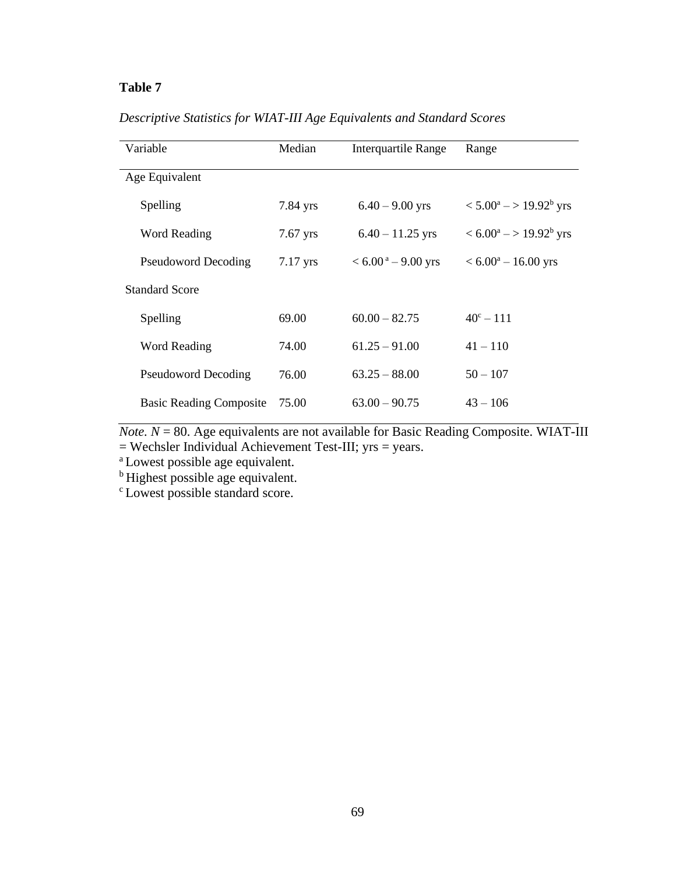| Variable                       | Median     | <b>Interquartile Range</b>              | Range                                   |
|--------------------------------|------------|-----------------------------------------|-----------------------------------------|
| Age Equivalent                 |            |                                         |                                         |
| Spelling                       | 7.84 yrs   | $6.40 - 9.00$ yrs                       | $< 5.00^a - 19.92^b$ yrs                |
| <b>Word Reading</b>            | $7.67$ yrs | $6.40 - 11.25$ yrs                      | $< 6.00^{\rm a} - 19.92^{\rm b}$ yrs    |
| <b>Pseudoword Decoding</b>     | $7.17$ yrs | $< 6.00^{\text{ a}} - 9.00 \text{ yrs}$ | $< 6.00^{\text{a}} - 16.00 \text{ yrs}$ |
| <b>Standard Score</b>          |            |                                         |                                         |
| Spelling                       | 69.00      | $60.00 - 82.75$                         | $40^{\circ} - 111$                      |
| <b>Word Reading</b>            | 74.00      | $61.25 - 91.00$                         | $41 - 110$                              |
| <b>Pseudoword Decoding</b>     | 76.00      | $63.25 - 88.00$                         | $50 - 107$                              |
| <b>Basic Reading Composite</b> | 75.00      | $63.00 - 90.75$                         | $43 - 106$                              |

*Descriptive Statistics for WIAT-III Age Equivalents and Standard Scores*

*Note.*  $N = 80$ . Age equivalents are not available for Basic Reading Composite. WIAT-III = Wechsler Individual Achievement Test-III; yrs = years.

<sup>a</sup> Lowest possible age equivalent.

<sup>b</sup> Highest possible age equivalent.

<sup>c</sup> Lowest possible standard score.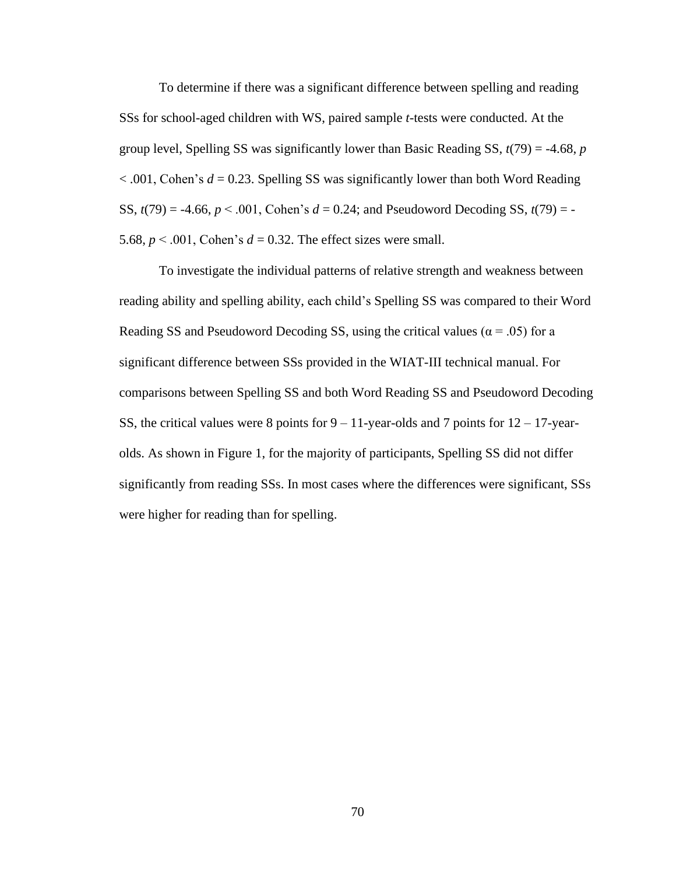To determine if there was a significant difference between spelling and reading SSs for school-aged children with WS, paired sample *t*-tests were conducted. At the group level, Spelling SS was significantly lower than Basic Reading SS, *t*(79) = -4.68, *p*  $< .001$ , Cohen's  $d = 0.23$ . Spelling SS was significantly lower than both Word Reading SS,  $t(79) = -4.66$ ,  $p < .001$ , Cohen's  $d = 0.24$ ; and Pseudoword Decoding SS,  $t(79) = -$ 5.68,  $p < .001$ , Cohen's  $d = 0.32$ . The effect sizes were small.

To investigate the individual patterns of relative strength and weakness between reading ability and spelling ability, each child's Spelling SS was compared to their Word Reading SS and Pseudoword Decoding SS, using the critical values ( $\alpha$  = .05) for a significant difference between SSs provided in the WIAT-III technical manual. For comparisons between Spelling SS and both Word Reading SS and Pseudoword Decoding SS, the critical values were 8 points for  $9 - 11$ -year-olds and 7 points for  $12 - 17$ -yearolds. As shown in Figure 1, for the majority of participants, Spelling SS did not differ significantly from reading SSs. In most cases where the differences were significant, SSs were higher for reading than for spelling.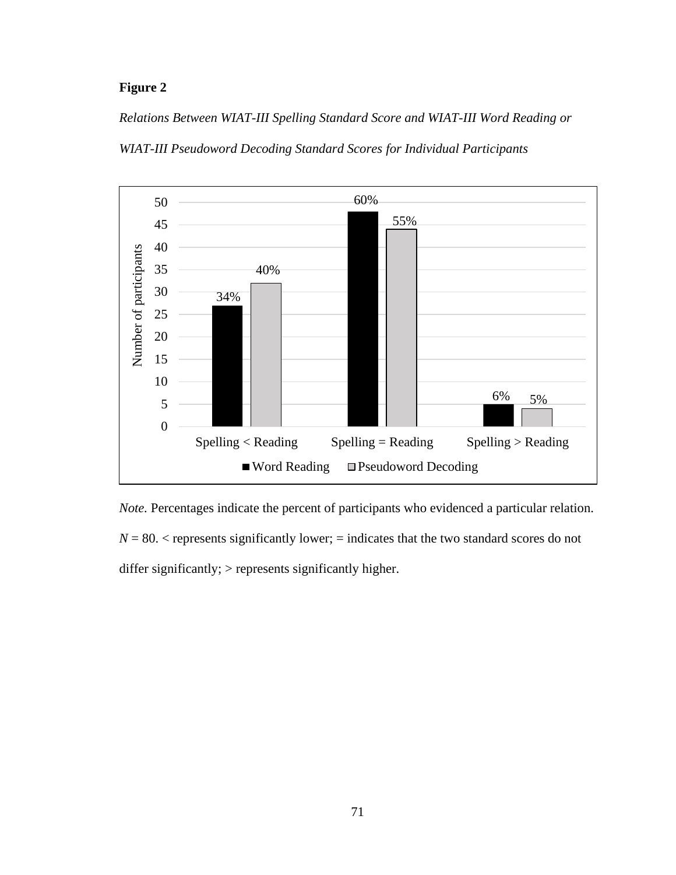# **Figure 2**

*Relations Between WIAT-III Spelling Standard Score and WIAT-III Word Reading or* 





*Note.* Percentages indicate the percent of participants who evidenced a particular relation.  $N = 80$ .  $\lt$  represents significantly lower;  $=$  indicates that the two standard scores do not differ significantly; > represents significantly higher.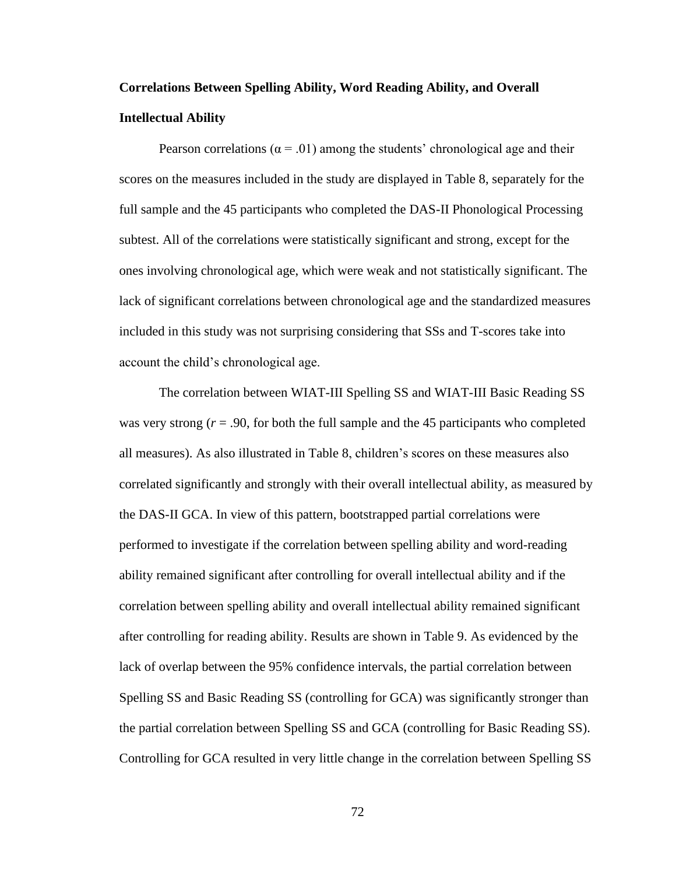# **Correlations Between Spelling Ability, Word Reading Ability, and Overall Intellectual Ability**

Pearson correlations ( $\alpha$  = .01) among the students' chronological age and their scores on the measures included in the study are displayed in Table 8, separately for the full sample and the 45 participants who completed the DAS-II Phonological Processing subtest. All of the correlations were statistically significant and strong, except for the ones involving chronological age, which were weak and not statistically significant. The lack of significant correlations between chronological age and the standardized measures included in this study was not surprising considering that SSs and T-scores take into account the child's chronological age.

The correlation between WIAT-III Spelling SS and WIAT-III Basic Reading SS was very strong  $(r = .90)$ , for both the full sample and the 45 participants who completed all measures). As also illustrated in Table 8, children's scores on these measures also correlated significantly and strongly with their overall intellectual ability, as measured by the DAS-II GCA. In view of this pattern, bootstrapped partial correlations were performed to investigate if the correlation between spelling ability and word-reading ability remained significant after controlling for overall intellectual ability and if the correlation between spelling ability and overall intellectual ability remained significant after controlling for reading ability. Results are shown in Table 9. As evidenced by the lack of overlap between the 95% confidence intervals, the partial correlation between Spelling SS and Basic Reading SS (controlling for GCA) was significantly stronger than the partial correlation between Spelling SS and GCA (controlling for Basic Reading SS). Controlling for GCA resulted in very little change in the correlation between Spelling SS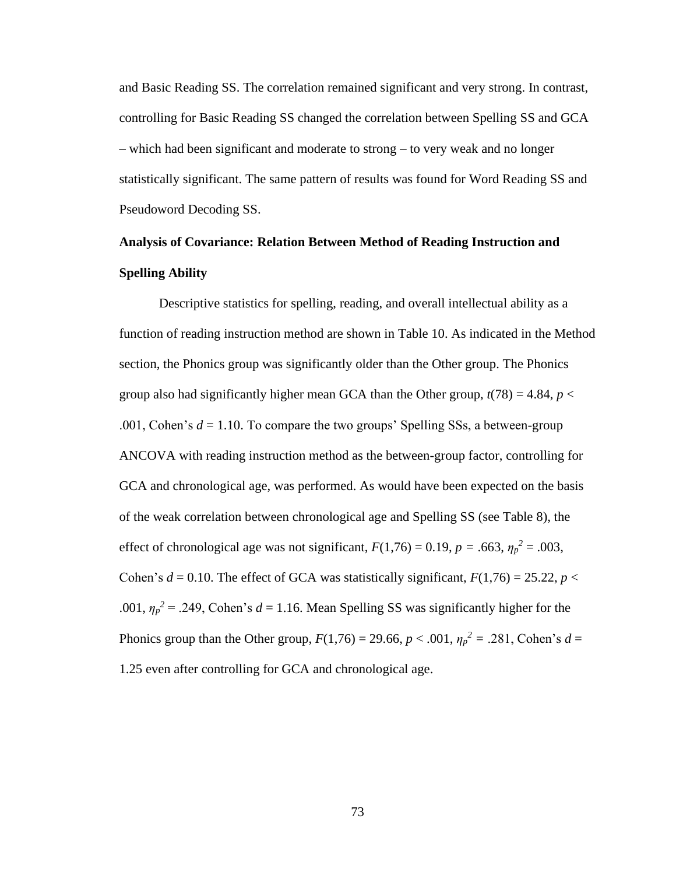and Basic Reading SS. The correlation remained significant and very strong. In contrast, controlling for Basic Reading SS changed the correlation between Spelling SS and GCA – which had been significant and moderate to strong – to very weak and no longer statistically significant. The same pattern of results was found for Word Reading SS and Pseudoword Decoding SS.

# **Analysis of Covariance: Relation Between Method of Reading Instruction and Spelling Ability**

Descriptive statistics for spelling, reading, and overall intellectual ability as a function of reading instruction method are shown in Table 10. As indicated in the Method section, the Phonics group was significantly older than the Other group. The Phonics group also had significantly higher mean GCA than the Other group,  $t(78) = 4.84$ ,  $p <$ .001, Cohen's  $d = 1.10$ . To compare the two groups' Spelling SSs, a between-group ANCOVA with reading instruction method as the between-group factor, controlling for GCA and chronological age, was performed. As would have been expected on the basis of the weak correlation between chronological age and Spelling SS (see Table 8), the effect of chronological age was not significant,  $F(1,76) = 0.19$ ,  $p = .663$ ,  $\eta_p^2 = .003$ , Cohen's  $d = 0.10$ . The effect of GCA was statistically significant,  $F(1,76) = 25.22$ ,  $p <$ .001,  $\eta_p^2$  = .249, Cohen's *d* = 1.16. Mean Spelling SS was significantly higher for the Phonics group than the Other group,  $F(1,76) = 29.66$ ,  $p < .001$ ,  $\eta_p^2 = .281$ , Cohen's  $d =$ 1.25 even after controlling for GCA and chronological age.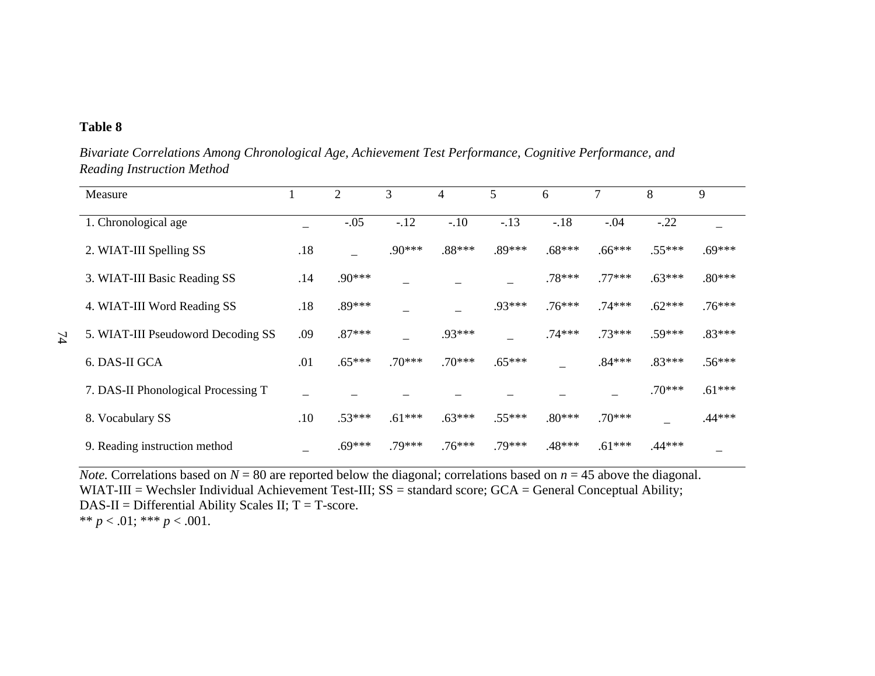*Bivariate Correlations Among Chronological Age, Achievement Test Performance, Cognitive Performance, and Reading Instruction Method*

| Measure                             |     | $\overline{2}$ | 3        | 4        | 5        | 6        | 7        | 8        | 9        |
|-------------------------------------|-----|----------------|----------|----------|----------|----------|----------|----------|----------|
| 1. Chronological age                |     | $-.05$         | $-12$    | $-.10$   | $-.13$   | $-.18$   | $-.04$   | $-.22$   |          |
| 2. WIAT-III Spelling SS             | .18 |                | $.90***$ | .88***   | .89***   | $.68***$ | $.66***$ | $.55***$ | $.69***$ |
| 3. WIAT-III Basic Reading SS        | .14 | .90***         |          |          |          | $.78***$ | $.77***$ | $.63***$ | $.80***$ |
| 4. WIAT-III Word Reading SS         | .18 | .89***         |          |          | .93***   | $.76***$ | $.74***$ | $.62***$ | $.76***$ |
| 5. WIAT-III Pseudoword Decoding SS  | .09 | $.87***$       |          | .93***   |          | $.74***$ | $.73***$ | $.59***$ | $.83***$ |
| 6. DAS-II GCA                       | .01 | $.65***$       | $.70***$ | $.70***$ | $.65***$ |          | $.84***$ | $.83***$ | $.56***$ |
| 7. DAS-II Phonological Processing T |     |                |          |          |          |          |          | $.70***$ | $.61***$ |
| 8. Vocabulary SS                    | .10 | $.53***$       | $.61***$ | $.63***$ | $.55***$ | $.80***$ | $.70***$ |          | $.44***$ |
| 9. Reading instruction method       |     | $.69***$       | .79***   | $.76***$ | $.79***$ | .48***   | $.61***$ | $.44***$ |          |

*Note.* Correlations based on  $N = 80$  are reported below the diagonal; correlations based on  $n = 45$  above the diagonal. WIAT-III = Wechsler Individual Achievement Test-III; SS = standard score; GCA = General Conceptual Ability;  $DAS-II = Differential Ability Scales II; T = T-score.$ \*\*  $p < .01$ ; \*\*\*  $p < .001$ .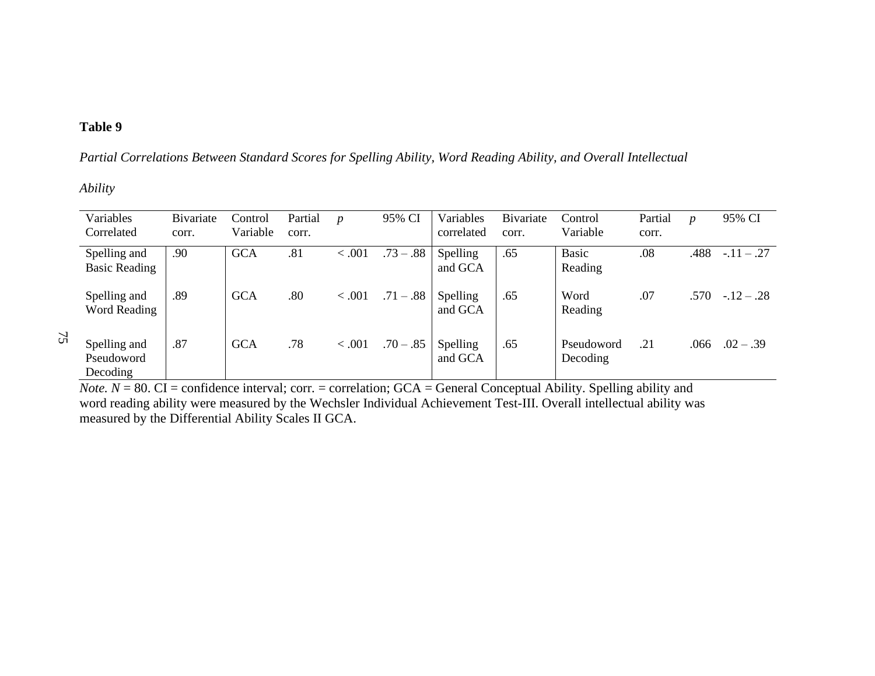*Partial Correlations Between Standard Scores for Spelling Ability, Word Reading Ability, and Overall Intellectual* 

*Ability*

|    | Variables                              | Bivariate | Control    | Partial | $\boldsymbol{p}$ | 95% CI      | Variables           | Bivariate | Control                 | Partial | $\boldsymbol{p}$ | 95% CI      |
|----|----------------------------------------|-----------|------------|---------|------------------|-------------|---------------------|-----------|-------------------------|---------|------------------|-------------|
|    | Correlated                             | corr.     | Variable   | corr.   |                  |             | correlated          | corr.     | Variable                | corr.   |                  |             |
|    | Spelling and<br><b>Basic Reading</b>   | .90       | <b>GCA</b> | .81     | < 0.001          | $.73 - .88$ | Spelling<br>and GCA | .65       | <b>Basic</b><br>Reading | .08     | .488             | $-.11-.27$  |
|    | Spelling and<br>Word Reading           | .89       | <b>GCA</b> | .80     | < .001           | $.71-.88$   | Spelling<br>and GCA | .65       | Word<br>Reading         | .07     | .570             | $-12 - 28$  |
| 75 | Spelling and<br>Pseudoword<br>Decoding | .87       | <b>GCA</b> | .78     | < .001           | $.70-.85$   | Spelling<br>and GCA | .65       | Pseudoword<br>Decoding  | .21     | .066             | $.02 - .39$ |

*Note.*  $N = 80$ . CI = confidence interval; corr. = correlation; GCA = General Conceptual Ability. Spelling ability and word reading ability were measured by the Wechsler Individual Achievement Test-III. Overall intellectual ability was measured by the Differential Ability Scales II GCA.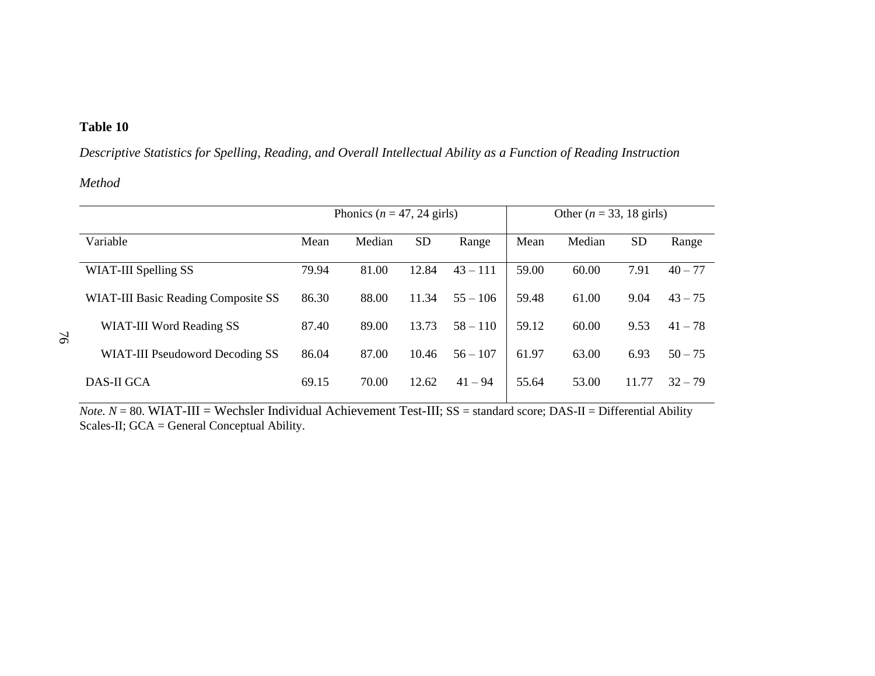*Descriptive Statistics for Spelling, Reading, and Overall Intellectual Ability as a Function of Reading Instruction* 

# *Method*

|                                     | Phonics ( $n = 47$ , 24 girls) |        |           |            |       | Other ( $n = 33$ , 18 girls) |           |           |  |
|-------------------------------------|--------------------------------|--------|-----------|------------|-------|------------------------------|-----------|-----------|--|
| Variable                            | Mean                           | Median | <b>SD</b> | Range      | Mean  | Median                       | <b>SD</b> | Range     |  |
| WIAT-III Spelling SS                | 79.94                          | 81.00  | 12.84     | $43 - 111$ | 59.00 | 60.00                        | 7.91      | $40 - 77$ |  |
| WIAT-III Basic Reading Composite SS | 86.30                          | 88.00  | 11.34     | $55 - 106$ | 59.48 | 61.00                        | 9.04      | $43 - 75$ |  |
| WIAT-III Word Reading SS            | 87.40                          | 89.00  | 13.73     | $58 - 110$ | 59.12 | 60.00                        | 9.53      | $41 - 78$ |  |
| WIAT-III Pseudoword Decoding SS     | 86.04                          | 87.00  | 10.46     | $56 - 107$ | 61.97 | 63.00                        | 6.93      | $50 - 75$ |  |
| DAS-II GCA                          | 69.15                          | 70.00  | 12.62     | $41 - 94$  | 55.64 | 53.00                        | 11.77     | $32 - 79$ |  |

 $Note. N = 80. WIAT-III = Wechsler Individual Achievement Test-III; SS = standard score; DAS-II = Differential Ability$ Scales-II; GCA = General Conceptual Ability.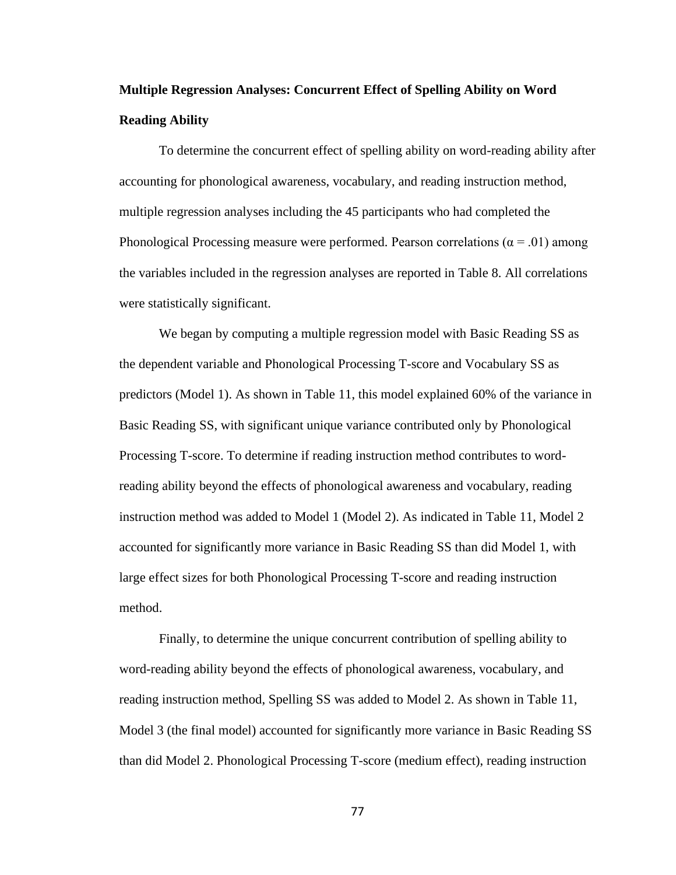# **Multiple Regression Analyses: Concurrent Effect of Spelling Ability on Word Reading Ability**

To determine the concurrent effect of spelling ability on word-reading ability after accounting for phonological awareness, vocabulary, and reading instruction method, multiple regression analyses including the 45 participants who had completed the Phonological Processing measure were performed. Pearson correlations ( $\alpha = .01$ ) among the variables included in the regression analyses are reported in Table 8. All correlations were statistically significant.

We began by computing a multiple regression model with Basic Reading SS as the dependent variable and Phonological Processing T-score and Vocabulary SS as predictors (Model 1). As shown in Table 11, this model explained 60% of the variance in Basic Reading SS, with significant unique variance contributed only by Phonological Processing T-score. To determine if reading instruction method contributes to wordreading ability beyond the effects of phonological awareness and vocabulary, reading instruction method was added to Model 1 (Model 2). As indicated in Table 11, Model 2 accounted for significantly more variance in Basic Reading SS than did Model 1, with large effect sizes for both Phonological Processing T-score and reading instruction method.

Finally, to determine the unique concurrent contribution of spelling ability to word-reading ability beyond the effects of phonological awareness, vocabulary, and reading instruction method, Spelling SS was added to Model 2. As shown in Table 11, Model 3 (the final model) accounted for significantly more variance in Basic Reading SS than did Model 2. Phonological Processing T-score (medium effect), reading instruction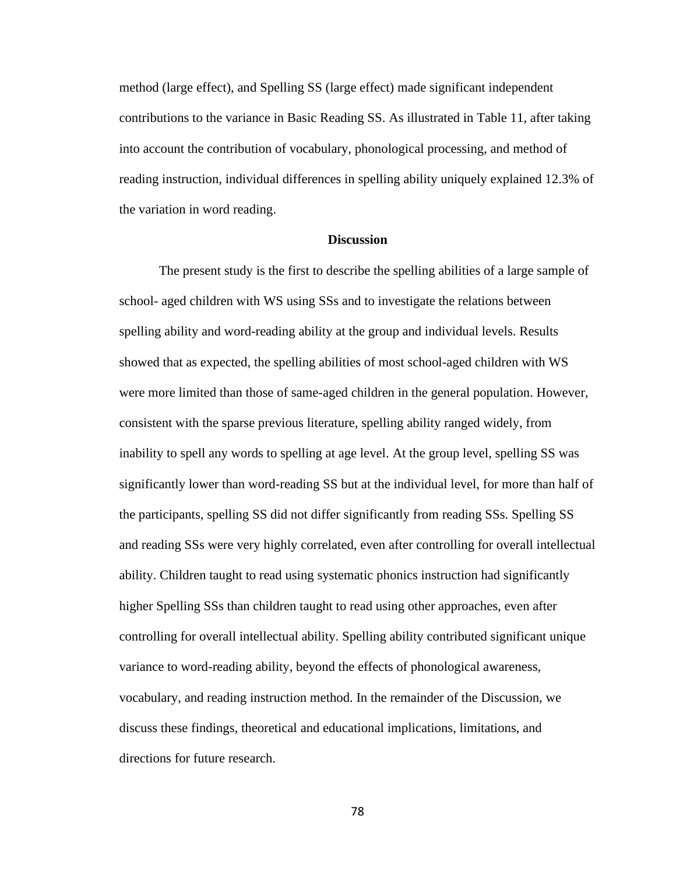method (large effect), and Spelling SS (large effect) made significant independent contributions to the variance in Basic Reading SS. As illustrated in Table 11, after taking into account the contribution of vocabulary, phonological processing, and method of reading instruction, individual differences in spelling ability uniquely explained 12.3% of the variation in word reading.

# **Discussion**

The present study is the first to describe the spelling abilities of a large sample of school- aged children with WS using SSs and to investigate the relations between spelling ability and word-reading ability at the group and individual levels. Results showed that as expected, the spelling abilities of most school-aged children with WS were more limited than those of same-aged children in the general population. However, consistent with the sparse previous literature, spelling ability ranged widely, from inability to spell any words to spelling at age level. At the group level, spelling SS was significantly lower than word-reading SS but at the individual level, for more than half of the participants, spelling SS did not differ significantly from reading SSs. Spelling SS and reading SSs were very highly correlated, even after controlling for overall intellectual ability. Children taught to read using systematic phonics instruction had significantly higher Spelling SSs than children taught to read using other approaches, even after controlling for overall intellectual ability. Spelling ability contributed significant unique variance to word-reading ability, beyond the effects of phonological awareness, vocabulary, and reading instruction method. In the remainder of the Discussion, we discuss these findings, theoretical and educational implications, limitations, and directions for future research.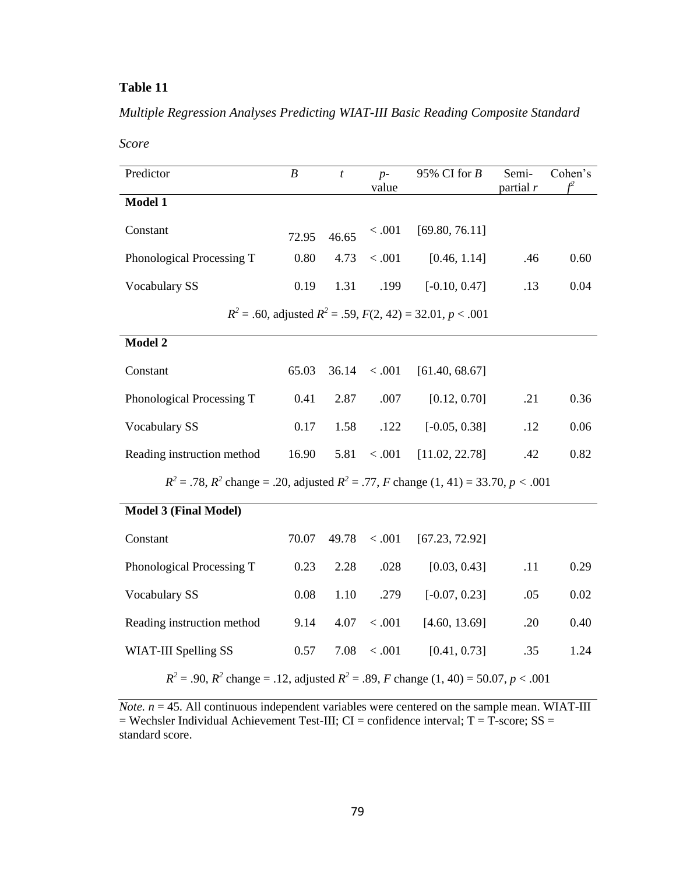# *Multiple Regression Analyses Predicting WIAT-III Basic Reading Composite Standard*

*Score*

| Predictor                                                                                   | $\boldsymbol{B}$ | $\boldsymbol{t}$ | 95% CI for $B$<br>$p-$<br>value |                                                                   | Semi-<br>partial $r$ | Cohen's<br>$\mathcal{L}$ |  |  |  |
|---------------------------------------------------------------------------------------------|------------------|------------------|---------------------------------|-------------------------------------------------------------------|----------------------|--------------------------|--|--|--|
| Model 1                                                                                     |                  |                  |                                 |                                                                   |                      |                          |  |  |  |
| Constant                                                                                    | 72.95            | 46.65            | $<.001$                         | [69.80, 76.11]                                                    |                      |                          |  |  |  |
| Phonological Processing T                                                                   | 0.80             | 4.73             | $<.001$                         | [0.46, 1.14]                                                      | .46                  | 0.60                     |  |  |  |
| Vocabulary SS                                                                               | 0.19             | 1.31             | .199                            | $[-0.10, 0.47]$                                                   | .13                  | 0.04                     |  |  |  |
|                                                                                             |                  |                  |                                 | $R^2$ = .60, adjusted $R^2$ = .59, $F(2, 42)$ = 32.01, $p < .001$ |                      |                          |  |  |  |
| Model 2                                                                                     |                  |                  |                                 |                                                                   |                      |                          |  |  |  |
| Constant                                                                                    | 65.03            | 36.14            | < .001                          | [61.40, 68.67]                                                    |                      |                          |  |  |  |
| Phonological Processing T                                                                   | 0.41             | 2.87             | .007                            | [0.12, 0.70]                                                      | .21                  | 0.36                     |  |  |  |
| <b>Vocabulary SS</b>                                                                        | 0.17             | 1.58             | .122                            | $[-0.05, 0.38]$                                                   | .12                  | $0.06\,$                 |  |  |  |
| Reading instruction method                                                                  | 16.90            | 5.81             | < .001                          | [11.02, 22.78]                                                    | .42                  | 0.82                     |  |  |  |
| $R^2 = .78$ , $R^2$ change = .20, adjusted $R^2 = .77$ , F change (1, 41) = 33.70, p < .001 |                  |                  |                                 |                                                                   |                      |                          |  |  |  |
| <b>Model 3 (Final Model)</b>                                                                |                  |                  |                                 |                                                                   |                      |                          |  |  |  |
| Constant                                                                                    | 70.07            | 49.78            | $<.001$                         | [67.23, 72.92]                                                    |                      |                          |  |  |  |
| Phonological Processing T                                                                   | 0.23             | 2.28             | .028                            | [0.03, 0.43]                                                      | .11                  | 0.29                     |  |  |  |
| Vocabulary SS                                                                               | 0.08             | 1.10             | .279                            | $[-0.07, 0.23]$                                                   | .05                  | 0.02                     |  |  |  |
| Reading instruction method                                                                  | 9.14             | 4.07             | < .001                          | [4.60, 13.69]                                                     | .20                  | 0.40                     |  |  |  |
| WIAT-III Spelling SS                                                                        | 0.57             | 7.08             | $<.001\,$                       | [0.41, 0.73]                                                      | .35                  | 1.24                     |  |  |  |
| $R^2 = .90$ , $R^2$ change = .12, adjusted $R^2 = .89$ , F change (1, 40) = 50.07, p < .001 |                  |                  |                                 |                                                                   |                      |                          |  |  |  |

*Note.*  $n = 45$ . All continuous independent variables were centered on the sample mean. WIAT-III  $=$  Wechsler Individual Achievement Test-III; CI = confidence interval; T = T-score; SS = standard score.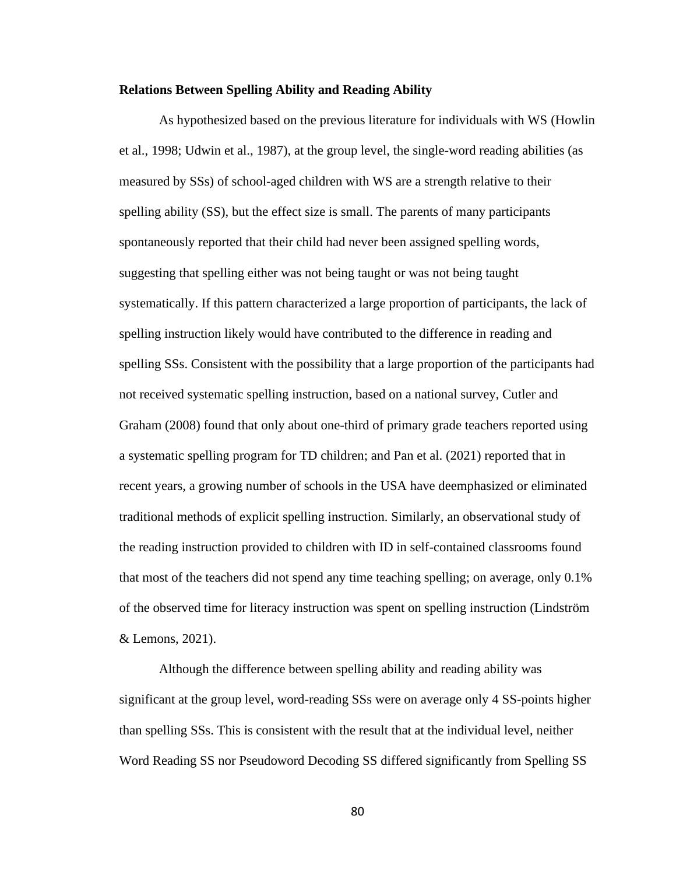# **Relations Between Spelling Ability and Reading Ability**

As hypothesized based on the previous literature for individuals with WS (Howlin et al., 1998; Udwin et al., 1987), at the group level, the single-word reading abilities (as measured by SSs) of school-aged children with WS are a strength relative to their spelling ability (SS), but the effect size is small. The parents of many participants spontaneously reported that their child had never been assigned spelling words, suggesting that spelling either was not being taught or was not being taught systematically. If this pattern characterized a large proportion of participants, the lack of spelling instruction likely would have contributed to the difference in reading and spelling SSs. Consistent with the possibility that a large proportion of the participants had not received systematic spelling instruction, based on a national survey, Cutler and Graham (2008) found that only about one-third of primary grade teachers reported using a systematic spelling program for TD children; and Pan et al. (2021) reported that in recent years, a growing number of schools in the USA have deemphasized or eliminated traditional methods of explicit spelling instruction. Similarly, an observational study of the reading instruction provided to children with ID in self-contained classrooms found that most of the teachers did not spend any time teaching spelling; on average, only 0.1% of the observed time for literacy instruction was spent on spelling instruction (Lindström & Lemons, 2021).

Although the difference between spelling ability and reading ability was significant at the group level, word-reading SSs were on average only 4 SS-points higher than spelling SSs. This is consistent with the result that at the individual level, neither Word Reading SS nor Pseudoword Decoding SS differed significantly from Spelling SS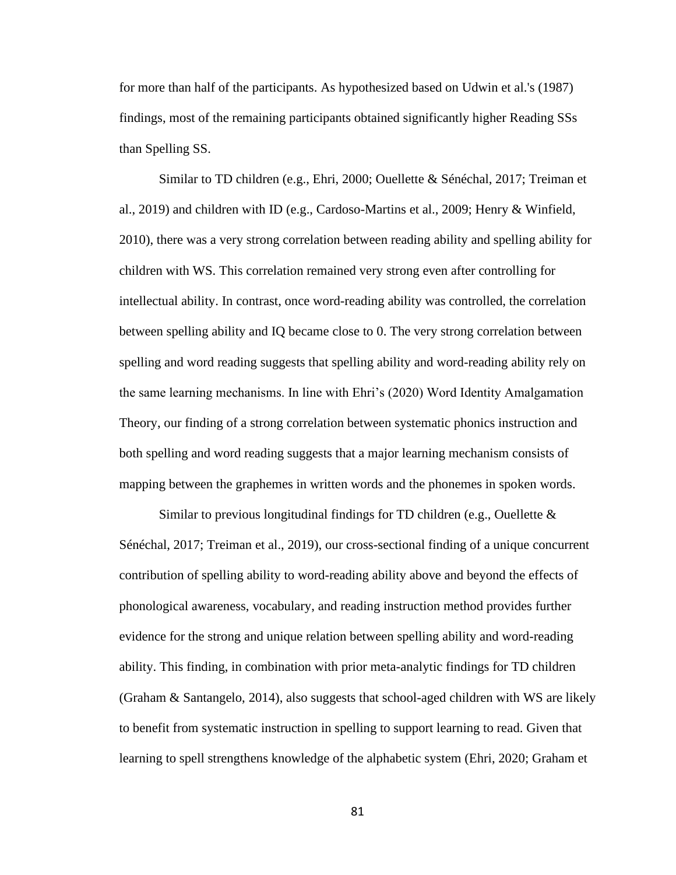for more than half of the participants. As hypothesized based on Udwin et al.'s (1987) findings, most of the remaining participants obtained significantly higher Reading SSs than Spelling SS.

Similar to TD children (e.g., Ehri, 2000; Ouellette & Sénéchal, 2017; Treiman et al., 2019) and children with ID (e.g., Cardoso-Martins et al., 2009; Henry & Winfield, 2010), there was a very strong correlation between reading ability and spelling ability for children with WS. This correlation remained very strong even after controlling for intellectual ability. In contrast, once word-reading ability was controlled, the correlation between spelling ability and IQ became close to 0. The very strong correlation between spelling and word reading suggests that spelling ability and word-reading ability rely on the same learning mechanisms. In line with Ehri's (2020) Word Identity Amalgamation Theory, our finding of a strong correlation between systematic phonics instruction and both spelling and word reading suggests that a major learning mechanism consists of mapping between the graphemes in written words and the phonemes in spoken words.

Similar to previous longitudinal findings for TD children (e.g., Ouellette & Sénéchal, 2017; Treiman et al., 2019), our cross-sectional finding of a unique concurrent contribution of spelling ability to word-reading ability above and beyond the effects of phonological awareness, vocabulary, and reading instruction method provides further evidence for the strong and unique relation between spelling ability and word-reading ability. This finding, in combination with prior meta-analytic findings for TD children (Graham & Santangelo, 2014), also suggests that school-aged children with WS are likely to benefit from systematic instruction in spelling to support learning to read. Given that learning to spell strengthens knowledge of the alphabetic system (Ehri, 2020; Graham et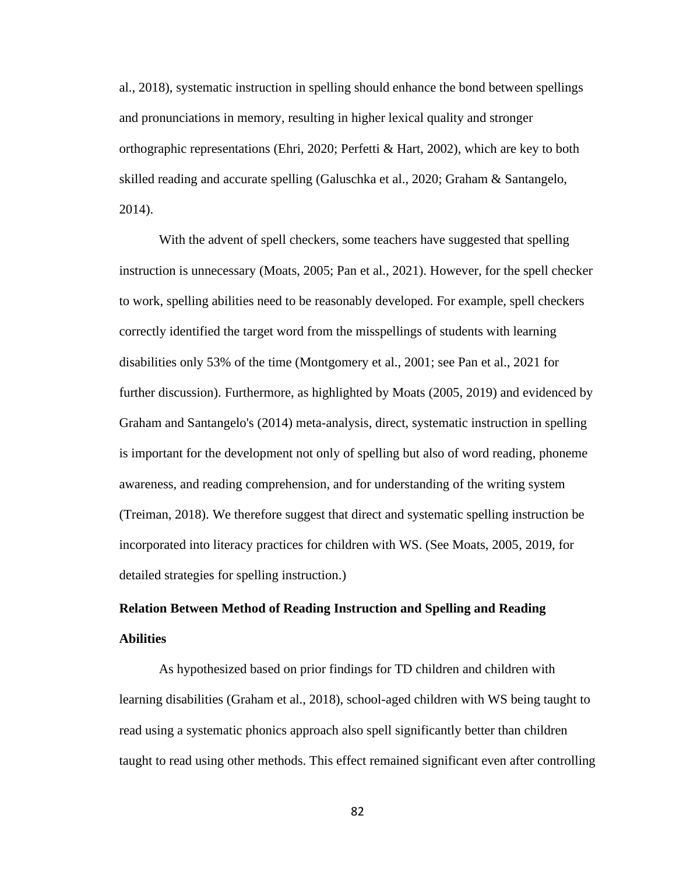al., 2018), systematic instruction in spelling should enhance the bond between spellings and pronunciations in memory, resulting in higher lexical quality and stronger orthographic representations (Ehri, 2020; Perfetti & Hart, 2002), which are key to both skilled reading and accurate spelling (Galuschka et al., 2020; Graham & Santangelo, 2014).

With the advent of spell checkers, some teachers have suggested that spelling instruction is unnecessary (Moats, 2005; Pan et al., 2021). However, for the spell checker to work, spelling abilities need to be reasonably developed. For example, spell checkers correctly identified the target word from the misspellings of students with learning disabilities only 53% of the time (Montgomery et al., 2001; see Pan et al., 2021 for further discussion). Furthermore, as highlighted by Moats (2005, 2019) and evidenced by Graham and Santangelo's (2014) meta-analysis, direct, systematic instruction in spelling is important for the development not only of spelling but also of word reading, phoneme awareness, and reading comprehension, and for understanding of the writing system (Treiman, 2018). We therefore suggest that direct and systematic spelling instruction be incorporated into literacy practices for children with WS. (See Moats, 2005, 2019, for detailed strategies for spelling instruction.)

# **Relation Between Method of Reading Instruction and Spelling and Reading Abilities**

As hypothesized based on prior findings for TD children and children with learning disabilities (Graham et al., 2018), school-aged children with WS being taught to read using a systematic phonics approach also spell significantly better than children taught to read using other methods. This effect remained significant even after controlling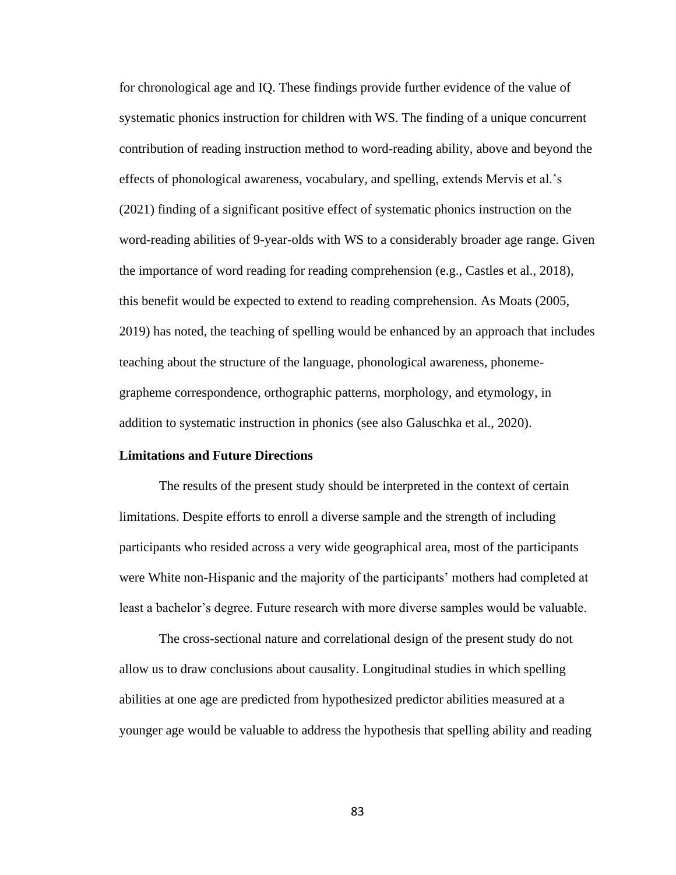for chronological age and IQ. These findings provide further evidence of the value of systematic phonics instruction for children with WS. The finding of a unique concurrent contribution of reading instruction method to word-reading ability, above and beyond the effects of phonological awareness, vocabulary, and spelling, extends Mervis et al.'s (2021) finding of a significant positive effect of systematic phonics instruction on the word-reading abilities of 9-year-olds with WS to a considerably broader age range. Given the importance of word reading for reading comprehension (e.g., Castles et al., 2018), this benefit would be expected to extend to reading comprehension. As Moats (2005, 2019) has noted, the teaching of spelling would be enhanced by an approach that includes teaching about the structure of the language, phonological awareness, phonemegrapheme correspondence, orthographic patterns, morphology, and etymology, in addition to systematic instruction in phonics (see also Galuschka et al., 2020).

#### **Limitations and Future Directions**

The results of the present study should be interpreted in the context of certain limitations. Despite efforts to enroll a diverse sample and the strength of including participants who resided across a very wide geographical area, most of the participants were White non-Hispanic and the majority of the participants' mothers had completed at least a bachelor's degree. Future research with more diverse samples would be valuable.

The cross-sectional nature and correlational design of the present study do not allow us to draw conclusions about causality. Longitudinal studies in which spelling abilities at one age are predicted from hypothesized predictor abilities measured at a younger age would be valuable to address the hypothesis that spelling ability and reading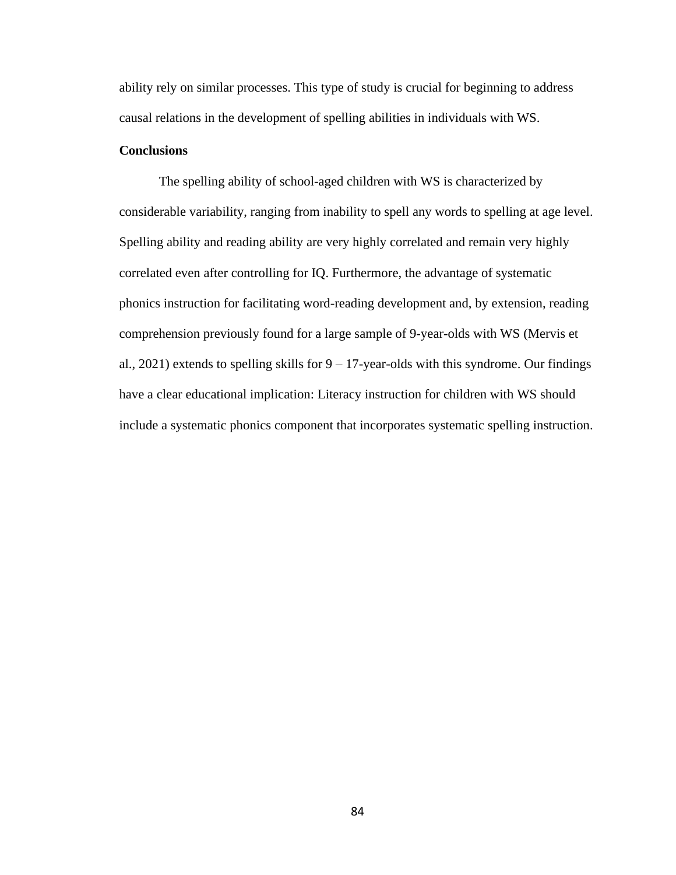ability rely on similar processes. This type of study is crucial for beginning to address causal relations in the development of spelling abilities in individuals with WS.

# **Conclusions**

The spelling ability of school-aged children with WS is characterized by considerable variability, ranging from inability to spell any words to spelling at age level. Spelling ability and reading ability are very highly correlated and remain very highly correlated even after controlling for IQ. Furthermore, the advantage of systematic phonics instruction for facilitating word-reading development and, by extension, reading comprehension previously found for a large sample of 9-year-olds with WS (Mervis et al., 2021) extends to spelling skills for  $9 - 17$ -year-olds with this syndrome. Our findings have a clear educational implication: Literacy instruction for children with WS should include a systematic phonics component that incorporates systematic spelling instruction.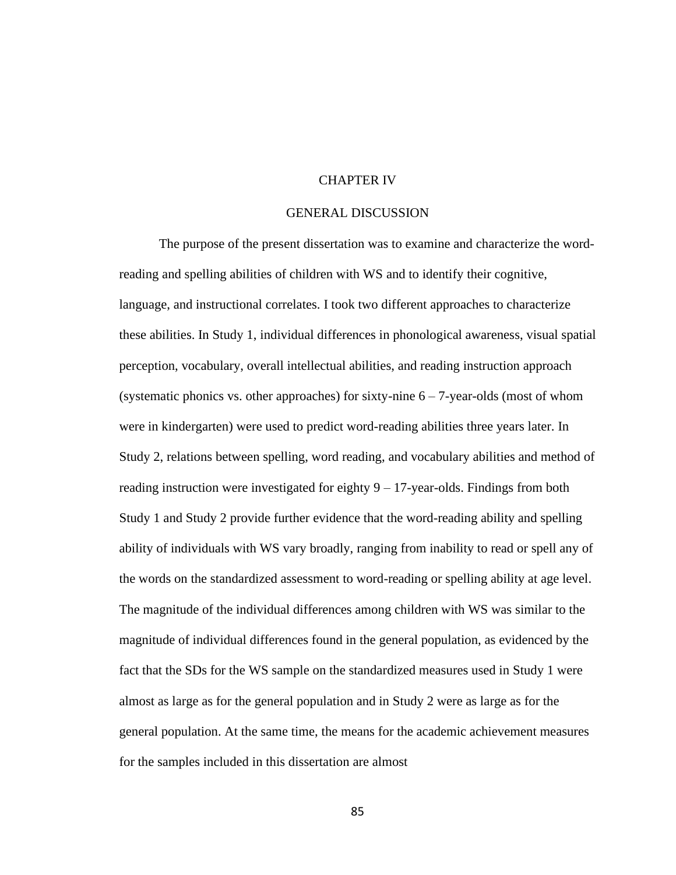## CHAPTER IV

# GENERAL DISCUSSION

The purpose of the present dissertation was to examine and characterize the wordreading and spelling abilities of children with WS and to identify their cognitive, language, and instructional correlates. I took two different approaches to characterize these abilities. In Study 1, individual differences in phonological awareness, visual spatial perception, vocabulary, overall intellectual abilities, and reading instruction approach (systematic phonics vs. other approaches) for sixty-nine  $6 - 7$ -year-olds (most of whom were in kindergarten) were used to predict word-reading abilities three years later. In Study 2, relations between spelling, word reading, and vocabulary abilities and method of reading instruction were investigated for eighty  $9 - 17$ -year-olds. Findings from both Study 1 and Study 2 provide further evidence that the word-reading ability and spelling ability of individuals with WS vary broadly, ranging from inability to read or spell any of the words on the standardized assessment to word-reading or spelling ability at age level. The magnitude of the individual differences among children with WS was similar to the magnitude of individual differences found in the general population, as evidenced by the fact that the SDs for the WS sample on the standardized measures used in Study 1 were almost as large as for the general population and in Study 2 were as large as for the general population. At the same time, the means for the academic achievement measures for the samples included in this dissertation are almost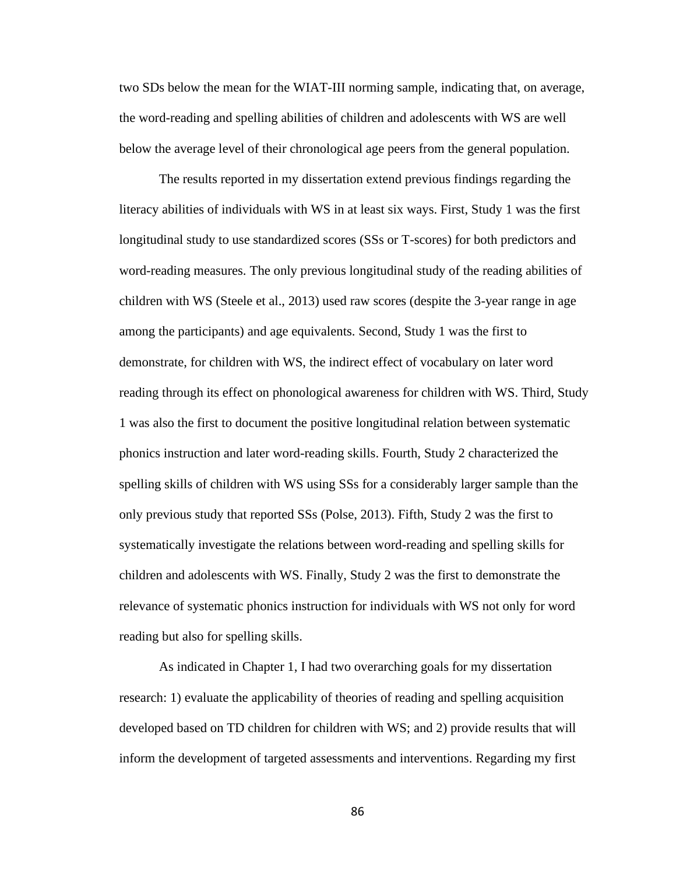two SDs below the mean for the WIAT-III norming sample, indicating that, on average, the word-reading and spelling abilities of children and adolescents with WS are well below the average level of their chronological age peers from the general population.

The results reported in my dissertation extend previous findings regarding the literacy abilities of individuals with WS in at least six ways. First, Study 1 was the first longitudinal study to use standardized scores (SSs or T-scores) for both predictors and word-reading measures. The only previous longitudinal study of the reading abilities of children with WS (Steele et al., 2013) used raw scores (despite the 3-year range in age among the participants) and age equivalents. Second, Study 1 was the first to demonstrate, for children with WS, the indirect effect of vocabulary on later word reading through its effect on phonological awareness for children with WS. Third, Study 1 was also the first to document the positive longitudinal relation between systematic phonics instruction and later word-reading skills. Fourth, Study 2 characterized the spelling skills of children with WS using SSs for a considerably larger sample than the only previous study that reported SSs (Polse, 2013). Fifth, Study 2 was the first to systematically investigate the relations between word-reading and spelling skills for children and adolescents with WS. Finally, Study 2 was the first to demonstrate the relevance of systematic phonics instruction for individuals with WS not only for word reading but also for spelling skills.

As indicated in Chapter 1, I had two overarching goals for my dissertation research: 1) evaluate the applicability of theories of reading and spelling acquisition developed based on TD children for children with WS; and 2) provide results that will inform the development of targeted assessments and interventions. Regarding my first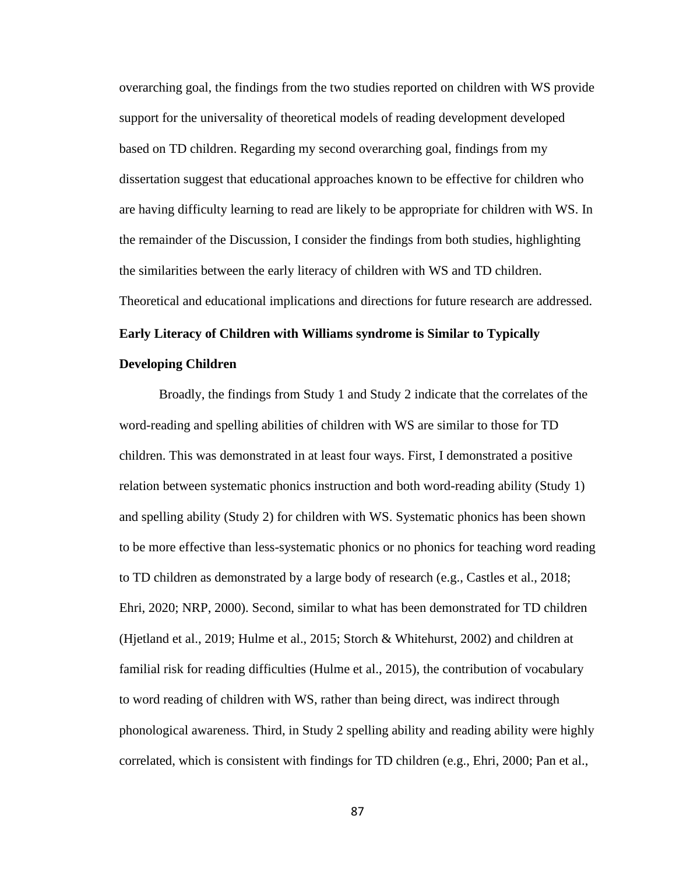overarching goal, the findings from the two studies reported on children with WS provide support for the universality of theoretical models of reading development developed based on TD children. Regarding my second overarching goal, findings from my dissertation suggest that educational approaches known to be effective for children who are having difficulty learning to read are likely to be appropriate for children with WS. In the remainder of the Discussion, I consider the findings from both studies, highlighting the similarities between the early literacy of children with WS and TD children. Theoretical and educational implications and directions for future research are addressed.

# **Early Literacy of Children with Williams syndrome is Similar to Typically**

# **Developing Children**

Broadly, the findings from Study 1 and Study 2 indicate that the correlates of the word-reading and spelling abilities of children with WS are similar to those for TD children. This was demonstrated in at least four ways. First, I demonstrated a positive relation between systematic phonics instruction and both word-reading ability (Study 1) and spelling ability (Study 2) for children with WS. Systematic phonics has been shown to be more effective than less-systematic phonics or no phonics for teaching word reading to TD children as demonstrated by a large body of research (e.g., Castles et al., 2018; Ehri, 2020; NRP, 2000). Second, similar to what has been demonstrated for TD children (Hjetland et al., 2019; Hulme et al., 2015; Storch & Whitehurst, 2002) and children at familial risk for reading difficulties (Hulme et al., 2015), the contribution of vocabulary to word reading of children with WS, rather than being direct, was indirect through phonological awareness. Third, in Study 2 spelling ability and reading ability were highly correlated, which is consistent with findings for TD children (e.g., Ehri, 2000; Pan et al.,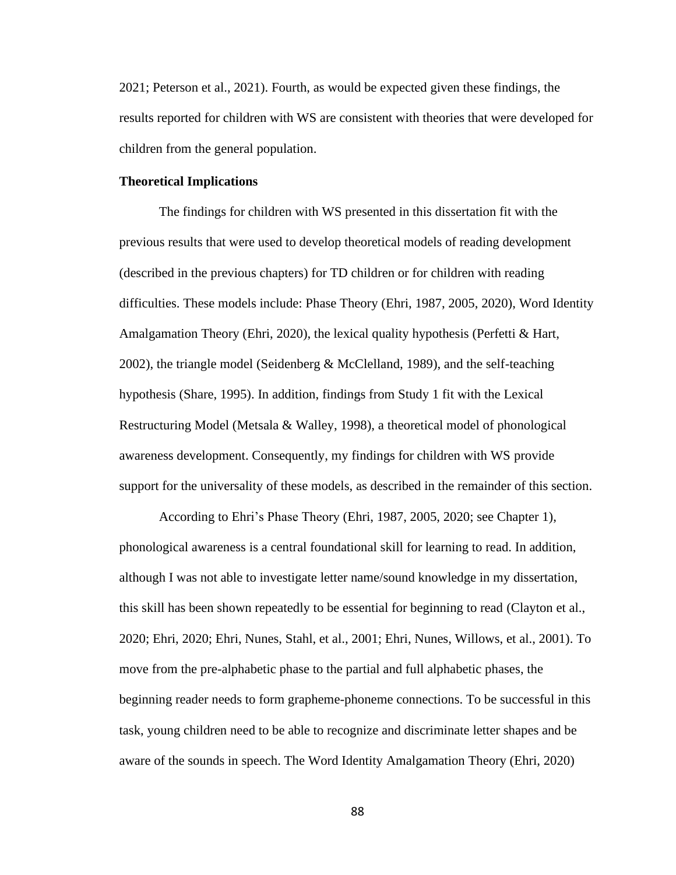2021; Peterson et al., 2021). Fourth, as would be expected given these findings, the results reported for children with WS are consistent with theories that were developed for children from the general population.

# **Theoretical Implications**

The findings for children with WS presented in this dissertation fit with the previous results that were used to develop theoretical models of reading development (described in the previous chapters) for TD children or for children with reading difficulties. These models include: Phase Theory (Ehri, 1987, 2005, 2020), Word Identity Amalgamation Theory (Ehri, 2020), the lexical quality hypothesis (Perfetti & Hart, 2002), the triangle model (Seidenberg & McClelland, 1989), and the self-teaching hypothesis (Share, 1995). In addition, findings from Study 1 fit with the Lexical Restructuring Model (Metsala & Walley, 1998), a theoretical model of phonological awareness development. Consequently, my findings for children with WS provide support for the universality of these models, as described in the remainder of this section.

According to Ehri's Phase Theory (Ehri, 1987, 2005, 2020; see Chapter 1), phonological awareness is a central foundational skill for learning to read. In addition, although I was not able to investigate letter name/sound knowledge in my dissertation, this skill has been shown repeatedly to be essential for beginning to read (Clayton et al., 2020; Ehri, 2020; Ehri, Nunes, Stahl, et al., 2001; Ehri, Nunes, Willows, et al., 2001). To move from the pre-alphabetic phase to the partial and full alphabetic phases, the beginning reader needs to form grapheme-phoneme connections. To be successful in this task, young children need to be able to recognize and discriminate letter shapes and be aware of the sounds in speech. The Word Identity Amalgamation Theory (Ehri, 2020)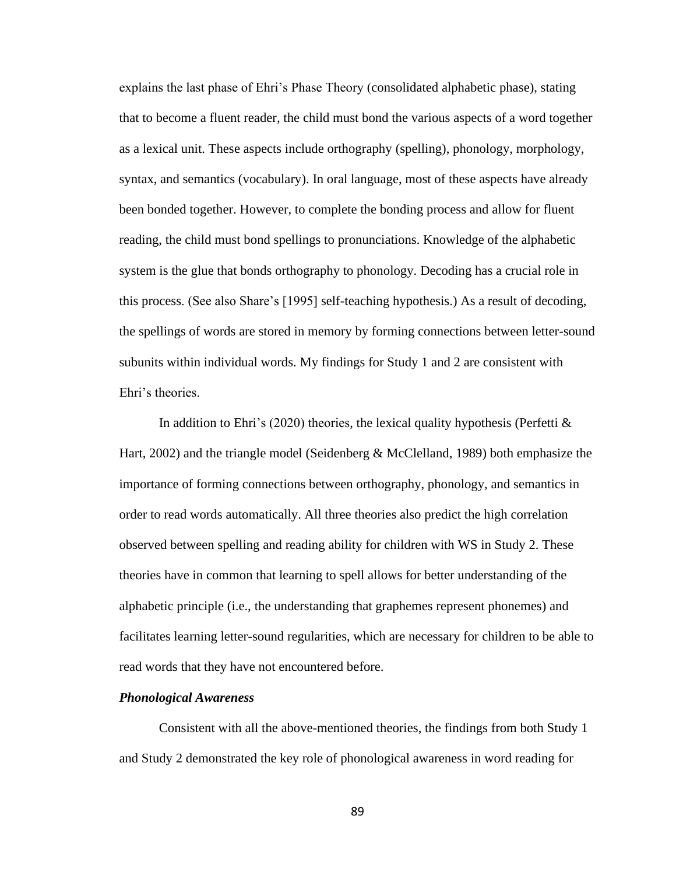explains the last phase of Ehri's Phase Theory (consolidated alphabetic phase), stating that to become a fluent reader, the child must bond the various aspects of a word together as a lexical unit. These aspects include orthography (spelling), phonology, morphology, syntax, and semantics (vocabulary). In oral language, most of these aspects have already been bonded together. However, to complete the bonding process and allow for fluent reading, the child must bond spellings to pronunciations. Knowledge of the alphabetic system is the glue that bonds orthography to phonology. Decoding has a crucial role in this process. (See also Share's [1995] self-teaching hypothesis.) As a result of decoding, the spellings of words are stored in memory by forming connections between letter-sound subunits within individual words. My findings for Study 1 and 2 are consistent with Ehri's theories.

In addition to Ehri's (2020) theories, the lexical quality hypothesis (Perfetti  $\&$ Hart, 2002) and the triangle model (Seidenberg & McClelland, 1989) both emphasize the importance of forming connections between orthography, phonology, and semantics in order to read words automatically. All three theories also predict the high correlation observed between spelling and reading ability for children with WS in Study 2. These theories have in common that learning to spell allows for better understanding of the alphabetic principle (i.e., the understanding that graphemes represent phonemes) and facilitates learning letter-sound regularities, which are necessary for children to be able to read words that they have not encountered before.

# *Phonological Awareness*

Consistent with all the above-mentioned theories, the findings from both Study 1 and Study 2 demonstrated the key role of phonological awareness in word reading for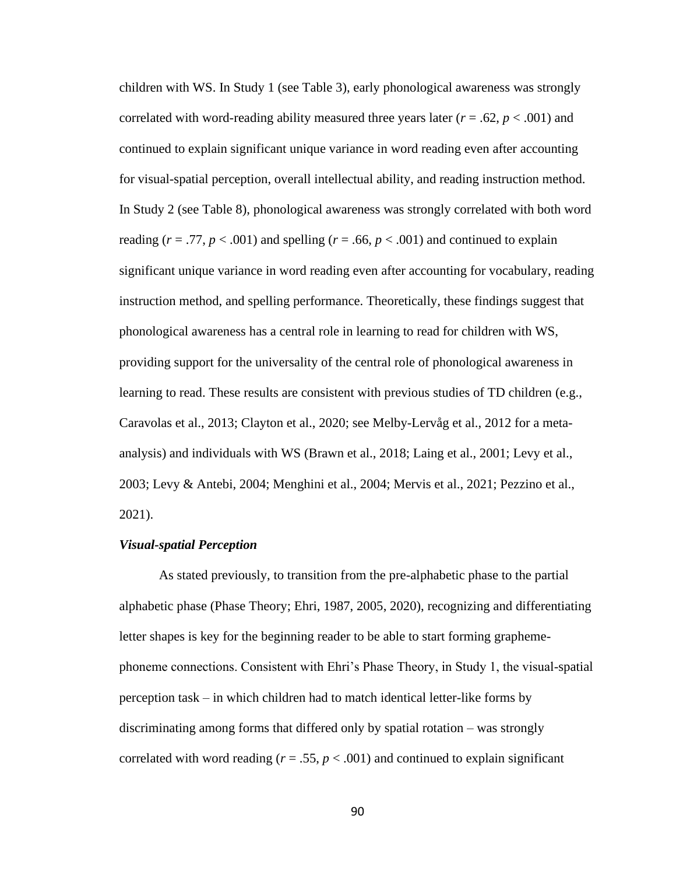children with WS. In Study 1 (see Table 3), early phonological awareness was strongly correlated with word-reading ability measured three years later  $(r = .62, p < .001)$  and continued to explain significant unique variance in word reading even after accounting for visual-spatial perception, overall intellectual ability, and reading instruction method. In Study 2 (see Table 8), phonological awareness was strongly correlated with both word reading  $(r = .77, p < .001)$  and spelling  $(r = .66, p < .001)$  and continued to explain significant unique variance in word reading even after accounting for vocabulary, reading instruction method, and spelling performance. Theoretically, these findings suggest that phonological awareness has a central role in learning to read for children with WS, providing support for the universality of the central role of phonological awareness in learning to read. These results are consistent with previous studies of TD children (e.g., Caravolas et al., 2013; Clayton et al., 2020; see Melby-Lervåg et al., 2012 for a metaanalysis) and individuals with WS (Brawn et al., 2018; Laing et al., 2001; Levy et al., 2003; Levy & Antebi, 2004; Menghini et al., 2004; Mervis et al., 2021; Pezzino et al., 2021).

# *Visual-spatial Perception*

As stated previously, to transition from the pre-alphabetic phase to the partial alphabetic phase (Phase Theory; Ehri, 1987, 2005, 2020), recognizing and differentiating letter shapes is key for the beginning reader to be able to start forming graphemephoneme connections. Consistent with Ehri's Phase Theory, in Study 1, the visual-spatial perception task – in which children had to match identical letter-like forms by discriminating among forms that differed only by spatial rotation – was strongly correlated with word reading ( $r = .55$ ,  $p < .001$ ) and continued to explain significant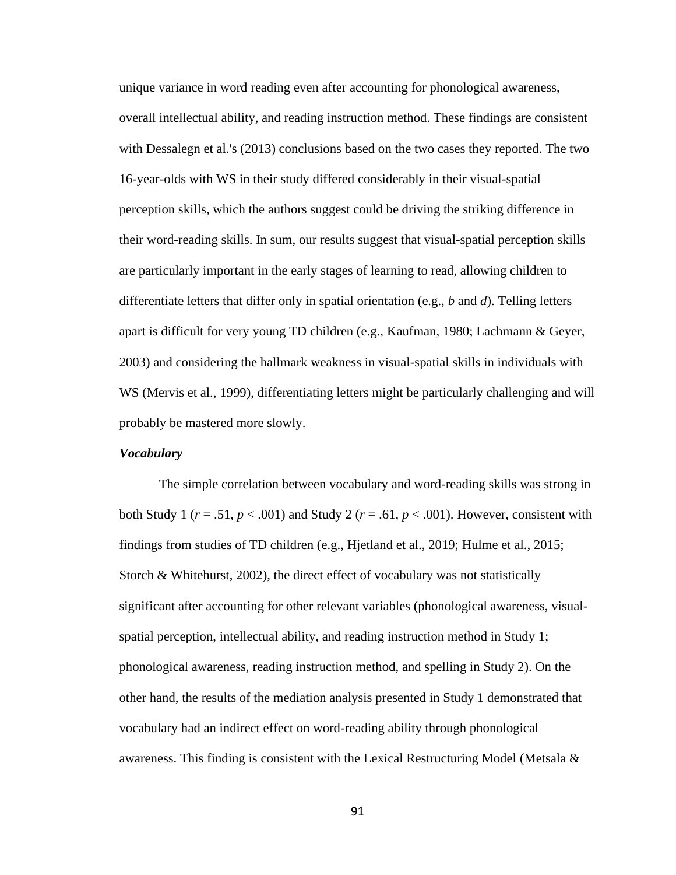unique variance in word reading even after accounting for phonological awareness, overall intellectual ability, and reading instruction method. These findings are consistent with Dessalegn et al.'s (2013) conclusions based on the two cases they reported. The two 16-year-olds with WS in their study differed considerably in their visual-spatial perception skills, which the authors suggest could be driving the striking difference in their word-reading skills. In sum, our results suggest that visual-spatial perception skills are particularly important in the early stages of learning to read, allowing children to differentiate letters that differ only in spatial orientation (e.g., *b* and *d*). Telling letters apart is difficult for very young TD children (e.g., Kaufman, 1980; Lachmann & Geyer, 2003) and considering the hallmark weakness in visual-spatial skills in individuals with WS (Mervis et al., 1999), differentiating letters might be particularly challenging and will probably be mastered more slowly.

#### *Vocabulary*

The simple correlation between vocabulary and word-reading skills was strong in both Study 1 ( $r = .51$ ,  $p < .001$ ) and Study 2 ( $r = .61$ ,  $p < .001$ ). However, consistent with findings from studies of TD children (e.g., Hjetland et al., 2019; Hulme et al., 2015; Storch & Whitehurst, 2002), the direct effect of vocabulary was not statistically significant after accounting for other relevant variables (phonological awareness, visualspatial perception, intellectual ability, and reading instruction method in Study 1; phonological awareness, reading instruction method, and spelling in Study 2). On the other hand, the results of the mediation analysis presented in Study 1 demonstrated that vocabulary had an indirect effect on word-reading ability through phonological awareness. This finding is consistent with the Lexical Restructuring Model (Metsala &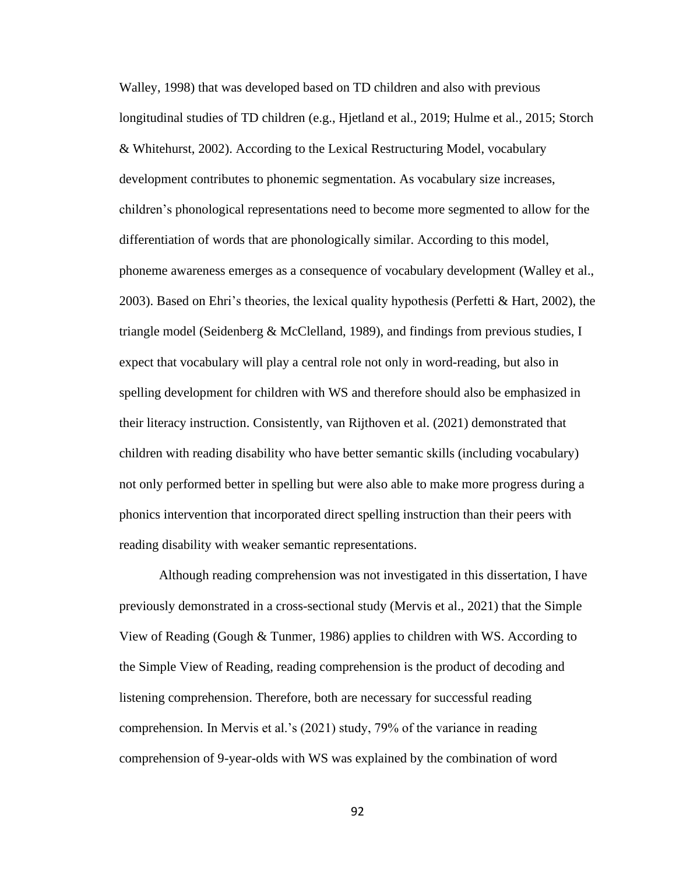Walley, 1998) that was developed based on TD children and also with previous longitudinal studies of TD children (e.g., Hjetland et al., 2019; Hulme et al., 2015; Storch & Whitehurst, 2002). According to the Lexical Restructuring Model, vocabulary development contributes to phonemic segmentation. As vocabulary size increases, children's phonological representations need to become more segmented to allow for the differentiation of words that are phonologically similar. According to this model, phoneme awareness emerges as a consequence of vocabulary development (Walley et al., 2003). Based on Ehri's theories, the lexical quality hypothesis (Perfetti & Hart, 2002), the triangle model (Seidenberg & McClelland, 1989), and findings from previous studies, I expect that vocabulary will play a central role not only in word-reading, but also in spelling development for children with WS and therefore should also be emphasized in their literacy instruction. Consistently, van Rijthoven et al. (2021) demonstrated that children with reading disability who have better semantic skills (including vocabulary) not only performed better in spelling but were also able to make more progress during a phonics intervention that incorporated direct spelling instruction than their peers with reading disability with weaker semantic representations.

Although reading comprehension was not investigated in this dissertation, I have previously demonstrated in a cross-sectional study (Mervis et al., 2021) that the Simple View of Reading (Gough & Tunmer, 1986) applies to children with WS. According to the Simple View of Reading, reading comprehension is the product of decoding and listening comprehension. Therefore, both are necessary for successful reading comprehension. In Mervis et al.'s (2021) study, 79% of the variance in reading comprehension of 9-year-olds with WS was explained by the combination of word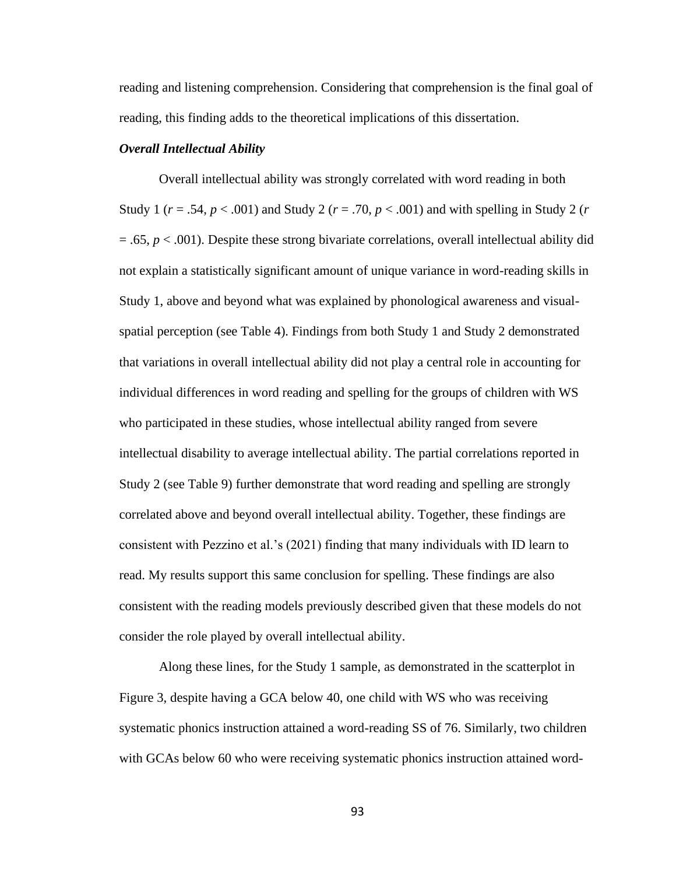reading and listening comprehension. Considering that comprehension is the final goal of reading, this finding adds to the theoretical implications of this dissertation.

#### *Overall Intellectual Ability*

Overall intellectual ability was strongly correlated with word reading in both Study 1 ( $r = .54$ ,  $p < .001$ ) and Study 2 ( $r = .70$ ,  $p < .001$ ) and with spelling in Study 2 ( $r = .70$ )  $= .65, p < .001$ ). Despite these strong bivariate correlations, overall intellectual ability did not explain a statistically significant amount of unique variance in word-reading skills in Study 1, above and beyond what was explained by phonological awareness and visualspatial perception (see Table 4). Findings from both Study 1 and Study 2 demonstrated that variations in overall intellectual ability did not play a central role in accounting for individual differences in word reading and spelling for the groups of children with WS who participated in these studies, whose intellectual ability ranged from severe intellectual disability to average intellectual ability. The partial correlations reported in Study 2 (see Table 9) further demonstrate that word reading and spelling are strongly correlated above and beyond overall intellectual ability. Together, these findings are consistent with Pezzino et al.'s (2021) finding that many individuals with ID learn to read. My results support this same conclusion for spelling. These findings are also consistent with the reading models previously described given that these models do not consider the role played by overall intellectual ability.

Along these lines, for the Study 1 sample, as demonstrated in the scatterplot in Figure 3, despite having a GCA below 40, one child with WS who was receiving systematic phonics instruction attained a word-reading SS of 76. Similarly, two children with GCAs below 60 who were receiving systematic phonics instruction attained word-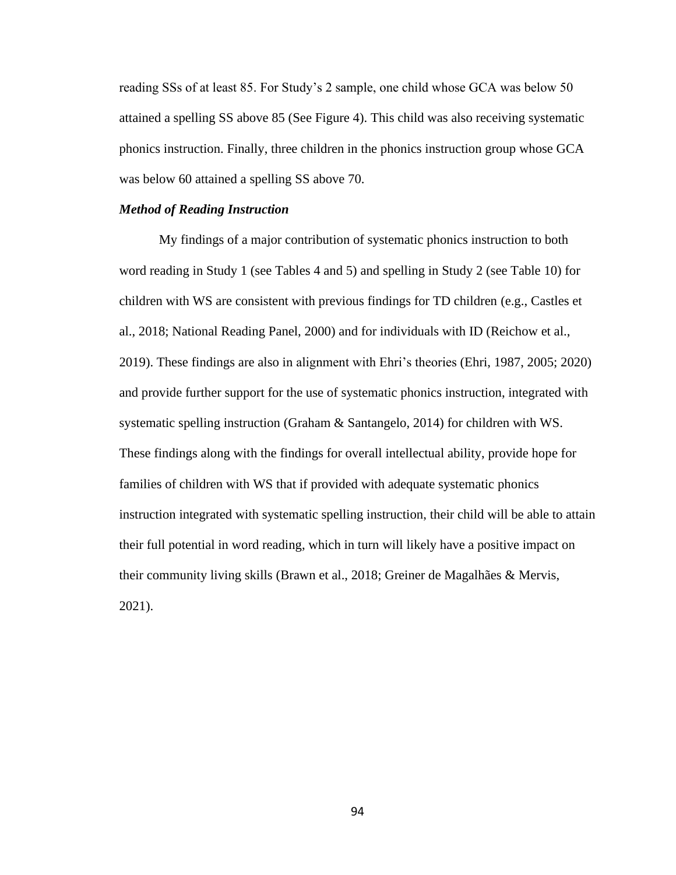reading SSs of at least 85. For Study's 2 sample, one child whose GCA was below 50 attained a spelling SS above 85 (See Figure 4). This child was also receiving systematic phonics instruction. Finally, three children in the phonics instruction group whose GCA was below 60 attained a spelling SS above 70.

#### *Method of Reading Instruction*

My findings of a major contribution of systematic phonics instruction to both word reading in Study 1 (see Tables 4 and 5) and spelling in Study 2 (see Table 10) for children with WS are consistent with previous findings for TD children (e.g., Castles et al., 2018; National Reading Panel, 2000) and for individuals with ID (Reichow et al., 2019). These findings are also in alignment with Ehri's theories (Ehri, 1987, 2005; 2020) and provide further support for the use of systematic phonics instruction, integrated with systematic spelling instruction (Graham & Santangelo, 2014) for children with WS. These findings along with the findings for overall intellectual ability, provide hope for families of children with WS that if provided with adequate systematic phonics instruction integrated with systematic spelling instruction, their child will be able to attain their full potential in word reading, which in turn will likely have a positive impact on their community living skills (Brawn et al., 2018; Greiner de Magalhães & Mervis, 2021).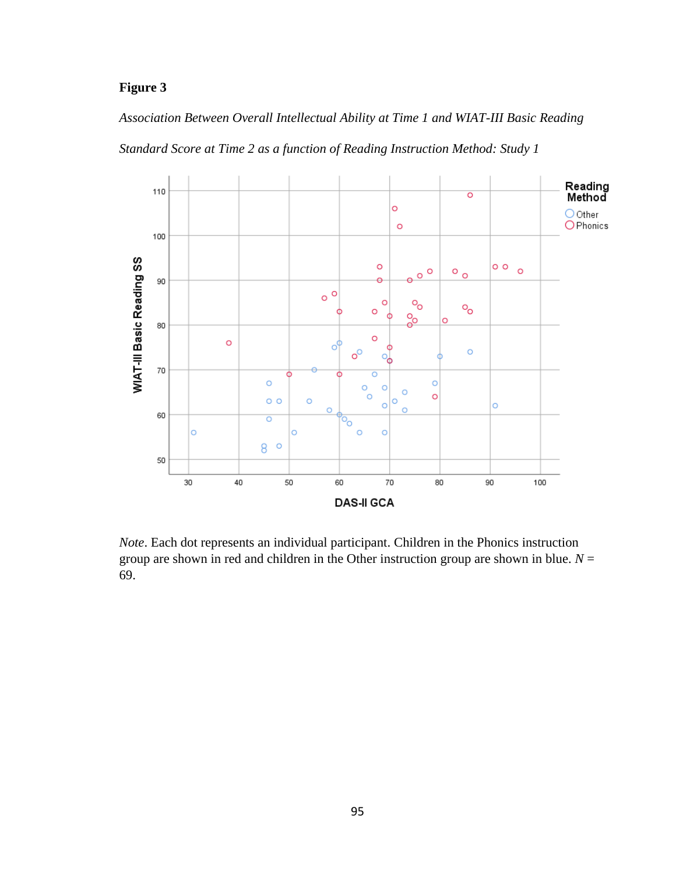## **Figure 3**

*Association Between Overall Intellectual Ability at Time 1 and WIAT-III Basic Reading* 

*Standard Score at Time 2 as a function of Reading Instruction Method: Study 1*



*Note*. Each dot represents an individual participant. Children in the Phonics instruction group are shown in red and children in the Other instruction group are shown in blue.  $N =$ 69.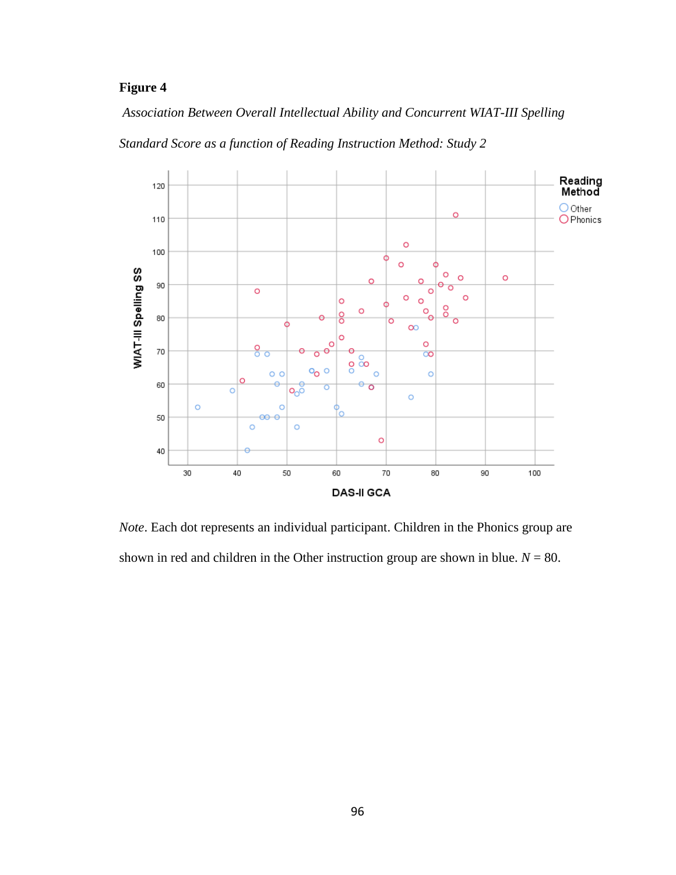# **Figure 4**

*Association Between Overall Intellectual Ability and Concurrent WIAT-III Spelling*

*Standard Score as a function of Reading Instruction Method: Study 2*



*Note*. Each dot represents an individual participant. Children in the Phonics group are shown in red and children in the Other instruction group are shown in blue.  $N = 80$ .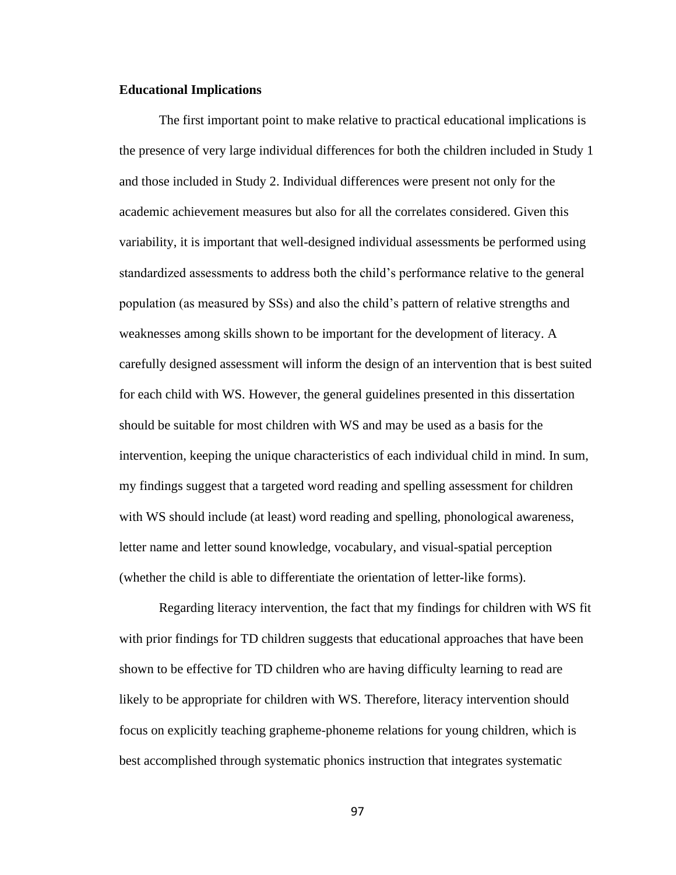#### **Educational Implications**

The first important point to make relative to practical educational implications is the presence of very large individual differences for both the children included in Study 1 and those included in Study 2. Individual differences were present not only for the academic achievement measures but also for all the correlates considered. Given this variability, it is important that well-designed individual assessments be performed using standardized assessments to address both the child's performance relative to the general population (as measured by SSs) and also the child's pattern of relative strengths and weaknesses among skills shown to be important for the development of literacy. A carefully designed assessment will inform the design of an intervention that is best suited for each child with WS. However, the general guidelines presented in this dissertation should be suitable for most children with WS and may be used as a basis for the intervention, keeping the unique characteristics of each individual child in mind. In sum, my findings suggest that a targeted word reading and spelling assessment for children with WS should include (at least) word reading and spelling, phonological awareness, letter name and letter sound knowledge, vocabulary, and visual-spatial perception (whether the child is able to differentiate the orientation of letter-like forms).

Regarding literacy intervention, the fact that my findings for children with WS fit with prior findings for TD children suggests that educational approaches that have been shown to be effective for TD children who are having difficulty learning to read are likely to be appropriate for children with WS. Therefore, literacy intervention should focus on explicitly teaching grapheme-phoneme relations for young children, which is best accomplished through systematic phonics instruction that integrates systematic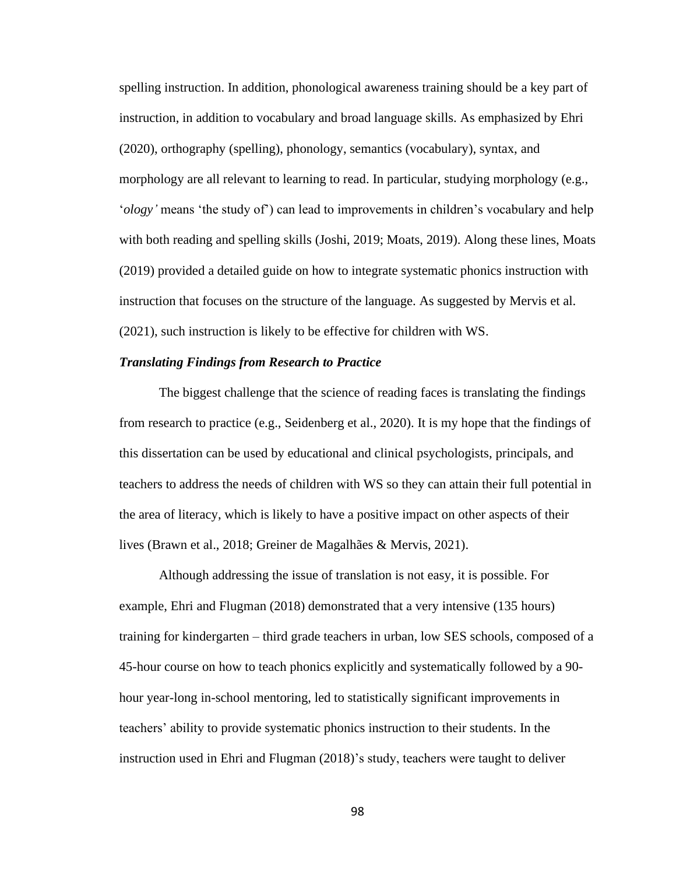spelling instruction. In addition, phonological awareness training should be a key part of instruction, in addition to vocabulary and broad language skills. As emphasized by Ehri (2020), orthography (spelling), phonology, semantics (vocabulary), syntax, and morphology are all relevant to learning to read. In particular, studying morphology (e.g., '*ology'* means 'the study of') can lead to improvements in children's vocabulary and help with both reading and spelling skills (Joshi, 2019; Moats, 2019). Along these lines, Moats (2019) provided a detailed guide on how to integrate systematic phonics instruction with instruction that focuses on the structure of the language. As suggested by Mervis et al. (2021), such instruction is likely to be effective for children with WS.

#### *Translating Findings from Research to Practice*

The biggest challenge that the science of reading faces is translating the findings from research to practice (e.g., Seidenberg et al., 2020). It is my hope that the findings of this dissertation can be used by educational and clinical psychologists, principals, and teachers to address the needs of children with WS so they can attain their full potential in the area of literacy, which is likely to have a positive impact on other aspects of their lives (Brawn et al., 2018; Greiner de Magalhães & Mervis, 2021).

Although addressing the issue of translation is not easy, it is possible. For example, Ehri and Flugman (2018) demonstrated that a very intensive (135 hours) training for kindergarten – third grade teachers in urban, low SES schools, composed of a 45-hour course on how to teach phonics explicitly and systematically followed by a 90 hour year-long in-school mentoring, led to statistically significant improvements in teachers' ability to provide systematic phonics instruction to their students. In the instruction used in Ehri and Flugman (2018)'s study, teachers were taught to deliver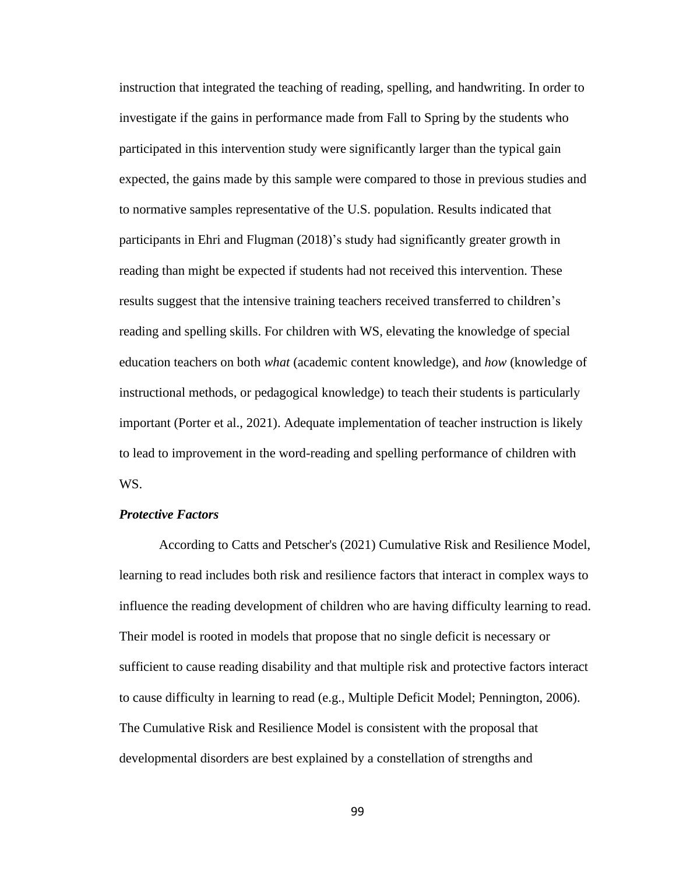instruction that integrated the teaching of reading, spelling, and handwriting. In order to investigate if the gains in performance made from Fall to Spring by the students who participated in this intervention study were significantly larger than the typical gain expected, the gains made by this sample were compared to those in previous studies and to normative samples representative of the U.S. population. Results indicated that participants in Ehri and Flugman (2018)'s study had significantly greater growth in reading than might be expected if students had not received this intervention. These results suggest that the intensive training teachers received transferred to children's reading and spelling skills. For children with WS, elevating the knowledge of special education teachers on both *what* (academic content knowledge), and *how* (knowledge of instructional methods, or pedagogical knowledge) to teach their students is particularly important (Porter et al., 2021). Adequate implementation of teacher instruction is likely to lead to improvement in the word-reading and spelling performance of children with WS.

### *Protective Factors*

According to Catts and Petscher's (2021) Cumulative Risk and Resilience Model, learning to read includes both risk and resilience factors that interact in complex ways to influence the reading development of children who are having difficulty learning to read. Their model is rooted in models that propose that no single deficit is necessary or sufficient to cause reading disability and that multiple risk and protective factors interact to cause difficulty in learning to read (e.g., Multiple Deficit Model; Pennington, 2006). The Cumulative Risk and Resilience Model is consistent with the proposal that developmental disorders are best explained by a constellation of strengths and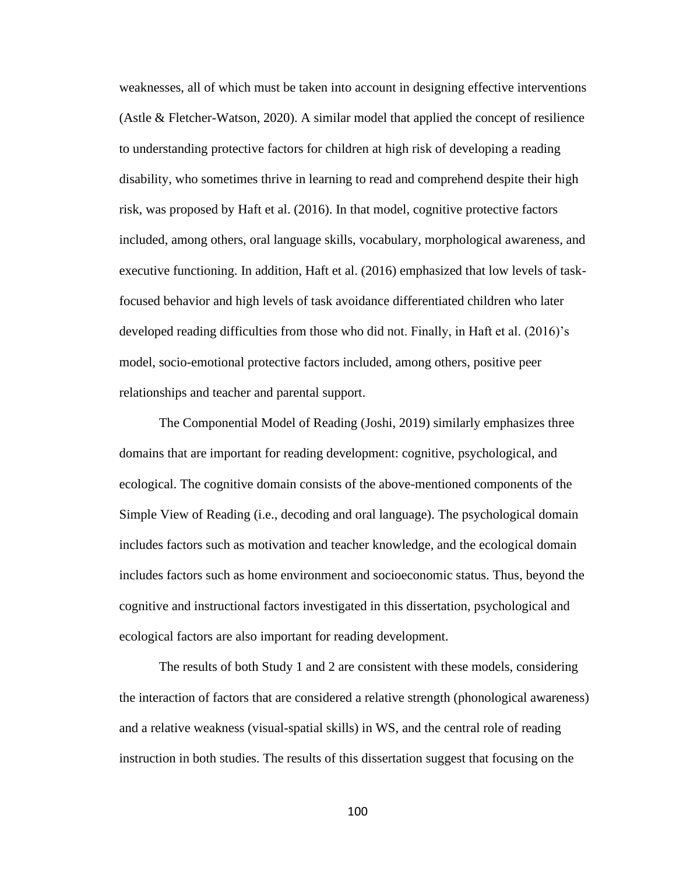weaknesses, all of which must be taken into account in designing effective interventions (Astle & Fletcher-Watson, 2020). A similar model that applied the concept of resilience to understanding protective factors for children at high risk of developing a reading disability, who sometimes thrive in learning to read and comprehend despite their high risk, was proposed by Haft et al. (2016). In that model, cognitive protective factors included, among others, oral language skills, vocabulary, morphological awareness, and executive functioning. In addition, Haft et al. (2016) emphasized that low levels of taskfocused behavior and high levels of task avoidance differentiated children who later developed reading difficulties from those who did not. Finally, in Haft et al. (2016)'s model, socio-emotional protective factors included, among others, positive peer relationships and teacher and parental support.

The Componential Model of Reading (Joshi, 2019) similarly emphasizes three domains that are important for reading development: cognitive, psychological, and ecological. The cognitive domain consists of the above-mentioned components of the Simple View of Reading (i.e., decoding and oral language). The psychological domain includes factors such as motivation and teacher knowledge, and the ecological domain includes factors such as home environment and socioeconomic status. Thus, beyond the cognitive and instructional factors investigated in this dissertation, psychological and ecological factors are also important for reading development.

The results of both Study 1 and 2 are consistent with these models, considering the interaction of factors that are considered a relative strength (phonological awareness) and a relative weakness (visual-spatial skills) in WS, and the central role of reading instruction in both studies. The results of this dissertation suggest that focusing on the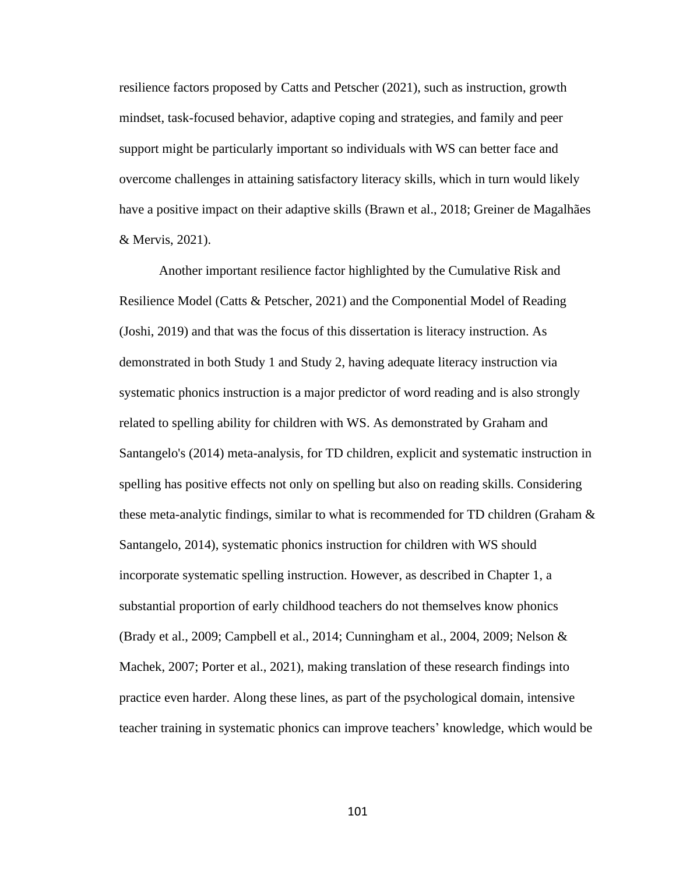resilience factors proposed by Catts and Petscher (2021), such as instruction, growth mindset, task-focused behavior, adaptive coping and strategies, and family and peer support might be particularly important so individuals with WS can better face and overcome challenges in attaining satisfactory literacy skills, which in turn would likely have a positive impact on their adaptive skills (Brawn et al., 2018; Greiner de Magalhães & Mervis, 2021).

Another important resilience factor highlighted by the Cumulative Risk and Resilience Model (Catts & Petscher, 2021) and the Componential Model of Reading (Joshi, 2019) and that was the focus of this dissertation is literacy instruction. As demonstrated in both Study 1 and Study 2, having adequate literacy instruction via systematic phonics instruction is a major predictor of word reading and is also strongly related to spelling ability for children with WS. As demonstrated by Graham and Santangelo's (2014) meta-analysis, for TD children, explicit and systematic instruction in spelling has positive effects not only on spelling but also on reading skills. Considering these meta-analytic findings, similar to what is recommended for TD children (Graham & Santangelo, 2014), systematic phonics instruction for children with WS should incorporate systematic spelling instruction. However, as described in Chapter 1, a substantial proportion of early childhood teachers do not themselves know phonics (Brady et al., 2009; Campbell et al., 2014; Cunningham et al., 2004, 2009; Nelson & Machek, 2007; Porter et al., 2021), making translation of these research findings into practice even harder. Along these lines, as part of the psychological domain, intensive teacher training in systematic phonics can improve teachers' knowledge, which would be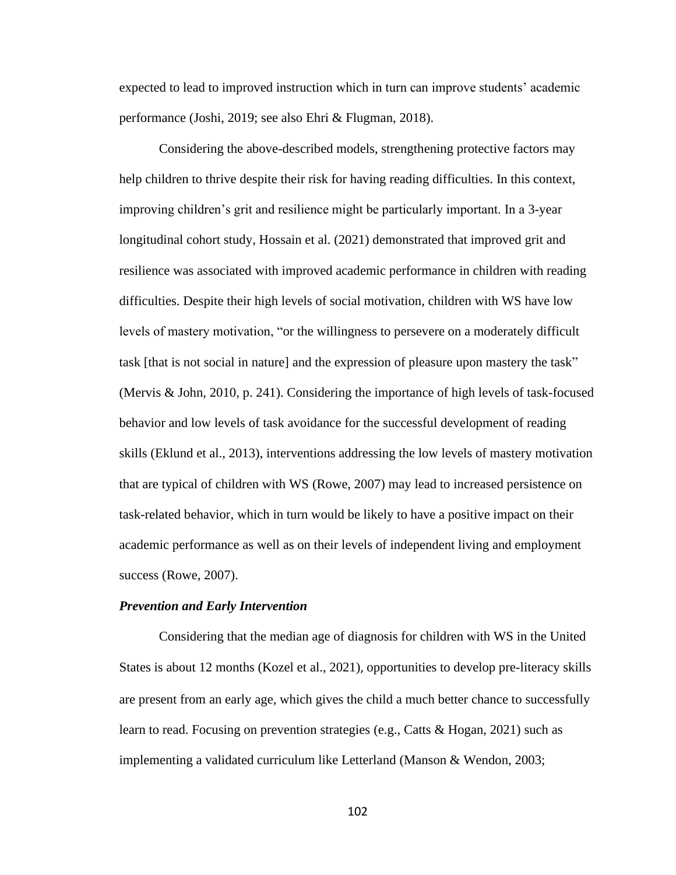expected to lead to improved instruction which in turn can improve students' academic performance (Joshi, 2019; see also Ehri & Flugman, 2018).

Considering the above-described models, strengthening protective factors may help children to thrive despite their risk for having reading difficulties. In this context, improving children's grit and resilience might be particularly important. In a 3-year longitudinal cohort study, Hossain et al. (2021) demonstrated that improved grit and resilience was associated with improved academic performance in children with reading difficulties. Despite their high levels of social motivation, children with WS have low levels of mastery motivation, "or the willingness to persevere on a moderately difficult task [that is not social in nature] and the expression of pleasure upon mastery the task" (Mervis & John, 2010, p. 241). Considering the importance of high levels of task-focused behavior and low levels of task avoidance for the successful development of reading skills (Eklund et al., 2013), interventions addressing the low levels of mastery motivation that are typical of children with WS (Rowe, 2007) may lead to increased persistence on task-related behavior, which in turn would be likely to have a positive impact on their academic performance as well as on their levels of independent living and employment success (Rowe, 2007).

#### *Prevention and Early Intervention*

Considering that the median age of diagnosis for children with WS in the United States is about 12 months (Kozel et al., 2021), opportunities to develop pre-literacy skills are present from an early age, which gives the child a much better chance to successfully learn to read. Focusing on prevention strategies (e.g., Catts & Hogan, 2021) such as implementing a validated curriculum like Letterland (Manson & Wendon, 2003;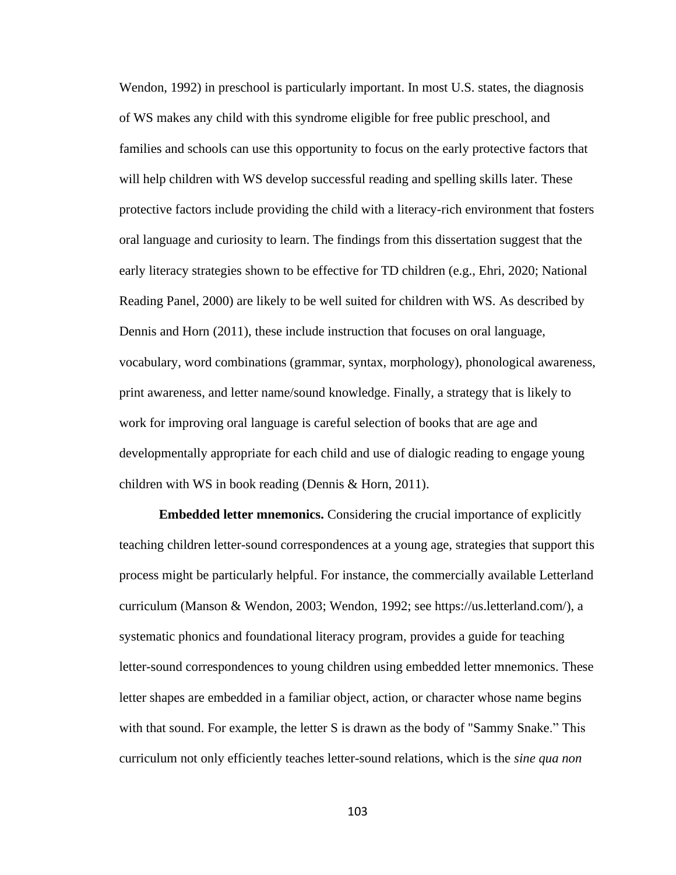Wendon, 1992) in preschool is particularly important. In most U.S. states, the diagnosis of WS makes any child with this syndrome eligible for free public preschool, and families and schools can use this opportunity to focus on the early protective factors that will help children with WS develop successful reading and spelling skills later. These protective factors include providing the child with a literacy-rich environment that fosters oral language and curiosity to learn. The findings from this dissertation suggest that the early literacy strategies shown to be effective for TD children (e.g., Ehri, 2020; National Reading Panel, 2000) are likely to be well suited for children with WS. As described by Dennis and Horn (2011), these include instruction that focuses on oral language, vocabulary, word combinations (grammar, syntax, morphology), phonological awareness, print awareness, and letter name/sound knowledge. Finally, a strategy that is likely to work for improving oral language is careful selection of books that are age and developmentally appropriate for each child and use of dialogic reading to engage young children with WS in book reading (Dennis & Horn, 2011).

**Embedded letter mnemonics.** Considering the crucial importance of explicitly teaching children letter-sound correspondences at a young age, strategies that support this process might be particularly helpful. For instance, the commercially available Letterland curriculum (Manson & Wendon, 2003; Wendon, 1992; see https://us.letterland.com/), a systematic phonics and foundational literacy program, provides a guide for teaching letter-sound correspondences to young children using embedded letter mnemonics. These letter shapes are embedded in a familiar object, action, or character whose name begins with that sound. For example, the letter S is drawn as the body of "Sammy Snake." This curriculum not only efficiently teaches letter-sound relations, which is the *sine qua non*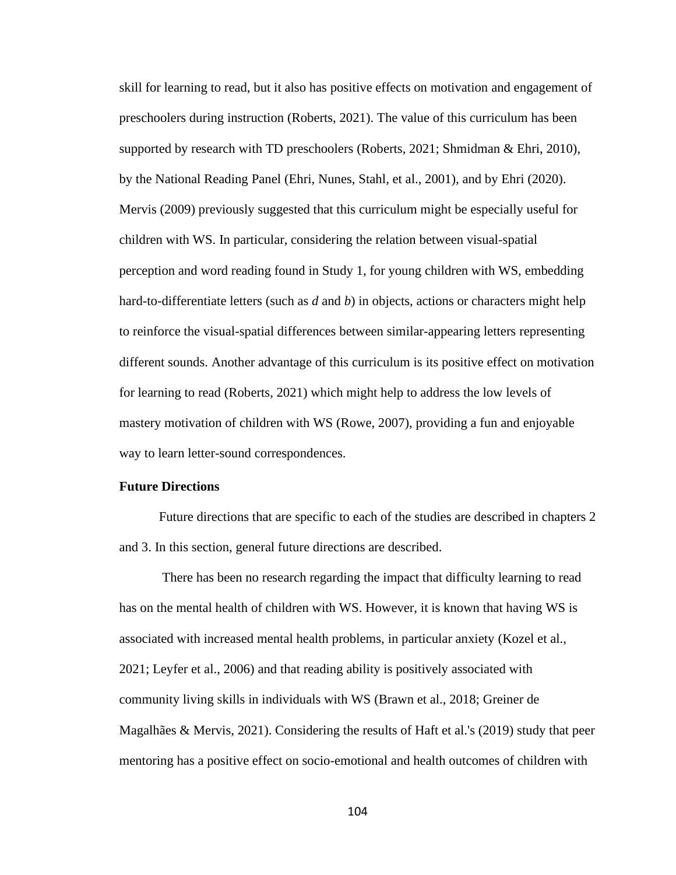skill for learning to read, but it also has positive effects on motivation and engagement of preschoolers during instruction (Roberts, 2021). The value of this curriculum has been supported by research with TD preschoolers (Roberts, 2021; Shmidman & Ehri, 2010), by the National Reading Panel (Ehri, Nunes, Stahl, et al., 2001), and by Ehri (2020). Mervis (2009) previously suggested that this curriculum might be especially useful for children with WS. In particular, considering the relation between visual-spatial perception and word reading found in Study 1, for young children with WS, embedding hard-to-differentiate letters (such as *d* and *b*) in objects, actions or characters might help to reinforce the visual-spatial differences between similar-appearing letters representing different sounds. Another advantage of this curriculum is its positive effect on motivation for learning to read (Roberts, 2021) which might help to address the low levels of mastery motivation of children with WS (Rowe, 2007), providing a fun and enjoyable way to learn letter-sound correspondences.

## **Future Directions**

Future directions that are specific to each of the studies are described in chapters 2 and 3. In this section, general future directions are described.

There has been no research regarding the impact that difficulty learning to read has on the mental health of children with WS. However, it is known that having WS is associated with increased mental health problems, in particular anxiety (Kozel et al., 2021; Leyfer et al., 2006) and that reading ability is positively associated with community living skills in individuals with WS (Brawn et al., 2018; Greiner de Magalhães & Mervis, 2021). Considering the results of Haft et al.'s (2019) study that peer mentoring has a positive effect on socio-emotional and health outcomes of children with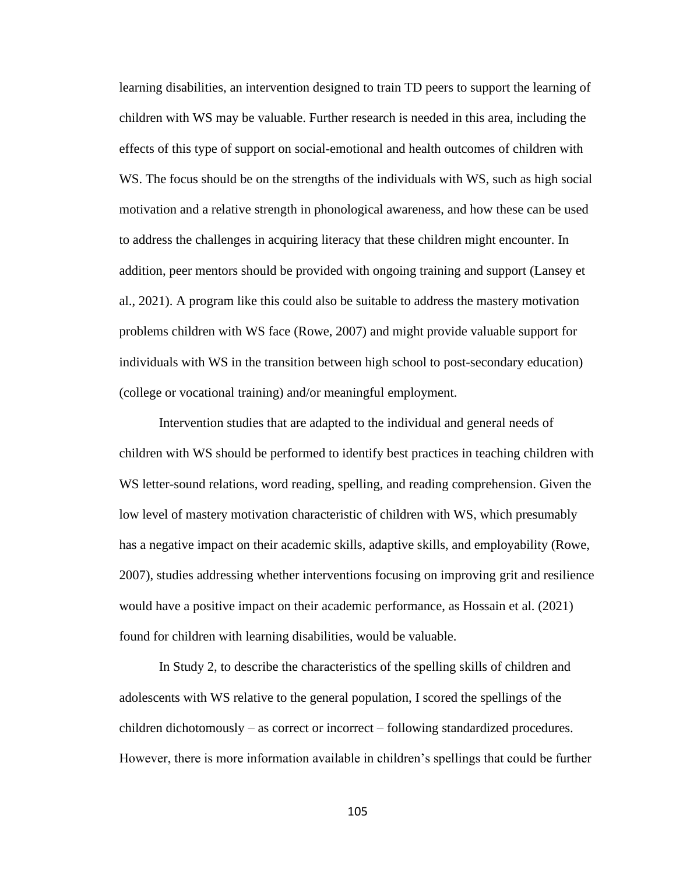learning disabilities, an intervention designed to train TD peers to support the learning of children with WS may be valuable. Further research is needed in this area, including the effects of this type of support on social-emotional and health outcomes of children with WS. The focus should be on the strengths of the individuals with WS, such as high social motivation and a relative strength in phonological awareness, and how these can be used to address the challenges in acquiring literacy that these children might encounter. In addition, peer mentors should be provided with ongoing training and support (Lansey et al., 2021). A program like this could also be suitable to address the mastery motivation problems children with WS face (Rowe, 2007) and might provide valuable support for individuals with WS in the transition between high school to post-secondary education) (college or vocational training) and/or meaningful employment.

Intervention studies that are adapted to the individual and general needs of children with WS should be performed to identify best practices in teaching children with WS letter-sound relations, word reading, spelling, and reading comprehension. Given the low level of mastery motivation characteristic of children with WS, which presumably has a negative impact on their academic skills, adaptive skills, and employability (Rowe, 2007), studies addressing whether interventions focusing on improving grit and resilience would have a positive impact on their academic performance, as Hossain et al. (2021) found for children with learning disabilities, would be valuable.

In Study 2, to describe the characteristics of the spelling skills of children and adolescents with WS relative to the general population, I scored the spellings of the children dichotomously – as correct or incorrect – following standardized procedures. However, there is more information available in children's spellings that could be further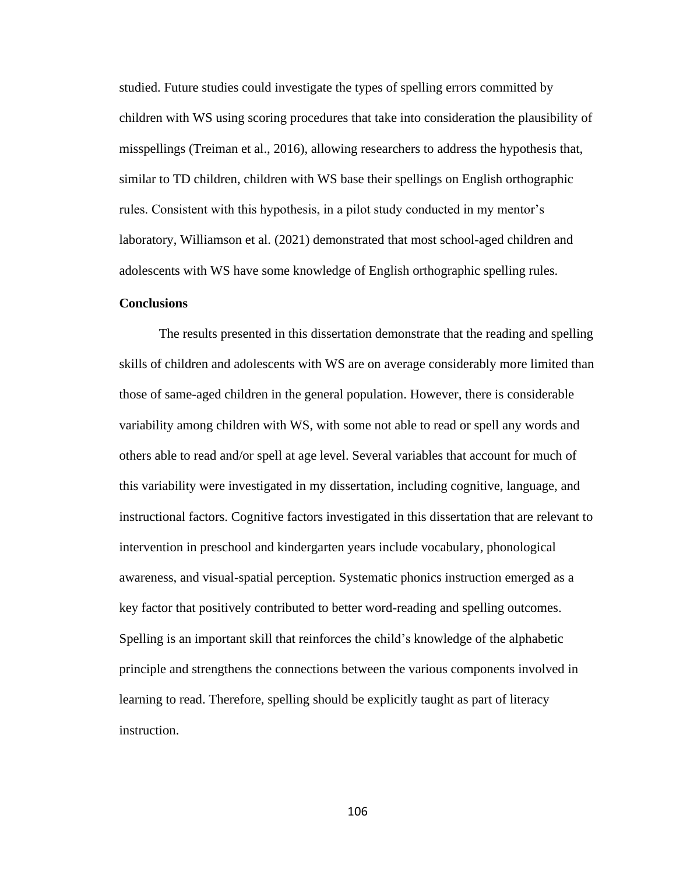studied. Future studies could investigate the types of spelling errors committed by children with WS using scoring procedures that take into consideration the plausibility of misspellings (Treiman et al., 2016), allowing researchers to address the hypothesis that, similar to TD children, children with WS base their spellings on English orthographic rules. Consistent with this hypothesis, in a pilot study conducted in my mentor's laboratory, Williamson et al. (2021) demonstrated that most school-aged children and adolescents with WS have some knowledge of English orthographic spelling rules.

#### **Conclusions**

The results presented in this dissertation demonstrate that the reading and spelling skills of children and adolescents with WS are on average considerably more limited than those of same-aged children in the general population. However, there is considerable variability among children with WS, with some not able to read or spell any words and others able to read and/or spell at age level. Several variables that account for much of this variability were investigated in my dissertation, including cognitive, language, and instructional factors. Cognitive factors investigated in this dissertation that are relevant to intervention in preschool and kindergarten years include vocabulary, phonological awareness, and visual-spatial perception. Systematic phonics instruction emerged as a key factor that positively contributed to better word-reading and spelling outcomes. Spelling is an important skill that reinforces the child's knowledge of the alphabetic principle and strengthens the connections between the various components involved in learning to read. Therefore, spelling should be explicitly taught as part of literacy instruction.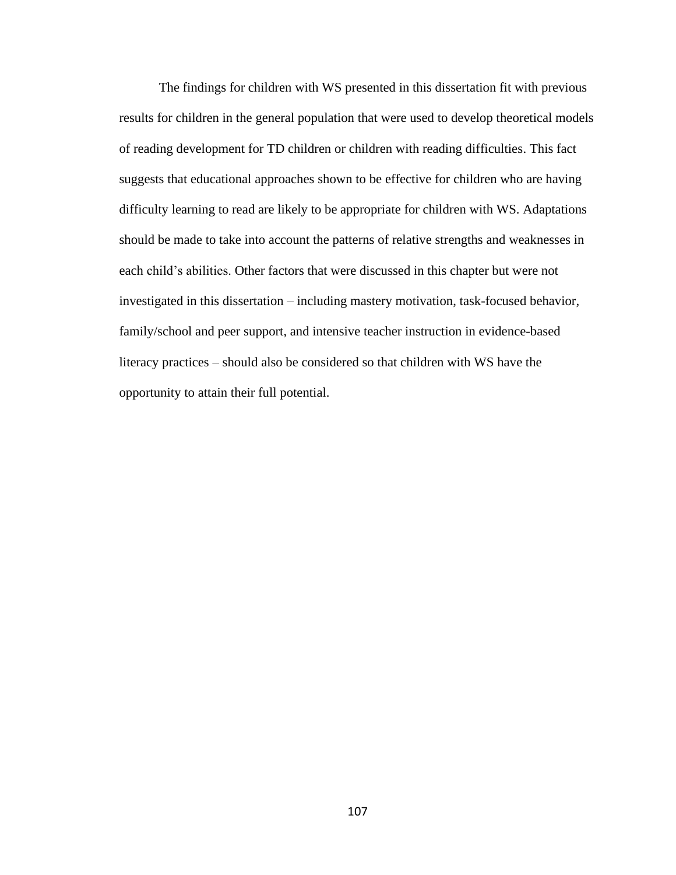The findings for children with WS presented in this dissertation fit with previous results for children in the general population that were used to develop theoretical models of reading development for TD children or children with reading difficulties. This fact suggests that educational approaches shown to be effective for children who are having difficulty learning to read are likely to be appropriate for children with WS. Adaptations should be made to take into account the patterns of relative strengths and weaknesses in each child's abilities. Other factors that were discussed in this chapter but were not investigated in this dissertation – including mastery motivation, task-focused behavior, family/school and peer support, and intensive teacher instruction in evidence-based literacy practices – should also be considered so that children with WS have the opportunity to attain their full potential.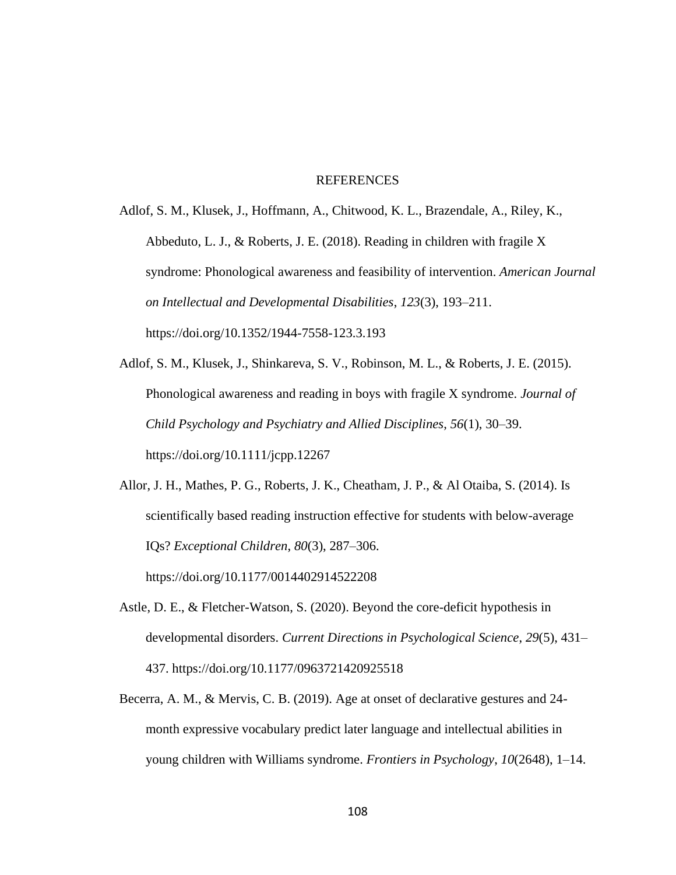#### REFERENCES

Adlof, S. M., Klusek, J., Hoffmann, A., Chitwood, K. L., Brazendale, A., Riley, K., Abbeduto, L. J., & Roberts, J. E. (2018). Reading in children with fragile X syndrome: Phonological awareness and feasibility of intervention. *American Journal on Intellectual and Developmental Disabilities*, *123*(3), 193–211. https://doi.org/10.1352/1944-7558-123.3.193

Adlof, S. M., Klusek, J., Shinkareva, S. V., Robinson, M. L., & Roberts, J. E. (2015). Phonological awareness and reading in boys with fragile X syndrome. *Journal of Child Psychology and Psychiatry and Allied Disciplines*, *56*(1), 30–39. https://doi.org/10.1111/jcpp.12267

Allor, J. H., Mathes, P. G., Roberts, J. K., Cheatham, J. P., & Al Otaiba, S. (2014). Is scientifically based reading instruction effective for students with below-average IQs? *Exceptional Children*, *80*(3), 287–306. https://doi.org/10.1177/0014402914522208

- Astle, D. E., & Fletcher-Watson, S. (2020). Beyond the core-deficit hypothesis in developmental disorders. *Current Directions in Psychological Science*, *29*(5), 431– 437. https://doi.org/10.1177/0963721420925518
- Becerra, A. M., & Mervis, C. B. (2019). Age at onset of declarative gestures and 24 month expressive vocabulary predict later language and intellectual abilities in young children with Williams syndrome. *Frontiers in Psychology*, *10*(2648), 1–14.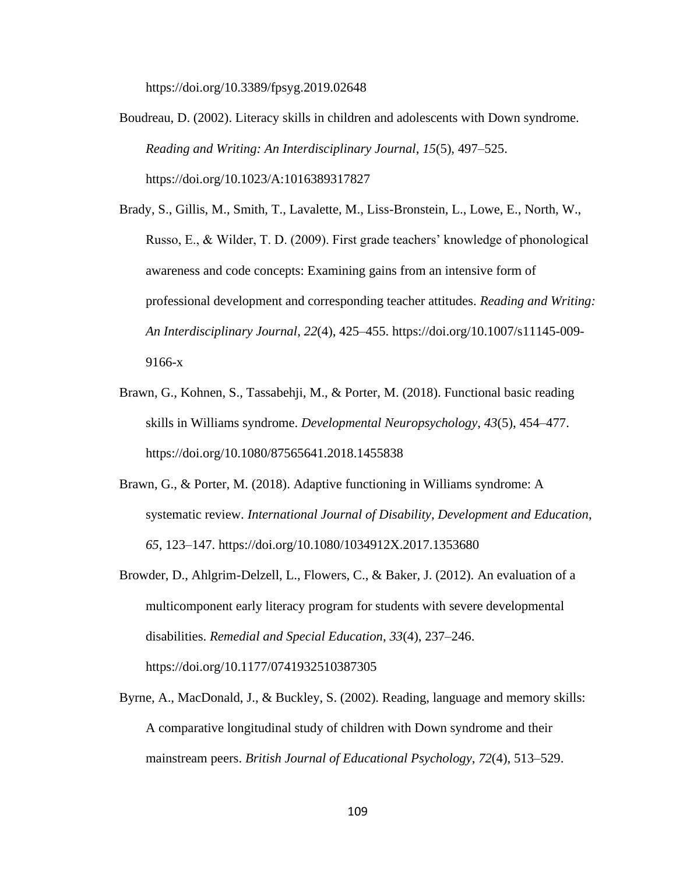https://doi.org/10.3389/fpsyg.2019.02648

Boudreau, D. (2002). Literacy skills in children and adolescents with Down syndrome. *Reading and Writing: An Interdisciplinary Journal*, *15*(5), 497–525. https://doi.org/10.1023/A:1016389317827

- Brady, S., Gillis, M., Smith, T., Lavalette, M., Liss-Bronstein, L., Lowe, E., North, W., Russo, E., & Wilder, T. D. (2009). First grade teachers' knowledge of phonological awareness and code concepts: Examining gains from an intensive form of professional development and corresponding teacher attitudes. *Reading and Writing: An Interdisciplinary Journal*, *22*(4), 425–455. https://doi.org/10.1007/s11145-009- 9166-x
- Brawn, G., Kohnen, S., Tassabehji, M., & Porter, M. (2018). Functional basic reading skills in Williams syndrome. *Developmental Neuropsychology*, *43*(5), 454–477. https://doi.org/10.1080/87565641.2018.1455838
- Brawn, G., & Porter, M. (2018). Adaptive functioning in Williams syndrome: A systematic review. *International Journal of Disability, Development and Education*, *65*, 123–147. https://doi.org/10.1080/1034912X.2017.1353680
- Browder, D., Ahlgrim-Delzell, L., Flowers, C., & Baker, J. (2012). An evaluation of a multicomponent early literacy program for students with severe developmental disabilities. *Remedial and Special Education*, *33*(4), 237–246. https://doi.org/10.1177/0741932510387305
- Byrne, A., MacDonald, J., & Buckley, S. (2002). Reading, language and memory skills: A comparative longitudinal study of children with Down syndrome and their mainstream peers. *British Journal of Educational Psychology*, *72*(4), 513–529.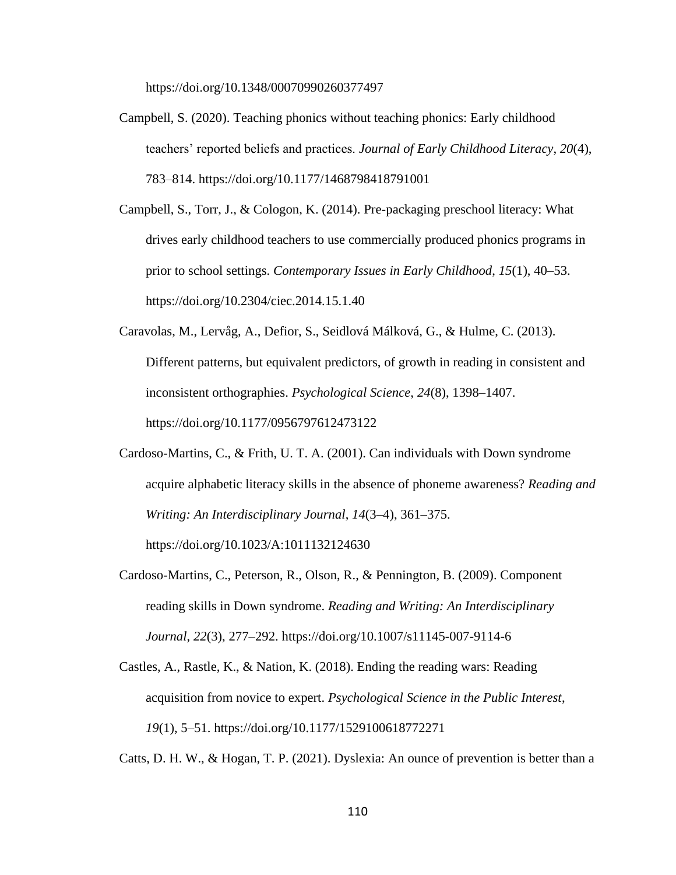https://doi.org/10.1348/00070990260377497

- Campbell, S. (2020). Teaching phonics without teaching phonics: Early childhood teachers' reported beliefs and practices. *Journal of Early Childhood Literacy*, *20*(4), 783–814. https://doi.org/10.1177/1468798418791001
- Campbell, S., Torr, J., & Cologon, K. (2014). Pre-packaging preschool literacy: What drives early childhood teachers to use commercially produced phonics programs in prior to school settings. *Contemporary Issues in Early Childhood*, *15*(1), 40–53. https://doi.org/10.2304/ciec.2014.15.1.40
- Caravolas, M., Lervåg, A., Defior, S., Seidlová Málková, G., & Hulme, C. (2013). Different patterns, but equivalent predictors, of growth in reading in consistent and inconsistent orthographies. *Psychological Science*, *24*(8), 1398–1407. https://doi.org/10.1177/0956797612473122
- Cardoso-Martins, C., & Frith, U. T. A. (2001). Can individuals with Down syndrome acquire alphabetic literacy skills in the absence of phoneme awareness? *Reading and Writing: An Interdisciplinary Journal*, *14*(3–4), 361–375.

https://doi.org/10.1023/A:1011132124630

- Cardoso-Martins, C., Peterson, R., Olson, R., & Pennington, B. (2009). Component reading skills in Down syndrome. *Reading and Writing: An Interdisciplinary Journal*, *22*(3), 277–292. https://doi.org/10.1007/s11145-007-9114-6
- Castles, A., Rastle, K., & Nation, K. (2018). Ending the reading wars: Reading acquisition from novice to expert. *Psychological Science in the Public Interest*, *19*(1), 5–51. https://doi.org/10.1177/1529100618772271

Catts, D. H. W., & Hogan, T. P. (2021). Dyslexia: An ounce of prevention is better than a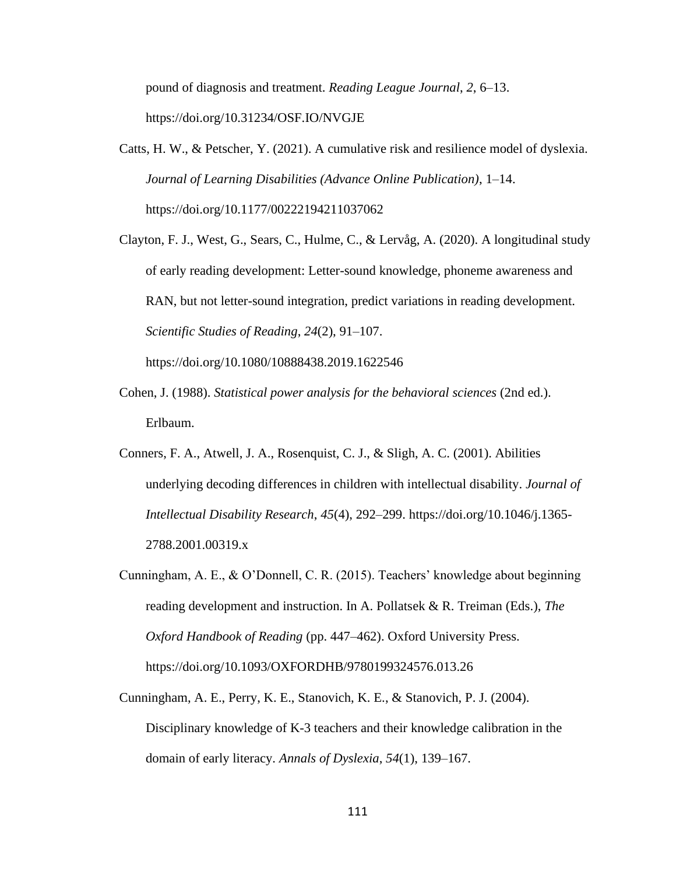pound of diagnosis and treatment. *Reading League Journal*, *2*, 6–13. https://doi.org/10.31234/OSF.IO/NVGJE

Catts, H. W., & Petscher, Y. (2021). A cumulative risk and resilience model of dyslexia. *Journal of Learning Disabilities (Advance Online Publication)*, 1–14. https://doi.org/10.1177/00222194211037062

Clayton, F. J., West, G., Sears, C., Hulme, C., & Lervåg, A. (2020). A longitudinal study of early reading development: Letter-sound knowledge, phoneme awareness and RAN, but not letter-sound integration, predict variations in reading development. *Scientific Studies of Reading*, *24*(2), 91–107.

https://doi.org/10.1080/10888438.2019.1622546

- Cohen, J. (1988). *Statistical power analysis for the behavioral sciences* (2nd ed.). Erlbaum.
- Conners, F. A., Atwell, J. A., Rosenquist, C. J., & Sligh, A. C. (2001). Abilities underlying decoding differences in children with intellectual disability. *Journal of Intellectual Disability Research*, *45*(4), 292–299. https://doi.org/10.1046/j.1365- 2788.2001.00319.x
- Cunningham, A. E., & O'Donnell, C. R. (2015). Teachers' knowledge about beginning reading development and instruction. In A. Pollatsek & R. Treiman (Eds.), *The Oxford Handbook of Reading* (pp. 447–462). Oxford University Press. https://doi.org/10.1093/OXFORDHB/9780199324576.013.26
- Cunningham, A. E., Perry, K. E., Stanovich, K. E., & Stanovich, P. J. (2004). Disciplinary knowledge of K-3 teachers and their knowledge calibration in the domain of early literacy. *Annals of Dyslexia*, *54*(1), 139–167.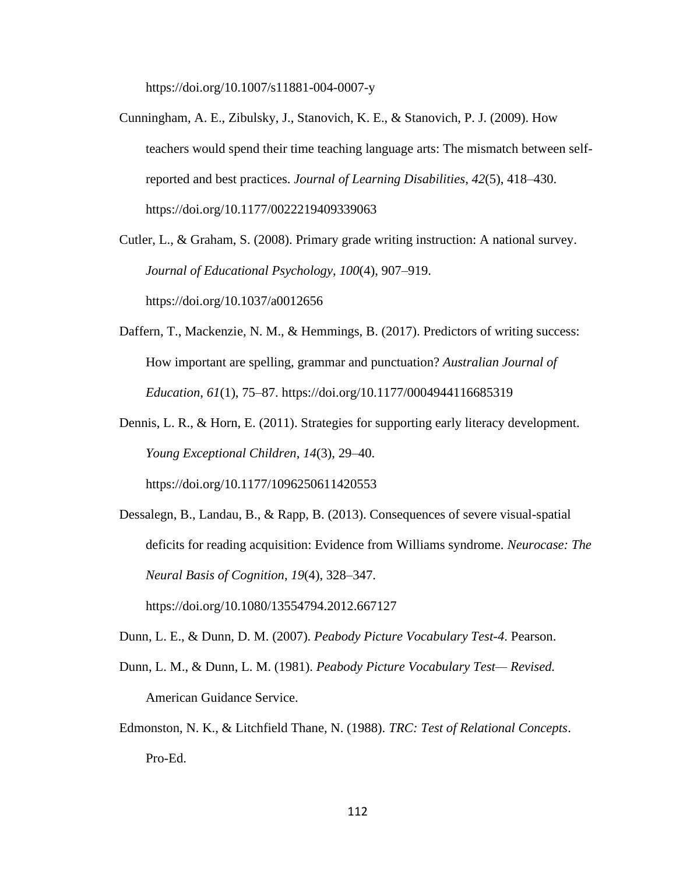https://doi.org/10.1007/s11881-004-0007-y

Cunningham, A. E., Zibulsky, J., Stanovich, K. E., & Stanovich, P. J. (2009). How teachers would spend their time teaching language arts: The mismatch between selfreported and best practices. *Journal of Learning Disabilities*, *42*(5), 418–430. https://doi.org/10.1177/0022219409339063

Cutler, L., & Graham, S. (2008). Primary grade writing instruction: A national survey. *Journal of Educational Psychology*, *100*(4), 907–919. https://doi.org/10.1037/a0012656

- Daffern, T., Mackenzie, N. M., & Hemmings, B. (2017). Predictors of writing success: How important are spelling, grammar and punctuation? *Australian Journal of Education*, *61*(1), 75–87. https://doi.org/10.1177/0004944116685319
- Dennis, L. R., & Horn, E. (2011). Strategies for supporting early literacy development. *Young Exceptional Children*, *14*(3), 29–40. https://doi.org/10.1177/1096250611420553
- Dessalegn, B., Landau, B., & Rapp, B. (2013). Consequences of severe visual-spatial deficits for reading acquisition: Evidence from Williams syndrome. *Neurocase: The Neural Basis of Cognition*, *19*(4), 328–347.

https://doi.org/10.1080/13554794.2012.667127

- Dunn, L. E., & Dunn, D. M. (2007). *Peabody Picture Vocabulary Test-4*. Pearson.
- Dunn, L. M., & Dunn, L. M. (1981). *Peabody Picture Vocabulary Test— Revised.* American Guidance Service.
- Edmonston, N. K., & Litchfield Thane, N. (1988). *TRC: Test of Relational Concepts*. Pro-Ed.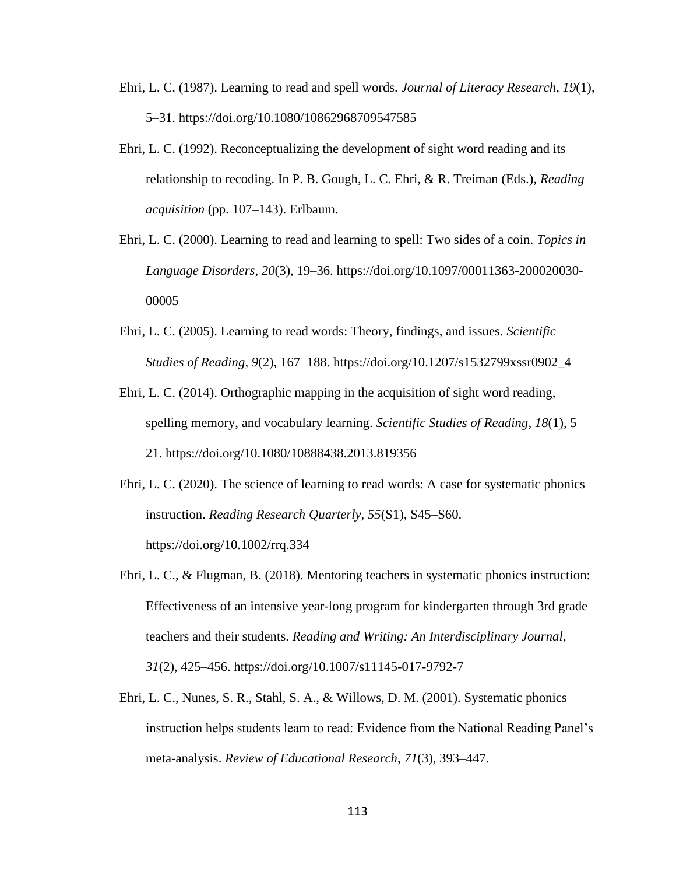- Ehri, L. C. (1987). Learning to read and spell words. *Journal of Literacy Research*, *19*(1), 5–31. https://doi.org/10.1080/10862968709547585
- Ehri, L. C. (1992). Reconceptualizing the development of sight word reading and its relationship to recoding. In P. B. Gough, L. C. Ehri, & R. Treiman (Eds.), *Reading acquisition* (pp. 107–143). Erlbaum.
- Ehri, L. C. (2000). Learning to read and learning to spell: Two sides of a coin. *Topics in Language Disorders*, *20*(3), 19–36. https://doi.org/10.1097/00011363-200020030- 00005
- Ehri, L. C. (2005). Learning to read words: Theory, findings, and issues. *Scientific Studies of Reading*, *9*(2), 167–188. https://doi.org/10.1207/s1532799xssr0902\_4
- Ehri, L. C. (2014). Orthographic mapping in the acquisition of sight word reading, spelling memory, and vocabulary learning. *Scientific Studies of Reading*, *18*(1), 5– 21. https://doi.org/10.1080/10888438.2013.819356
- Ehri, L. C. (2020). The science of learning to read words: A case for systematic phonics instruction. *Reading Research Quarterly*, *55*(S1), S45–S60. https://doi.org/10.1002/rrq.334
- Ehri, L. C., & Flugman, B. (2018). Mentoring teachers in systematic phonics instruction: Effectiveness of an intensive year-long program for kindergarten through 3rd grade teachers and their students. *Reading and Writing: An Interdisciplinary Journal*, *31*(2), 425–456. https://doi.org/10.1007/s11145-017-9792-7
- Ehri, L. C., Nunes, S. R., Stahl, S. A., & Willows, D. M. (2001). Systematic phonics instruction helps students learn to read: Evidence from the National Reading Panel's meta-analysis. *Review of Educational Research*, *71*(3), 393–447.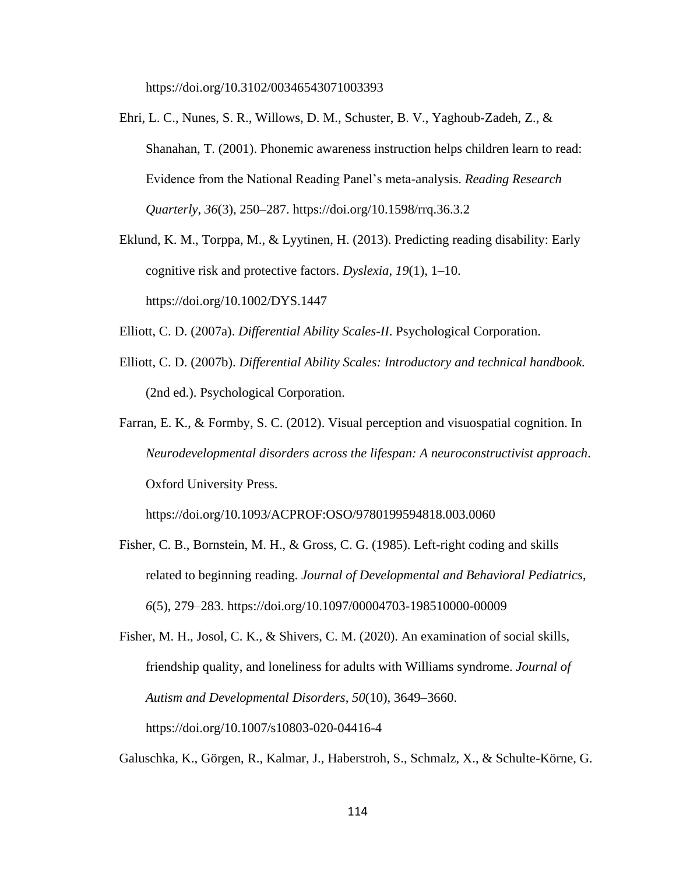https://doi.org/10.3102/00346543071003393

- Ehri, L. C., Nunes, S. R., Willows, D. M., Schuster, B. V., Yaghoub-Zadeh, Z., & Shanahan, T. (2001). Phonemic awareness instruction helps children learn to read: Evidence from the National Reading Panel's meta-analysis. *Reading Research Quarterly*, *36*(3), 250–287. https://doi.org/10.1598/rrq.36.3.2
- Eklund, K. M., Torppa, M., & Lyytinen, H. (2013). Predicting reading disability: Early cognitive risk and protective factors. *Dyslexia*, *19*(1), 1–10. https://doi.org/10.1002/DYS.1447
- Elliott, C. D. (2007a). *Differential Ability Scales-II*. Psychological Corporation.
- Elliott, C. D. (2007b). *Differential Ability Scales: Introductory and technical handbook.* (2nd ed.). Psychological Corporation.
- Farran, E. K., & Formby, S. C. (2012). Visual perception and visuospatial cognition. In *Neurodevelopmental disorders across the lifespan: A neuroconstructivist approach*. Oxford University Press.

https://doi.org/10.1093/ACPROF:OSO/9780199594818.003.0060

Fisher, C. B., Bornstein, M. H., & Gross, C. G. (1985). Left-right coding and skills related to beginning reading. *Journal of Developmental and Behavioral Pediatrics*, *6*(5), 279–283. https://doi.org/10.1097/00004703-198510000-00009

Fisher, M. H., Josol, C. K., & Shivers, C. M. (2020). An examination of social skills, friendship quality, and loneliness for adults with Williams syndrome. *Journal of Autism and Developmental Disorders*, *50*(10), 3649–3660. https://doi.org/10.1007/s10803-020-04416-4

Galuschka, K., Görgen, R., Kalmar, J., Haberstroh, S., Schmalz, X., & Schulte-Körne, G.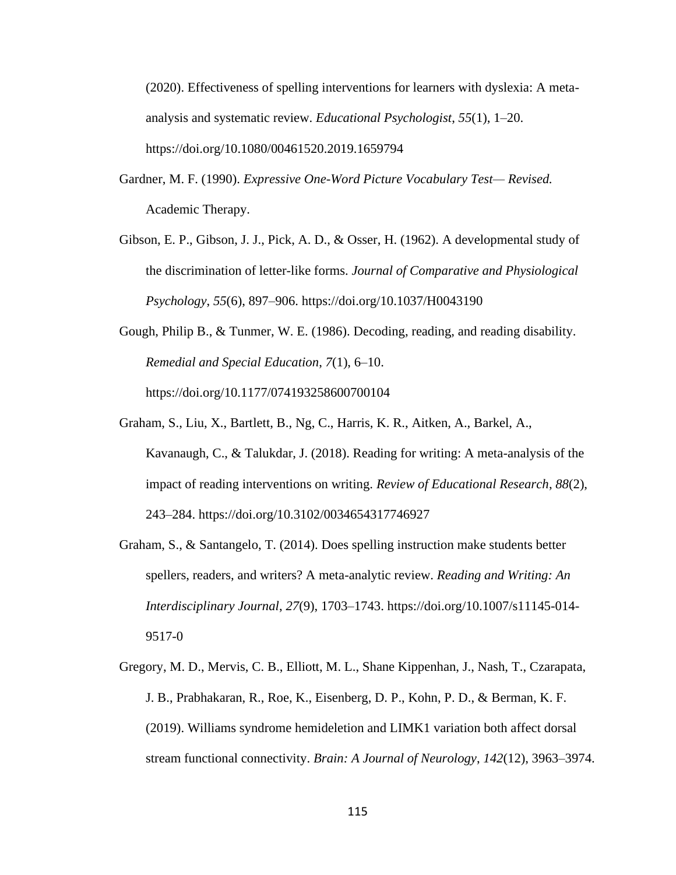(2020). Effectiveness of spelling interventions for learners with dyslexia: A metaanalysis and systematic review. *Educational Psychologist*, *55*(1), 1–20. https://doi.org/10.1080/00461520.2019.1659794

- Gardner, M. F. (1990). *Expressive One-Word Picture Vocabulary Test— Revised.* Academic Therapy.
- Gibson, E. P., Gibson, J. J., Pick, A. D., & Osser, H. (1962). A developmental study of the discrimination of letter-like forms. *Journal of Comparative and Physiological Psychology*, *55*(6), 897–906. https://doi.org/10.1037/H0043190
- Gough, Philip B., & Tunmer, W. E. (1986). Decoding, reading, and reading disability. *Remedial and Special Education*, *7*(1), 6–10. https://doi.org/10.1177/074193258600700104
- Graham, S., Liu, X., Bartlett, B., Ng, C., Harris, K. R., Aitken, A., Barkel, A., Kavanaugh, C., & Talukdar, J. (2018). Reading for writing: A meta-analysis of the impact of reading interventions on writing. *Review of Educational Research*, *88*(2), 243–284. https://doi.org/10.3102/0034654317746927
- Graham, S., & Santangelo, T. (2014). Does spelling instruction make students better spellers, readers, and writers? A meta-analytic review. *Reading and Writing: An Interdisciplinary Journal*, *27*(9), 1703–1743. https://doi.org/10.1007/s11145-014- 9517-0
- Gregory, M. D., Mervis, C. B., Elliott, M. L., Shane Kippenhan, J., Nash, T., Czarapata, J. B., Prabhakaran, R., Roe, K., Eisenberg, D. P., Kohn, P. D., & Berman, K. F. (2019). Williams syndrome hemideletion and LIMK1 variation both affect dorsal stream functional connectivity. *Brain: A Journal of Neurology*, *142*(12), 3963–3974.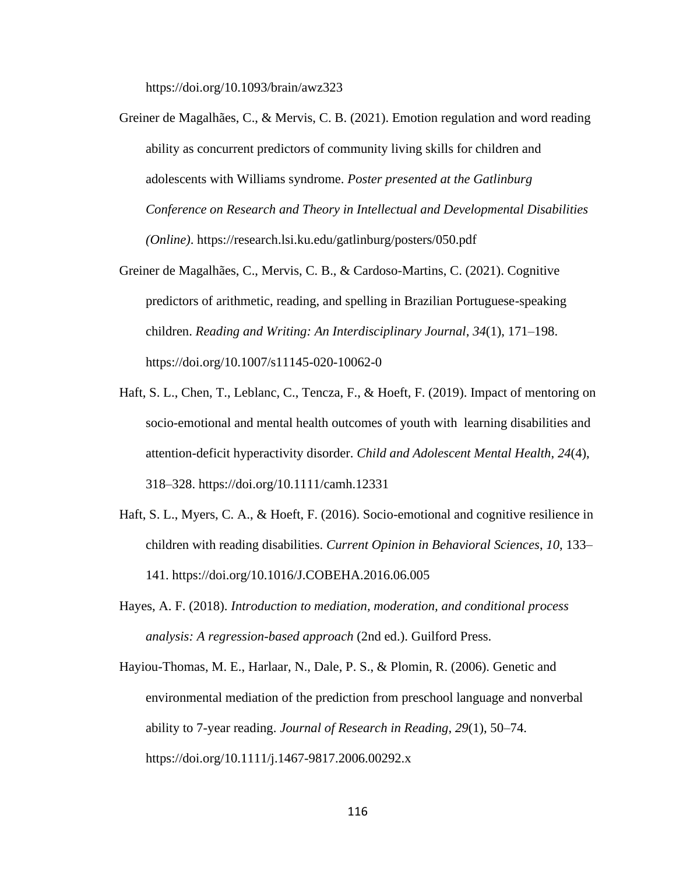https://doi.org/10.1093/brain/awz323

- Greiner de Magalhães, C., & Mervis, C. B. (2021). Emotion regulation and word reading ability as concurrent predictors of community living skills for children and adolescents with Williams syndrome. *Poster presented at the Gatlinburg Conference on Research and Theory in Intellectual and Developmental Disabilities (Online)*. https://research.lsi.ku.edu/gatlinburg/posters/050.pdf
- Greiner de Magalhães, C., Mervis, C. B., & Cardoso-Martins, C. (2021). Cognitive predictors of arithmetic, reading, and spelling in Brazilian Portuguese-speaking children. *Reading and Writing: An Interdisciplinary Journal*, *34*(1), 171–198. https://doi.org/10.1007/s11145-020-10062-0
- Haft, S. L., Chen, T., Leblanc, C., Tencza, F., & Hoeft, F. (2019). Impact of mentoring on socio-emotional and mental health outcomes of youth with learning disabilities and attention-deficit hyperactivity disorder. *Child and Adolescent Mental Health*, *24*(4), 318–328. https://doi.org/10.1111/camh.12331
- Haft, S. L., Myers, C. A., & Hoeft, F. (2016). Socio-emotional and cognitive resilience in children with reading disabilities. *Current Opinion in Behavioral Sciences*, *10*, 133– 141. https://doi.org/10.1016/J.COBEHA.2016.06.005
- Hayes, A. F. (2018). *Introduction to mediation, moderation, and conditional process analysis: A regression-based approach* (2nd ed.). Guilford Press.
- Hayiou-Thomas, M. E., Harlaar, N., Dale, P. S., & Plomin, R. (2006). Genetic and environmental mediation of the prediction from preschool language and nonverbal ability to 7-year reading. *Journal of Research in Reading*, *29*(1), 50–74. https://doi.org/10.1111/j.1467-9817.2006.00292.x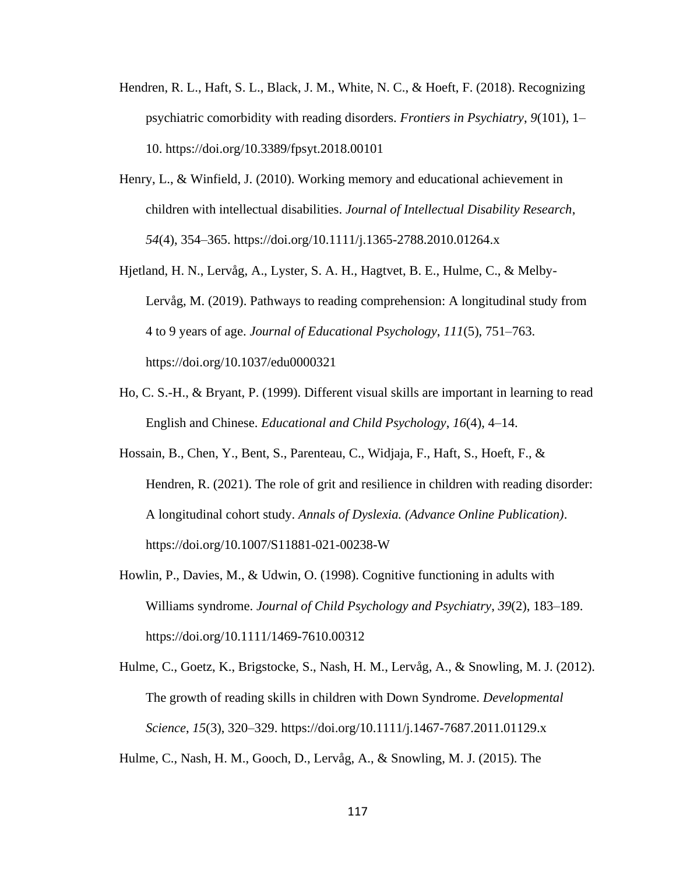- Hendren, R. L., Haft, S. L., Black, J. M., White, N. C., & Hoeft, F. (2018). Recognizing psychiatric comorbidity with reading disorders. *Frontiers in Psychiatry*, *9*(101), 1– 10. https://doi.org/10.3389/fpsyt.2018.00101
- Henry, L., & Winfield, J. (2010). Working memory and educational achievement in children with intellectual disabilities. *Journal of Intellectual Disability Research*, *54*(4), 354–365. https://doi.org/10.1111/j.1365-2788.2010.01264.x

Hjetland, H. N., Lervåg, A., Lyster, S. A. H., Hagtvet, B. E., Hulme, C., & Melby-Lervåg, M. (2019). Pathways to reading comprehension: A longitudinal study from 4 to 9 years of age. *Journal of Educational Psychology*, *111*(5), 751–763. https://doi.org/10.1037/edu0000321

- Ho, C. S.-H., & Bryant, P. (1999). Different visual skills are important in learning to read English and Chinese. *Educational and Child Psychology*, *16*(4), 4–14.
- Hossain, B., Chen, Y., Bent, S., Parenteau, C., Widjaja, F., Haft, S., Hoeft, F., & Hendren, R. (2021). The role of grit and resilience in children with reading disorder: A longitudinal cohort study. *Annals of Dyslexia. (Advance Online Publication)*. https://doi.org/10.1007/S11881-021-00238-W
- Howlin, P., Davies, M., & Udwin, O. (1998). Cognitive functioning in adults with Williams syndrome. *Journal of Child Psychology and Psychiatry*, *39*(2), 183–189. https://doi.org/10.1111/1469-7610.00312
- Hulme, C., Goetz, K., Brigstocke, S., Nash, H. M., Lervåg, A., & Snowling, M. J. (2012). The growth of reading skills in children with Down Syndrome. *Developmental Science*, *15*(3), 320–329. https://doi.org/10.1111/j.1467-7687.2011.01129.x

Hulme, C., Nash, H. M., Gooch, D., Lervåg, A., & Snowling, M. J. (2015). The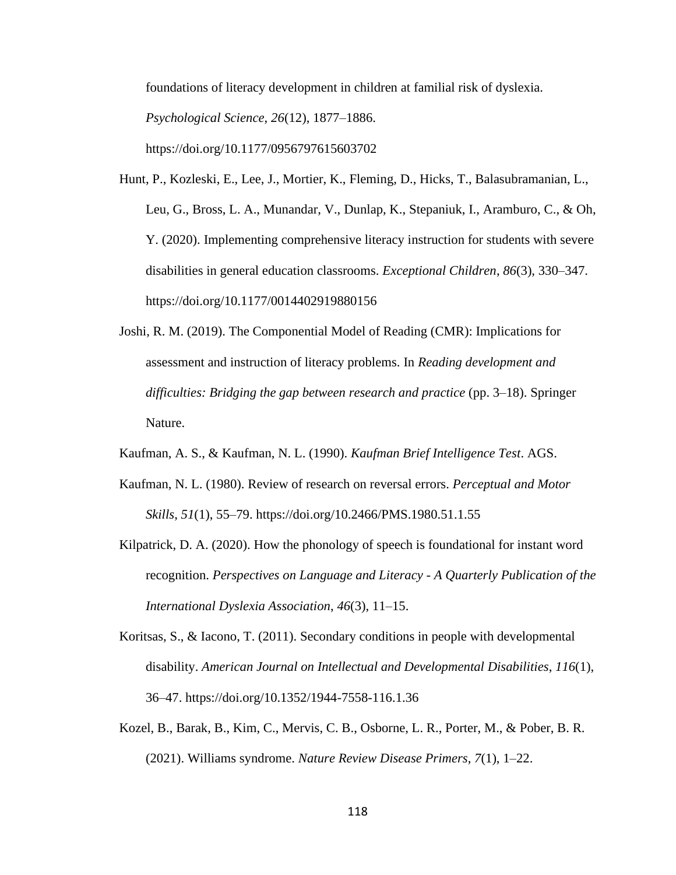foundations of literacy development in children at familial risk of dyslexia.

*Psychological Science*, *26*(12), 1877–1886.

https://doi.org/10.1177/0956797615603702

- Hunt, P., Kozleski, E., Lee, J., Mortier, K., Fleming, D., Hicks, T., Balasubramanian, L., Leu, G., Bross, L. A., Munandar, V., Dunlap, K., Stepaniuk, I., Aramburo, C., & Oh, Y. (2020). Implementing comprehensive literacy instruction for students with severe disabilities in general education classrooms. *Exceptional Children*, *86*(3), 330–347. https://doi.org/10.1177/0014402919880156
- Joshi, R. M. (2019). The Componential Model of Reading (CMR): Implications for assessment and instruction of literacy problems. In *Reading development and difficulties: Bridging the gap between research and practice* (pp. 3–18). Springer Nature.
- Kaufman, A. S., & Kaufman, N. L. (1990). *Kaufman Brief Intelligence Test*. AGS.
- Kaufman, N. L. (1980). Review of research on reversal errors. *Perceptual and Motor Skills*, *51*(1), 55–79. https://doi.org/10.2466/PMS.1980.51.1.55
- Kilpatrick, D. A. (2020). How the phonology of speech is foundational for instant word recognition. *Perspectives on Language and Literacy - A Quarterly Publication of the International Dyslexia Association*, *46*(3), 11–15.
- Koritsas, S., & Iacono, T. (2011). Secondary conditions in people with developmental disability. *American Journal on Intellectual and Developmental Disabilities*, *116*(1), 36–47. https://doi.org/10.1352/1944-7558-116.1.36
- Kozel, B., Barak, B., Kim, C., Mervis, C. B., Osborne, L. R., Porter, M., & Pober, B. R. (2021). Williams syndrome. *Nature Review Disease Primers*, *7*(1), 1–22.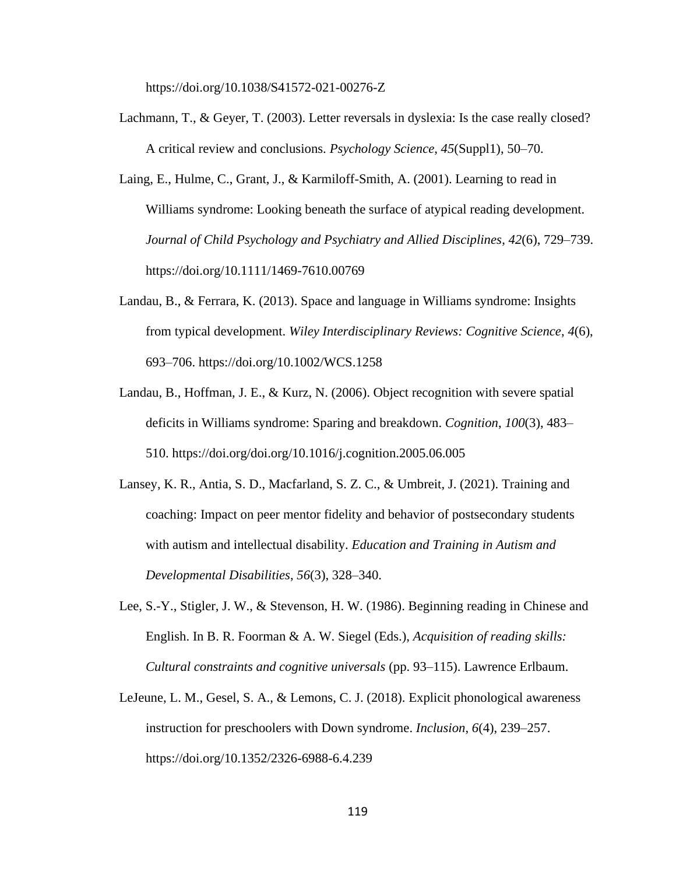https://doi.org/10.1038/S41572-021-00276-Z

- Lachmann, T., & Geyer, T. (2003). Letter reversals in dyslexia: Is the case really closed? A critical review and conclusions. *Psychology Science*, *45*(Suppl1), 50–70.
- Laing, E., Hulme, C., Grant, J., & Karmiloff-Smith, A. (2001). Learning to read in Williams syndrome: Looking beneath the surface of atypical reading development. *Journal of Child Psychology and Psychiatry and Allied Disciplines*, *42*(6), 729–739. https://doi.org/10.1111/1469-7610.00769
- Landau, B., & Ferrara, K. (2013). Space and language in Williams syndrome: Insights from typical development. *Wiley Interdisciplinary Reviews: Cognitive Science*, *4*(6), 693–706. https://doi.org/10.1002/WCS.1258
- Landau, B., Hoffman, J. E., & Kurz, N. (2006). Object recognition with severe spatial deficits in Williams syndrome: Sparing and breakdown. *Cognition*, *100*(3), 483– 510. https://doi.org/doi.org/10.1016/j.cognition.2005.06.005
- Lansey, K. R., Antia, S. D., Macfarland, S. Z. C., & Umbreit, J. (2021). Training and coaching: Impact on peer mentor fidelity and behavior of postsecondary students with autism and intellectual disability. *Education and Training in Autism and Developmental Disabilities*, *56*(3), 328–340.
- Lee, S.-Y., Stigler, J. W., & Stevenson, H. W. (1986). Beginning reading in Chinese and English. In B. R. Foorman & A. W. Siegel (Eds.), *Acquisition of reading skills: Cultural constraints and cognitive universals* (pp. 93–115). Lawrence Erlbaum.
- LeJeune, L. M., Gesel, S. A., & Lemons, C. J. (2018). Explicit phonological awareness instruction for preschoolers with Down syndrome. *Inclusion*, *6*(4), 239–257. https://doi.org/10.1352/2326-6988-6.4.239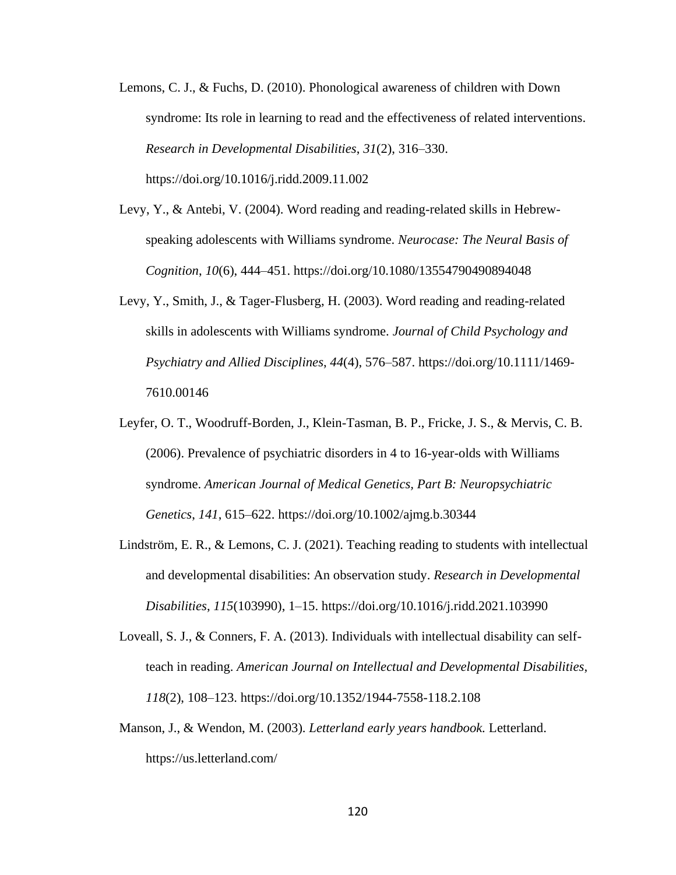- Lemons, C. J., & Fuchs, D. (2010). Phonological awareness of children with Down syndrome: Its role in learning to read and the effectiveness of related interventions. *Research in Developmental Disabilities*, *31*(2), 316–330. https://doi.org/10.1016/j.ridd.2009.11.002
- Levy, Y., & Antebi, V. (2004). Word reading and reading-related skills in Hebrewspeaking adolescents with Williams syndrome. *Neurocase: The Neural Basis of Cognition*, *10*(6), 444–451. https://doi.org/10.1080/13554790490894048
- Levy, Y., Smith, J., & Tager-Flusberg, H. (2003). Word reading and reading-related skills in adolescents with Williams syndrome. *Journal of Child Psychology and Psychiatry and Allied Disciplines*, *44*(4), 576–587. https://doi.org/10.1111/1469- 7610.00146
- Leyfer, O. T., Woodruff-Borden, J., Klein-Tasman, B. P., Fricke, J. S., & Mervis, C. B. (2006). Prevalence of psychiatric disorders in 4 to 16-year-olds with Williams syndrome. *American Journal of Medical Genetics, Part B: Neuropsychiatric Genetics*, *141*, 615–622. https://doi.org/10.1002/ajmg.b.30344
- Lindström, E. R., & Lemons, C. J. (2021). Teaching reading to students with intellectual and developmental disabilities: An observation study. *Research in Developmental Disabilities*, *115*(103990), 1–15. https://doi.org/10.1016/j.ridd.2021.103990
- Loveall, S. J., & Conners, F. A. (2013). Individuals with intellectual disability can selfteach in reading. *American Journal on Intellectual and Developmental Disabilities*, *118*(2), 108–123. https://doi.org/10.1352/1944-7558-118.2.108
- Manson, J., & Wendon, M. (2003). *Letterland early years handbook.* Letterland. https://us.letterland.com/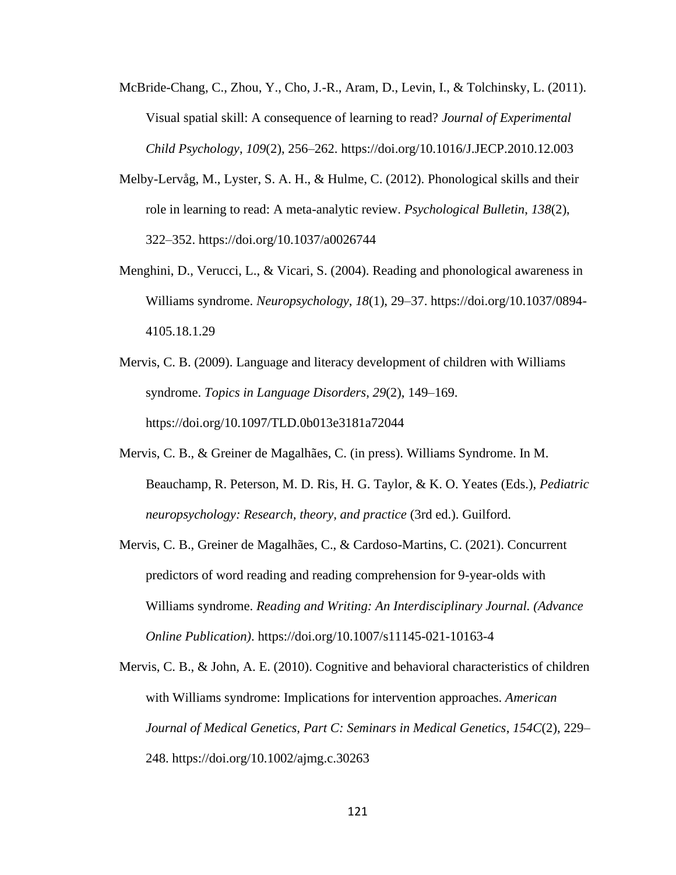- McBride-Chang, C., Zhou, Y., Cho, J.-R., Aram, D., Levin, I., & Tolchinsky, L. (2011). Visual spatial skill: A consequence of learning to read? *Journal of Experimental Child Psychology*, *109*(2), 256–262. https://doi.org/10.1016/J.JECP.2010.12.003
- Melby-Lervåg, M., Lyster, S. A. H., & Hulme, C. (2012). Phonological skills and their role in learning to read: A meta-analytic review. *Psychological Bulletin*, *138*(2), 322–352. https://doi.org/10.1037/a0026744
- Menghini, D., Verucci, L., & Vicari, S. (2004). Reading and phonological awareness in Williams syndrome. *Neuropsychology*, *18*(1), 29–37. https://doi.org/10.1037/0894- 4105.18.1.29
- Mervis, C. B. (2009). Language and literacy development of children with Williams syndrome. *Topics in Language Disorders*, *29*(2), 149–169. https://doi.org/10.1097/TLD.0b013e3181a72044
- Mervis, C. B., & Greiner de Magalhães, C. (in press). Williams Syndrome. In M. Beauchamp, R. Peterson, M. D. Ris, H. G. Taylor, & K. O. Yeates (Eds.), *Pediatric neuropsychology: Research, theory, and practice* (3rd ed.). Guilford.
- Mervis, C. B., Greiner de Magalhães, C., & Cardoso-Martins, C. (2021). Concurrent predictors of word reading and reading comprehension for 9-year-olds with Williams syndrome. *Reading and Writing: An Interdisciplinary Journal. (Advance Online Publication)*. https://doi.org/10.1007/s11145-021-10163-4
- Mervis, C. B., & John, A. E. (2010). Cognitive and behavioral characteristics of children with Williams syndrome: Implications for intervention approaches. *American Journal of Medical Genetics, Part C: Seminars in Medical Genetics*, *154C*(2), 229– 248. https://doi.org/10.1002/ajmg.c.30263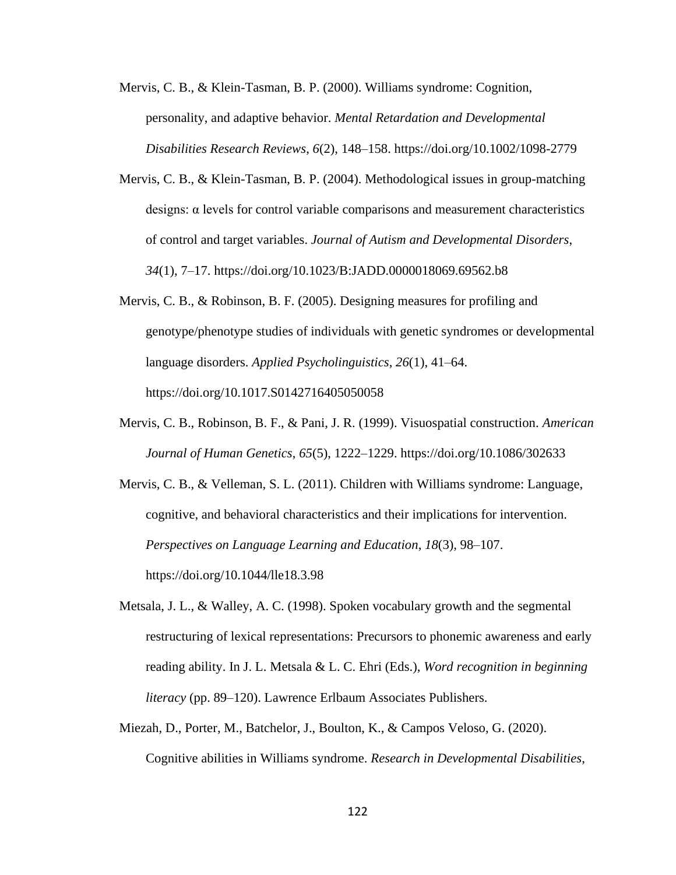- Mervis, C. B., & Klein-Tasman, B. P. (2000). Williams syndrome: Cognition, personality, and adaptive behavior. *Mental Retardation and Developmental Disabilities Research Reviews*, *6*(2), 148–158. https://doi.org/10.1002/1098-2779
- Mervis, C. B., & Klein-Tasman, B. P. (2004). Methodological issues in group-matching designs: α levels for control variable comparisons and measurement characteristics of control and target variables. *Journal of Autism and Developmental Disorders*, *34*(1), 7–17. https://doi.org/10.1023/B:JADD.0000018069.69562.b8
- Mervis, C. B., & Robinson, B. F. (2005). Designing measures for profiling and genotype/phenotype studies of individuals with genetic syndromes or developmental language disorders. *Applied Psycholinguistics*, *26*(1), 41–64. https://doi.org/10.1017.S0142716405050058
- Mervis, C. B., Robinson, B. F., & Pani, J. R. (1999). Visuospatial construction. *American Journal of Human Genetics*, *65*(5), 1222–1229. https://doi.org/10.1086/302633

Mervis, C. B., & Velleman, S. L. (2011). Children with Williams syndrome: Language, cognitive, and behavioral characteristics and their implications for intervention. *Perspectives on Language Learning and Education*, *18*(3), 98–107. https://doi.org/10.1044/lle18.3.98

- Metsala, J. L., & Walley, A. C. (1998). Spoken vocabulary growth and the segmental restructuring of lexical representations: Precursors to phonemic awareness and early reading ability. In J. L. Metsala & L. C. Ehri (Eds.), *Word recognition in beginning literacy* (pp. 89–120). Lawrence Erlbaum Associates Publishers.
- Miezah, D., Porter, M., Batchelor, J., Boulton, K., & Campos Veloso, G. (2020). Cognitive abilities in Williams syndrome. *Research in Developmental Disabilities*,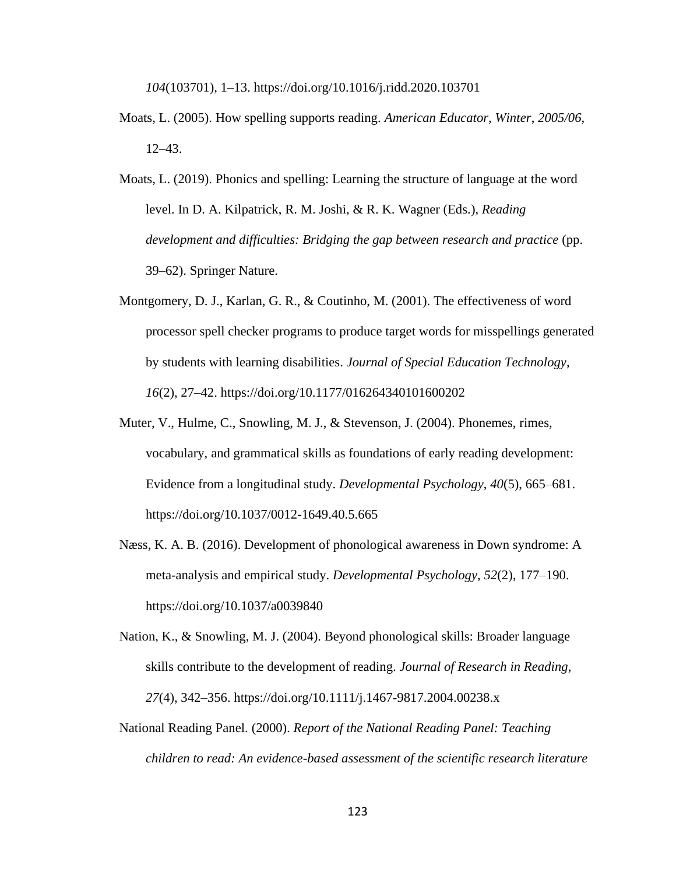*104*(103701), 1–13. https://doi.org/10.1016/j.ridd.2020.103701

- Moats, L. (2005). How spelling supports reading. *American Educator, Winter*, *2005/06*, 12–43.
- Moats, L. (2019). Phonics and spelling: Learning the structure of language at the word level. In D. A. Kilpatrick, R. M. Joshi, & R. K. Wagner (Eds.), *Reading development and difficulties: Bridging the gap between research and practice* (pp. 39–62). Springer Nature.
- Montgomery, D. J., Karlan, G. R., & Coutinho, M. (2001). The effectiveness of word processor spell checker programs to produce target words for misspellings generated by students with learning disabilities. *Journal of Special Education Technology*, *16*(2), 27–42. https://doi.org/10.1177/016264340101600202
- Muter, V., Hulme, C., Snowling, M. J., & Stevenson, J. (2004). Phonemes, rimes, vocabulary, and grammatical skills as foundations of early reading development: Evidence from a longitudinal study. *Developmental Psychology*, *40*(5), 665–681. https://doi.org/10.1037/0012-1649.40.5.665
- Næss, K. A. B. (2016). Development of phonological awareness in Down syndrome: A meta-analysis and empirical study. *Developmental Psychology*, *52*(2), 177–190. https://doi.org/10.1037/a0039840
- Nation, K., & Snowling, M. J. (2004). Beyond phonological skills: Broader language skills contribute to the development of reading. *Journal of Research in Reading*, *27*(4), 342–356. https://doi.org/10.1111/j.1467-9817.2004.00238.x
- National Reading Panel. (2000). *Report of the National Reading Panel: Teaching children to read: An evidence-based assessment of the scientific research literature*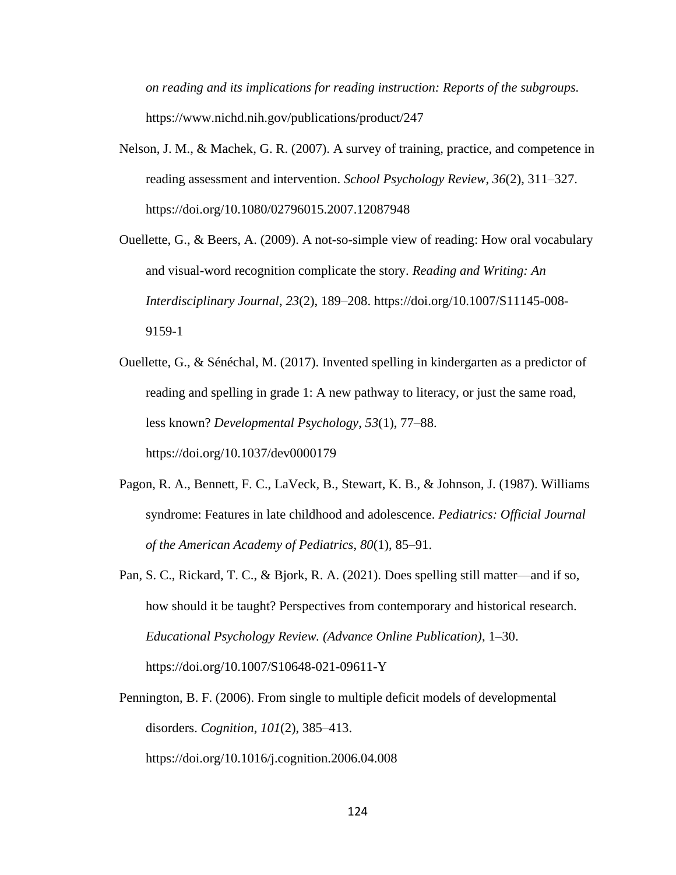*on reading and its implications for reading instruction: Reports of the subgroups.* https://www.nichd.nih.gov/publications/product/247

- Nelson, J. M., & Machek, G. R. (2007). A survey of training, practice, and competence in reading assessment and intervention. *School Psychology Review*, *36*(2), 311–327. https://doi.org/10.1080/02796015.2007.12087948
- Ouellette, G., & Beers, A. (2009). A not-so-simple view of reading: How oral vocabulary and visual-word recognition complicate the story. *Reading and Writing: An Interdisciplinary Journal*, *23*(2), 189–208. https://doi.org/10.1007/S11145-008- 9159-1
- Ouellette, G., & Sénéchal, M. (2017). Invented spelling in kindergarten as a predictor of reading and spelling in grade 1: A new pathway to literacy, or just the same road, less known? *Developmental Psychology*, *53*(1), 77–88. https://doi.org/10.1037/dev0000179
- Pagon, R. A., Bennett, F. C., LaVeck, B., Stewart, K. B., & Johnson, J. (1987). Williams syndrome: Features in late childhood and adolescence. *Pediatrics: Official Journal of the American Academy of Pediatrics*, *80*(1), 85–91.
- Pan, S. C., Rickard, T. C., & Bjork, R. A. (2021). Does spelling still matter—and if so, how should it be taught? Perspectives from contemporary and historical research. *Educational Psychology Review. (Advance Online Publication)*, 1–30. https://doi.org/10.1007/S10648-021-09611-Y
- Pennington, B. F. (2006). From single to multiple deficit models of developmental disorders. *Cognition*, *101*(2), 385–413. https://doi.org/10.1016/j.cognition.2006.04.008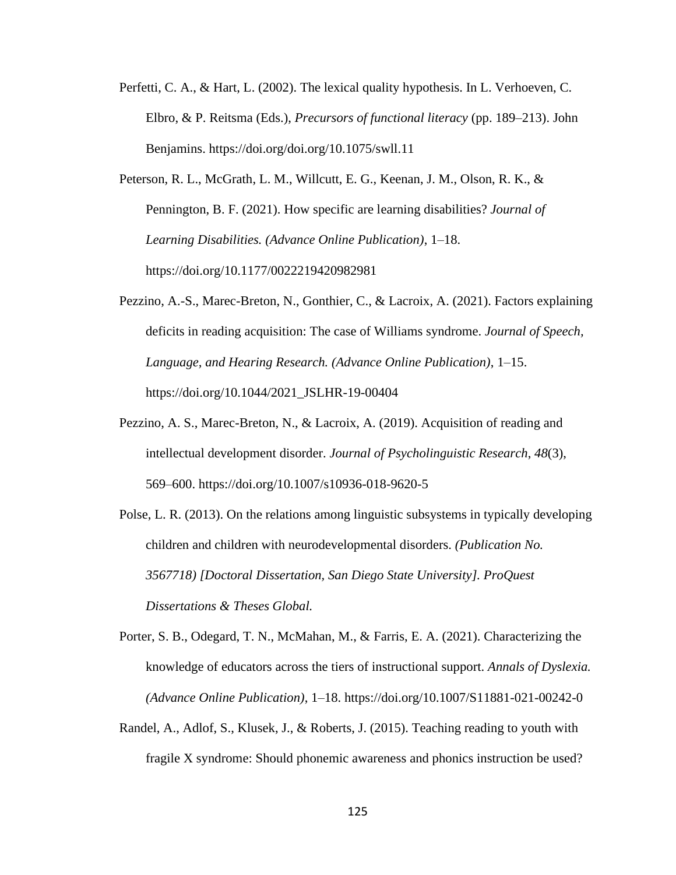- Perfetti, C. A., & Hart, L. (2002). The lexical quality hypothesis. In L. Verhoeven, C. Elbro, & P. Reitsma (Eds.), *Precursors of functional literacy* (pp. 189–213). John Benjamins. https://doi.org/doi.org/10.1075/swll.11
- Peterson, R. L., McGrath, L. M., Willcutt, E. G., Keenan, J. M., Olson, R. K., & Pennington, B. F. (2021). How specific are learning disabilities? *Journal of Learning Disabilities. (Advance Online Publication)*, 1–18. https://doi.org/10.1177/0022219420982981
- Pezzino, A.-S., Marec-Breton, N., Gonthier, C., & Lacroix, A. (2021). Factors explaining deficits in reading acquisition: The case of Williams syndrome. *Journal of Speech, Language, and Hearing Research. (Advance Online Publication)*, 1–15. https://doi.org/10.1044/2021\_JSLHR-19-00404
- Pezzino, A. S., Marec-Breton, N., & Lacroix, A. (2019). Acquisition of reading and intellectual development disorder. *Journal of Psycholinguistic Research*, *48*(3), 569–600. https://doi.org/10.1007/s10936-018-9620-5
- Polse, L. R. (2013). On the relations among linguistic subsystems in typically developing children and children with neurodevelopmental disorders. *(Publication No. 3567718) [Doctoral Dissertation, San Diego State University]. ProQuest Dissertations & Theses Global.*
- Porter, S. B., Odegard, T. N., McMahan, M., & Farris, E. A. (2021). Characterizing the knowledge of educators across the tiers of instructional support. *Annals of Dyslexia. (Advance Online Publication)*, 1–18. https://doi.org/10.1007/S11881-021-00242-0
- Randel, A., Adlof, S., Klusek, J., & Roberts, J. (2015). Teaching reading to youth with fragile X syndrome: Should phonemic awareness and phonics instruction be used?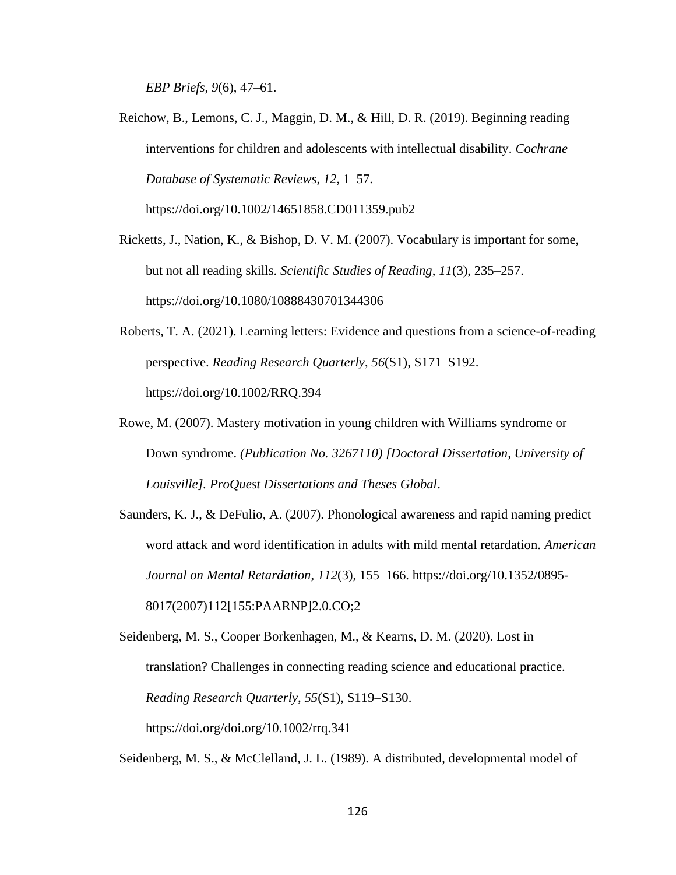*EBP Briefs*, *9*(6), 47–61.

Reichow, B., Lemons, C. J., Maggin, D. M., & Hill, D. R. (2019). Beginning reading interventions for children and adolescents with intellectual disability. *Cochrane Database of Systematic Reviews*, *12*, 1–57.

https://doi.org/10.1002/14651858.CD011359.pub2

Ricketts, J., Nation, K., & Bishop, D. V. M. (2007). Vocabulary is important for some, but not all reading skills. *Scientific Studies of Reading*, *11*(3), 235–257. https://doi.org/10.1080/10888430701344306

- Roberts, T. A. (2021). Learning letters: Evidence and questions from a science-of-reading perspective. *Reading Research Quarterly*, *56*(S1), S171–S192. https://doi.org/10.1002/RRQ.394
- Rowe, M. (2007). Mastery motivation in young children with Williams syndrome or Down syndrome. *(Publication No. 3267110) [Doctoral Dissertation, University of Louisville]. ProQuest Dissertations and Theses Global*.
- Saunders, K. J., & DeFulio, A. (2007). Phonological awareness and rapid naming predict word attack and word identification in adults with mild mental retardation. *American Journal on Mental Retardation*, *112*(3), 155–166. https://doi.org/10.1352/0895- 8017(2007)112[155:PAARNP]2.0.CO;2

Seidenberg, M. S., Cooper Borkenhagen, M., & Kearns, D. M. (2020). Lost in translation? Challenges in connecting reading science and educational practice. *Reading Research Quarterly*, *55*(S1), S119–S130. https://doi.org/doi.org/10.1002/rrq.341

Seidenberg, M. S., & McClelland, J. L. (1989). A distributed, developmental model of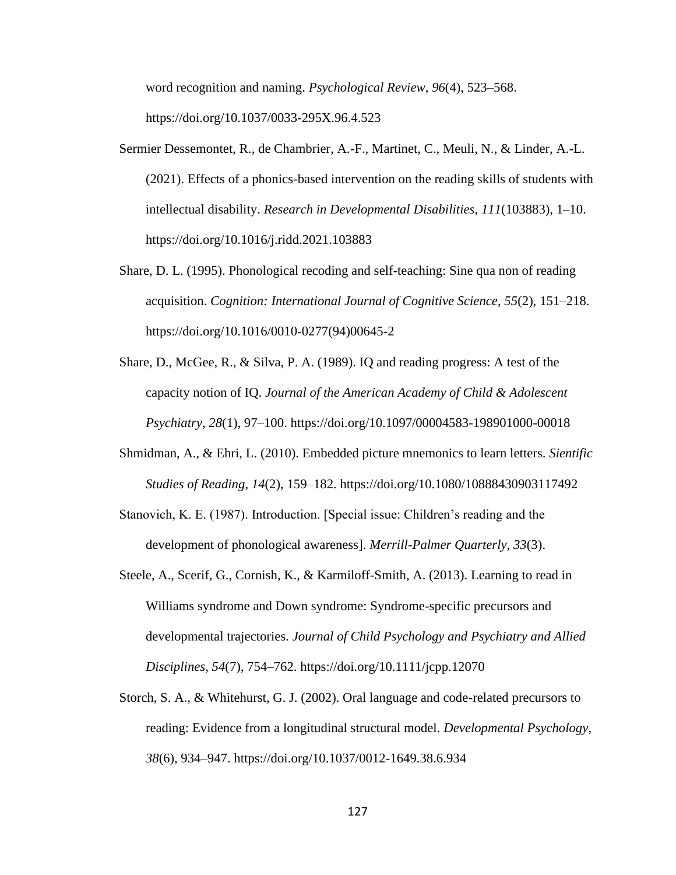word recognition and naming. *Psychological Review*, *96*(4), 523–568. https://doi.org/10.1037/0033-295X.96.4.523

- Sermier Dessemontet, R., de Chambrier, A.-F., Martinet, C., Meuli, N., & Linder, A.-L. (2021). Effects of a phonics-based intervention on the reading skills of students with intellectual disability. *Research in Developmental Disabilities*, *111*(103883), 1–10. https://doi.org/10.1016/j.ridd.2021.103883
- Share, D. L. (1995). Phonological recoding and self-teaching: Sine qua non of reading acquisition. *Cognition: International Journal of Cognitive Science*, *55*(2), 151–218. https://doi.org/10.1016/0010-0277(94)00645-2
- Share, D., McGee, R., & Silva, P. A. (1989). IQ and reading progress: A test of the capacity notion of IQ. *Journal of the American Academy of Child & Adolescent Psychiatry*, *28*(1), 97–100. https://doi.org/10.1097/00004583-198901000-00018
- Shmidman, A., & Ehri, L. (2010). Embedded picture mnemonics to learn letters. *Sientific Studies of Reading*, *14*(2), 159–182. https://doi.org/10.1080/10888430903117492
- Stanovich, K. E. (1987). Introduction. [Special issue: Children's reading and the development of phonological awareness]. *Merrill-Palmer Quarterly*, *33*(3).
- Steele, A., Scerif, G., Cornish, K., & Karmiloff-Smith, A. (2013). Learning to read in Williams syndrome and Down syndrome: Syndrome-specific precursors and developmental trajectories. *Journal of Child Psychology and Psychiatry and Allied Disciplines*, *54*(7), 754–762. https://doi.org/10.1111/jcpp.12070
- Storch, S. A., & Whitehurst, G. J. (2002). Oral language and code-related precursors to reading: Evidence from a longitudinal structural model. *Developmental Psychology*, *38*(6), 934–947. https://doi.org/10.1037/0012-1649.38.6.934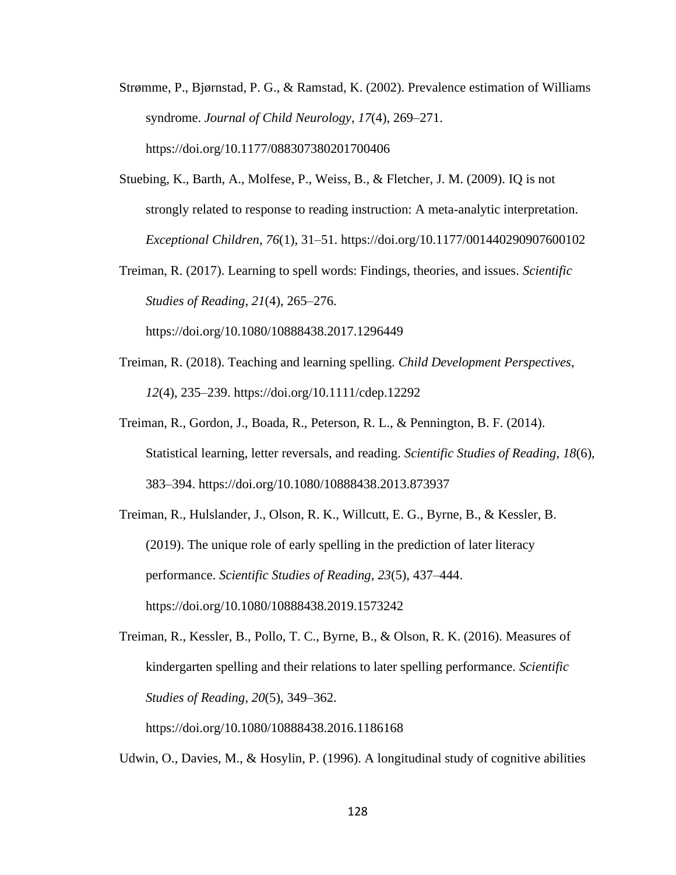- Strømme, P., Bjørnstad, P. G., & Ramstad, K. (2002). Prevalence estimation of Williams syndrome. *Journal of Child Neurology*, *17*(4), 269–271. https://doi.org/10.1177/088307380201700406
- Stuebing, K., Barth, A., Molfese, P., Weiss, B., & Fletcher, J. M. (2009). IQ is not strongly related to response to reading instruction: A meta-analytic interpretation. *Exceptional Children*, *76*(1), 31–51. https://doi.org/10.1177/001440290907600102

Treiman, R. (2017). Learning to spell words: Findings, theories, and issues. *Scientific Studies of Reading*, *21*(4), 265–276.

https://doi.org/10.1080/10888438.2017.1296449

- Treiman, R. (2018). Teaching and learning spelling. *Child Development Perspectives*, *12*(4), 235–239. https://doi.org/10.1111/cdep.12292
- Treiman, R., Gordon, J., Boada, R., Peterson, R. L., & Pennington, B. F. (2014). Statistical learning, letter reversals, and reading. *Scientific Studies of Reading*, *18*(6), 383–394. https://doi.org/10.1080/10888438.2013.873937

Treiman, R., Hulslander, J., Olson, R. K., Willcutt, E. G., Byrne, B., & Kessler, B. (2019). The unique role of early spelling in the prediction of later literacy performance. *Scientific Studies of Reading*, *23*(5), 437–444. https://doi.org/10.1080/10888438.2019.1573242

Treiman, R., Kessler, B., Pollo, T. C., Byrne, B., & Olson, R. K. (2016). Measures of kindergarten spelling and their relations to later spelling performance. *Scientific Studies of Reading*, *20*(5), 349–362.

https://doi.org/10.1080/10888438.2016.1186168

Udwin, O., Davies, M., & Hosylin, P. (1996). A longitudinal study of cognitive abilities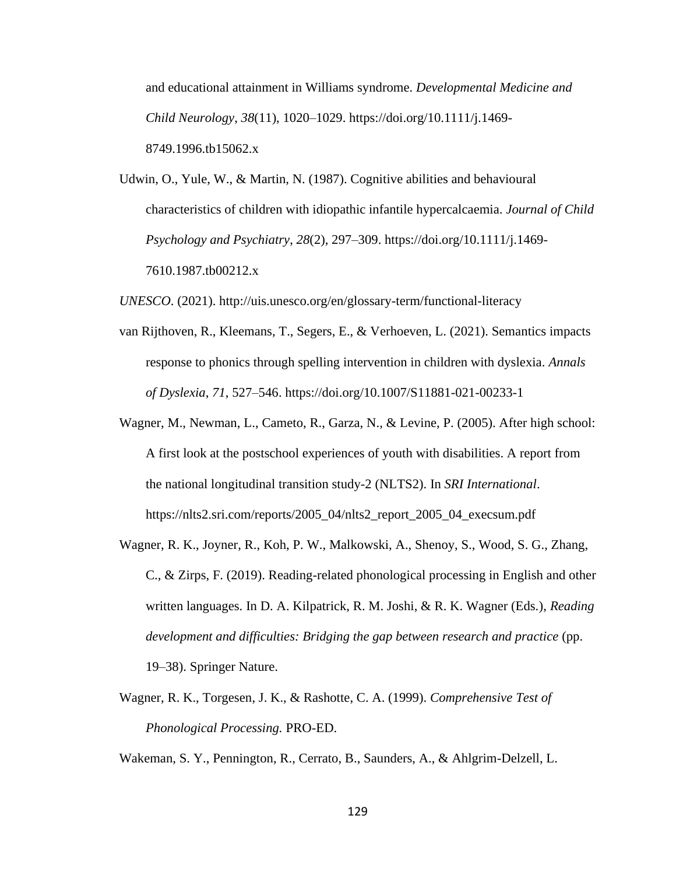and educational attainment in Williams syndrome. *Developmental Medicine and Child Neurology*, *38*(11), 1020–1029. https://doi.org/10.1111/j.1469- 8749.1996.tb15062.x

- Udwin, O., Yule, W., & Martin, N. (1987). Cognitive abilities and behavioural characteristics of children with idiopathic infantile hypercalcaemia. *Journal of Child Psychology and Psychiatry*, *28*(2), 297–309. https://doi.org/10.1111/j.1469- 7610.1987.tb00212.x
- *UNESCO*. (2021). http://uis.unesco.org/en/glossary-term/functional-literacy
- van Rijthoven, R., Kleemans, T., Segers, E., & Verhoeven, L. (2021). Semantics impacts response to phonics through spelling intervention in children with dyslexia. *Annals of Dyslexia*, *71*, 527–546. https://doi.org/10.1007/S11881-021-00233-1
- Wagner, M., Newman, L., Cameto, R., Garza, N., & Levine, P. (2005). After high school: A first look at the postschool experiences of youth with disabilities. A report from the national longitudinal transition study-2 (NLTS2). In *SRI International*. https://nlts2.sri.com/reports/2005\_04/nlts2\_report\_2005\_04\_execsum.pdf
- Wagner, R. K., Joyner, R., Koh, P. W., Malkowski, A., Shenoy, S., Wood, S. G., Zhang, C., & Zirps, F. (2019). Reading-related phonological processing in English and other written languages. In D. A. Kilpatrick, R. M. Joshi, & R. K. Wagner (Eds.), *Reading development and difficulties: Bridging the gap between research and practice* (pp. 19–38). Springer Nature.
- Wagner, R. K., Torgesen, J. K., & Rashotte, C. A. (1999). *Comprehensive Test of Phonological Processing.* PRO-ED.

Wakeman, S. Y., Pennington, R., Cerrato, B., Saunders, A., & Ahlgrim-Delzell, L.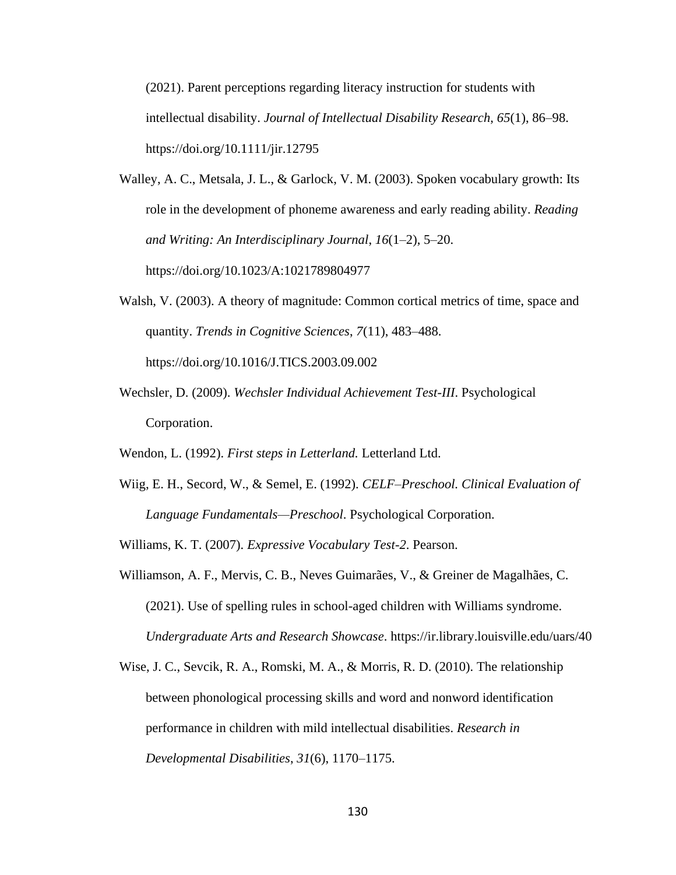(2021). Parent perceptions regarding literacy instruction for students with intellectual disability. *Journal of Intellectual Disability Research*, *65*(1), 86–98. https://doi.org/10.1111/jir.12795

Walley, A. C., Metsala, J. L., & Garlock, V. M. (2003). Spoken vocabulary growth: Its role in the development of phoneme awareness and early reading ability. *Reading and Writing: An Interdisciplinary Journal*, *16*(1–2), 5–20. https://doi.org/10.1023/A:1021789804977

Walsh, V. (2003). A theory of magnitude: Common cortical metrics of time, space and quantity. *Trends in Cognitive Sciences*, *7*(11), 483–488. https://doi.org/10.1016/J.TICS.2003.09.002

- Wechsler, D. (2009). *Wechsler Individual Achievement Test-III*. Psychological Corporation.
- Wendon, L. (1992). *First steps in Letterland.* Letterland Ltd.
- Wiig, E. H., Secord, W., & Semel, E. (1992). *CELF–Preschool. Clinical Evaluation of Language Fundamentals—Preschool*. Psychological Corporation.

Williams, K. T. (2007). *Expressive Vocabulary Test-2*. Pearson.

- Williamson, A. F., Mervis, C. B., Neves Guimarães, V., & Greiner de Magalhães, C. (2021). Use of spelling rules in school-aged children with Williams syndrome. *Undergraduate Arts and Research Showcase*. https://ir.library.louisville.edu/uars/40
- Wise, J. C., Sevcik, R. A., Romski, M. A., & Morris, R. D. (2010). The relationship between phonological processing skills and word and nonword identification performance in children with mild intellectual disabilities. *Research in Developmental Disabilities*, *31*(6), 1170–1175.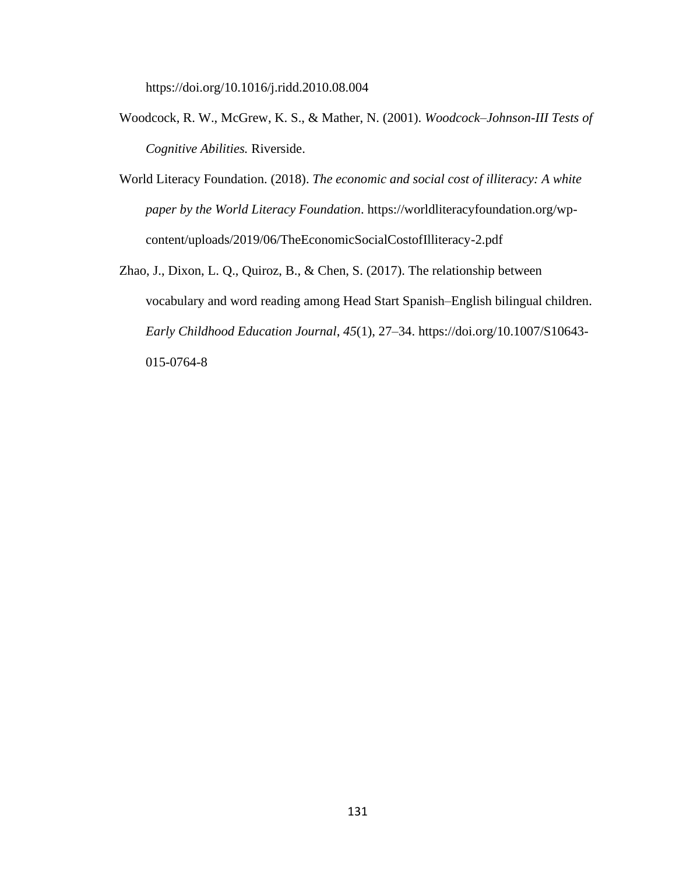https://doi.org/10.1016/j.ridd.2010.08.004

- Woodcock, R. W., McGrew, K. S., & Mather, N. (2001). *Woodcock–Johnson-III Tests of Cognitive Abilities.* Riverside.
- World Literacy Foundation. (2018). *The economic and social cost of illiteracy: A white paper by the World Literacy Foundation*. https://worldliteracyfoundation.org/wpcontent/uploads/2019/06/TheEconomicSocialCostofIlliteracy-2.pdf
- Zhao, J., Dixon, L. Q., Quiroz, B., & Chen, S. (2017). The relationship between vocabulary and word reading among Head Start Spanish–English bilingual children. *Early Childhood Education Journal*, *45*(1), 27–34. https://doi.org/10.1007/S10643- 015-0764-8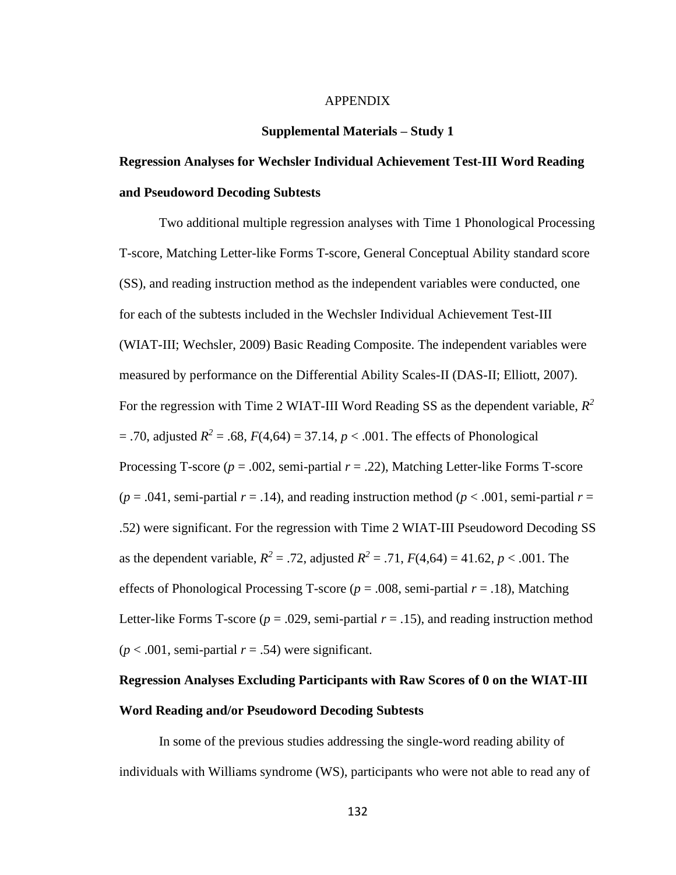#### APPENDIX

#### **Supplemental Materials – Study 1**

# **Regression Analyses for Wechsler Individual Achievement Test-III Word Reading and Pseudoword Decoding Subtests**

Two additional multiple regression analyses with Time 1 Phonological Processing T-score, Matching Letter-like Forms T-score, General Conceptual Ability standard score (SS), and reading instruction method as the independent variables were conducted, one for each of the subtests included in the Wechsler Individual Achievement Test-III (WIAT-III; Wechsler, 2009) Basic Reading Composite. The independent variables were measured by performance on the Differential Ability Scales-II (DAS-II; Elliott, 2007). For the regression with Time 2 WIAT-III Word Reading SS as the dependent variable, *R 2*  $=$  .70, adjusted  $R^2 = .68$ ,  $F(4,64) = 37.14$ ,  $p < .001$ . The effects of Phonological Processing T-score ( $p = .002$ , semi-partial  $r = .22$ ), Matching Letter-like Forms T-score  $(p = .041$ , semi-partial  $r = .14$ ), and reading instruction method ( $p < .001$ , semi-partial  $r =$ .52) were significant. For the regression with Time 2 WIAT-III Pseudoword Decoding SS as the dependent variable,  $R^2 = .72$ , adjusted  $R^2 = .71$ ,  $F(4,64) = 41.62$ ,  $p < .001$ . The effects of Phonological Processing T-score ( $p = .008$ , semi-partial  $r = .18$ ), Matching Letter-like Forms T-score ( $p = .029$ , semi-partial  $r = .15$ ), and reading instruction method  $(p < .001$ , semi-partial  $r = .54$ ) were significant.

# **Regression Analyses Excluding Participants with Raw Scores of 0 on the WIAT-III Word Reading and/or Pseudoword Decoding Subtests**

In some of the previous studies addressing the single-word reading ability of individuals with Williams syndrome (WS), participants who were not able to read any of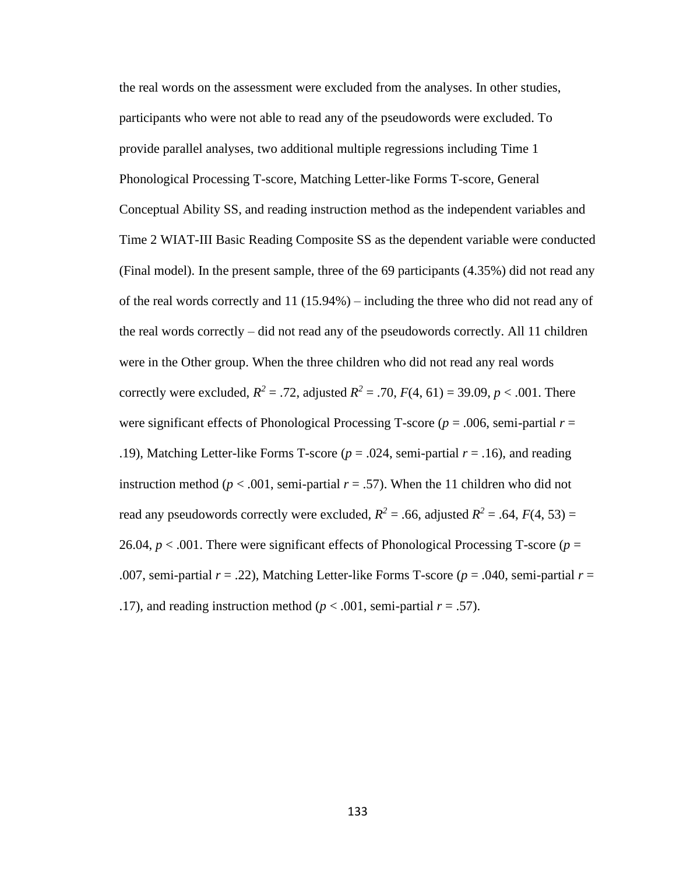the real words on the assessment were excluded from the analyses. In other studies, participants who were not able to read any of the pseudowords were excluded. To provide parallel analyses, two additional multiple regressions including Time 1 Phonological Processing T-score, Matching Letter-like Forms T-score, General Conceptual Ability SS, and reading instruction method as the independent variables and Time 2 WIAT-III Basic Reading Composite SS as the dependent variable were conducted (Final model). In the present sample, three of the 69 participants (4.35%) did not read any of the real words correctly and 11 (15.94%) – including the three who did not read any of the real words correctly – did not read any of the pseudowords correctly. All 11 children were in the Other group. When the three children who did not read any real words correctly were excluded,  $R^2 = .72$ , adjusted  $R^2 = .70$ ,  $F(4, 61) = 39.09$ ,  $p < .001$ . There were significant effects of Phonological Processing T-score ( $p = .006$ , semi-partial  $r =$ .19), Matching Letter-like Forms T-score ( $p = .024$ , semi-partial  $r = .16$ ), and reading instruction method ( $p < .001$ , semi-partial  $r = .57$ ). When the 11 children who did not read any pseudowords correctly were excluded,  $R^2 = .66$ , adjusted  $R^2 = .64$ ,  $F(4, 53) =$ 26.04, *p* < .001. There were significant effects of Phonological Processing T-score (*p* = .007, semi-partial *r* = .22), Matching Letter-like Forms T-score (*p* = .040, semi-partial *r* = .17), and reading instruction method ( $p < .001$ , semi-partial  $r = .57$ ).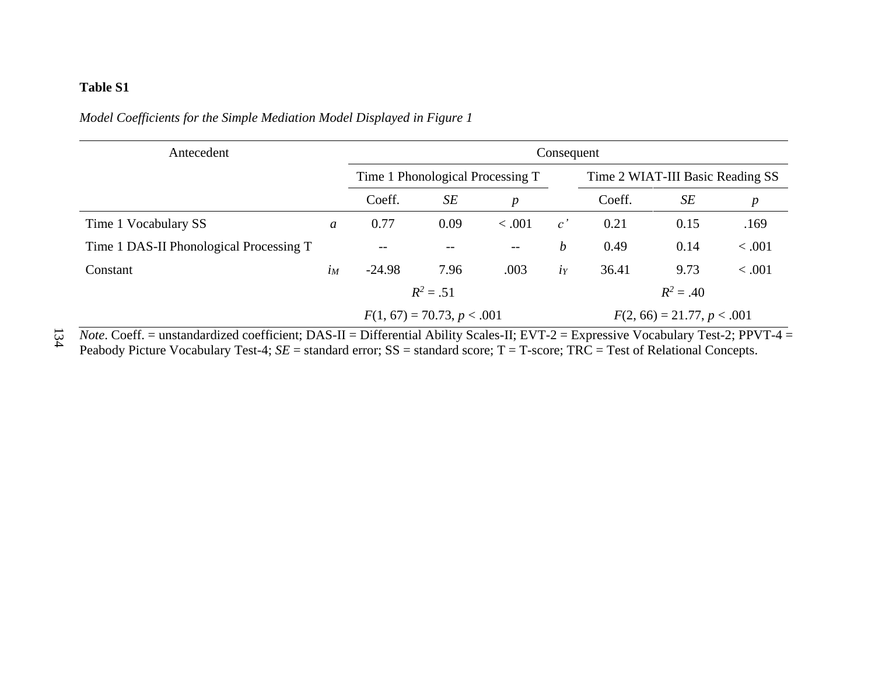# **Table S1**

# *Model Coefficients for the Simple Mediation Model Displayed in Figure 1*

| Antecedent     |                              |      | Consequent        |                                  |                                  |      |        |  |  |  |
|----------------|------------------------------|------|-------------------|----------------------------------|----------------------------------|------|--------|--|--|--|
|                |                              |      |                   |                                  | Time 2 WIAT-III Basic Reading SS |      |        |  |  |  |
|                | Coeff.                       | SE   | p                 |                                  | Coeff.                           | SE   | p      |  |  |  |
| $\mathfrak{a}$ | 0.77                         | 0.09 | < 0.001           | $c^{\prime}$                     | 0.21                             | 0.15 | .169   |  |  |  |
|                | --                           |      | $\qquad \qquad -$ | $\boldsymbol{b}$                 | 0.49                             | 0.14 | < .001 |  |  |  |
| $i_M$          | $-24.98$                     | 7.96 | .003              | $i_Y$                            | 36.41                            | 9.73 | < .001 |  |  |  |
|                | $R^2 = .51$                  |      |                   |                                  | $R^2 = .40$                      |      |        |  |  |  |
|                | $F(1, 67) = 70.73, p < .001$ |      |                   |                                  | $F(2, 66) = 21.77, p < .001$     |      |        |  |  |  |
|                |                              |      |                   | Time 1 Phonological Processing T |                                  |      |        |  |  |  |

134 *Note*. Coeff. = unstandardized coefficient; DAS-II = Differential Ability Scales-II; EVT-2 = Expressive Vocabulary Test-2; PPVT-4 = Peabody Picture Vocabulary Test-4; *SE* = standard error; *SS* = standard score; T = T-score; TRC = Test of Relational Concepts.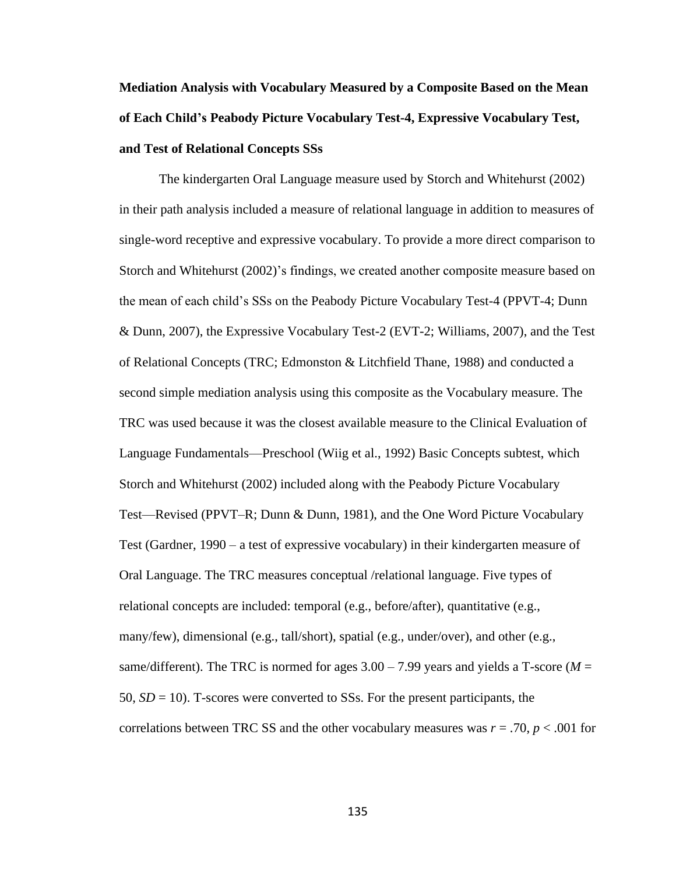**Mediation Analysis with Vocabulary Measured by a Composite Based on the Mean of Each Child's Peabody Picture Vocabulary Test-4, Expressive Vocabulary Test, and Test of Relational Concepts SSs** 

The kindergarten Oral Language measure used by Storch and Whitehurst (2002) in their path analysis included a measure of relational language in addition to measures of single-word receptive and expressive vocabulary. To provide a more direct comparison to Storch and Whitehurst (2002)'s findings, we created another composite measure based on the mean of each child's SSs on the Peabody Picture Vocabulary Test-4 (PPVT-4; Dunn & Dunn, 2007), the Expressive Vocabulary Test-2 (EVT-2; Williams, 2007), and the Test of Relational Concepts (TRC; Edmonston & Litchfield Thane, 1988) and conducted a second simple mediation analysis using this composite as the Vocabulary measure. The TRC was used because it was the closest available measure to the Clinical Evaluation of Language Fundamentals—Preschool (Wiig et al., 1992) Basic Concepts subtest, which Storch and Whitehurst (2002) included along with the Peabody Picture Vocabulary Test—Revised (PPVT–R; Dunn & Dunn, 1981), and the One Word Picture Vocabulary Test (Gardner, 1990 – a test of expressive vocabulary) in their kindergarten measure of Oral Language. The TRC measures conceptual /relational language. Five types of relational concepts are included: temporal (e.g., before/after), quantitative (e.g., many/few), dimensional (e.g., tall/short), spatial (e.g., under/over), and other (e.g., same/different). The TRC is normed for ages 3.00 – 7.99 years and yields a T-score (*M* = 50, *SD* = 10). T-scores were converted to SSs. For the present participants, the correlations between TRC SS and the other vocabulary measures was  $r = .70$ ,  $p < .001$  for

135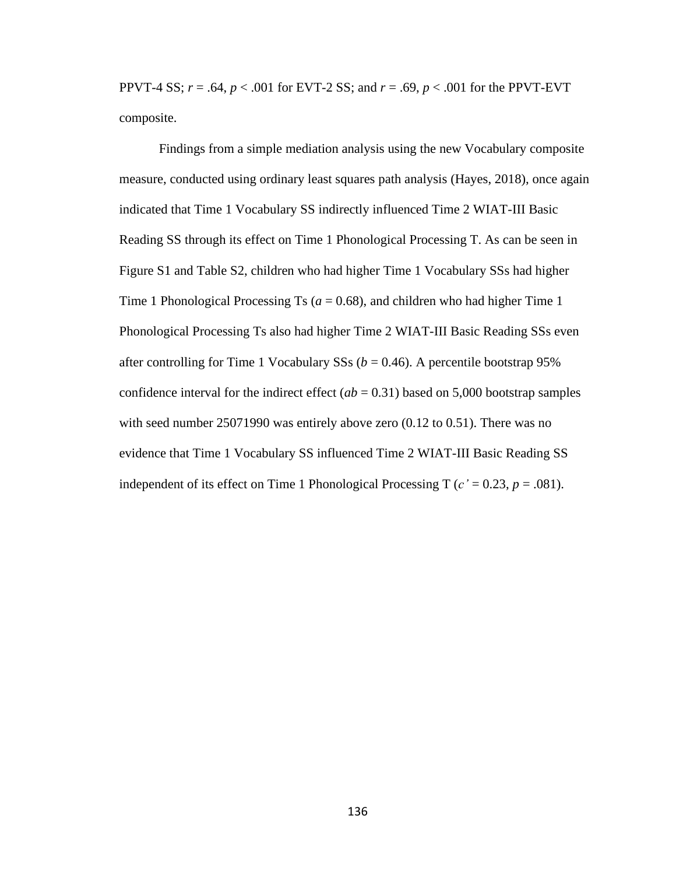PPVT-4 SS; *r* = .64, *p* < .001 for EVT-2 SS; and *r* = .69, *p* < .001 for the PPVT-EVT composite.

Findings from a simple mediation analysis using the new Vocabulary composite measure, conducted using ordinary least squares path analysis (Hayes, 2018), once again indicated that Time 1 Vocabulary SS indirectly influenced Time 2 WIAT-III Basic Reading SS through its effect on Time 1 Phonological Processing T. As can be seen in Figure S1 and Table S2, children who had higher Time 1 Vocabulary SSs had higher Time 1 Phonological Processing Ts ( $a = 0.68$ ), and children who had higher Time 1 Phonological Processing Ts also had higher Time 2 WIAT-III Basic Reading SSs even after controlling for Time 1 Vocabulary SSs  $(b = 0.46)$ . A percentile bootstrap 95% confidence interval for the indirect effect (*ab* = 0.31) based on 5,000 bootstrap samples with seed number 25071990 was entirely above zero (0.12 to 0.51). There was no evidence that Time 1 Vocabulary SS influenced Time 2 WIAT-III Basic Reading SS independent of its effect on Time 1 Phonological Processing T ( $c' = 0.23$ ,  $p = .081$ ).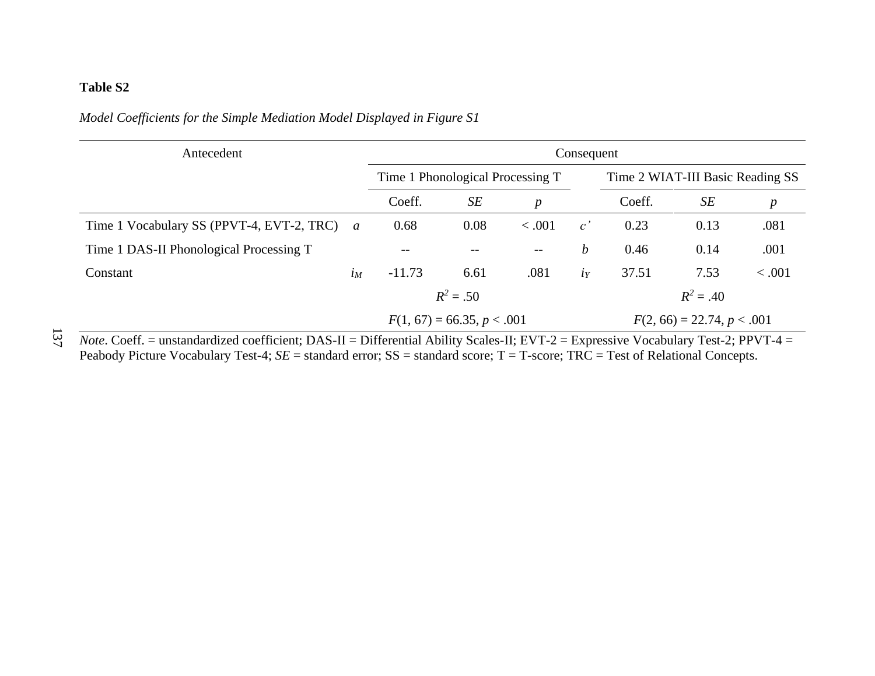# **Table S2**

|  | Model Coefficients for the Simple Mediation Model Displayed in Figure S1 |  |
|--|--------------------------------------------------------------------------|--|
|  |                                                                          |  |

| Antecedent                                |                | Consequent                       |           |                  |                  |                                  |      |        |  |
|-------------------------------------------|----------------|----------------------------------|-----------|------------------|------------------|----------------------------------|------|--------|--|
|                                           |                | Time 1 Phonological Processing T |           |                  |                  | Time 2 WIAT-III Basic Reading SS |      |        |  |
|                                           |                | Coeff.                           | <b>SE</b> | $\boldsymbol{p}$ |                  | Coeff.                           | SE   | p      |  |
| Time 1 Vocabulary SS (PPVT-4, EVT-2, TRC) | $\overline{a}$ | 0.68                             | 0.08      | < .001           | c'               | 0.23                             | 0.13 | .081   |  |
| Time 1 DAS-II Phonological Processing T   |                |                                  |           | $- -$            | $\boldsymbol{b}$ | 0.46                             | 0.14 | .001   |  |
| Constant                                  | $i_M$          | $-11.73$                         | 6.61      | .081             | $i_Y$            | 37.51                            | 7.53 | < .001 |  |
|                                           |                | $R^2 = .50$                      |           |                  |                  | $R^2 = .40$                      |      |        |  |
|                                           |                | $F(1, 67) = 66.35, p < .001$     |           |                  |                  | $F(2, 66) = 22.74, p < .001$     |      |        |  |

137 *Note*. Coeff. = unstandardized coefficient; DAS-II = Differential Ability Scales-II; EVT-2 = Expressive Vocabulary Test-2; PPVT-4 = Peabody Picture Vocabulary Test-4; *SE* = standard error; *SS* = standard score; T = T-score; TRC = Test of Relational Concepts.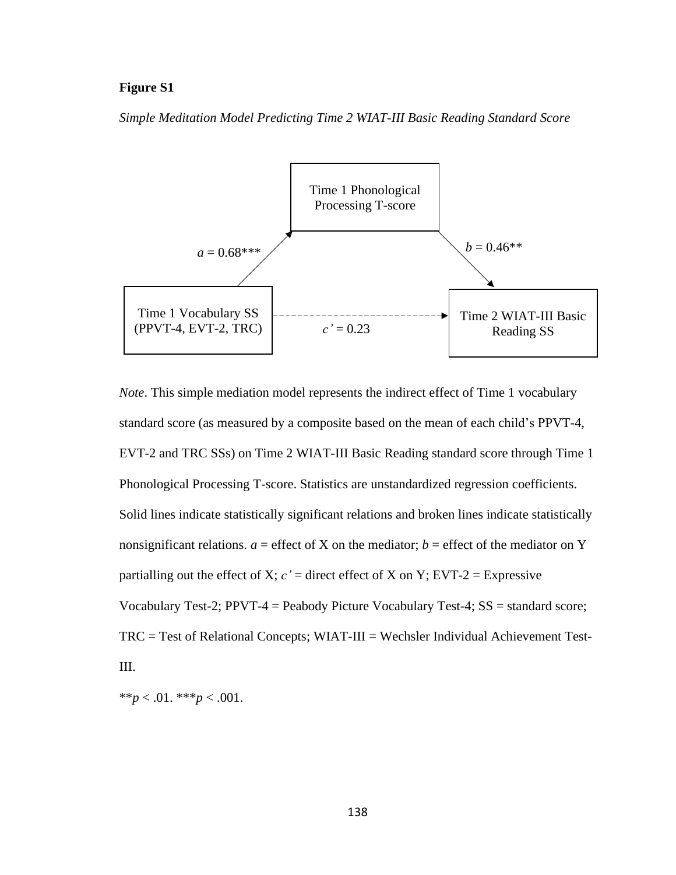#### **Figure S1**

*Simple Meditation Model Predicting Time 2 WIAT-III Basic Reading Standard Score*



*Note*. This simple mediation model represents the indirect effect of Time 1 vocabulary standard score (as measured by a composite based on the mean of each child's PPVT-4, EVT-2 and TRC SSs) on Time 2 WIAT-III Basic Reading standard score through Time 1 Phonological Processing T-score. Statistics are unstandardized regression coefficients. Solid lines indicate statistically significant relations and broken lines indicate statistically nonsignificant relations.  $a =$  effect of X on the mediator;  $b =$  effect of the mediator on Y partialling out the effect of X;  $c'$  = direct effect of X on Y; EVT-2 = Expressive Vocabulary Test-2; PPVT-4 = Peabody Picture Vocabulary Test-4; SS = standard score; TRC = Test of Relational Concepts; WIAT-III = Wechsler Individual Achievement Test-III.

\*\**p* < .01. \*\*\**p* < .001.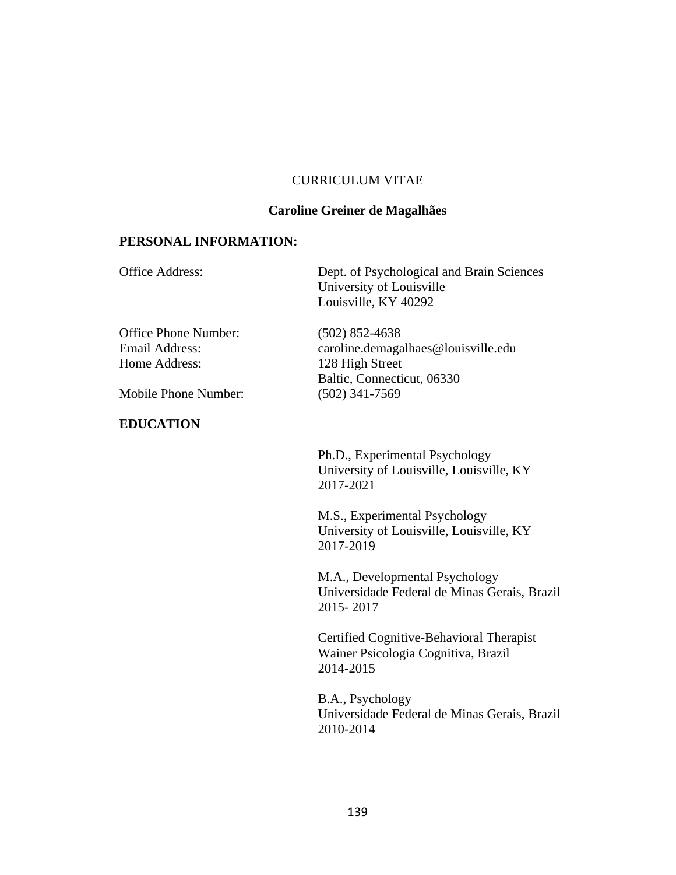## CURRICULUM VITAE

# **Caroline Greiner de Magalhães**

#### **PERSONAL INFORMATION:**

| <b>Office Address:</b>                                         | Dept. of Psychological and Brain Sciences<br>University of Louisville<br>Louisville, KY 40292            |
|----------------------------------------------------------------|----------------------------------------------------------------------------------------------------------|
| Office Phone Number:<br><b>Email Address:</b><br>Home Address: | $(502)$ 852-4638<br>caroline.demagalhaes@louisville.edu<br>128 High Street<br>Baltic, Connecticut, 06330 |
| Mobile Phone Number:                                           | $(502)$ 341-7569                                                                                         |
| <b>EDUCATION</b>                                               |                                                                                                          |
|                                                                | Ph.D., Experimental Psychology<br>University of Louisville, Louisville, KY<br>2017-2021                  |
|                                                                | M.S., Experimental Psychology<br>University of Louisville, Louisville, KY<br>2017-2019                   |
|                                                                | M <sub>A</sub> Davelopmental Davehology                                                                  |

M.A., Developmental Psychology Universidade Federal de Minas Gerais, Brazil 2015- 2017

Certified Cognitive-Behavioral Therapist Wainer Psicologia Cognitiva, Brazil 2014-2015

B.A., Psychology Universidade Federal de Minas Gerais, Brazil 2010-2014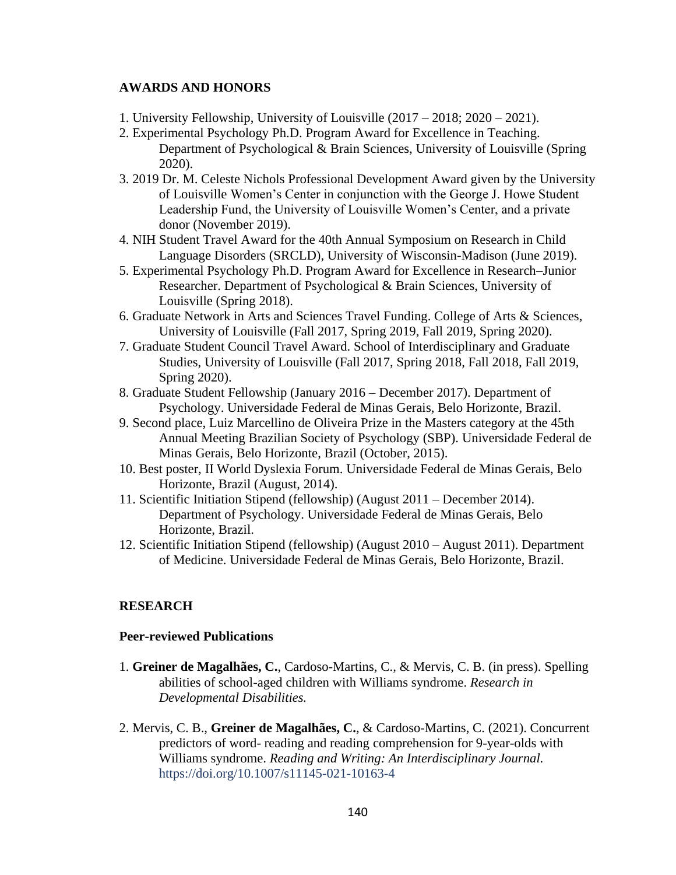## **AWARDS AND HONORS**

- 1. University Fellowship, University of Louisville (2017 2018; 2020 2021).
- 2. Experimental Psychology Ph.D. Program Award for Excellence in Teaching. Department of Psychological & Brain Sciences, University of Louisville (Spring 2020).
- 3. 2019 Dr. M. Celeste Nichols Professional Development Award given by the University of Louisville Women's Center in conjunction with the George J. Howe Student Leadership Fund, the University of Louisville Women's Center, and a private donor (November 2019).
- 4. NIH Student Travel Award for the 40th Annual Symposium on Research in Child Language Disorders (SRCLD), University of Wisconsin-Madison (June 2019).
- 5. Experimental Psychology Ph.D. Program Award for Excellence in Research–Junior Researcher. Department of Psychological & Brain Sciences, University of Louisville (Spring 2018).
- 6. Graduate Network in Arts and Sciences Travel Funding. College of Arts & Sciences, University of Louisville (Fall 2017, Spring 2019, Fall 2019, Spring 2020).
- 7. Graduate Student Council Travel Award. School of Interdisciplinary and Graduate Studies, University of Louisville (Fall 2017, Spring 2018, Fall 2018, Fall 2019, Spring 2020).
- 8. Graduate Student Fellowship (January 2016 December 2017). Department of Psychology. Universidade Federal de Minas Gerais, Belo Horizonte, Brazil.
- 9. Second place, Luiz Marcellino de Oliveira Prize in the Masters category at the 45th Annual Meeting Brazilian Society of Psychology (SBP). Universidade Federal de Minas Gerais, Belo Horizonte, Brazil (October, 2015).
- 10. Best poster, II World Dyslexia Forum. Universidade Federal de Minas Gerais, Belo Horizonte, Brazil (August, 2014).
- 11. Scientific Initiation Stipend (fellowship) (August 2011 December 2014). Department of Psychology. Universidade Federal de Minas Gerais, Belo Horizonte, Brazil.
- 12. Scientific Initiation Stipend (fellowship) (August 2010 August 2011). Department of Medicine. Universidade Federal de Minas Gerais, Belo Horizonte, Brazil.

## **RESEARCH**

#### **Peer-reviewed Publications**

- 1. **Greiner de Magalhães, C.**, Cardoso-Martins, C., & Mervis, C. B. (in press). Spelling abilities of school-aged children with Williams syndrome. *Research in Developmental Disabilities.*
- 2. Mervis, C. B., **Greiner de Magalhães, C.**, & Cardoso-Martins, C. (2021). Concurrent predictors of word- reading and reading comprehension for 9-year-olds with Williams syndrome. *Reading and Writing: An Interdisciplinary Journal.* <https://doi.org/10.1007/s11145-021-10163-4>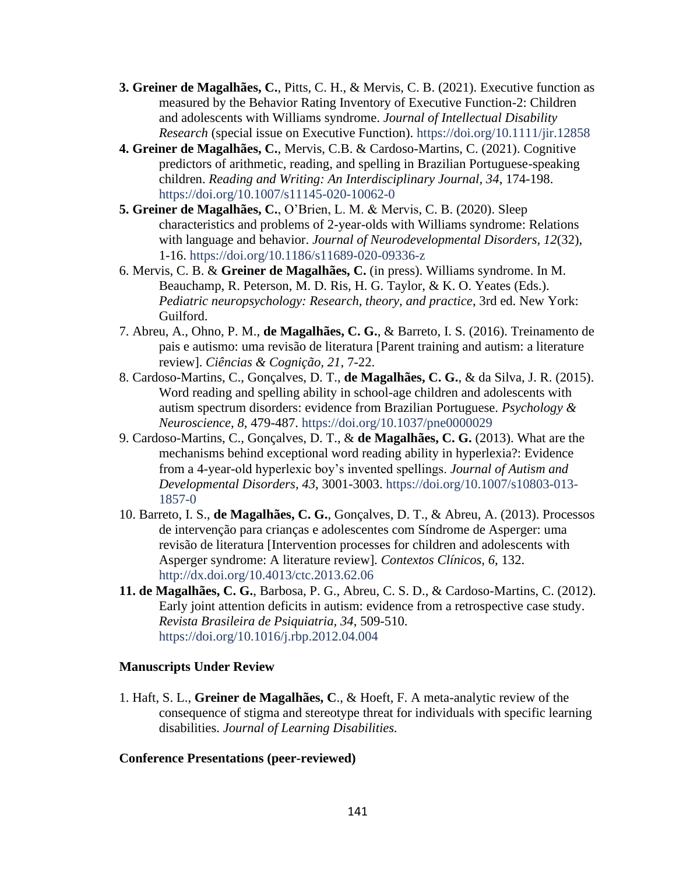- **3. Greiner de Magalhães, C.**, Pitts, C. H., & Mervis, C. B. (2021). Executive function as measured by the Behavior Rating Inventory of Executive Function-2: Children and adolescents with Williams syndrome. *Journal of Intellectual Disability Research* (special issue on Executive Function). <https://doi.org/10.1111/jir.12858>
- **4. Greiner de Magalhães, C.**, Mervis, C.B. & Cardoso-Martins, C. (2021). Cognitive predictors of arithmetic, reading, and spelling in Brazilian Portuguese-speaking children. *Reading and Writing: An Interdisciplinary Journal, 34*, 174-198. <https://doi.org/10.1007/s11145-020-10062-0>
- **5. Greiner de Magalhães, C.**, O'Brien, L. M. & Mervis, C. B. (2020). Sleep characteristics and problems of 2-year-olds with Williams syndrome: Relations with language and behavior. *Journal of Neurodevelopmental Disorders, 12*(32), 1-16.<https://doi.org/10.1186/s11689-020-09336-z>
- 6. Mervis, C. B. & **Greiner de Magalhães, C.** (in press). Williams syndrome. In M. Beauchamp, R. Peterson, M. D. Ris, H. G. Taylor, & K. O. Yeates (Eds.). *Pediatric neuropsychology: Research, theory, and practice*, 3rd ed. New York: Guilford.
- 7. Abreu, A., Ohno, P. M., **de Magalhães, C. G.**, & Barreto, I. S. (2016). Treinamento de pais e autismo: uma revisão de literatura [Parent training and autism: a literature review]. *Ciências & Cognição, 21*, 7-22.
- 8. Cardoso-Martins, C., Gonçalves, D. T., **de Magalhães, C. G.**, & da Silva, J. R. (2015). Word reading and spelling ability in school-age children and adolescents with autism spectrum disorders: evidence from Brazilian Portuguese. *Psychology & Neuroscience, 8*, 479-487.<https://doi.org/10.1037/pne0000029>
- 9. Cardoso-Martins, C., Gonçalves, D. T., & **de Magalhães, C. G.** (2013). What are the mechanisms behind exceptional word reading ability in hyperlexia?: Evidence from a 4-year-old hyperlexic boy's invented spellings. *Journal of Autism and Developmental Disorders, 43*, 3001-3003. [https://doi.org/10.1007/s10803-013-](https://doi.org/10.1007/s10803-013-1857-0) [1857-0](https://doi.org/10.1007/s10803-013-1857-0)
- 10. Barreto, I. S., **de Magalhães, C. G.**, Gonçalves, D. T., & Abreu, A. (2013). Processos de intervenção para crianças e adolescentes com Síndrome de Asperger: uma revisão de literatura [Intervention processes for children and adolescents with Asperger syndrome: A literature review]. *Contextos Clínicos, 6*, 132. <http://dx.doi.org/10.4013/ctc.2013.62.06>
- **11. de Magalhães, C. G.**, Barbosa, P. G., Abreu, C. S. D., & Cardoso-Martins, C. (2012). Early joint attention deficits in autism: evidence from a retrospective case study. *Revista Brasileira de Psiquiatria, 34*, 509-510. <https://doi.org/10.1016/j.rbp.2012.04.004>

#### **Manuscripts Under Review**

1. Haft, S. L., **Greiner de Magalhães, C**., & Hoeft, F. A meta-analytic review of the consequence of stigma and stereotype threat for individuals with specific learning disabilities. *Journal of Learning Disabilities.*

#### **Conference Presentations (peer-reviewed)**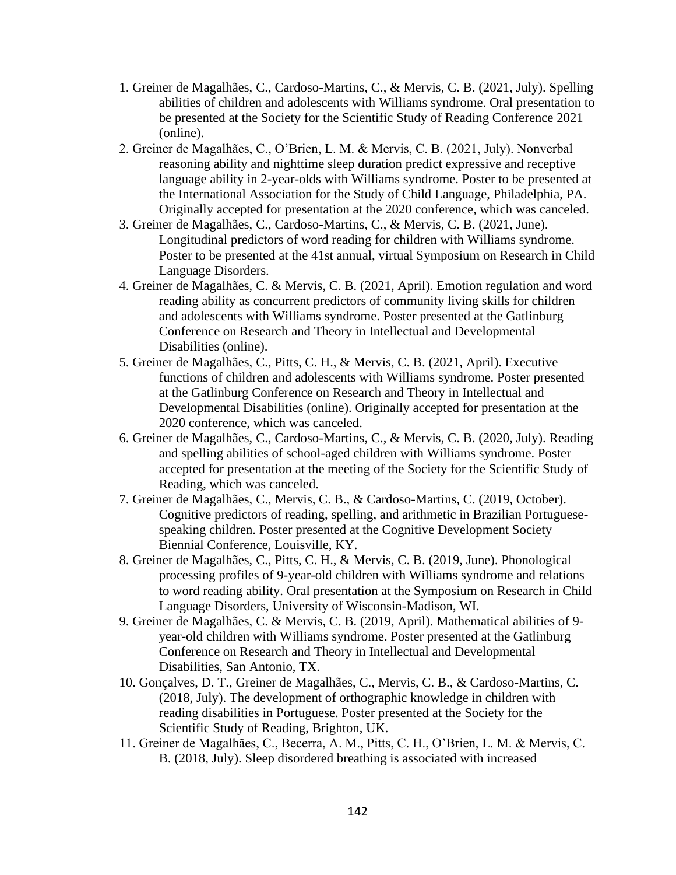- 1. Greiner de Magalhães, C., Cardoso-Martins, C., & Mervis, C. B. (2021, July). Spelling abilities of children and adolescents with Williams syndrome. Oral presentation to be presented at the Society for the Scientific Study of Reading Conference 2021 (online).
- 2. Greiner de Magalhães, C., O'Brien, L. M. & Mervis, C. B. (2021, July). Nonverbal reasoning ability and nighttime sleep duration predict expressive and receptive language ability in 2-year-olds with Williams syndrome. Poster to be presented at the International Association for the Study of Child Language, Philadelphia, PA. Originally accepted for presentation at the 2020 conference, which was canceled.
- 3. Greiner de Magalhães, C., Cardoso-Martins, C., & Mervis, C. B. (2021, June). Longitudinal predictors of word reading for children with Williams syndrome. Poster to be presented at the 41st annual, virtual Symposium on Research in Child Language Disorders.
- 4. Greiner de Magalhães, C. & Mervis, C. B. (2021, April). Emotion regulation and word reading ability as concurrent predictors of community living skills for children and adolescents with Williams syndrome. Poster presented at the Gatlinburg Conference on Research and Theory in Intellectual and Developmental Disabilities (online).
- 5. Greiner de Magalhães, C., Pitts, C. H., & Mervis, C. B. (2021, April). Executive functions of children and adolescents with Williams syndrome. Poster presented at the Gatlinburg Conference on Research and Theory in Intellectual and Developmental Disabilities (online). Originally accepted for presentation at the 2020 conference, which was canceled.
- 6. Greiner de Magalhães, C., Cardoso-Martins, C., & Mervis, C. B. (2020, July). Reading and spelling abilities of school-aged children with Williams syndrome. Poster accepted for presentation at the meeting of the Society for the Scientific Study of Reading, which was canceled.
- 7. Greiner de Magalhães, C., Mervis, C. B., & Cardoso-Martins, C. (2019, October). Cognitive predictors of reading, spelling, and arithmetic in Brazilian Portuguesespeaking children. Poster presented at the Cognitive Development Society Biennial Conference, Louisville, KY.
- 8. Greiner de Magalhães, C., Pitts, C. H., & Mervis, C. B. (2019, June). Phonological processing profiles of 9-year-old children with Williams syndrome and relations to word reading ability. Oral presentation at the Symposium on Research in Child Language Disorders, University of Wisconsin-Madison, WI.
- 9. Greiner de Magalhães, C. & Mervis, C. B. (2019, April). Mathematical abilities of 9 year-old children with Williams syndrome. Poster presented at the Gatlinburg Conference on Research and Theory in Intellectual and Developmental Disabilities, San Antonio, TX.
- 10. Gonçalves, D. T., Greiner de Magalhães, C., Mervis, C. B., & Cardoso-Martins, C. (2018, July). The development of orthographic knowledge in children with reading disabilities in Portuguese. Poster presented at the Society for the Scientific Study of Reading, Brighton, UK.
- 11. Greiner de Magalhães, C., Becerra, A. M., Pitts, C. H., O'Brien, L. M. & Mervis, C. B. (2018, July). Sleep disordered breathing is associated with increased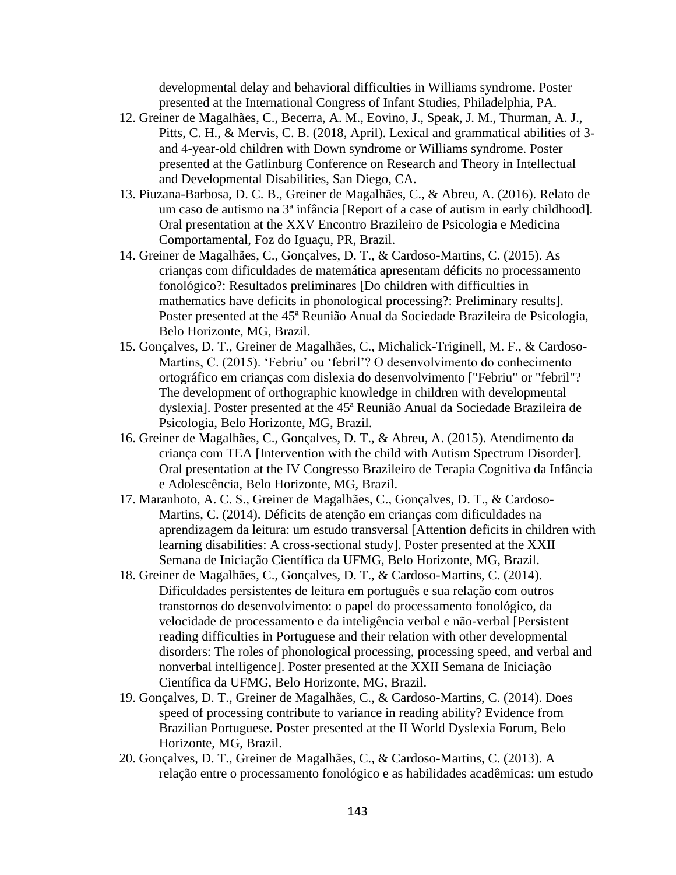developmental delay and behavioral difficulties in Williams syndrome. Poster presented at the International Congress of Infant Studies, Philadelphia, PA.

- 12. Greiner de Magalhães, C., Becerra, A. M., Eovino, J., Speak, J. M., Thurman, A. J., Pitts, C. H., & Mervis, C. B. (2018, April). Lexical and grammatical abilities of 3 and 4-year-old children with Down syndrome or Williams syndrome. Poster presented at the Gatlinburg Conference on Research and Theory in Intellectual and Developmental Disabilities, San Diego, CA.
- 13. Piuzana-Barbosa, D. C. B., Greiner de Magalhães, C., & Abreu, A. (2016). Relato de um caso de autismo na 3ª infância [Report of a case of autism in early childhood]. Oral presentation at the XXV Encontro Brazileiro de Psicologia e Medicina Comportamental, Foz do Iguaçu, PR, Brazil.
- 14. Greiner de Magalhães, C., Gonçalves, D. T., & Cardoso-Martins, C. (2015). As crianças com dificuldades de matemática apresentam déficits no processamento fonológico?: Resultados preliminares [Do children with difficulties in mathematics have deficits in phonological processing?: Preliminary results]. Poster presented at the 45ª Reunião Anual da Sociedade Brazileira de Psicologia, Belo Horizonte, MG, Brazil.
- 15. Gonçalves, D. T., Greiner de Magalhães, C., Michalick-Triginell, M. F., & Cardoso-Martins, C. (2015). 'Febriu' ou 'febril'? O desenvolvimento do conhecimento ortográfico em crianças com dislexia do desenvolvimento ["Febriu" or "febril"? The development of orthographic knowledge in children with developmental dyslexia]. Poster presented at the 45ª Reunião Anual da Sociedade Brazileira de Psicologia, Belo Horizonte, MG, Brazil.
- 16. Greiner de Magalhães, C., Gonçalves, D. T., & Abreu, A. (2015). Atendimento da criança com TEA [Intervention with the child with Autism Spectrum Disorder]. Oral presentation at the IV Congresso Brazileiro de Terapia Cognitiva da Infância e Adolescência, Belo Horizonte, MG, Brazil.
- 17. Maranhoto, A. C. S., Greiner de Magalhães, C., Gonçalves, D. T., & Cardoso-Martins, C. (2014). Déficits de atenção em crianças com dificuldades na aprendizagem da leitura: um estudo transversal [Attention deficits in children with learning disabilities: A cross-sectional study]. Poster presented at the XXII Semana de Iniciação Científica da UFMG, Belo Horizonte, MG, Brazil.
- 18. Greiner de Magalhães, C., Gonçalves, D. T., & Cardoso-Martins, C. (2014). Dificuldades persistentes de leitura em português e sua relação com outros transtornos do desenvolvimento: o papel do processamento fonológico, da velocidade de processamento e da inteligência verbal e não-verbal [Persistent reading difficulties in Portuguese and their relation with other developmental disorders: The roles of phonological processing, processing speed, and verbal and nonverbal intelligence]. Poster presented at the XXII Semana de Iniciação Científica da UFMG, Belo Horizonte, MG, Brazil.
- 19. Gonçalves, D. T., Greiner de Magalhães, C., & Cardoso-Martins, C. (2014). Does speed of processing contribute to variance in reading ability? Evidence from Brazilian Portuguese. Poster presented at the II World Dyslexia Forum, Belo Horizonte, MG, Brazil.
- 20. Gonçalves, D. T., Greiner de Magalhães, C., & Cardoso-Martins, C. (2013). A relação entre o processamento fonológico e as habilidades acadêmicas: um estudo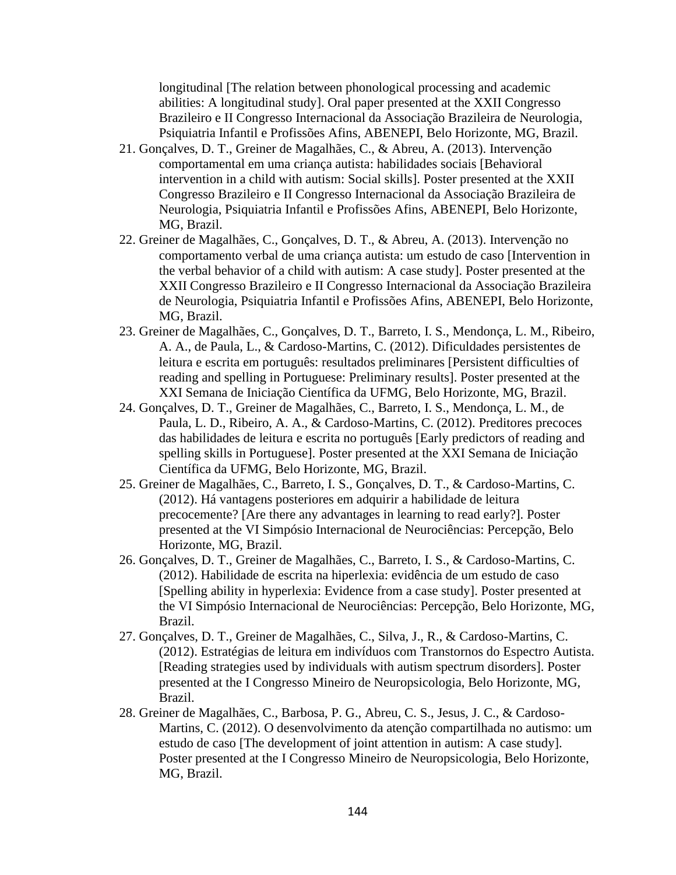longitudinal [The relation between phonological processing and academic abilities: A longitudinal study]. Oral paper presented at the XXII Congresso Brazileiro e II Congresso Internacional da Associação Brazileira de Neurologia, Psiquiatria Infantil e Profissões Afins, ABENEPI, Belo Horizonte, MG, Brazil.

- 21. Gonçalves, D. T., Greiner de Magalhães, C., & Abreu, A. (2013). Intervenção comportamental em uma criança autista: habilidades sociais [Behavioral intervention in a child with autism: Social skills]. Poster presented at the XXII Congresso Brazileiro e II Congresso Internacional da Associação Brazileira de Neurologia, Psiquiatria Infantil e Profissões Afins, ABENEPI, Belo Horizonte, MG, Brazil.
- 22. Greiner de Magalhães, C., Gonçalves, D. T., & Abreu, A. (2013). Intervenção no comportamento verbal de uma criança autista: um estudo de caso [Intervention in the verbal behavior of a child with autism: A case study]. Poster presented at the XXII Congresso Brazileiro e II Congresso Internacional da Associação Brazileira de Neurologia, Psiquiatria Infantil e Profissões Afins, ABENEPI, Belo Horizonte, MG, Brazil.
- 23. Greiner de Magalhães, C., Gonçalves, D. T., Barreto, I. S., Mendonça, L. M., Ribeiro, A. A., de Paula, L., & Cardoso-Martins, C. (2012). Dificuldades persistentes de leitura e escrita em português: resultados preliminares [Persistent difficulties of reading and spelling in Portuguese: Preliminary results]. Poster presented at the XXI Semana de Iniciação Científica da UFMG, Belo Horizonte, MG, Brazil.
- 24. Gonçalves, D. T., Greiner de Magalhães, C., Barreto, I. S., Mendonça, L. M., de Paula, L. D., Ribeiro, A. A., & Cardoso-Martins, C. (2012). Preditores precoces das habilidades de leitura e escrita no português [Early predictors of reading and spelling skills in Portuguese]. Poster presented at the XXI Semana de Iniciação Científica da UFMG, Belo Horizonte, MG, Brazil.
- 25. Greiner de Magalhães, C., Barreto, I. S., Gonçalves, D. T., & Cardoso-Martins, C. (2012). Há vantagens posteriores em adquirir a habilidade de leitura precocemente? [Are there any advantages in learning to read early?]. Poster presented at the VI Simpósio Internacional de Neurociências: Percepção, Belo Horizonte, MG, Brazil.
- 26. Gonçalves, D. T., Greiner de Magalhães, C., Barreto, I. S., & Cardoso-Martins, C. (2012). Habilidade de escrita na hiperlexia: evidência de um estudo de caso [Spelling ability in hyperlexia: Evidence from a case study]. Poster presented at the VI Simpósio Internacional de Neurociências: Percepção, Belo Horizonte, MG, Brazil.
- 27. Gonçalves, D. T., Greiner de Magalhães, C., Silva, J., R., & Cardoso-Martins, C. (2012). Estratégias de leitura em indivíduos com Transtornos do Espectro Autista. [Reading strategies used by individuals with autism spectrum disorders]. Poster presented at the I Congresso Mineiro de Neuropsicologia, Belo Horizonte, MG, Brazil.
- 28. Greiner de Magalhães, C., Barbosa, P. G., Abreu, C. S., Jesus, J. C., & Cardoso-Martins, C. (2012). O desenvolvimento da atenção compartilhada no autismo: um estudo de caso [The development of joint attention in autism: A case study]. Poster presented at the I Congresso Mineiro de Neuropsicologia, Belo Horizonte, MG, Brazil.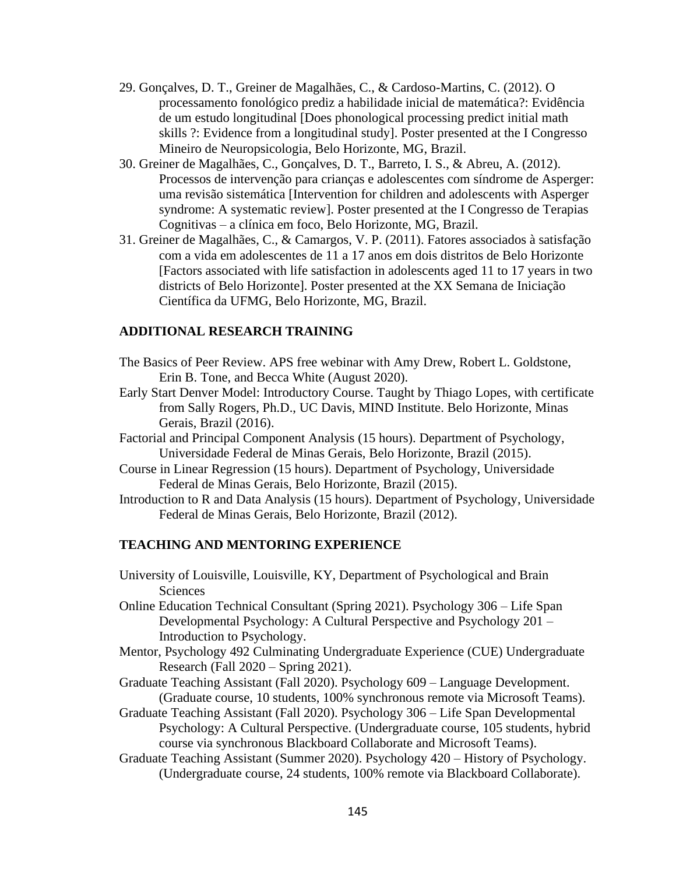- 29. Gonçalves, D. T., Greiner de Magalhães, C., & Cardoso-Martins, C. (2012). O processamento fonológico prediz a habilidade inicial de matemática?: Evidência de um estudo longitudinal [Does phonological processing predict initial math skills ?: Evidence from a longitudinal study]. Poster presented at the I Congresso Mineiro de Neuropsicologia, Belo Horizonte, MG, Brazil.
- 30. Greiner de Magalhães, C., Gonçalves, D. T., Barreto, I. S., & Abreu, A. (2012). Processos de intervenção para crianças e adolescentes com síndrome de Asperger: uma revisão sistemática [Intervention for children and adolescents with Asperger syndrome: A systematic review]. Poster presented at the I Congresso de Terapias Cognitivas – a clínica em foco, Belo Horizonte, MG, Brazil.
- 31. Greiner de Magalhães, C., & Camargos, V. P. (2011). Fatores associados à satisfação com a vida em adolescentes de 11 a 17 anos em dois distritos de Belo Horizonte [Factors associated with life satisfaction in adolescents aged 11 to 17 years in two districts of Belo Horizonte]. Poster presented at the XX Semana de Iniciação Científica da UFMG, Belo Horizonte, MG, Brazil.

### **ADDITIONAL RESEARCH TRAINING**

- The Basics of Peer Review. APS free webinar with Amy Drew, Robert L. Goldstone, Erin B. Tone, and Becca White (August 2020).
- Early Start Denver Model: Introductory Course. Taught by Thiago Lopes, with certificate from Sally Rogers, Ph.D., UC Davis, MIND Institute. Belo Horizonte, Minas Gerais, Brazil (2016).
- Factorial and Principal Component Analysis (15 hours). Department of Psychology, Universidade Federal de Minas Gerais, Belo Horizonte, Brazil (2015).
- Course in Linear Regression (15 hours). Department of Psychology, Universidade Federal de Minas Gerais, Belo Horizonte, Brazil (2015).
- Introduction to R and Data Analysis (15 hours). Department of Psychology, Universidade Federal de Minas Gerais, Belo Horizonte, Brazil (2012).

#### **TEACHING AND MENTORING EXPERIENCE**

- University of Louisville, Louisville, KY, Department of Psychological and Brain Sciences
- Online Education Technical Consultant (Spring 2021). Psychology 306 Life Span Developmental Psychology: A Cultural Perspective and Psychology 201 – Introduction to Psychology.
- Mentor, Psychology 492 Culminating Undergraduate Experience (CUE) Undergraduate Research (Fall 2020 – Spring 2021).
- Graduate Teaching Assistant (Fall 2020). Psychology 609 Language Development. (Graduate course, 10 students, 100% synchronous remote via Microsoft Teams).
- Graduate Teaching Assistant (Fall 2020). Psychology 306 Life Span Developmental Psychology: A Cultural Perspective. (Undergraduate course, 105 students, hybrid course via synchronous Blackboard Collaborate and Microsoft Teams).
- Graduate Teaching Assistant (Summer 2020). Psychology 420 History of Psychology. (Undergraduate course, 24 students, 100% remote via Blackboard Collaborate).